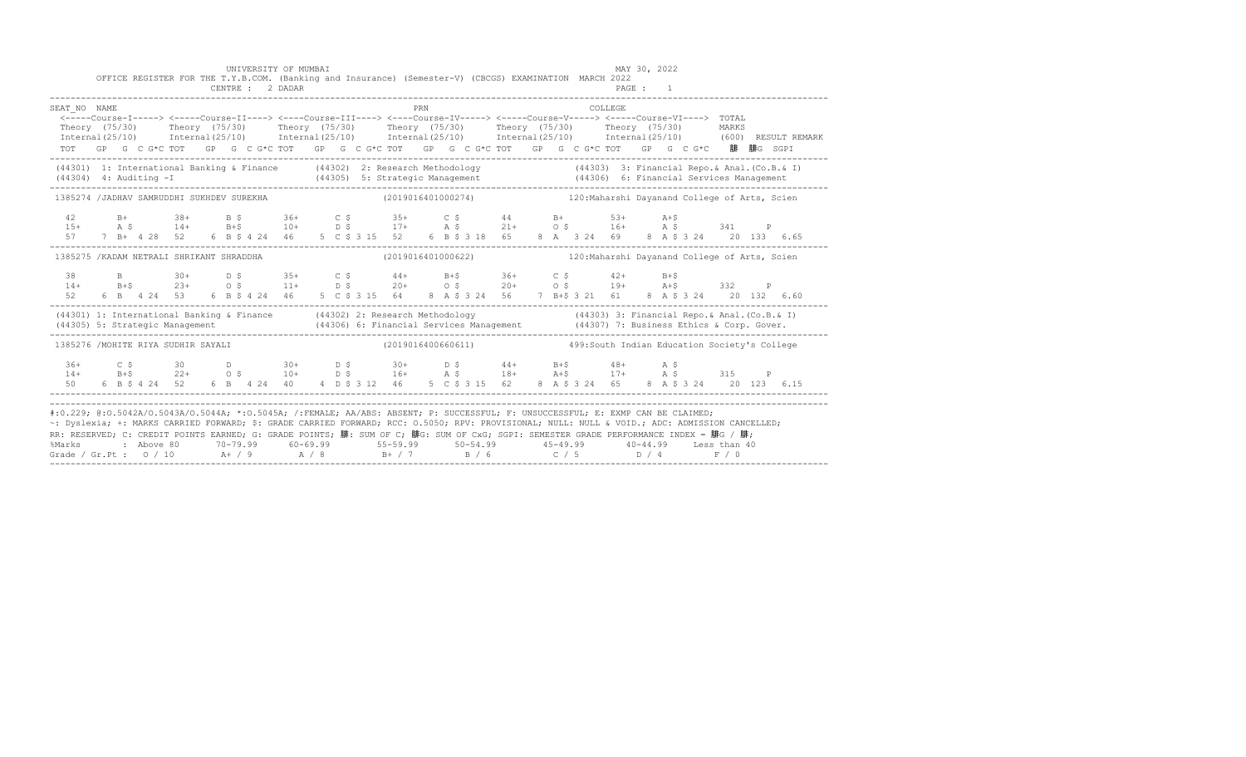|                                                                                                                                                                                                                                                                                                                                                                                                                                                                                                                                                                                           |  |  |  |  | UNIVERSITY OF MUMBAI |  | OFFICE REGISTER FOR THE T.Y.B.COM. (Banking and Insurance) (Semester-V) (CBCGS) EXAMINATION MARCH 2022                                                                                                                                                                                                                                                                                                                                      |     |  |  |         | MAY 30, 2022 |  |  |  |
|-------------------------------------------------------------------------------------------------------------------------------------------------------------------------------------------------------------------------------------------------------------------------------------------------------------------------------------------------------------------------------------------------------------------------------------------------------------------------------------------------------------------------------------------------------------------------------------------|--|--|--|--|----------------------|--|---------------------------------------------------------------------------------------------------------------------------------------------------------------------------------------------------------------------------------------------------------------------------------------------------------------------------------------------------------------------------------------------------------------------------------------------|-----|--|--|---------|--------------|--|--|--|
|                                                                                                                                                                                                                                                                                                                                                                                                                                                                                                                                                                                           |  |  |  |  | CENTRE : 2 DADAR     |  |                                                                                                                                                                                                                                                                                                                                                                                                                                             |     |  |  |         | PAGE : 1     |  |  |  |
| SEAT NO NAME                                                                                                                                                                                                                                                                                                                                                                                                                                                                                                                                                                              |  |  |  |  |                      |  | <----Course-I-----> <----Course-II----> <----Course-III----> <----Course-IV-----> <-----Course-VI----> TOTAL<br>Theory (75/30) Theory (75/30) Theory (75/30) Theory (75/30) Theory (75/30) Theory (75/30) MARKS<br>Internal(25/10) Internal(25/10) Internal(25/10) Internal(25/10) Internal(25/10) Internal(25/10) (600)RESULTREMARK<br>TOT GP G C G*C TOT GP G C G*C TOT GP G C G*C TOT GP G C G*C TOT GP G C G*C TOT GP G C G*C 腓 腓G SGPI | PRN |  |  | COLLEGE |              |  |  |  |
| $(44304)$ 4: Auditing $-I$                                                                                                                                                                                                                                                                                                                                                                                                                                                                                                                                                                |  |  |  |  |                      |  | (44301) 1: International Banking & Finance (44302) 2: Research Methodology (44303) 3: Financial Repo. & Anal. (Co.B. & I)                                                                                                                                                                                                                                                                                                                   |     |  |  |         |              |  |  |  |
| 1385274 /JADHAV SAMRUDDHI SUKHDEV SUREKHA                                                                                                                                                                                                                                                                                                                                                                                                                                                                                                                                                 |  |  |  |  |                      |  | (2019016401000274) 120: Maharshi Dayanand College of Arts, Scien                                                                                                                                                                                                                                                                                                                                                                            |     |  |  |         |              |  |  |  |
| 42                                                                                                                                                                                                                                                                                                                                                                                                                                                                                                                                                                                        |  |  |  |  |                      |  | B+ 38+ B \$ 36+ C \$ 35+ C \$ 44 B+ 53+ A+\$<br>-15+ A \$ 14+ B+\$ 10+ b \$ 17+ A \$ 21+ O \$ 16+ A \$ 341 P<br>57 7 B+ 4 28 52 6 B \$ 4 24 46 5 C \$ 315 52 6 B \$ 318 65 8 A 3 24 69 8 A \$ 3 24 20 133 6.65                                                                                                                                                                                                                              |     |  |  |         |              |  |  |  |
| 1385275 / KADAM NETRALI SHRIKANT SHRADDHA                                                                                                                                                                                                                                                                                                                                                                                                                                                                                                                                                 |  |  |  |  |                      |  | (2019016401000622) 120: Maharshi Dayanand College of Arts, Scien                                                                                                                                                                                                                                                                                                                                                                            |     |  |  |         |              |  |  |  |
|                                                                                                                                                                                                                                                                                                                                                                                                                                                                                                                                                                                           |  |  |  |  |                      |  | 38 B 30+ D \$ 35+ C \$ 44+ B+\$ 36+ C \$ 42+ B+\$<br>$14 + 24 + 5$<br>$52 + 6$ $53 + 6$ $54 + 24$<br>$55 + 6$ $56 + 6$<br>$56 + 6$ $57 + 6$<br>$58 + 6$<br>$59 + 6$<br>$59 + 6$<br>$50 + 6$<br>$50 + 6$<br>$50 + 6$<br>$50 + 6$<br>$50 + 6$<br>$50 + 6$<br>$50 + 6$<br>$50 + 6$<br>$50 + 6$<br>$50 + 6$<br>$50 + 6$<br>$50 + 6$<br>$50 + 6$<br>$50 +$                                                                                       |     |  |  |         |              |  |  |  |
|                                                                                                                                                                                                                                                                                                                                                                                                                                                                                                                                                                                           |  |  |  |  |                      |  | (44301) 1: International Banking & Finance (44302) 2: Research Methodology (44303) 3: Financial Repo. & Anal. (Co.B. & I)<br>(44305) 5: Strategic Management (44306) 6: Financial Services Management (44307) 7: Business Ethics                                                                                                                                                                                                            |     |  |  |         |              |  |  |  |
| 1385276 /MOHITE RIYA SUDHIR SAYALI                                                                                                                                                                                                                                                                                                                                                                                                                                                                                                                                                        |  |  |  |  |                      |  | (2019016400660611) 499:South Indian Education Society's College                                                                                                                                                                                                                                                                                                                                                                             |     |  |  |         |              |  |  |  |
|                                                                                                                                                                                                                                                                                                                                                                                                                                                                                                                                                                                           |  |  |  |  |                      |  |                                                                                                                                                                                                                                                                                                                                                                                                                                             |     |  |  |         |              |  |  |  |
| #:0.229; @:0.5042A/0.5043A/0.5044A; *:0.5045A; /:FEMALE; AA/ABS: ABSENT; P: SUCCESSFUL; F: UNSUCCESSFUL; E: EXMP CAN BE CLAIMED;<br>~: Dyslexia; +: MARKS CARRIED FORWARD; \$: GRADE CARRIED FORWARD; RCC: 0.5050; RPV: PROVISIONAL; NULL: NULL & VOID.; ADC: ADMISSION CANCELLED;<br>RR: RESERVED; C: CREDIT POINTS EARNED; G: GRADE POINTS; 腓: SUM OF C; 腓G: SUM OF CxG; SGPI: SEMESTER GRADE PERFORMANCE INDEX = 腓G / 腓;<br>%Marks : Above 80 70-79.99 60-69.99 55-59.99 50-54.99 45-49.99 40-44.99 Less than 40<br>Grade / Gr.Pt : 0 / 10 A+ / 9 A / 8 B+ / 7 B / 6 C / 5 D / 4 F / 0 |  |  |  |  |                      |  |                                                                                                                                                                                                                                                                                                                                                                                                                                             |     |  |  |         |              |  |  |  |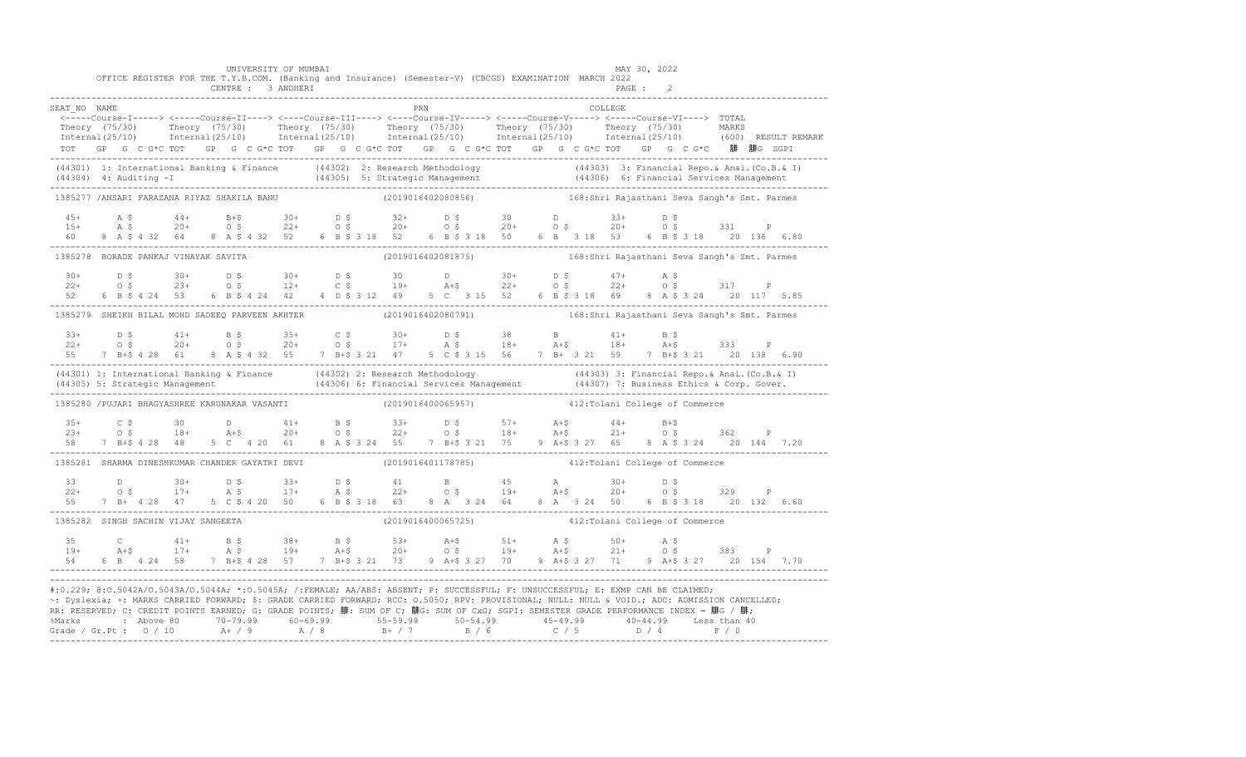|                                                                                                                                                                                                                                                                                                                                                                                                                                                                                                                                                                                                    |  |                   |  |  | UNIVERSITY OF MUMBAI<br>CENTRE : 3 ANDHERI |  |  |     |  | OFFICE REGISTER FOR THE T.Y.B.COM. (Banking and Insurance) (Semester-V) (CBCGS) EXAMINATION MARCH 2022                                                                                                                                                                                                                             |  |         | MAY 30, 2022<br>PAGE : |  |  |                                                                                                                                                                                                                       |
|----------------------------------------------------------------------------------------------------------------------------------------------------------------------------------------------------------------------------------------------------------------------------------------------------------------------------------------------------------------------------------------------------------------------------------------------------------------------------------------------------------------------------------------------------------------------------------------------------|--|-------------------|--|--|--------------------------------------------|--|--|-----|--|------------------------------------------------------------------------------------------------------------------------------------------------------------------------------------------------------------------------------------------------------------------------------------------------------------------------------------|--|---------|------------------------|--|--|-----------------------------------------------------------------------------------------------------------------------------------------------------------------------------------------------------------------------|
| SEAT NO NAME<br><-----Course-I-----> <-----Course-II----> <----Course-III----> <----Course-IV-----> <-----Course-V----> TOTAL<br>TOT GP G C G*C TOT GP G C G*C TOT GP G C G*C TOT GP G C G*C TOT GP G C G*C TOT GP G C G*C 腓 腓G SGPI                                                                                                                                                                                                                                                                                                                                                               |  |                   |  |  |                                            |  |  | PRN |  |                                                                                                                                                                                                                                                                                                                                    |  | COLLEGE |                        |  |  | Theory (75/30) Theory (75/30) Theory (75/30) Theory (75/30) Theory (75/30) Theory (75/30) MARKS<br>Internal(25/10) Internal(25/10) Internal(25/10) Internal(25/10) Internal(25/10) Internal(25/10) (600) RESULTREMARK |
| (44301) 1: International Banking & Finance (44302) 2: Research Methodology (44303) 3: Financial Repo. & Anal. (Co.B. & I)<br>(44304) 4: Auditing -I (44305) 5: Strategic Management (44306) 6: Financial Services Management (443                                                                                                                                                                                                                                                                                                                                                                  |  |                   |  |  |                                            |  |  |     |  |                                                                                                                                                                                                                                                                                                                                    |  |         |                        |  |  |                                                                                                                                                                                                                       |
| 1385277 /ANSARI FARAZANA RIYAZ SHAKILA BANU                                                                                                                                                                                                                                                                                                                                                                                                                                                                                                                                                        |  |                   |  |  |                                            |  |  |     |  |                                                                                                                                                                                                                                                                                                                                    |  |         |                        |  |  |                                                                                                                                                                                                                       |
|                                                                                                                                                                                                                                                                                                                                                                                                                                                                                                                                                                                                    |  | 60 8 A \$ 4 32 64 |  |  |                                            |  |  |     |  | $15+$ A \$ 44+ B+\$ 30+ D \$ 32+ D \$ 30 D 33+ D \$ 31 P<br>15+ A \$ 20+ O \$ 22+ O \$ 20+ O \$ 20+ O \$ 20+ O \$ 331 P<br>8 A \$ 4 32 52 6 B \$ 3 18 52 6 B \$ 3 18 50 6 B 3 18 53 6 B \$ 3 18 20 136 6.80                                                                                                                        |  |         |                        |  |  |                                                                                                                                                                                                                       |
| 1385278 BORADE PANKAJ VINAYAK SAVITA                                                                                                                                                                                                                                                                                                                                                                                                                                                                                                                                                               |  |                   |  |  |                                            |  |  |     |  | (2019016402081875) 168:Shri Rajasthani Seva Sangh's Smt. Parmes                                                                                                                                                                                                                                                                    |  |         |                        |  |  |                                                                                                                                                                                                                       |
| 52                                                                                                                                                                                                                                                                                                                                                                                                                                                                                                                                                                                                 |  |                   |  |  |                                            |  |  |     |  | $22+$ 0.5 $30+$ 0.5 $30+$ 0.5 $30+$ 0.5 $30+$ 0.5 $30+$ 0.5 $47+$ A.5<br>$22+$ 0.5 $23+$ 0.5 $12+$ 0.5 $19+$ A+5 $22+$ 0.5 $22+$ 0.5 $317$ P<br>6 B \$ 4 24 53 6 B \$ 4 24 42 4 D \$ 3 12 49 5 C 3 15 52 6 B \$ 3 18 69 8 A \$ 3 24 20 117 5.85                                                                                    |  |         |                        |  |  |                                                                                                                                                                                                                       |
| 1385279 SHEIKH BILAL MOHD SADEEQ PARVEEN AKHTER (2019016402080791) 168:Shri Rajasthani Seva Sangh's Smt. Parmes                                                                                                                                                                                                                                                                                                                                                                                                                                                                                    |  |                   |  |  |                                            |  |  |     |  |                                                                                                                                                                                                                                                                                                                                    |  |         |                        |  |  |                                                                                                                                                                                                                       |
|                                                                                                                                                                                                                                                                                                                                                                                                                                                                                                                                                                                                    |  |                   |  |  |                                            |  |  |     |  | $22+$ 0.5 $20+$ 0.5 $20+$ 0.5 $20+$ 0.5 $21+$ 0.5 $22+$ 0.5 $20+$ 0.5 $20+$ 0.5 $21+$ 0.5 $21+$ 0.5 $21+$ 0.5 $21+$ 0.5 $21+$ 0.5 $21+$ 0.5 $21+$ 0.5 $21+$ 0.5 $21+$ 0.5 $21+$ 0.5 $21+$ 0.5 $21+$ 0.5 $21+$ 0.5 $21+$ 0.5<br>55 7 B+\$ 4 28 61 8 A \$ 4 32 55 7 B+\$ 3 21 47 5 C \$ 3 15 56 7 B+ 3 21 59 7 B+\$ 3 21 20 138 6.90 |  |         |                        |  |  |                                                                                                                                                                                                                       |
| (44301) 1: International Banking & Finance (44302) 2: Research Methodology (44303) 3: Financial Repo. & Anal.<br>(44305) 5: Strategic Management (44306) 6: Financial Services Management (44307) 7: Business Ethics & Corp. Gove                                                                                                                                                                                                                                                                                                                                                                  |  |                   |  |  |                                            |  |  |     |  |                                                                                                                                                                                                                                                                                                                                    |  |         |                        |  |  |                                                                                                                                                                                                                       |
| 1385280 / PUJARI BHAGYASHREE KARUNAKAR VASANTI                                                                                                                                                                                                                                                                                                                                                                                                                                                                                                                                                     |  |                   |  |  |                                            |  |  |     |  | (2019016400065957) 412: Tolani College of Commerce                                                                                                                                                                                                                                                                                 |  |         |                        |  |  |                                                                                                                                                                                                                       |
|                                                                                                                                                                                                                                                                                                                                                                                                                                                                                                                                                                                                    |  |                   |  |  |                                            |  |  |     |  | $55 +$ $55 +$ $57 +$ $54 +$ $55 +$ $57 +$ $57 +$ $57 +$ $57 +$ $57 +$ $57 +$ $57 +$ $57 +$ $57 +$ $57 +$ $57 +$ $57 +$ $57 +$ $57 +$ $57 +$ $57 +$ $57 +$ $57 +$ $57 +$ $57 +$ $57 +$ $57 +$ $57 +$ $57 +$ $57 +$ $57 +$ $57 +$ $57 +$ $57 +$ $57 +$ $57 +$ $57 +$                                                                 |  |         |                        |  |  |                                                                                                                                                                                                                       |
| 1385281 SHARMA DINESHKUMAR CHANDER GAYATRI DEVI (2019016401178785) 412: Tolani College of Commerce                                                                                                                                                                                                                                                                                                                                                                                                                                                                                                 |  |                   |  |  |                                            |  |  |     |  |                                                                                                                                                                                                                                                                                                                                    |  |         |                        |  |  |                                                                                                                                                                                                                       |
|                                                                                                                                                                                                                                                                                                                                                                                                                                                                                                                                                                                                    |  |                   |  |  |                                            |  |  |     |  |                                                                                                                                                                                                                                                                                                                                    |  |         |                        |  |  |                                                                                                                                                                                                                       |
| 1385282 SINGH SACHIN VIJAY SANGEETA                                                                                                                                                                                                                                                                                                                                                                                                                                                                                                                                                                |  |                   |  |  |                                            |  |  |     |  | (2019016400065725) 412: Tolani College of Commerce                                                                                                                                                                                                                                                                                 |  |         |                        |  |  |                                                                                                                                                                                                                       |
| 35 C 41+ B \$ 38+ B \$ 53+ A+\$ 51+ A \$ 50+ A \$<br>19+ A+\$ 17+ A \$ 19+ A+\$ 20+ O \$ 19+ A+\$ 21+ O \$ 383 P<br>54 6 B 4 24 58 7 B+\$ 4 28 57 7 B+\$ 3 21 73 9 A+\$ 3 27 70 9 A+\$ 3 27 71 9 A+\$ 3 27 20 154 7.70                                                                                                                                                                                                                                                                                                                                                                             |  |                   |  |  |                                            |  |  |     |  |                                                                                                                                                                                                                                                                                                                                    |  |         |                        |  |  |                                                                                                                                                                                                                       |
| #:0.229; @:0.5042A/0.5043A/0.5044A; *:0.5045A; /:FEMALE; AA/ABS: ABSENT; P: SUCCESSFUL; F: UNSUCCESSFUL; E: EXMP CAN BE CLAIMED;<br>~: Dyslexia; +: MARKS CARRIED FORWARD; \$: GRADE CARRIED FORWARD; RCC: 0.5050; RPV: PROVISIONAL; NULL: NULL & VOID.; ADC: ADMISSION CANCELLED;<br>RR: RESERVED; C: CREDIT POINTS EARNED; G: GRADE POINTS; 腓: SUM OF C; 腓G: SUM OF CxG; SGPI: SEMESTER GRADE PERFORMANCE INDEX = 腓G / 腓;<br>%Marks : Above 80 70-79.99 60-69.99 55-59.99 50-54.99 50-54.99 45-49.99 40-44.99 Less than 40<br>Grade / Gr.Pt : 0 / 10 A+ / 9 A / 8 B+ / 7 B / 6 C / 5 D / 4 F / 0 |  |                   |  |  |                                            |  |  |     |  |                                                                                                                                                                                                                                                                                                                                    |  |         |                        |  |  |                                                                                                                                                                                                                       |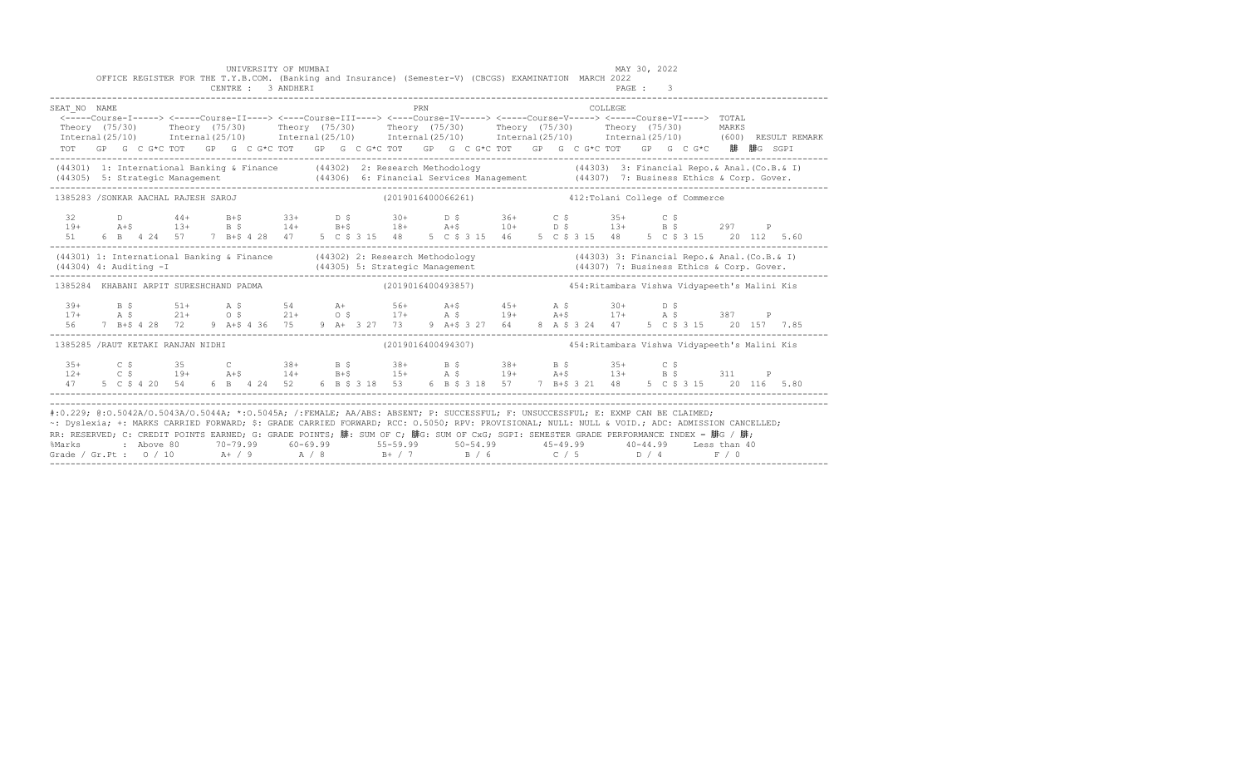|                                                                                                                                                                                                                                                                                                                                                                                                                                                                                                             |  |            | OFFICE REGISTER FOR THE T.Y.B.COM. (Banking and Insurance) (Semester-V) (CBCGS) EXAMINATION MARCH 2022<br>CENTRE : 3 ANDHERI                                                                                                                                                                                                                                            |  | UNIVERSITY OF MUMBAI                                               |  |  |  |     |  |  |  | __________________________ |          | MAY 30, 2022<br>PAGE : 3 |  |                                                    |                                                                  |  |  |
|-------------------------------------------------------------------------------------------------------------------------------------------------------------------------------------------------------------------------------------------------------------------------------------------------------------------------------------------------------------------------------------------------------------------------------------------------------------------------------------------------------------|--|------------|-------------------------------------------------------------------------------------------------------------------------------------------------------------------------------------------------------------------------------------------------------------------------------------------------------------------------------------------------------------------------|--|--------------------------------------------------------------------|--|--|--|-----|--|--|--|----------------------------|----------|--------------------------|--|----------------------------------------------------|------------------------------------------------------------------|--|--|
| SEAT NO NAME<br>Theory (75/30) Theory (75/30) Theory (75/30) Theory (75/30) Theory (75/30) Theory (75/30) MARKS<br>Internal (25/10) Internal (25/10) Internal (25/10) Internal (25/10) Internal (25/10) Internal (25/10) (600) RESULT REMARK                                                                                                                                                                                                                                                                |  |            | <-----Course-I-----> <-----Course-II----> <----Course-III----> <----Course-IV-----> <----Course-V-----> <----Course-VI----> TOTAL<br>TOT GP G C G*C TOT GP G C G*C TOT GP G C G*C TOT GP G C G*C TOT GP G C G*C TOT GP G C G*C 腓 腓G SGPI                                                                                                                                |  |                                                                    |  |  |  | PRN |  |  |  |                            | COLLEGE. |                          |  |                                                    |                                                                  |  |  |
| (44301) 1: International Banking & Finance (44302) 2: Research Methodology (44303) 3: Financial Repo. & Anal. (Co.B. & I)                                                                                                                                                                                                                                                                                                                                                                                   |  |            |                                                                                                                                                                                                                                                                                                                                                                         |  |                                                                    |  |  |  |     |  |  |  |                            |          |                          |  |                                                    |                                                                  |  |  |
| 1385283 /SONKAR AACHAL RAJESH SAROJ                                                                                                                                                                                                                                                                                                                                                                                                                                                                         |  |            |                                                                                                                                                                                                                                                                                                                                                                         |  |                                                                    |  |  |  |     |  |  |  |                            |          |                          |  | (2019016400066261) 412: Tolani College of Commerce |                                                                  |  |  |
|                                                                                                                                                                                                                                                                                                                                                                                                                                                                                                             |  |            | 32 D 44+ B+\$ 33+ D \$ 30+ D \$ 36+ C \$ 35+ C \$                                                                                                                                                                                                                                                                                                                       |  |                                                                    |  |  |  |     |  |  |  |                            |          |                          |  |                                                    |                                                                  |  |  |
| (44301) 1: International Banking & Finance (44302) 2: Research Methodology (44303) 3: Financial Repo. & Anal. (Co.B. & I)<br>(44304) 4: Auditing -I (44305) 5: Strategic Management (44307) 7: Business Ethics & Corp. Gover.<br>---                                                                                                                                                                                                                                                                        |  |            |                                                                                                                                                                                                                                                                                                                                                                         |  |                                                                    |  |  |  |     |  |  |  |                            |          |                          |  |                                                    |                                                                  |  |  |
| 1385284 KHABANI ARPIT SURESHCHAND PADMA                                                                                                                                                                                                                                                                                                                                                                                                                                                                     |  |            |                                                                                                                                                                                                                                                                                                                                                                         |  |                                                                    |  |  |  |     |  |  |  |                            |          |                          |  |                                                    |                                                                  |  |  |
|                                                                                                                                                                                                                                                                                                                                                                                                                                                                                                             |  |            |                                                                                                                                                                                                                                                                                                                                                                         |  |                                                                    |  |  |  |     |  |  |  |                            |          |                          |  |                                                    |                                                                  |  |  |
| 1385285 /RAUT KETAKI RANJAN NIDHI                                                                                                                                                                                                                                                                                                                                                                                                                                                                           |  |            |                                                                                                                                                                                                                                                                                                                                                                         |  |                                                                    |  |  |  |     |  |  |  |                            |          |                          |  |                                                    | (2019016400494307) 454: Ritambara Vishwa Vidyapeeth's Malini Kis |  |  |
|                                                                                                                                                                                                                                                                                                                                                                                                                                                                                                             |  |            | $\begin{array}{cccccccccccccccc} 35+& & C & \xi & & 35 & & C & 38+ & B & \xi & & 38+ & B & \xi & & 38+ & B & \xi & & 35+ & C & \xi \\ 12+& & C & \xi & & 19+ & & A+\xi & & 14+ & B+\xi & & 15+ & A & \xi & & 19+ & A+\xi & & 13+ & B & \xi & & 311 & P \\ 47 & 5 & C & \xi & 4 & 20 & 54 & 6 & B & 4 & 24 & 52 & 6 & B & \xi & 318 & 53 & 6 & B & \xi & 318 & 57 & 7 &$ |  |                                                                    |  |  |  |     |  |  |  |                            |          |                          |  |                                                    |                                                                  |  |  |
| #:0.229; @:0.5042A/0.5043A/0.5044A; *:0.5045A; /:FEMALE; AA/ABS: ABSENT; P: SUCCESSFUL; F: UNSUCCESSFUL; E: EXMP CAN BE CLAIMED;<br>~: Dyslexia; +: MARKS CARRIED FORWARD; \$: GRADE CARRIED FORWARD; RCC: 0.5050; RPV: PROVISIONAL; NULL: NULL & VOID.; ADC: ADMISSION CANCELLED;<br>RR: RESERVED; C: CREDIT POINTS EARNED; G: GRADE POINTS; 腓: SUM OF C; 腓G: SUM OF CxG; SGPI: SEMESTER GRADE PERFORMANCE INDEX = 腓G / 腓;<br>%Marks<br>Grade / Gr.Pt : $0/10$ A+ / 9 A / 8 B+ / 7 B / 6 C / 5 D / 4 F / 0 |  | : Above 80 |                                                                                                                                                                                                                                                                                                                                                                         |  | 70-79.99 60-69.99 55-59.99 50-54.99 45-49.99 40-44.99 Less than 40 |  |  |  |     |  |  |  |                            |          |                          |  |                                                    |                                                                  |  |  |

------------------------------------------------------------------------------------------------------------------------------------------------------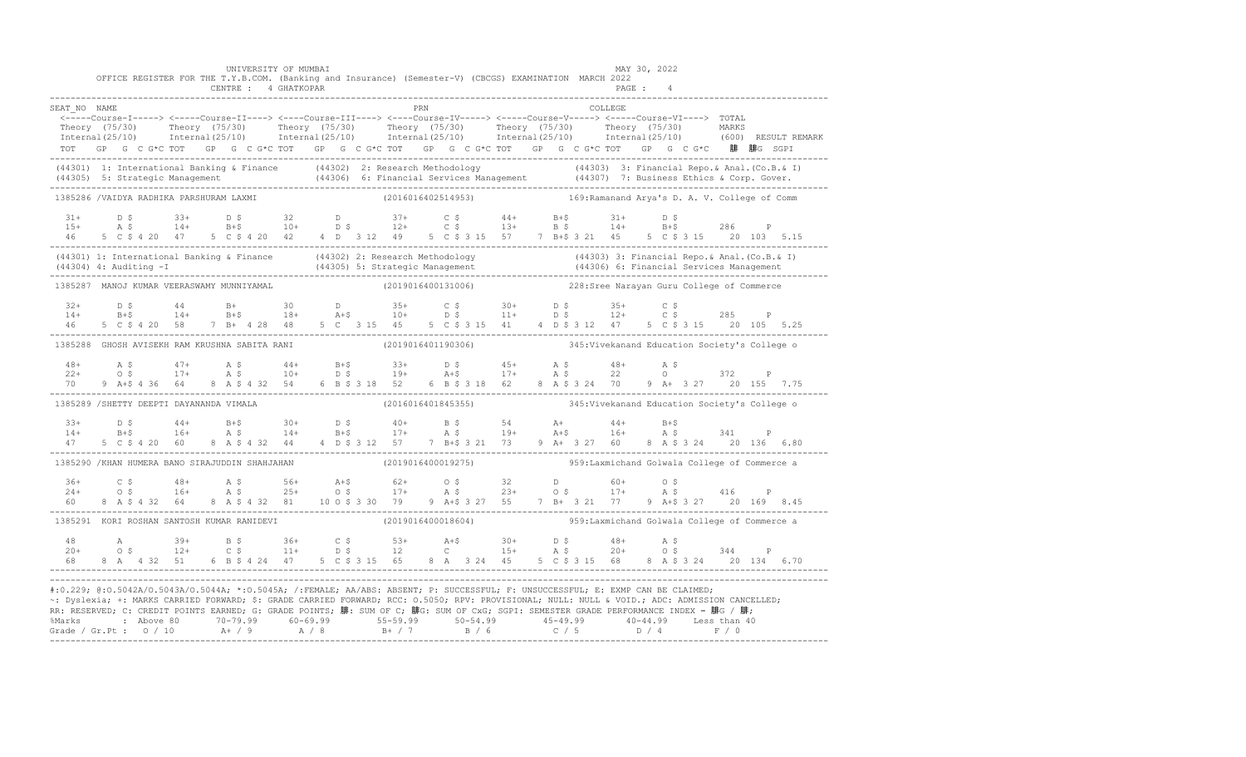|                                                                                                                                                                                                                                                                                                                                                                                                                                                                                                                     |  |  |  | UNIVERSITY OF MUMBAI<br>CENTRE : 4 GHATKOPAR |  |  |     | OFFICE REGISTER FOR THE T.Y.B.COM. (Banking and Insurance) (Semester-V) (CBCGS) EXAMINATION MARCH 2022                                                                                                                                                                                                                                                                                                           |  |  | MAY 30, 2022<br>PAGE: 4 |  |  |                                                                                                                                                                                                                       |
|---------------------------------------------------------------------------------------------------------------------------------------------------------------------------------------------------------------------------------------------------------------------------------------------------------------------------------------------------------------------------------------------------------------------------------------------------------------------------------------------------------------------|--|--|--|----------------------------------------------|--|--|-----|------------------------------------------------------------------------------------------------------------------------------------------------------------------------------------------------------------------------------------------------------------------------------------------------------------------------------------------------------------------------------------------------------------------|--|--|-------------------------|--|--|-----------------------------------------------------------------------------------------------------------------------------------------------------------------------------------------------------------------------|
| SEAT NO NAME                                                                                                                                                                                                                                                                                                                                                                                                                                                                                                        |  |  |  |                                              |  |  | PRN | <-----Course-I-----> <-----Course-II----> <----Course-III----> <----Course-IV-----> <-----Course-V-----> <-----Course-VI----> TOTAL<br>TOT GP G C G*C TOT GP G C G*C TOT GP G C G*C TOT GP G C G*C TOT GP G C G*C TOT GP G C G*C 腓 腓G SGPI                                                                                                                                                                       |  |  | COLLEGE.                |  |  | Theory (75/30) Theory (75/30) Theory (75/30) Theory (75/30) Theory (75/30) Theory (75/30) MARKS<br>Internal(25/10) Internal(25/10) Internal(25/10) Internal(25/10) Internal(25/10) Internal(25/10) (600) RESULTREMARK |
|                                                                                                                                                                                                                                                                                                                                                                                                                                                                                                                     |  |  |  |                                              |  |  |     | (44301) 1: International Banking & Finance (44302) 2: Research Methodology (44303) 3: Financial Repo. & Anal.<br>(44305) 5: Strategic Management (44306) 6: Financial Services Management (44307) 7: Business Ethics & Corp. Gove                                                                                                                                                                                |  |  |                         |  |  |                                                                                                                                                                                                                       |
| 1385286 /VAIDYA RADHIKA PARSHURAM LAXMI                                                                                                                                                                                                                                                                                                                                                                                                                                                                             |  |  |  |                                              |  |  |     | (2016016402514953) 169: Ramanand Arya's D. A. V. College of Comm                                                                                                                                                                                                                                                                                                                                                 |  |  |                         |  |  |                                                                                                                                                                                                                       |
|                                                                                                                                                                                                                                                                                                                                                                                                                                                                                                                     |  |  |  |                                              |  |  |     | $11+$ $15+$ $13+$ $14+$ $15+$<br>$15+$ $16+$ $16+$ $10+$ $15+$ $12+$ $15+$ $13+$ $15+$ $14+$ $15+$<br>$15+$ $16+$ $15+$ $12+$ $15+$ $15+$ $15+$ $15+$ $15+$<br>46 5 C \$ 4 20 47 5 C \$ 4 20 42 4 D 3 12 49 5 C \$ 3 15 57 7 B+\$ 3 21 45 5 C \$ 3 15 20 103 5.15                                                                                                                                                |  |  |                         |  |  |                                                                                                                                                                                                                       |
|                                                                                                                                                                                                                                                                                                                                                                                                                                                                                                                     |  |  |  |                                              |  |  |     | (44301) 1: International Banking & Finance (44302) 2: Research Methodology (44303) 3: Financial Repo. & Anal. (Co.B. & I)<br>(44304) 4: Auditing -I (44305) 5: Strategic Management (44306) 6: Financial Services Management (443                                                                                                                                                                                |  |  |                         |  |  |                                                                                                                                                                                                                       |
| 1385287 MANOJ KUMAR VEERASWAMY MUNNIYAMAL                                                                                                                                                                                                                                                                                                                                                                                                                                                                           |  |  |  |                                              |  |  |     | (2019016400131006)  228:Sree Narayan Guru College of Commerce                                                                                                                                                                                                                                                                                                                                                    |  |  |                         |  |  |                                                                                                                                                                                                                       |
| $32+$<br>$14+$<br>46                                                                                                                                                                                                                                                                                                                                                                                                                                                                                                |  |  |  |                                              |  |  |     |                                                                                                                                                                                                                                                                                                                                                                                                                  |  |  |                         |  |  |                                                                                                                                                                                                                       |
|                                                                                                                                                                                                                                                                                                                                                                                                                                                                                                                     |  |  |  |                                              |  |  |     | 1385288 GHOSH AVISEKH RAM KRUSHNA SABITA RANI (2019016401190306) 345: Vivekanand Education Society's College o                                                                                                                                                                                                                                                                                                   |  |  |                         |  |  |                                                                                                                                                                                                                       |
|                                                                                                                                                                                                                                                                                                                                                                                                                                                                                                                     |  |  |  |                                              |  |  |     | $\begin{array}{cccccccccccccccc} 48+ & & {\bf A}\ \, & {\bf S} & & 47+ & {\bf A}\ \, & {\bf S} & & 47+ & {\bf A}\ \, & {\bf S} & & 17+ & {\bf A}\ \, & {\bf S} & & 10+ & {\bf B}\ \, & {\bf S} & & 10+ & {\bf B}\ \, & {\bf S} & & 19+ & {\bf A}\ \, & {\bf S} & & 17+ & {\bf A}\ \, & {\bf S} & & 22 & {\bf O} & & 372 & {\bf P} \\ 70 & 9 & {\bf A}\mbox{-}8 & 4 & 36 & 64 & 8 & {\bf A}\ \, & {\bf S} & {\bf$ |  |  |                         |  |  |                                                                                                                                                                                                                       |
| 1385289 /SHETTY DEEPTI DAYANANDA VIMALA                                                                                                                                                                                                                                                                                                                                                                                                                                                                             |  |  |  |                                              |  |  |     | (2016016401845355) 345: Vivekanand Education Society's College o                                                                                                                                                                                                                                                                                                                                                 |  |  |                         |  |  |                                                                                                                                                                                                                       |
| $33+$<br>$14+$                                                                                                                                                                                                                                                                                                                                                                                                                                                                                                      |  |  |  |                                              |  |  |     | D \$44+B+\$30+D \$40+B \$54 A+44+B+\$<br>B+\$16+A \$14+B+\$17+A \$19+A+\$16+A \$341 P                                                                                                                                                                                                                                                                                                                            |  |  |                         |  |  |                                                                                                                                                                                                                       |
|                                                                                                                                                                                                                                                                                                                                                                                                                                                                                                                     |  |  |  |                                              |  |  |     | 1385290 /KHAN HUMERA BANO SIRAJUDDIN SHAHJAHAN (2019016400019275) 359:Laxmichand Golwala College of Commerce a                                                                                                                                                                                                                                                                                                   |  |  |                         |  |  |                                                                                                                                                                                                                       |
|                                                                                                                                                                                                                                                                                                                                                                                                                                                                                                                     |  |  |  |                                              |  |  |     | $36+$ $C$ \$ $48+$ $A$ \$ $56+$ $A+$ \$ $62+$ $0$ \$ $32$ $D$ $60+$ $0$ \$ $416$ $P$<br>$24+$ $0$ \$ $16+$ $A$ \$ $25+$ $0$ \$ $17+$ $A$ \$ $23+$ $0$ \$ $17+$ $A$ \$ $416$ $P$<br>$60$ 8 $A$ \$ $432$ $64$ 8 $A$ \$ $432$ $81$ $10$ $0$ \$ $3$ $3$                                                                                                                                                              |  |  |                         |  |  |                                                                                                                                                                                                                       |
|                                                                                                                                                                                                                                                                                                                                                                                                                                                                                                                     |  |  |  |                                              |  |  |     | 1385291 KORI ROSHAN SANTOSH KUMAR RANIDEVI (2019016400018604) 959:Laxmichand Golwala College of Commerce a                                                                                                                                                                                                                                                                                                       |  |  |                         |  |  |                                                                                                                                                                                                                       |
|                                                                                                                                                                                                                                                                                                                                                                                                                                                                                                                     |  |  |  |                                              |  |  |     | 48 A $39+$ B $5$ $36+$ C $5$ $53+$ A+ $5$ $30+$ D $5$ $48+$ A $5$<br>$20+$ O $5$ $12+$ C $5$ $11+$ D $5$ $12$ C $15+$ A $5$ $20+$ O $5$ $344$ P<br>$68$ 8 A $4$ 32 51 6 B $5$ 4 24 47 5 C $5$ 3 15 65 8 A $3$ 24 45 5 C $5$ 3 15 6                                                                                                                                                                               |  |  |                         |  |  |                                                                                                                                                                                                                       |
| #:0.229; @:0.5042A/0.5043A/0.5044A; *:0.5045A; /:FEMALE; AA/ABS: ABSENT; P: SUCCESSFUL; F: UNSUCCESSFUL; E: EXMP CAN BE CLAIMED;<br>~: Dyslexia; +: MARKS CARRIED FORWARD; \$: GRADE CARRIED FORWARD; RCC: 0.5050; RPV: PROVISIONAL; NULL: NULL & VOID.; ADC: ADMISSION CANCELLED;<br>RR: RESERVED; C: CREDIT POINTS EARNED; G: GRADE POINTS; 腓: SUM OF C; 腓G: SUM OF CxG; SGPI: SEMESTER GRADE PERFORMANCE INDEX = 腓G / 腓;<br>%Marks : Above 80 70-79.99 60-69.99 55-59.99 50-54.99 45-49.99 40-44.99 Less than 40 |  |  |  |                                              |  |  |     |                                                                                                                                                                                                                                                                                                                                                                                                                  |  |  |                         |  |  |                                                                                                                                                                                                                       |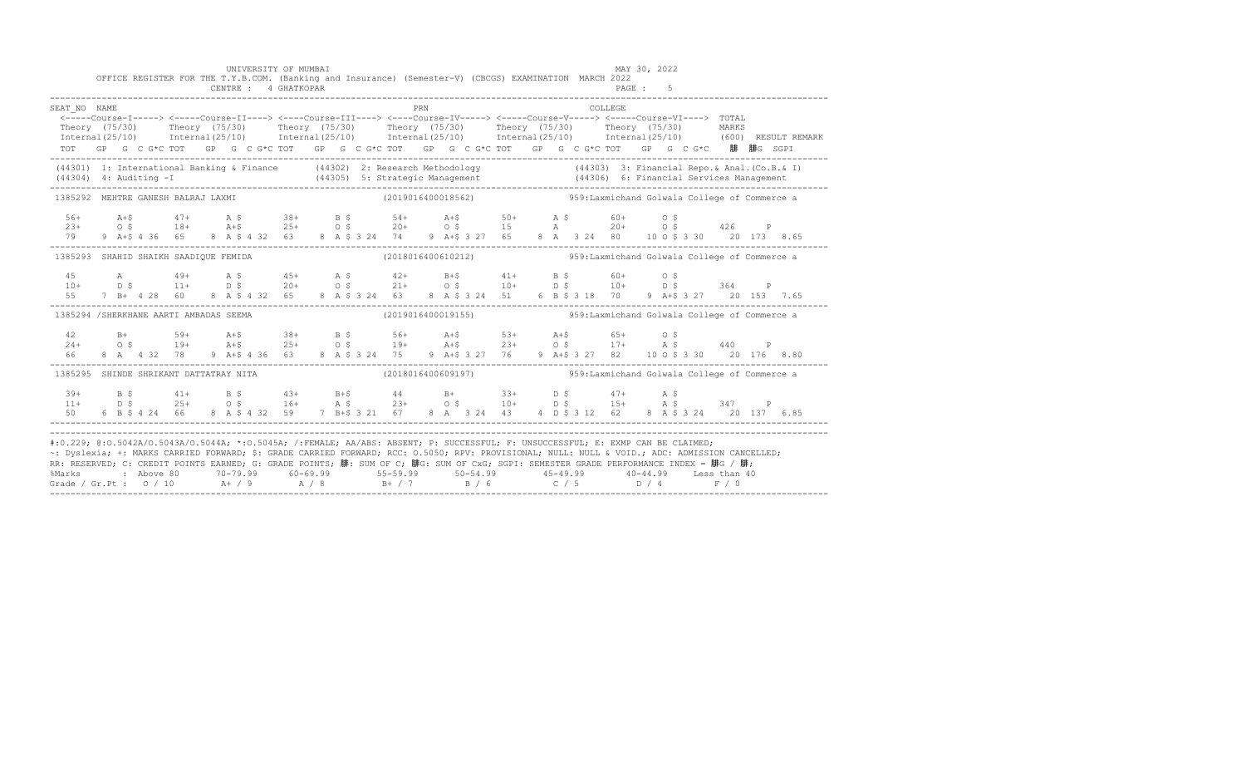|                                        |  |  |  |  |  | UNIVERSITY OF MUMBAI<br>CENTRE : 4 GHATKOPAR |  |  |     | OFFICE REGISTER FOR THE T.Y.B.COM. (Banking and Insurance) (Semester-V) (CBCGS) EXAMINATION MARCH 2022                                                                                                                                                                                                                                                                                                                                                                                                                                                                                    |  |  |         | MAY 30, 2022<br>PAGE: 5 |  |       |  |
|----------------------------------------|--|--|--|--|--|----------------------------------------------|--|--|-----|-------------------------------------------------------------------------------------------------------------------------------------------------------------------------------------------------------------------------------------------------------------------------------------------------------------------------------------------------------------------------------------------------------------------------------------------------------------------------------------------------------------------------------------------------------------------------------------------|--|--|---------|-------------------------|--|-------|--|
| SEAT NO NAME<br>Theory (75/30)         |  |  |  |  |  |                                              |  |  | PRN | <----Course-I-----> <----Course-II----> <----Course-III----> <----Course-IV-----> <----Course-V-----> <----Course-VI----> TOTAL<br>Theory (75/30)  Theory (75/30)  Theory (75/30)  Theory (75/30)  Theory (75/30)<br>Internal (25/10) Internal (25/10) Internal (25/10) Internal (25/10) Internal (25/10) Internal (25/10) (600) RESULT REMARK<br>TOT GP G C G*C TOT GP G C G*C TOT GP G C G*C TOT GP G C G*C TOT GP G C G*C TOT GP G C G*C 腓 腓G SGPI                                                                                                                                     |  |  | COLLEGE |                         |  | MARKS |  |
|                                        |  |  |  |  |  |                                              |  |  |     | (44301) 1: International Banking & Finance (44302) 2: Research Methodology (44303) 3: Financial Repo. & Anal. (Co.B. & I)                                                                                                                                                                                                                                                                                                                                                                                                                                                                 |  |  |         |                         |  |       |  |
| 1385292 MEHTRE GANESH BALRAJ LAXMI     |  |  |  |  |  |                                              |  |  |     | $(2019016400018562)$ 959:Laxmichand Golwala College of Commerce a                                                                                                                                                                                                                                                                                                                                                                                                                                                                                                                         |  |  |         |                         |  |       |  |
|                                        |  |  |  |  |  |                                              |  |  |     |                                                                                                                                                                                                                                                                                                                                                                                                                                                                                                                                                                                           |  |  |         |                         |  |       |  |
| 1385293 SHAHID SHAIKH SAADIQUE FEMIDA  |  |  |  |  |  |                                              |  |  |     | $(2018016400610212)$ 959:Laxmichand Golwala College of Commerce a                                                                                                                                                                                                                                                                                                                                                                                                                                                                                                                         |  |  |         |                         |  |       |  |
| 55                                     |  |  |  |  |  |                                              |  |  |     | 7 B + 4 28 60 8 A \$ 4 32 65 8 A \$ 3 24 63 8 A \$ 3 24 51 6 B \$ 3 18 70 9 A + \$ 3 27 20 153 7.65                                                                                                                                                                                                                                                                                                                                                                                                                                                                                       |  |  |         |                         |  |       |  |
| 1385294 /SHERKHANE AARTI AMBADAS SEEMA |  |  |  |  |  |                                              |  |  |     | (2019016400019155)  959: Laxmichand Golwala College of Commerce a                                                                                                                                                                                                                                                                                                                                                                                                                                                                                                                         |  |  |         |                         |  |       |  |
|                                        |  |  |  |  |  |                                              |  |  |     |                                                                                                                                                                                                                                                                                                                                                                                                                                                                                                                                                                                           |  |  |         |                         |  |       |  |
| 1385295 SHINDE SHRIKANT DATTATRAY NITA |  |  |  |  |  |                                              |  |  |     | $(2018016400609197)$ 959:Laxmichand Golwala College of Commerce a                                                                                                                                                                                                                                                                                                                                                                                                                                                                                                                         |  |  |         |                         |  |       |  |
| $50 -$                                 |  |  |  |  |  |                                              |  |  |     | $11+$ $15+$ $16+$ $17+$ $18+$ $19+$ $10+$ $10+$ $10+$ $15+$ $15+$ $15+$ $15+$ $15+$ $15+$ $15+$ $15+$ $15+$ $15+$ $15+$ $15+$ $15+$ $15+$ $15+$ $15+$ $15+$ $15+$ $15+$ $15+$ $15+$ $15+$ $15+$ $15+$ $15+$ $15+$ $15+$ $15+$<br>6 B \$ 4 24 66 8 A \$ 4 32 59 7 B + \$ 3 21 67 8 A 3 24 43 4 D \$ 3 12 62 8 A \$ 3 24 20 137 6.85                                                                                                                                                                                                                                                        |  |  |         |                         |  |       |  |
|                                        |  |  |  |  |  |                                              |  |  |     | #:0.229; @:0.5042A/0.5043A/0.5044A; *:0.5045A; /:FEMALE; AA/ABS: ABSENT; P: SUCCESSFUL; F: UNSUCCESSFUL; E: EXMP CAN BE CLAIMED;<br>~: Dyslexia; +: MARKS CARRIED FORWARD; \$: GRADE CARRIED FORWARD; RCC: 0.5050; RPV: PROVISIONAL; NULL: NULL & VOID.; ADC: ADMISSION CANCELLED;<br>RR: RESERVED; C: CREDIT POINTS EARNED; G: GRADE POINTS; 腓: SUM OF C; 腓G: SUM OF CxG; SGPI: SEMESTER GRADE PERFORMANCE INDEX = 腓G / 腓;<br>%Marks : Above 80 70-79.99 60-69.99 55-59.99 50-54.99 45-49.99 40-44.99 Less than 40<br>Grade / Gr.Pt : 0 / 10 A+ / 9 A / 8 B+ / 7 B / 6 C / 5 D / 4 F / 0 |  |  |         |                         |  |       |  |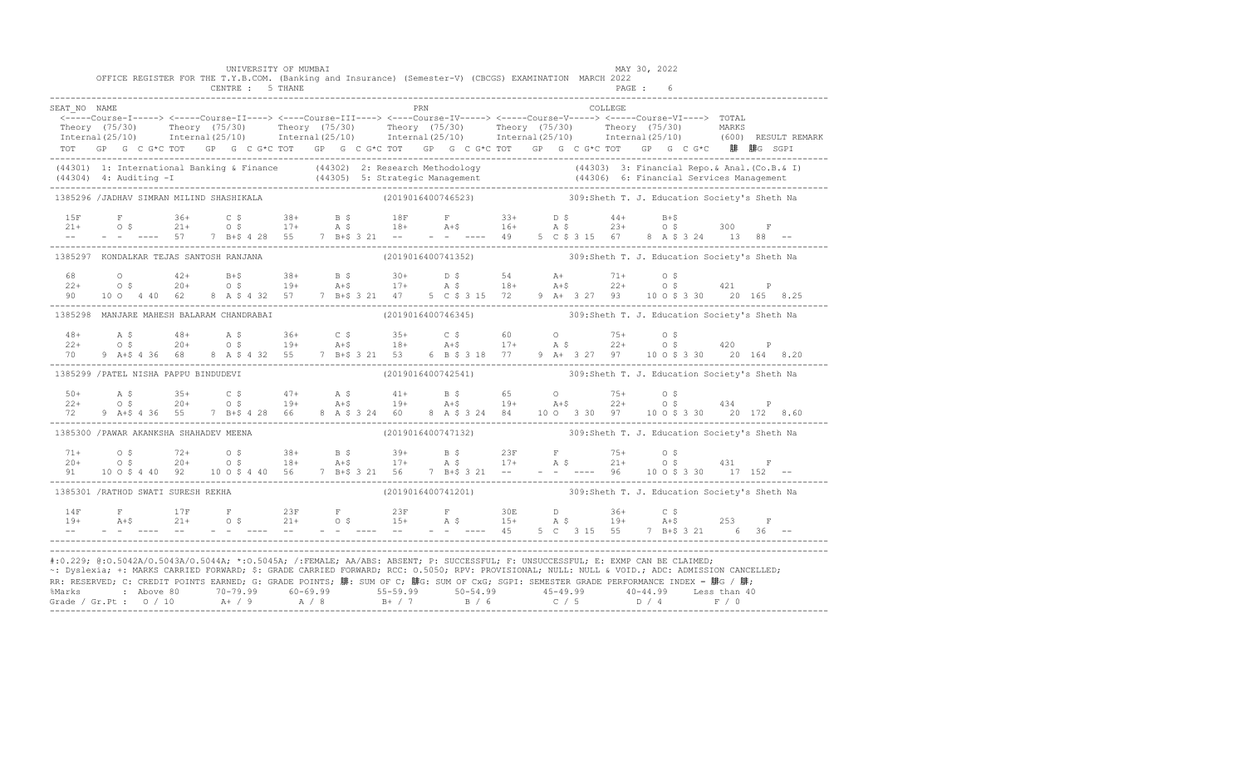|              |                                         | UNIVERSITY OF MUMBAI<br>OFFICE REGISTER FOR THE T.Y.B.COM. (Banking and Insurance) (Semester-V) (CBCGS) EXAMINATION MARCH 2022<br>CENTRE : 5 THANE |  |     |  |         | MAY 30, 2022<br>PAGE :                                                                                                                                                                                                                                                                                                                                                                                                                                                                                                                                                                              |  |  |
|--------------|-----------------------------------------|----------------------------------------------------------------------------------------------------------------------------------------------------|--|-----|--|---------|-----------------------------------------------------------------------------------------------------------------------------------------------------------------------------------------------------------------------------------------------------------------------------------------------------------------------------------------------------------------------------------------------------------------------------------------------------------------------------------------------------------------------------------------------------------------------------------------------------|--|--|
| SEAT NO NAME |                                         |                                                                                                                                                    |  | PRN |  | COLLEGE | <-----Course-I-----> <-----Course-II----> <----Course-III----> <----Course-IV-----> <----Course-V-----> <-----Course-VI----> TOTAL<br>Theory (75/30) Theory (75/30) Theory (75/30) Theory (75/30) Theory (75/30) Theory (75/30) Theory (75/30) Theory (75/30) Theory (75/30) Theory (75/30) Theory (75/30) Theory (75/30) Theory (75/30) Theory (75/30) Theory (75/3<br>TOT GP G C G*C TOT GP G C G*C TOT GP G C G*C TOT GP G C G*C TOT GP G C G*C TOT GP G C G*C 腓 腓G SGPI                                                                                                                         |  |  |
|              |                                         |                                                                                                                                                    |  |     |  |         |                                                                                                                                                                                                                                                                                                                                                                                                                                                                                                                                                                                                     |  |  |
|              |                                         |                                                                                                                                                    |  |     |  |         | (44301) 1: International Banking & Finance (44302) 2: Research Methodology (44303) 3: Financial Repo. & Anal. (Co.B. & I)<br>(44304) 4: Auditing -I (44305) 5: Strategic Management (44306) 6: Financial Services Management (443                                                                                                                                                                                                                                                                                                                                                                   |  |  |
|              |                                         | 1385296 /JADHAV SIMRAN MILIND SHASHIKALA                                                                                                           |  |     |  |         | (2019016400746523) 309:Sheth T. J. Education Society's Sheth Na                                                                                                                                                                                                                                                                                                                                                                                                                                                                                                                                     |  |  |
|              |                                         |                                                                                                                                                    |  |     |  |         |                                                                                                                                                                                                                                                                                                                                                                                                                                                                                                                                                                                                     |  |  |
|              |                                         | 1385297 KONDALKAR TEJAS SANTOSH RANJANA                                                                                                            |  |     |  |         | (2019016400741352) 309:Sheth T. J. Education Society's Sheth Na                                                                                                                                                                                                                                                                                                                                                                                                                                                                                                                                     |  |  |
|              |                                         |                                                                                                                                                    |  |     |  |         | $\begin{array}{cccccccccccccccc} 68 & 0 & 42+ & B+\$ & 38+ & B$\,\$ & 30+ & D$\,\$ & 54 & A+ & 71+ & 0$\,\$ & 42+ & 0$\,\$ & 22+ & 0$\,\$ & 20+ & 0$\,\$ & 19+ & A+\$ & 17+ & A$\,\$ & 18+ & A+\$ & 22+ & 0$\,\$ & 421 & P & 90 & 10& 4& 40 & 62 & 8 & A$\,\$ & 432 & 57 & 7 & B+\$ & 3& 21 & 47 & 5 & C$\,\$ & 3& 15 & 72 & 9 & A$                                                                                                                                                                                                                                                                 |  |  |
|              |                                         | 1385298 MANJARE MAHESH BALARAM CHANDRABAI                                                                                                          |  |     |  |         | (2019016400746345) 309:Sheth T. J. Education Society's Sheth Na                                                                                                                                                                                                                                                                                                                                                                                                                                                                                                                                     |  |  |
|              |                                         |                                                                                                                                                    |  |     |  |         | $\begin{array}{cccccccccccccccc} 48+ & & {\bf A}\ \hat{\bf S} & & & 48+ & & {\bf A}\ \hat{\bf S} & & & 48+ & & {\bf A}\ \hat{\bf S} & & & 20+ & & 0\ \hat{\bf S} & & & 20+ & & 0\ \hat{\bf S} & & & 20+ & & 0\ \hat{\bf S} & & & 20+ & & 0\ \hat{\bf S} & & & 20+ & & 0\ \hat{\bf S} & & & 20+ & & 0\ \hat{\bf S} & & & 20+ & & 0\ \hat{\bf S} & & & 20+ & & 0\ \hat{\bf S} & & & 20+ & & 0\$                                                                                                                                                                                                       |  |  |
|              | 1385299 / PATEL NISHA PAPPU BINDUDEVI   |                                                                                                                                                    |  |     |  |         | (2019016400742541) 309: Sheth T. J. Education Society's Sheth Na                                                                                                                                                                                                                                                                                                                                                                                                                                                                                                                                    |  |  |
|              |                                         |                                                                                                                                                    |  |     |  |         | $50+$ A $\frac{1}{3}$ $5+$ C $\frac{1}{3}$ $5+$ C $\frac{1}{3}$ $5+$ C $\frac{1}{3}$ $5+$ A $\frac{1}{3}$ $5+$ C $\frac{1}{3}$ $5+$ C $\frac{1}{3}$ $5+$ C $\frac{1}{3}$ $5+$ C $\frac{1}{3}$ $5+$ C $\frac{1}{3}$ $5+$ C $\frac{1}{3}$ $5+$ C $\frac{1}{3}$ $5+$ C $\frac{1}{3}$                                                                                                                                                                                                                                                                                                                   |  |  |
|              | 1385300 / PAWAR AKANKSHA SHAHADEV MEENA |                                                                                                                                                    |  |     |  |         | (2019016400747132) 309:Sheth T. J. Education Society's Sheth Na                                                                                                                                                                                                                                                                                                                                                                                                                                                                                                                                     |  |  |
|              |                                         |                                                                                                                                                    |  |     |  |         |                                                                                                                                                                                                                                                                                                                                                                                                                                                                                                                                                                                                     |  |  |
|              |                                         | 1385301 /RATHOD SWATI SURESH REKHA                                                                                                                 |  |     |  |         | (2019016400741201) 309:Sheth T. J. Education Society's Sheth Na                                                                                                                                                                                                                                                                                                                                                                                                                                                                                                                                     |  |  |
| 14F<br>$19+$ |                                         |                                                                                                                                                    |  |     |  |         |                                                                                                                                                                                                                                                                                                                                                                                                                                                                                                                                                                                                     |  |  |
|              |                                         |                                                                                                                                                    |  |     |  |         | #:0.229; @:0.5042A/0.5043A/0.5044A; *:0.5045A; /:FEMALE; AA/ABS: ABSENT; P: SUCCESSFUL; F: UNSUCCESSFUL; E: EXMP CAN BE CLAIMED;<br>~: Dyslexia; +: MARKS CARRIED FORWARD; \$: GRADE CARRIED FORWARD; RCC: 0.5050; RPV: PROVISIONAL; NULL: NULL & VOID.; ADC: ADMISSION CANCELLED;<br>RR: RESERVED; C: CREDIT POINTS EARNED; G: GRADE POINTS; 腓: SUM OF C; 腓G: SUM OF CxG; SGPI: SEMESTER GRADE PERFORMANCE INDEX = 腓G / 腓;<br>%Marks : Above 80 70-79.99 60-69.99 55-59.99 50-54.99 50-54.99 40-44.99 40-44.99 Less than 40<br>Grade / Gr. Pt : 0 / 10 A+ / 9 A / 8 B+ / 7 B / 6 C / 5 D / 4 F / 0 |  |  |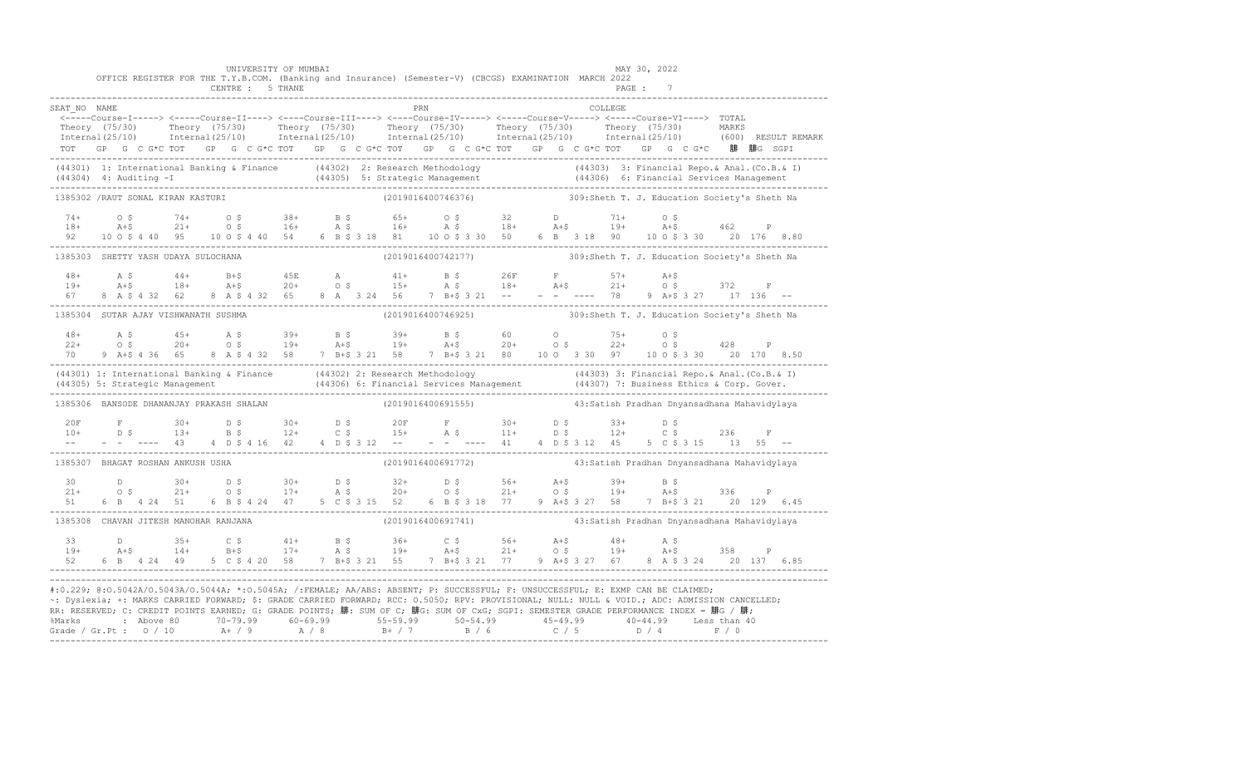|                                                                            |        |         |                |  | UNIVERSITY OF MUMBAI<br>CENTRE : 5 THANE |  |  |     | OFFICE REGISTER FOR THE T.Y.B.COM. (Banking and Insurance) (Semester-V) (CBCGS) EXAMINATION MARCH 2022                                                                                                                                                                                                                                                                                                                                                                                                              |                                             |  | MAY 30, 2022 | PAGE: 7 |                                               |  |  |
|----------------------------------------------------------------------------|--------|---------|----------------|--|------------------------------------------|--|--|-----|---------------------------------------------------------------------------------------------------------------------------------------------------------------------------------------------------------------------------------------------------------------------------------------------------------------------------------------------------------------------------------------------------------------------------------------------------------------------------------------------------------------------|---------------------------------------------|--|--------------|---------|-----------------------------------------------|--|--|
| SEAT NO NAME                                                               |        |         |                |  |                                          |  |  | PRN |                                                                                                                                                                                                                                                                                                                                                                                                                                                                                                                     |                                             |  | COLLEGE      |         |                                               |  |  |
|                                                                            |        |         |                |  |                                          |  |  |     | <-----Course-I-----> <-----Course-II----> <----Course-III----> <----Course-IV-----> <-----Course-V----> TOTAL<br>Theory (75/30) Theory (75/30) Theory (75/30) Theory (75/30) Theory (75/30) Theory (75/30) MARKS<br>Internal(25/10) Internal(25/10) Internal(25/10) Internal(25/10) Internal(25/10) Internal(25/10) (600) RESULTREMARK<br>TOT GP G C G*C TOT GP G C G*C TOT GP G C G*C TOT GP G C G*C TOT GP G C G*C TOT GP G C G*C 腓腓G SGPI                                                                        |                                             |  |              |         |                                               |  |  |
|                                                                            |        |         |                |  |                                          |  |  |     | (44301) 1: International Banking & Finance (44302) 2: Research Methodology (44303) 3: Financial Repo. & Anal. (Co.B. & I)<br>(44304) 4: Auditing -I (44305) 5: Strategic Management (44306) 6: Financial Services Management (443                                                                                                                                                                                                                                                                                   |                                             |  |              |         |                                               |  |  |
| 1385302 /RAUT SONAL KIRAN KASTURI                                          |        |         |                |  |                                          |  |  |     | (2019016400746376) 309:Sheth T. J. Education Society's Sheth Na                                                                                                                                                                                                                                                                                                                                                                                                                                                     |                                             |  |              |         |                                               |  |  |
|                                                                            |        |         |                |  |                                          |  |  |     | 92 10 0 \$ 4 40 95 10 0 \$ 4 40 54 6 B \$ 3 18 81 10 0 \$ 3 30 50 6 B 3 18 90 10 0 \$ 3 30 20 176 8.80                                                                                                                                                                                                                                                                                                                                                                                                              |                                             |  |              |         |                                               |  |  |
| 1385303 SHETTY YASH UDAYA SULOCHANA                                        |        |         |                |  |                                          |  |  |     | (2019016400742177) 309:Sheth T. J. Education Society's Sheth Na                                                                                                                                                                                                                                                                                                                                                                                                                                                     |                                             |  |              |         |                                               |  |  |
| $48+$<br>$19+$                                                             | $A$ \$ | $A + $$ | 8 A \$ 4 32 62 |  | 8 A \$ 4 32 65                           |  |  |     | 8 A 3 24 56 7 B+\$ 3 21 -- -- --- 78 9 A+\$ 3 27 17 136 --                                                                                                                                                                                                                                                                                                                                                                                                                                                          |                                             |  |              |         |                                               |  |  |
| 1385304 SUTAR AJAY VISHWANATH SUSHMA                                       |        |         |                |  |                                          |  |  |     | (2019016400746925)                                                                                                                                                                                                                                                                                                                                                                                                                                                                                                  |                                             |  |              |         | 309: Sheth T. J. Education Society's Sheth Na |  |  |
| 70                                                                         |        |         | 9 A+\$ 4 36 65 |  |                                          |  |  |     | 8 A \$ 4 32 58 7 B+\$ 3 21 58 7 B+\$ 3 21 80 10 0 3 30 97 10 0 \$ 3 30 20 170 8.50                                                                                                                                                                                                                                                                                                                                                                                                                                  |                                             |  |              |         |                                               |  |  |
|                                                                            |        |         |                |  |                                          |  |  |     | (44301) 1: International Banking & Finance (44302) 2: Research Methodology (44303) 3: Financial Repo. & Anal. (Co.B. & I)<br>(44305) 5: Strategic Management (44306) 6: Financial Services Management (44307) 7: Business Ethics                                                                                                                                                                                                                                                                                    |                                             |  |              |         |                                               |  |  |
| 1385306 BANSODE DHANANJAY PRAKASH SHALAN                                   |        |         |                |  |                                          |  |  |     | (2019016400691555)                                                                                                                                                                                                                                                                                                                                                                                                                                                                                                  | 43:Satish Pradhan Dnyansadhana Mahavidylaya |  |              |         |                                               |  |  |
| 20F<br>$10+$<br>$\frac{1}{2}$ and $\frac{1}{2}$ . The set of $\mathcal{O}$ |        |         |                |  |                                          |  |  |     |                                                                                                                                                                                                                                                                                                                                                                                                                                                                                                                     |                                             |  |              |         |                                               |  |  |
| 1385307 BHAGAT ROSHAN ANKUSH USHA                                          |        |         |                |  |                                          |  |  |     | (2019016400691772) 43:Satish Pradhan Dnyansadhana Mahavidylaya                                                                                                                                                                                                                                                                                                                                                                                                                                                      |                                             |  |              |         |                                               |  |  |
| 51                                                                         |        |         |                |  |                                          |  |  |     | $21+$ 0.5 $30+$ 0.5 $30+$ 0.5 $32+$ 0.5 $56+$ $A+5$ $39+$ B.5<br>$21+$ 0.5 $21+$ 0.5 $17+$ A.5 $20+$ 0.5 $21+$ 0.5 $19+$ $A+5$ 336 P                                                                                                                                                                                                                                                                                                                                                                                |                                             |  |              |         |                                               |  |  |
| 1385308 CHAVAN JITESH MANOHAR RANJANA                                      |        |         |                |  |                                          |  |  |     | (2019016400691741)                                                                                                                                                                                                                                                                                                                                                                                                                                                                                                  |                                             |  |              |         | 43:Satish Pradhan Dnyansadhana Mahavidylaya   |  |  |
| 33<br>$19+$<br>52                                                          |        |         | 6 B 4 24 49    |  |                                          |  |  |     |                                                                                                                                                                                                                                                                                                                                                                                                                                                                                                                     |                                             |  |              |         |                                               |  |  |
|                                                                            |        |         |                |  |                                          |  |  |     | #:0.229; @:0.5042A/0.5043A/0.5044A; *:0.5045A; /:FEMALE; AA/ABS: ABSENT; P: SUCCESSFUL; F: UNSUCCESSFUL; E: EXMP CAN BE CLAIMED;<br>~: Dyslexia; +: MARKS CARRIED FORWARD; \$: GRADE CARRIED FORWARD; RCC: 0.5050; RPV: PROVISIONAL; NULL: NULL & VOID.; ADC: ADMISSION CANCELLED;<br>RR: RESERVED; C: CREDIT POINTS EARNED; G: GRADE POINTS; 腓: SUM OF C; 腓G: SUM OF CxG; SGPI: SEMESTER GRADE PERFORMANCE INDEX = 腓G / 腓;<br>%Marks : Above 80 70-79.99 60-69.99 55-59.99 50-54.99 45-49.99 40-44.99 Less than 40 |                                             |  |              |         |                                               |  |  |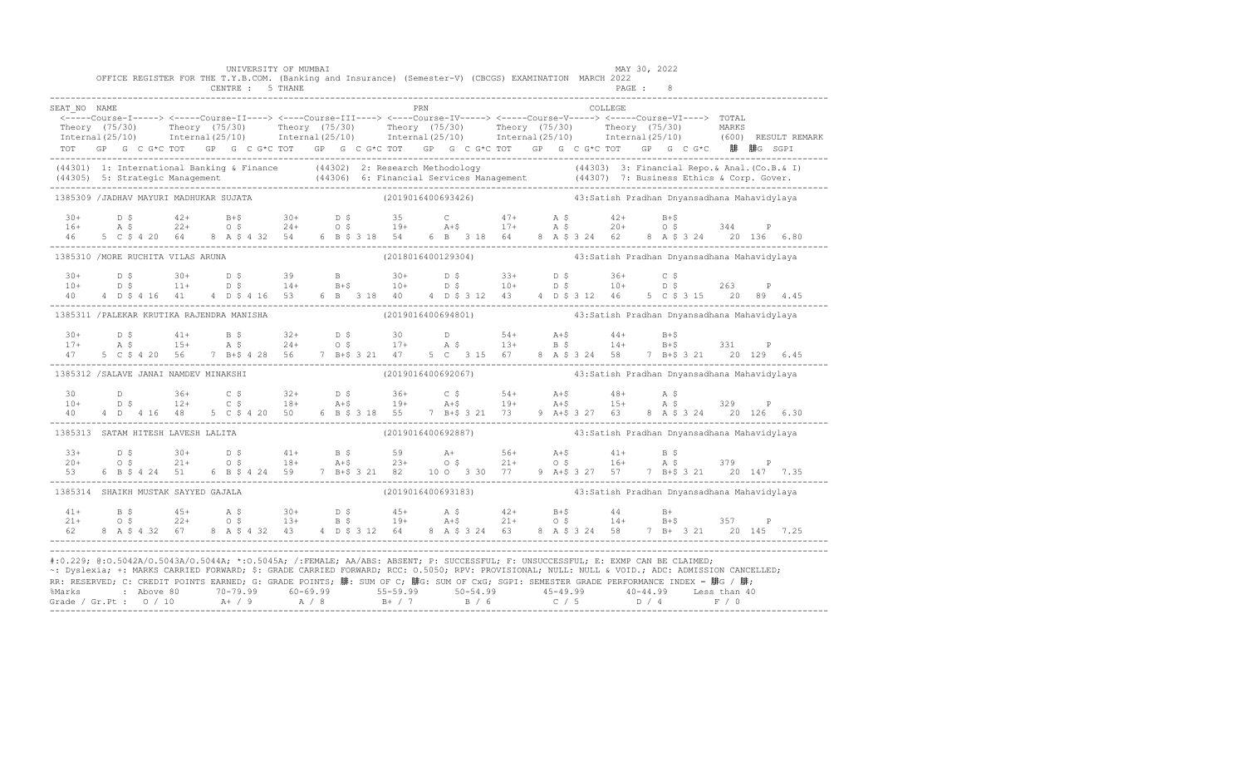|                                                                                                                                                                                                                                                                                                                                                                                                                                                                                                                     |  |  |  |  | UNIVERSITY OF MUMBAI<br>CENTRE : 5 THANE |  |  |            |  | OFFICE REGISTER FOR THE T.Y.B.COM. (Banking and Insurance) (Semester-V) (CBCGS) EXAMINATION MARCH 2022                                                                                                                                                                                                                                                                                 |  |          | MAY 30, 2022<br>PAGE : 8 |  |  |                                                                                                                                                                                                                                |
|---------------------------------------------------------------------------------------------------------------------------------------------------------------------------------------------------------------------------------------------------------------------------------------------------------------------------------------------------------------------------------------------------------------------------------------------------------------------------------------------------------------------|--|--|--|--|------------------------------------------|--|--|------------|--|----------------------------------------------------------------------------------------------------------------------------------------------------------------------------------------------------------------------------------------------------------------------------------------------------------------------------------------------------------------------------------------|--|----------|--------------------------|--|--|--------------------------------------------------------------------------------------------------------------------------------------------------------------------------------------------------------------------------------|
| SEAT NO NAME                                                                                                                                                                                                                                                                                                                                                                                                                                                                                                        |  |  |  |  |                                          |  |  | <b>PRN</b> |  | TOT GP G C G*C TOT GP G C G*C TOT GP G C G*C TOT GP G C G*C TOT GP G C G*C TOT GP G C G*C 腓 腓G SGPI                                                                                                                                                                                                                                                                                    |  | COLLEGE. |                          |  |  | Theory (75/30) Theory (75/30) Theory (75/30) Theory (75/30) Theory (75/30) Theory (75/30) Theory (75/30) Theory (75/30) Theory (75/30) Theory (75/30) Theory (75/30) Theory (75/30) Theory (75/30) Theory (75/30) Theory (75/3 |
| (44301) 1: International Banking & Finance (44302) 2: Research Methodology (44303) 3: Financial Repo. & Anal. (Co.B. & I)<br>(44305) 5: Strategic Management (44306) 6: Financial Services Management (44307) 7: Business Ethics                                                                                                                                                                                                                                                                                    |  |  |  |  |                                          |  |  |            |  |                                                                                                                                                                                                                                                                                                                                                                                        |  |          |                          |  |  |                                                                                                                                                                                                                                |
| 1385309 /JADHAV MAYURI MADHUKAR SUJATA                                                                                                                                                                                                                                                                                                                                                                                                                                                                              |  |  |  |  |                                          |  |  |            |  | (2019016400693426)           43:Satish Pradhan Dnyansadhana Mahavidylaya                                                                                                                                                                                                                                                                                                               |  |          |                          |  |  |                                                                                                                                                                                                                                |
|                                                                                                                                                                                                                                                                                                                                                                                                                                                                                                                     |  |  |  |  |                                          |  |  |            |  | $\begin{array}{ccccccccccccccccccccccccccccccccc} 30+ & & D & \xi & & 42+ & & B+ \xi & & 30+ & & D & \xi & & 35 & & C & & 47+ & A & \xi & & 42+ & B+ \xi \\ 16+ & & A & \xi & & 22+ & & O & \xi & & 24+ & O & \xi & & 19+ & A+ \xi & & 17+ & A & \xi & & 20+ & O & \xi & & 344 & P \\ 46 & & 5 & C & \xi & 4 & 20 & 64 & 8 & A & \xi & 4 & 32 & 54 & 6 & B & \xi & 318 & 54 & 6 & B &$ |  |          |                          |  |  |                                                                                                                                                                                                                                |
| 1385310 / MORE RUCHITA VILAS ARUNA                                                                                                                                                                                                                                                                                                                                                                                                                                                                                  |  |  |  |  |                                          |  |  |            |  | (2018016400129304)                         43:Satish Pradhan Dnyansadhana Mahavidylaya                                                                                                                                                                                                                                                                                                 |  |          |                          |  |  |                                                                                                                                                                                                                                |
|                                                                                                                                                                                                                                                                                                                                                                                                                                                                                                                     |  |  |  |  |                                          |  |  |            |  | $10+$ $10+$ $15+$ $11+$ $15+$ $10+$ $10+$ $10+$ $10+$ $10+$ $10+$ $10+$ $10+$ $10+$ $10+$ $10+$ $10+$ $10+$ $10+$ $10+$ $10+$ $10+$ $10+$ $10+$ $10+$ $10+$ $10+$ $10+$ $10+$ $10+$ $10+$ $10+$ $10+$ $10+$ $10+$ $10+$ $10+$<br>40 	4 D \$ 4 16 	41 	4 D \$ 4 16 	53 	6 B 3 18 	40 	4 D \$ 3 12 	43 	4 D \$ 3 12 	46 	5 C \$ 3 15 	20 	89 	4.45                                       |  |          |                          |  |  |                                                                                                                                                                                                                                |
| 1385311 /PALEKAR KRUTIKA RAJENDRA MANISHA (2019016400694801) 43:Satish Pradhan Dnyansadhana Mahavidylaya                                                                                                                                                                                                                                                                                                                                                                                                            |  |  |  |  |                                          |  |  |            |  |                                                                                                                                                                                                                                                                                                                                                                                        |  |          |                          |  |  |                                                                                                                                                                                                                                |
|                                                                                                                                                                                                                                                                                                                                                                                                                                                                                                                     |  |  |  |  |                                          |  |  |            |  |                                                                                                                                                                                                                                                                                                                                                                                        |  |          |                          |  |  |                                                                                                                                                                                                                                |
| 1385312 /SALAVE JANAI NAMDEV MINAKSHI                                                                                                                                                                                                                                                                                                                                                                                                                                                                               |  |  |  |  |                                          |  |  |            |  | (2019016400692067)                           43:Satish Pradhan Dnyansadhana Mahavidylaya                                                                                                                                                                                                                                                                                               |  |          |                          |  |  |                                                                                                                                                                                                                                |
| 30<br>$10+$                                                                                                                                                                                                                                                                                                                                                                                                                                                                                                         |  |  |  |  |                                          |  |  |            |  | D 36+ C \$ 32+ D \$ 36+ C \$ 54+ A+\$ 48+ A \$<br>D \$ 12+ C \$ 18+ A+\$ 19+ A+\$ 19+ A+\$ 15+ A \$ 329 P                                                                                                                                                                                                                                                                              |  |          |                          |  |  |                                                                                                                                                                                                                                |
| 1385313 SATAM HITESH LAVESH LALITA                                                                                                                                                                                                                                                                                                                                                                                                                                                                                  |  |  |  |  |                                          |  |  |            |  |                                                                                                                                                                                                                                                                                                                                                                                        |  |          |                          |  |  |                                                                                                                                                                                                                                |
|                                                                                                                                                                                                                                                                                                                                                                                                                                                                                                                     |  |  |  |  |                                          |  |  |            |  | $\begin{array}{cccccccccccccccc} 33+ & & & 5 & & & 30+ & & 5 & & 41+ & & 5 & 5 & & 59 & & A+ & & 56+ & A+$ & & 41+ & B & 5 & & 379 & P \\ 20+ & & 0 & 5 & & 21+ & & 0 & 5 & & 18+ & A+$ & & 23+ & 0 & 5 & & 21+ & 0 & 5 & & 16+ & A & 5 & & 379 & P \\ 53 & & 6 & B & 5 & 4 & 24 & 51 & & 6 & B & 5 & 4 & 24 & 59 & & 7 & B+$ & 3 & 21 & $                                             |  |          |                          |  |  |                                                                                                                                                                                                                                |
| 1385314 SHAIKH MUSTAK SAYYED GAJALA                                                                                                                                                                                                                                                                                                                                                                                                                                                                                 |  |  |  |  |                                          |  |  |            |  | (2019016400693183)                 43:Satish Pradhan Dnyansadhana Mahavidylaya                                                                                                                                                                                                                                                                                                         |  |          |                          |  |  |                                                                                                                                                                                                                                |
|                                                                                                                                                                                                                                                                                                                                                                                                                                                                                                                     |  |  |  |  |                                          |  |  |            |  |                                                                                                                                                                                                                                                                                                                                                                                        |  |          |                          |  |  |                                                                                                                                                                                                                                |
| #:0.229; @:0.5042A/0.5043A/0.5044A; *:0.5045A; /:FEMALE; AA/ABS: ABSENT; P: SUCCESSFUL; F: UNSUCCESSFUL; E: EXMP CAN BE CLAIMED;<br>~: Dyslexia; +: MARKS CARRIED FORWARD; \$: GRADE CARRIED FORWARD; RCC: 0.5050; RPV: PROVISIONAL; NULL: NULL & VOID.; ADC: ADMISSION CANCELLED;<br>RR: RESERVED; C: CREDIT POINTS EARNED; G: GRADE POINTS; 腓: SUM OF C; 腓G: SUM OF CxG; SGPI: SEMESTER GRADE PERFORMANCE INDEX = 腓G / 腓;<br>%Marks : Above 80 70-79.99 60-69.99 55-59.99 50-54.99 45-49.99 40-44.99 Less than 40 |  |  |  |  |                                          |  |  |            |  |                                                                                                                                                                                                                                                                                                                                                                                        |  |          |                          |  |  |                                                                                                                                                                                                                                |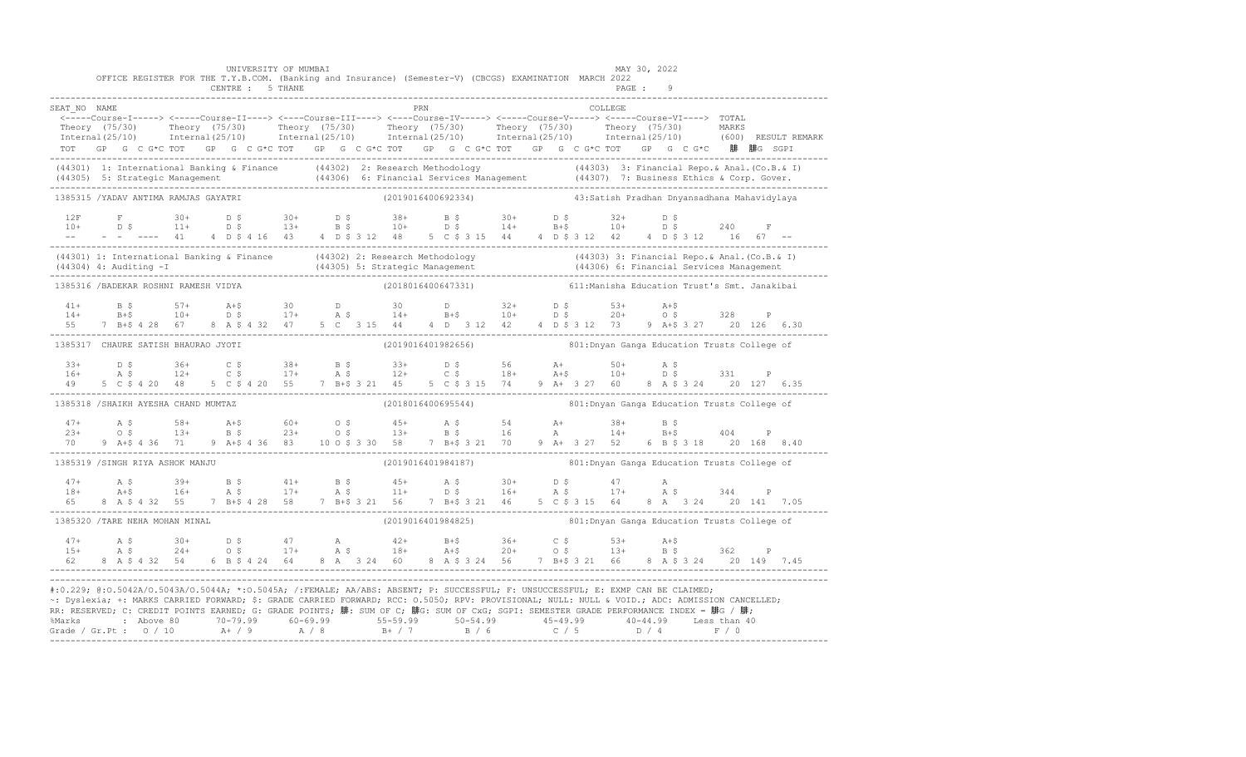|                  |     |                                      |  | CENTRE : 5 THANE | UNIVERSITY OF MUMBAI |  |  |     | OFFICE REGISTER FOR THE T.Y.B.COM. (Banking and Insurance) (Semester-V) (CBCGS) EXAMINATION MARCH 2022                                                                                                                                                                                                                                                                                                                                                                                                              |  |                                              | MAY 30, 2022<br>PAGE : |                      |  |  |
|------------------|-----|--------------------------------------|--|------------------|----------------------|--|--|-----|---------------------------------------------------------------------------------------------------------------------------------------------------------------------------------------------------------------------------------------------------------------------------------------------------------------------------------------------------------------------------------------------------------------------------------------------------------------------------------------------------------------------|--|----------------------------------------------|------------------------|----------------------|--|--|
| SEAT NO NAME     |     |                                      |  |                  |                      |  |  | PRN |                                                                                                                                                                                                                                                                                                                                                                                                                                                                                                                     |  | COLLEGE                                      |                        |                      |  |  |
|                  |     |                                      |  |                  |                      |  |  |     | <-----Course-I-----> <-----Course-II----> <----Course-III----> <----Course-IV-----> <----Course-V----> TOTAL                                                                                                                                                                                                                                                                                                                                                                                                        |  |                                              |                        |                      |  |  |
|                  |     |                                      |  |                  |                      |  |  |     | Theory (75/30) Theory (75/30) Theory (75/30) Theory (75/30) Theory (75/30) Theory (75/30) MARKS<br>Internal(25/10) Internal(25/10) Internal(25/10) Internal(25/10) Internal(25/10) Internal(25/10) (600) RESULTREMARK                                                                                                                                                                                                                                                                                               |  |                                              |                        |                      |  |  |
|                  |     |                                      |  |                  |                      |  |  |     | TOT GP G C G*C TOT GP G C G*C TOT GP G C G*C TOT GP G C G*C TOT GP G C G*C TOT GP G C G*C 腓 腓G SGPI                                                                                                                                                                                                                                                                                                                                                                                                                 |  |                                              |                        |                      |  |  |
|                  |     |                                      |  |                  |                      |  |  |     | (44301) 1: International Banking & Finance (44302) 2: Research Methodology (44303) (44303) 3: Financial Repo. & Anal. (Co.B. & I)<br>(44305) 5: Strategic Management (44306) 6: Financial Services Management (44307) 7: Business                                                                                                                                                                                                                                                                                   |  |                                              |                        |                      |  |  |
|                  |     | 1385315 /YADAV ANTIMA RAMJAS GAYATRI |  |                  |                      |  |  |     | (2019016400692334) 43:Satish Pradhan Dnyansadhana Mahavidylaya                                                                                                                                                                                                                                                                                                                                                                                                                                                      |  |                                              |                        |                      |  |  |
|                  |     |                                      |  |                  |                      |  |  |     |                                                                                                                                                                                                                                                                                                                                                                                                                                                                                                                     |  |                                              |                        |                      |  |  |
|                  |     |                                      |  |                  |                      |  |  |     |                                                                                                                                                                                                                                                                                                                                                                                                                                                                                                                     |  |                                              |                        |                      |  |  |
|                  |     |                                      |  |                  |                      |  |  |     |                                                                                                                                                                                                                                                                                                                                                                                                                                                                                                                     |  |                                              |                        |                      |  |  |
|                  |     |                                      |  |                  |                      |  |  |     | (44301) 1: International Banking & Finance (44302) 2: Research Methodology (44303) 3: Financial Repo. & Anal. (Co.B. & I)<br>(44304) 4: Auditing -I (44305) 5: Strategic Management (44306) 6: Financial Services Management (443                                                                                                                                                                                                                                                                                   |  |                                              |                        |                      |  |  |
|                  |     | 1385316 /BADEKAR ROSHNI RAMESH VIDYA |  |                  |                      |  |  |     | (2018016400647331)          611: Manisha Education Trust's Smt. Janakibai                                                                                                                                                                                                                                                                                                                                                                                                                                           |  |                                              |                        |                      |  |  |
| $41 +$           |     |                                      |  |                  |                      |  |  |     |                                                                                                                                                                                                                                                                                                                                                                                                                                                                                                                     |  |                                              |                        |                      |  |  |
| $14+$            |     |                                      |  |                  |                      |  |  |     | B \$ 57+ A+\$ 30 D 30 D 32+ D \$ 53+ A+\$<br>B+\$ 10+ D \$ 17+ A \$ 14+ B+\$ 10+ D \$ 20+ O \$ 328 P                                                                                                                                                                                                                                                                                                                                                                                                                |  |                                              |                        |                      |  |  |
| 55               |     | 7 B+\$ 4 28 67                       |  |                  |                      |  |  |     | 8 A \$ 4 32 47 5 C 3 15 44 4 D 3 12 42 4 D \$ 3 12 73 9 A + \$ 3 27 20 126 6.30                                                                                                                                                                                                                                                                                                                                                                                                                                     |  |                                              |                        |                      |  |  |
|                  |     | 1385317 CHAURE SATISH BHAURAO JYOTI  |  |                  |                      |  |  |     | (2019016401982656) 601: Dnyan Ganga Education Trusts College of                                                                                                                                                                                                                                                                                                                                                                                                                                                     |  |                                              |                        |                      |  |  |
| $33+$            |     |                                      |  |                  |                      |  |  |     |                                                                                                                                                                                                                                                                                                                                                                                                                                                                                                                     |  |                                              |                        |                      |  |  |
| $16+$<br>49      |     |                                      |  |                  |                      |  |  |     |                                                                                                                                                                                                                                                                                                                                                                                                                                                                                                                     |  |                                              |                        |                      |  |  |
|                  |     |                                      |  |                  |                      |  |  |     |                                                                                                                                                                                                                                                                                                                                                                                                                                                                                                                     |  |                                              |                        |                      |  |  |
|                  |     | 1385318 /SHAIKH AYESHA CHAND MUMTAZ  |  |                  |                      |  |  |     | (2018016400695544)                                                                                                                                                                                                                                                                                                                                                                                                                                                                                                  |  | 801: Dnyan Ganga Education Trusts College of |                        |                      |  |  |
| $47+$            |     |                                      |  |                  |                      |  |  |     | A \$ 58+ A+\$ 60+ O \$ 45+ A \$ 54 A+ 38+ B \$<br>O \$ 13+ B \$ 23+ O \$ 13+ B \$ 16 A 14+ B+\$                                                                                                                                                                                                                                                                                                                                                                                                                     |  |                                              |                        |                      |  |  |
| $23+$<br>70 — 20 |     |                                      |  |                  |                      |  |  |     |                                                                                                                                                                                                                                                                                                                                                                                                                                                                                                                     |  |                                              |                        | $B+S$ 404 P          |  |  |
|                  |     |                                      |  |                  |                      |  |  |     |                                                                                                                                                                                                                                                                                                                                                                                                                                                                                                                     |  |                                              |                        |                      |  |  |
|                  |     | 1385319 /SINGH RIYA ASHOK MANJU      |  |                  |                      |  |  |     | (2019016401984187) 801: Dnyan Ganga Education Trusts College of                                                                                                                                                                                                                                                                                                                                                                                                                                                     |  |                                              |                        |                      |  |  |
|                  |     |                                      |  |                  |                      |  |  |     |                                                                                                                                                                                                                                                                                                                                                                                                                                                                                                                     |  |                                              |                        |                      |  |  |
| $18+$<br>65      |     |                                      |  |                  |                      |  |  |     |                                                                                                                                                                                                                                                                                                                                                                                                                                                                                                                     |  |                                              |                        | 8 A 3 24 20 141 7.05 |  |  |
|                  |     | 1385320 /TARE NEHA MOHAN MINAL       |  |                  |                      |  |  |     | (2019016401984825) 801: Dnyan Ganga Education Trusts College of                                                                                                                                                                                                                                                                                                                                                                                                                                                     |  |                                              |                        |                      |  |  |
| $47+$            | A S |                                      |  |                  |                      |  |  |     |                                                                                                                                                                                                                                                                                                                                                                                                                                                                                                                     |  |                                              |                        |                      |  |  |
| $15+$            |     |                                      |  |                  |                      |  |  |     | A \$ 30+ D \$ 47 A 42+ B+\$ 36+ C \$ 53+ A+\$<br>A \$ 24+ O \$ 17+ A \$ 18+ A+\$ 20+ O \$ 13+ B \$ 362 P                                                                                                                                                                                                                                                                                                                                                                                                            |  |                                              |                        |                      |  |  |
|                  |     |                                      |  |                  |                      |  |  |     |                                                                                                                                                                                                                                                                                                                                                                                                                                                                                                                     |  |                                              |                        |                      |  |  |
|                  |     |                                      |  |                  |                      |  |  |     | #:0.229; @:0.5042A/0.5043A/0.5044A; *:0.5045A; /:FEMALE; AA/ABS: ABSENT; P: SUCCESSFUL; F: UNSUCCESSFUL; E: EXMP CAN BE CLAIMED;<br>~: Dyslexia; +: MARKS CARRIED FORWARD; \$: GRADE CARRIED FORWARD; RCC: 0.5050; RPV: PROVISIONAL; NULL: NULL & VOID.; ADC: ADMISSION CANCELLED;<br>RR: RESERVED; C: CREDIT POINTS EARNED; G: GRADE POINTS; 腓: SUM OF C; 腓G: SUM OF CxG; SGPI: SEMESTER GRADE PERFORMANCE INDEX = 腓G / 腓;<br>%Marks : Above 80 70-79.99 60-69.99 55-59.99 50-54.99 45-49.99 40-44.99 Less than 40 |  |                                              |                        |                      |  |  |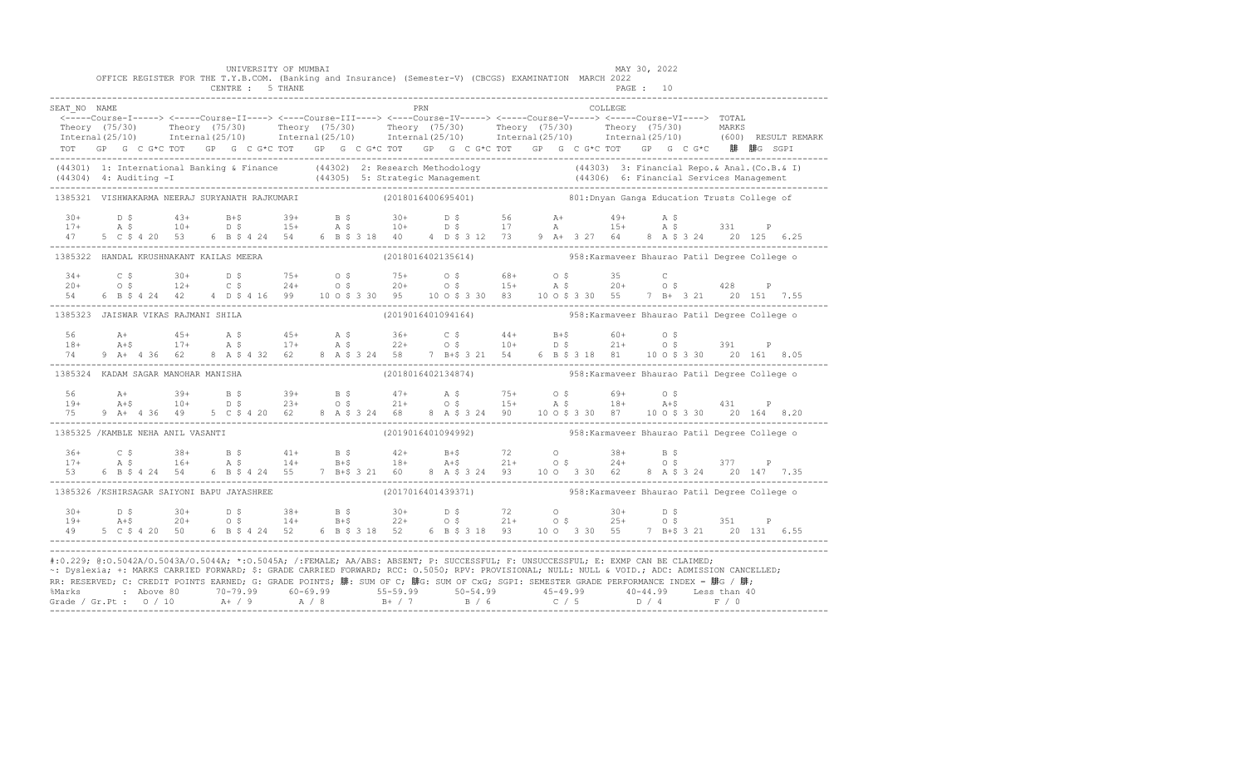|                                                                                                                                                                                                                                                                                                                                                                                                                                                                                                                     |  |  |               |  |  | UNIVERSITY OF MUMBAI<br>CENTRE : 5 THANE |  |  | OFFICE REGISTER FOR THE T.Y.B.COM. (Banking and Insurance) (Semester-V) (CBCGS) EXAMINATION MARCH 2022                                                                                                                         |     |  |  |  |         | MAY 30, 2022<br>PAGE: 10 |  |  |                                                                                                                                                                                                                                   |
|---------------------------------------------------------------------------------------------------------------------------------------------------------------------------------------------------------------------------------------------------------------------------------------------------------------------------------------------------------------------------------------------------------------------------------------------------------------------------------------------------------------------|--|--|---------------|--|--|------------------------------------------|--|--|--------------------------------------------------------------------------------------------------------------------------------------------------------------------------------------------------------------------------------|-----|--|--|--|---------|--------------------------|--|--|-----------------------------------------------------------------------------------------------------------------------------------------------------------------------------------------------------------------------------------|
| SEAT NO NAME                                                                                                                                                                                                                                                                                                                                                                                                                                                                                                        |  |  |               |  |  |                                          |  |  | TOT GP G C G*C TOT GP G C G*C TOT GP G C G*C TOT GP G C G*C TOT GP G C G*C TOT GP G C G*C 腓 腓G SGPI                                                                                                                            | PRN |  |  |  | COLLEGE |                          |  |  | Theory (75/30) Theory (75/30) Theory (75/30) Theory (75/30) Theory (75/30) Theory (75/30) MARKS<br>Internal(25/10) Internal(25/10) Internal(25/10) Internal(25/10) Internal(25/10) Internal(25/10) (600) RESULTREMARK             |
|                                                                                                                                                                                                                                                                                                                                                                                                                                                                                                                     |  |  |               |  |  |                                          |  |  |                                                                                                                                                                                                                                |     |  |  |  |         |                          |  |  | (44301) 1: International Banking & Finance (44302) 2: Research Methodology (44303) 3: Financial Repo. & Anal. (Co.B. & I)<br>(44304) 4: Auditing -I (44305) 5: Strategic Management (44306) 6: Financial Services Management (443 |
| 1385321 VISHWAKARMA NEERAJ SURYANATH RAJKUMARI (2018016400695401) 1385321 VISHWAKARMA NEERAJ SOLLege of                                                                                                                                                                                                                                                                                                                                                                                                             |  |  |               |  |  |                                          |  |  |                                                                                                                                                                                                                                |     |  |  |  |         |                          |  |  |                                                                                                                                                                                                                                   |
|                                                                                                                                                                                                                                                                                                                                                                                                                                                                                                                     |  |  |               |  |  |                                          |  |  | $17+$ $18+$ $10+$ $10+$ $15+$ $15+$ $15+$ $16+$ $17+$ $17+$ $18+$ $19+$ $15+$ $18+$ $19+$ $15+$ $18+$ $19+$ $15+$ $18+$ $19+$ $15+$ $18+$ $19+$ $19+$ $19+$ $19+$ $19+$ $19+$ $19+$ $19+$ $19+$ $19+$ $19+$ $19+$ $19+$ $19+$  |     |  |  |  |         |                          |  |  |                                                                                                                                                                                                                                   |
| 1385322 HANDAL KRUSHNAKANT KAILAS MEERA                                                                                                                                                                                                                                                                                                                                                                                                                                                                             |  |  |               |  |  |                                          |  |  |                                                                                                                                                                                                                                |     |  |  |  |         |                          |  |  |                                                                                                                                                                                                                                   |
| 54 6                                                                                                                                                                                                                                                                                                                                                                                                                                                                                                                |  |  |               |  |  |                                          |  |  | $20+$ $0.5$ $30+$ $0.5$ $0.5+$ $0.5$ $0.5+$ $0.5$ $0.5+$ $0.5$ $0.5+$ $0.5$ $0.5+$ $0.5+$ $0.5+$ $0.5+$ $0.5+$ $0.5+$ $0.5+$ $0.5+$ $0.5+$ $0.5+$ $0.5+$ $0.5+$ $0.5+$ $0.5+$ $0.5+$ $0.5+$ $0.5+$ $0.5+$ $0.5+$ $0.5+$ $0.5+$ |     |  |  |  |         |                          |  |  |                                                                                                                                                                                                                                   |
| 1385323 JAISWAR VIKAS RAJMANI SHILA                                                                                                                                                                                                                                                                                                                                                                                                                                                                                 |  |  |               |  |  |                                          |  |  |                                                                                                                                                                                                                                |     |  |  |  |         |                          |  |  |                                                                                                                                                                                                                                   |
| 56<br>$18+$                                                                                                                                                                                                                                                                                                                                                                                                                                                                                                         |  |  |               |  |  |                                          |  |  | 4 + 45 + A \$ 45 + A \$ 36 + C \$ 44 + B + \$ 60 + O \$<br>A + \$ 17 + A \$ 17 + A \$ 22 + O \$ 10 + D \$ 21 + O \$ 391 P                                                                                                      |     |  |  |  |         |                          |  |  |                                                                                                                                                                                                                                   |
| 1385324 KADAM SAGAR MANOHAR MANISHA                                                                                                                                                                                                                                                                                                                                                                                                                                                                                 |  |  |               |  |  |                                          |  |  | (2018016402134874)  958: Karmaveer Bhaurao Patil Degree College o                                                                                                                                                              |     |  |  |  |         |                          |  |  |                                                                                                                                                                                                                                   |
| 56<br>$19+$<br>75                                                                                                                                                                                                                                                                                                                                                                                                                                                                                                   |  |  |               |  |  |                                          |  |  | A+ 39+ B \$ 39+ B \$ 47+ A \$ 75+ O \$ 69+ O \$<br>A+\$ 10+ D \$ 23+ O \$ 21+ O \$ 15+ A \$ 18+ A+\$ 431 P<br>9 A + 4 36 49 5 C \$ 4 20 62 8 A \$ 3 24 68 8 A \$ 3 24 90 10 0 \$ 3 30 87 10 0 \$ 3 30 20 164 8.20              |     |  |  |  |         |                          |  |  |                                                                                                                                                                                                                                   |
| 1385325 /KAMBLE NEHA ANIL VASANTI                                                                                                                                                                                                                                                                                                                                                                                                                                                                                   |  |  |               |  |  |                                          |  |  | (2019016401094992) 358: Karmaveer Bhaurao Patil Degree College o                                                                                                                                                               |     |  |  |  |         |                          |  |  |                                                                                                                                                                                                                                   |
| $36+$<br>$17+$                                                                                                                                                                                                                                                                                                                                                                                                                                                                                                      |  |  |               |  |  |                                          |  |  |                                                                                                                                                                                                                                |     |  |  |  |         |                          |  |  |                                                                                                                                                                                                                                   |
| 1385326 /KSHIRSAGAR SAIYONI BAPU JAYASHREE                                                                                                                                                                                                                                                                                                                                                                                                                                                                          |  |  |               |  |  |                                          |  |  | (2017016401439371) 558: Karmaveer Bhaurao Patil Degree College o                                                                                                                                                               |     |  |  |  |         |                          |  |  |                                                                                                                                                                                                                                   |
| $30+$<br>$19+$                                                                                                                                                                                                                                                                                                                                                                                                                                                                                                      |  |  | 5 C S 4 20 50 |  |  |                                          |  |  |                                                                                                                                                                                                                                |     |  |  |  |         |                          |  |  |                                                                                                                                                                                                                                   |
| #:0.229; @:0.5042A/0.5043A/0.5044A; *:0.5045A; /:FEMALE; AA/ABS: ABSENT; P: SUCCESSFUL; F: UNSUCCESSFUL; E: EXMP CAN BE CLAIMED;<br>~: Dyslexia; +: MARKS CARRIED FORWARD; \$: GRADE CARRIED FORWARD; RCC: 0.5050; RPV: PROVISIONAL; NULL: NULL & VOID.; ADC: ADMISSION CANCELLED;<br>RR: RESERVED; C: CREDIT POINTS EARNED; G: GRADE POINTS; 腓: SUM OF C; 腓G: SUM OF CxG; SGPI: SEMESTER GRADE PERFORMANCE INDEX = 腓G / 腓;<br>%Marks : Above 80 70-79.99 60-69.99 55-59.99 50-54.99 45-49.99 40-44.99 Less than 40 |  |  |               |  |  |                                          |  |  |                                                                                                                                                                                                                                |     |  |  |  |         |                          |  |  |                                                                                                                                                                                                                                   |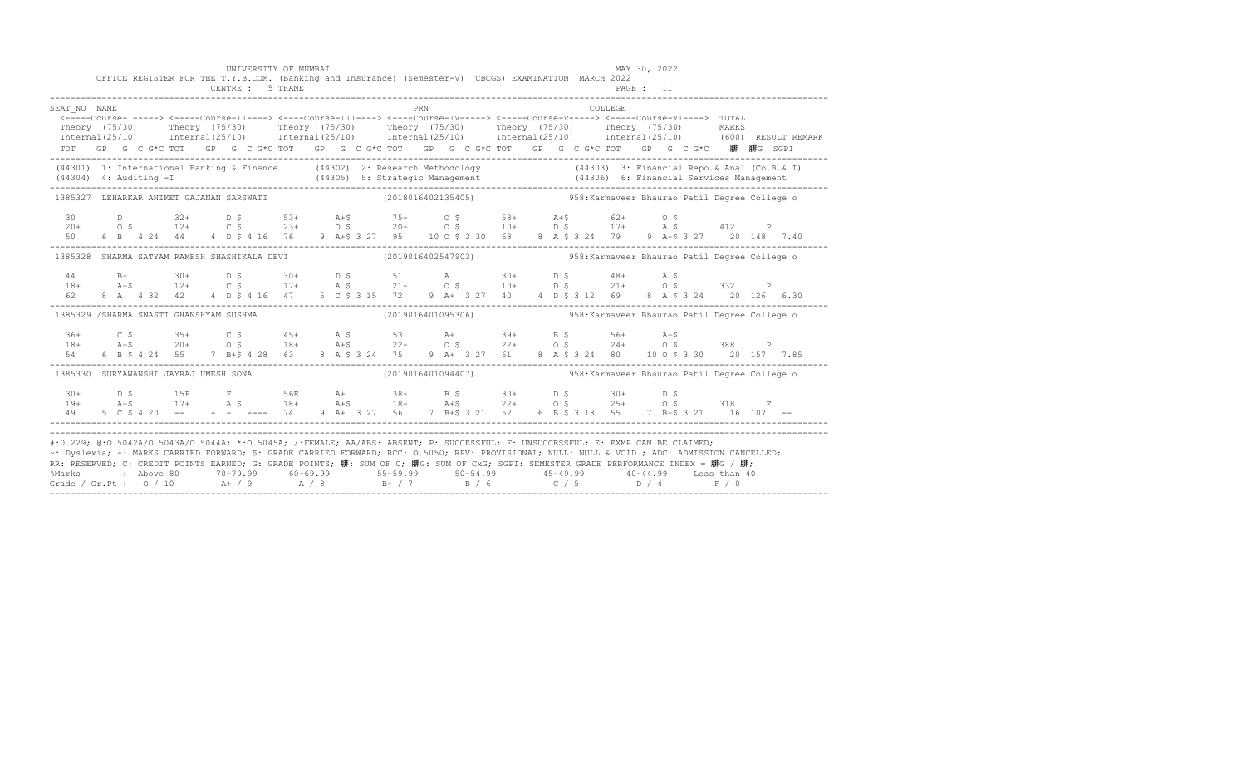|                                                                                                                                                                                                                                                                                                                                                                                                                                                                                                                                                                                         |  |  |  |  |  |  | OFFICE REGISTER FOR THE T.Y.B.COM. (Banking and Insurance) (Semester-V) (CBCGS) EXAMINATION MARCH 2022                                                                                                                                                                                                                                                                    |     |  |  |  |         |  |  |                                                                                                                                                                                                                                |
|-----------------------------------------------------------------------------------------------------------------------------------------------------------------------------------------------------------------------------------------------------------------------------------------------------------------------------------------------------------------------------------------------------------------------------------------------------------------------------------------------------------------------------------------------------------------------------------------|--|--|--|--|--|--|---------------------------------------------------------------------------------------------------------------------------------------------------------------------------------------------------------------------------------------------------------------------------------------------------------------------------------------------------------------------------|-----|--|--|--|---------|--|--|--------------------------------------------------------------------------------------------------------------------------------------------------------------------------------------------------------------------------------|
| SEAT NO NAME                                                                                                                                                                                                                                                                                                                                                                                                                                                                                                                                                                            |  |  |  |  |  |  | <----Course-I-----> <-----Course-II----> <----Course-III----> <----Course-IV-----> <----Course-V-----> <----Course-VI----> TOTAL<br>Theory (75/30) Theory (75/30) Theory (75/30) Theory (75/30) Theory (75/30) Theory (75/30) MARKS<br>TOT GP G C G*C TOT GP G C G*C TOT GP G C G*C TOT GP G C G*C TOT GP G C G*C TOT GP G C G*C 腓 腓G SGPI                                | PRN |  |  |  | COLLEGE |  |  | Internal (25/10) Internal (25/10) Internal (25/10) Internal (25/10) Internal (25/10) Internal (25/10) (600) RESULT REMARK                                                                                                      |
| (44301) 1: International Banking & Finance (44302) 2: Research Methodology (44303) 3: Financial Repo. & Anal. (Co.B. & I)                                                                                                                                                                                                                                                                                                                                                                                                                                                               |  |  |  |  |  |  |                                                                                                                                                                                                                                                                                                                                                                           |     |  |  |  |         |  |  | (44304) 4: Auditing -I (44305) 5: Strategic Management (44306) 6: Financial Services Management (44304) 4: Auditing -I (44305) 5: Strategic Management (44306) 6: Financial Services Management (44306) 6: Applement (1990) 6: |
| 1385327 LEHARKAR ANIKET GAJANAN SARSWATI (2018016402135405) 358: Karmaveer Bhaurao Patil Degree College o                                                                                                                                                                                                                                                                                                                                                                                                                                                                               |  |  |  |  |  |  |                                                                                                                                                                                                                                                                                                                                                                           |     |  |  |  |         |  |  |                                                                                                                                                                                                                                |
|                                                                                                                                                                                                                                                                                                                                                                                                                                                                                                                                                                                         |  |  |  |  |  |  | $\begin{array}{cccccccccccccccc} 30 & & D & & 32+ & D & \xi & & 53+ & A+\xi & & 75+ & O & \xi & & 58+ & A+\xi & & 62+ & O & \xi \\ 20+ & & O & \xi & & 12+ & C & \xi & & 23+ & O & \xi & & 20+ & O & \xi & & 10+ & D & \xi & & 17+ & A & \xi & & 412 & P \\ 50 & & 6 & B & 4 & 24 & 44 & 4 & D & \xi & 416 & 76 & 9 & A+\xi & 3 & 27 & 95 & 10 & O & \xi & 3 & 30 & 68 &$ |     |  |  |  |         |  |  |                                                                                                                                                                                                                                |
| 1385328 SHARMA SATYAM RAMESH SHASHIKALA DEVI (2019016402547903) 358: Karmaveer Bhaurao Patil Degree College o                                                                                                                                                                                                                                                                                                                                                                                                                                                                           |  |  |  |  |  |  |                                                                                                                                                                                                                                                                                                                                                                           |     |  |  |  |         |  |  |                                                                                                                                                                                                                                |
|                                                                                                                                                                                                                                                                                                                                                                                                                                                                                                                                                                                         |  |  |  |  |  |  | $\begin{array}{cccccccccccccccc} 44 & B+ & 30+ & D & \xi & 30+ & D & \xi & 51 & A & 30+ & D & \xi & 48+ & A & \xi & 332 & P \\ 18+ & A+ \xi & 12+ & C & \xi & 17+ & A & \xi & 21+ & O & \xi & 10+ & D & \xi & 21+ & O & \xi & 332 & P \\ 62 & 8 & A & 4 & 32 & 42 & 4 & D & \xi & 4 & 16 & 47 & 5 & C & \xi & 3 & 15 & 72 & 9 & A+ & 3 & 27 & 40 & 4 & D & \xi &$         |     |  |  |  |         |  |  |                                                                                                                                                                                                                                |
| 1385329 /SHARMA SWASTI GHANSHYAM SUSHMA                                                                                                                                                                                                                                                                                                                                                                                                                                                                                                                                                 |  |  |  |  |  |  |                                                                                                                                                                                                                                                                                                                                                                           |     |  |  |  |         |  |  |                                                                                                                                                                                                                                |
| 54 - 15                                                                                                                                                                                                                                                                                                                                                                                                                                                                                                                                                                                 |  |  |  |  |  |  | 6 B \$ 4 24 55 7 B + \$ 4 28 63 8 A \$ 3 24 75 9 A + 3 27 61 8 A \$ 3 24 80 10 0 \$ 3 30 20 157 7.85                                                                                                                                                                                                                                                                      |     |  |  |  |         |  |  |                                                                                                                                                                                                                                |
| 1385330 SURYAWANSHI JAYRAJ UMESH SONA (2019016401094407) 458: Karmaveer Bhaurao Patil Degree College o                                                                                                                                                                                                                                                                                                                                                                                                                                                                                  |  |  |  |  |  |  |                                                                                                                                                                                                                                                                                                                                                                           |     |  |  |  |         |  |  |                                                                                                                                                                                                                                |
|                                                                                                                                                                                                                                                                                                                                                                                                                                                                                                                                                                                         |  |  |  |  |  |  | $\begin{array}{cccccccccccccccc} 30+ & & D & S & & 15F & & F & & 56E & A+ & 38+ & B & S & 30+ & D & S & 30+ & D & S & 318 & F\\ 19+ & & A+5 & & 17+ & & A & S & & 18+ & A+5 & 18+ & A+5 & 22+ & O & S & 25+ & O & S & 318 & F\\ 49 & & 5 & C & S & 4 & 20 & - & - & - & - & - & 74 & 9 & A+ & 3 & 27 & 56 & 7 & B+5 & 3 & 21 & 52 & 6 & B & S & 3 & 18 & $                |     |  |  |  |         |  |  |                                                                                                                                                                                                                                |
| #:0.229; @:0.5042A/0.5043A/0.5044A; *:0.5045A; /:FEMALE; AA/ABS: ABSENT; P: SUCCESSFUL; F: UNSUCCESSFUL; E: EXMP CAN BE CLAIMED;<br>~: Dyslexia; +: MARKS CARRIED FORWARD; \$: GRADE CARRIED FORWARD; RCC: 0.5050; RPV: PROVISIONAL; NULL: NULL: NULL: ADC: ADMISSION CANCELLED;<br>RR: RESERVED; C: CREDIT POINTS EARNED; G: GRADE POINTS; 腓: SUM OF C; 腓G: SUM OF CxG; SGPI: SEMESTER GRADE PERFORMANCE INDEX = 腓G / 腓;<br>%Marks : Above 80 70-79.99 60-69.99 55-59.99 50-54.99 45-49.99 40-44.99 Less than 40<br>Grade / Gr.Pt : 0 / 10 A+ / 9 A / 8 B+ / 7 B / 6 C / 5 D / 4 F / 0 |  |  |  |  |  |  |                                                                                                                                                                                                                                                                                                                                                                           |     |  |  |  |         |  |  |                                                                                                                                                                                                                                |

UNIVERSITY OF MUMBAI MAY 30, 2022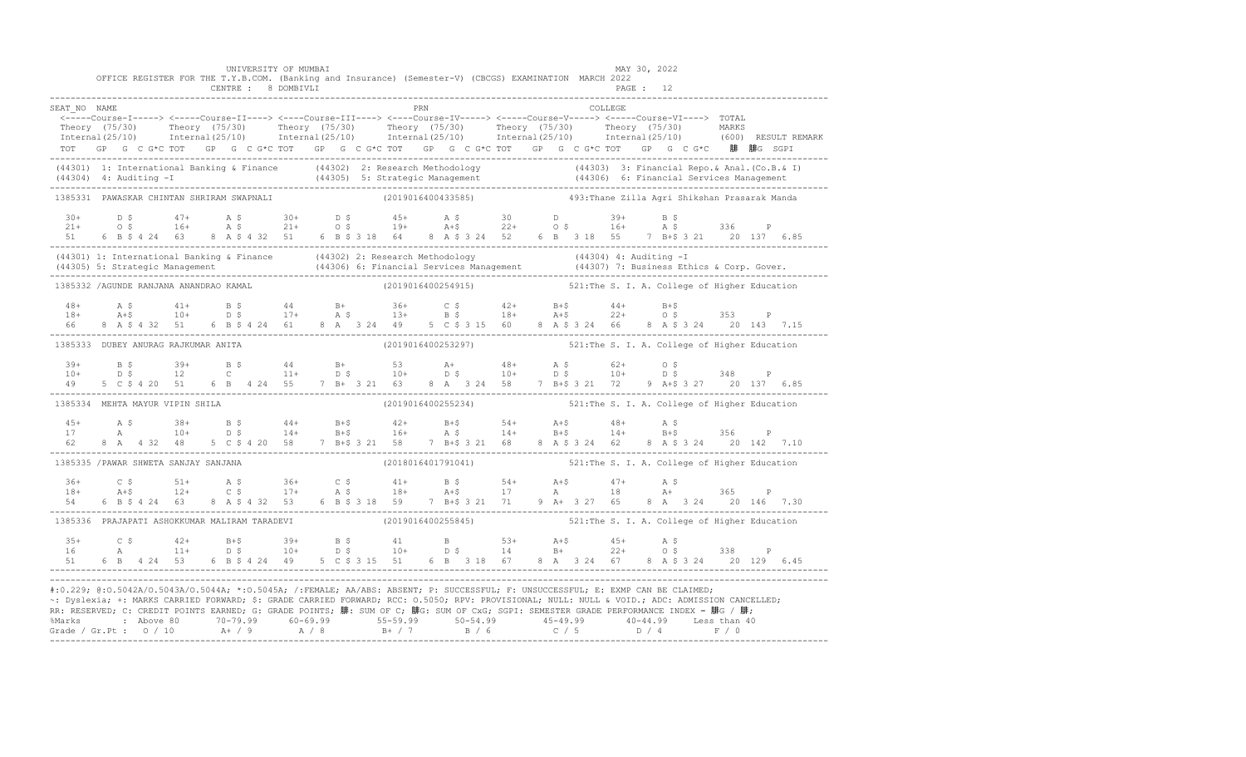|                                                                                                                                                                                                                                                                                                                                                                                                                             |  |  |  |  | UNIVERSITY OF MUMBAI |  |  |     |                    | OFFICE REGISTER FOR THE T.Y.B.COM. (Banking and Insurance) (Semester-V) (CBCGS) EXAMINATION MARCH 2022                                                                                                                                                                                                                                                                                                                     |  |          | MAY 30, 2022<br>PAGE: 12 |  |  |                                               |                                                                                                                                                                                                                                |
|-----------------------------------------------------------------------------------------------------------------------------------------------------------------------------------------------------------------------------------------------------------------------------------------------------------------------------------------------------------------------------------------------------------------------------|--|--|--|--|----------------------|--|--|-----|--------------------|----------------------------------------------------------------------------------------------------------------------------------------------------------------------------------------------------------------------------------------------------------------------------------------------------------------------------------------------------------------------------------------------------------------------------|--|----------|--------------------------|--|--|-----------------------------------------------|--------------------------------------------------------------------------------------------------------------------------------------------------------------------------------------------------------------------------------|
| SEAT NO NAME                                                                                                                                                                                                                                                                                                                                                                                                                |  |  |  |  |                      |  |  | PRN |                    | <-----Course-I-----> <-----Course-II----> <----Course-III----> <----Course-IV-----> <----Course-V-----> <----Course-VI----> TOTAL<br>TOT GP G C G*C TOT GP G C G*C TOT GP G C G*C TOT GP G C G*C TOT GP G C G*C TOT GP G C G*C 腓 腓G SGPI                                                                                                                                                                                   |  | COLLEGE. |                          |  |  |                                               | Theory (75/30) Theory (75/30) Theory (75/30) Theory (75/30) Theory (75/30) Theory (75/30) Theory (75/30) Theory (75/30) Theory (75/30) Theory (75/30) Theory (75/30) Theory (75/30) Theory (75/30) Theory (75/30) Theory (75/3 |
| (44301) 1: International Banking & Finance (44302) 2: Research Methodology (44303) 3: Financial Repo. & Anal. (Co.B. & I)<br>(44304) 4: Auditing -I (44305) 5: Strategic Management (44306) 6: Financial Services Management (443                                                                                                                                                                                           |  |  |  |  |                      |  |  |     |                    |                                                                                                                                                                                                                                                                                                                                                                                                                            |  |          |                          |  |  |                                               |                                                                                                                                                                                                                                |
| 1385331 PAWASKAR CHINTAN SHRIRAM SWAPNALI                                                                                                                                                                                                                                                                                                                                                                                   |  |  |  |  |                      |  |  |     | (2019016400433585) |                                                                                                                                                                                                                                                                                                                                                                                                                            |  |          |                          |  |  | 493: Thane Zilla Agri Shikshan Prasarak Manda |                                                                                                                                                                                                                                |
|                                                                                                                                                                                                                                                                                                                                                                                                                             |  |  |  |  |                      |  |  |     |                    | $21+$ $D$ \$ $47+$ $A$ \$ $30+$ $D$ \$ $45+$ $A$ \$ $30$ $D$ $39+$ $B$ \$<br>$21+$ $O$ \$ $16+$ $A$ \$ $21+$ $O$ \$ $19+$ $A+$ \$ $22+$ $O$ \$ $16+$ $A$ \$ $336$ P                                                                                                                                                                                                                                                        |  |          |                          |  |  |                                               |                                                                                                                                                                                                                                |
| (44301) 1: International Banking & Finance (44302) 2: Research Methodology (44304) 4: Auditing -I<br>(44305) 5: Strategic Management (44306) 6: Financial Services Management (44307) 7: Business Ethics & Corp. Gover.<br>---------                                                                                                                                                                                        |  |  |  |  |                      |  |  |     |                    |                                                                                                                                                                                                                                                                                                                                                                                                                            |  |          |                          |  |  |                                               |                                                                                                                                                                                                                                |
| 1385332 /AGUNDE RANJANA ANANDRAO KAMAL                                                                                                                                                                                                                                                                                                                                                                                      |  |  |  |  |                      |  |  |     |                    | (2019016400254915) 521: The S. I. A. College of Higher Education                                                                                                                                                                                                                                                                                                                                                           |  |          |                          |  |  |                                               |                                                                                                                                                                                                                                |
|                                                                                                                                                                                                                                                                                                                                                                                                                             |  |  |  |  |                      |  |  |     |                    |                                                                                                                                                                                                                                                                                                                                                                                                                            |  |          |                          |  |  |                                               |                                                                                                                                                                                                                                |
| 1385333 DUBEY ANURAG RAJKUMAR ANITA                                                                                                                                                                                                                                                                                                                                                                                         |  |  |  |  |                      |  |  |     |                    | (2019016400253297) 521: The S. I. A. College of Higher Education                                                                                                                                                                                                                                                                                                                                                           |  |          |                          |  |  |                                               |                                                                                                                                                                                                                                |
|                                                                                                                                                                                                                                                                                                                                                                                                                             |  |  |  |  |                      |  |  |     |                    | $\begin{array}{cccccccccccccccc} 39+ & & B & \hat{S} & & 39+ & B & \hat{S} & & 44 & B+ & 53 & A+ & 48+ & A & \hat{S} & & 62+ & O & \hat{S} \\ 10+ & & D & \hat{S} & & 12 & C & & 11+ & D & \hat{S} & & 10+ & D & \hat{S} & & 10+ & D & \hat{S} & & 348 & P \\ 49 & & 5 & C & \hat{S} & 4 & 20 & 51 & 6 & B & 4 & 24 & 55 & 7 & B+ & 3 & 21 & 63 & 8 & A & 3 & $                                                            |  |          |                          |  |  |                                               |                                                                                                                                                                                                                                |
| 1385334 MEHTA MAYUR VIPIN SHILA                                                                                                                                                                                                                                                                                                                                                                                             |  |  |  |  |                      |  |  |     |                    | (2019016400255234) 521: The S. I. A. College of Higher Education                                                                                                                                                                                                                                                                                                                                                           |  |          |                          |  |  |                                               |                                                                                                                                                                                                                                |
| $45+$<br>17<br>62                                                                                                                                                                                                                                                                                                                                                                                                           |  |  |  |  |                      |  |  |     |                    | $\begin{tabular}{lccccccccc} A & $\hat{\textsc{i}}$ & $38+$ & $B$ & $\hat{\textsc{i}}$ & $44+$ & $B+\hat{\textsc{i}}$ & $42+$ & $B+\hat{\textsc{i}}$ & $54+$ & $A+\hat{\textsc{i}}$ & $48+$ & $A$ & $\hat{\textsc{i}}$ & $356$ & $P$ \\ A & $10+$ & $D$ & $\hat{\textsc{i}}$ & $14+$ & $B+\hat{\textsc{i}}$ & $16+$ & $A$ & $\hat{\textsc{i}}$ & $14+$ & $B+\hat{\textsc{i}}$ & $14+$ & $B+\hat{\textsc{i}}$ & $356$ & $P$ |  |          |                          |  |  |                                               |                                                                                                                                                                                                                                |
| 1385335 / PAWAR SHWETA SANJAY SANJANA                                                                                                                                                                                                                                                                                                                                                                                       |  |  |  |  |                      |  |  |     |                    | (2018016401791041) 521: The S. I. A. College of Higher Education                                                                                                                                                                                                                                                                                                                                                           |  |          |                          |  |  |                                               |                                                                                                                                                                                                                                |
|                                                                                                                                                                                                                                                                                                                                                                                                                             |  |  |  |  |                      |  |  |     |                    | $18+$ $24+$ $36+$ $36+$ $36+$ $36+$ $36+$ $36+$ $36+$ $36+$ $36+$ $36+$ $36+$ $36+$ $36+$ $36+$ $36+$ $36+$ $36+$ $36+$ $36+$ $36+$ $36+$ $36+$ $36+$ $36+$ $36+$ $36+$ $36+$ $36+$ $36+$ $36+$ $36+$ $36+$ $36+$ $36+$ $36+$                                                                                                                                                                                              |  |          |                          |  |  |                                               |                                                                                                                                                                                                                                |
| 1385336 PRAJAPATI ASHOKKUMAR MALIRAM TARADEVI (2019016400255845) 521: The S. I. A. College of Higher Education                                                                                                                                                                                                                                                                                                              |  |  |  |  |                      |  |  |     |                    |                                                                                                                                                                                                                                                                                                                                                                                                                            |  |          |                          |  |  |                                               |                                                                                                                                                                                                                                |
| $3.5+$<br>16                                                                                                                                                                                                                                                                                                                                                                                                                |  |  |  |  |                      |  |  |     |                    |                                                                                                                                                                                                                                                                                                                                                                                                                            |  |          |                          |  |  |                                               |                                                                                                                                                                                                                                |
| #:0.229; @:0.5042A/0.5043A/0.5044A; *:0.5045A; /:FEMALE; AA/ABS: ABSENT; P: SUCCESSFUL; F: UNSUCCESSFUL; E: EXMP CAN BE CLAIMED;<br>~: Dyslexia; +: MARKS CARRIED FORWARD; \$: GRADE CARRIED FORWARD; RCC: 0.5050; RPV: PROVISIONAL; NULL: NULL & VOID.; ADC: ADMISSION CANCELLED;<br>RR: RESERVED; C: CREDIT POINTS EARNED; G: GRADE POINTS; 腓: SUM OF C; 腓G: SUM OF CxG; SGPI: SEMESTER GRADE PERFORMANCE INDEX = 腓G / 腓; |  |  |  |  |                      |  |  |     |                    |                                                                                                                                                                                                                                                                                                                                                                                                                            |  |          |                          |  |  |                                               |                                                                                                                                                                                                                                |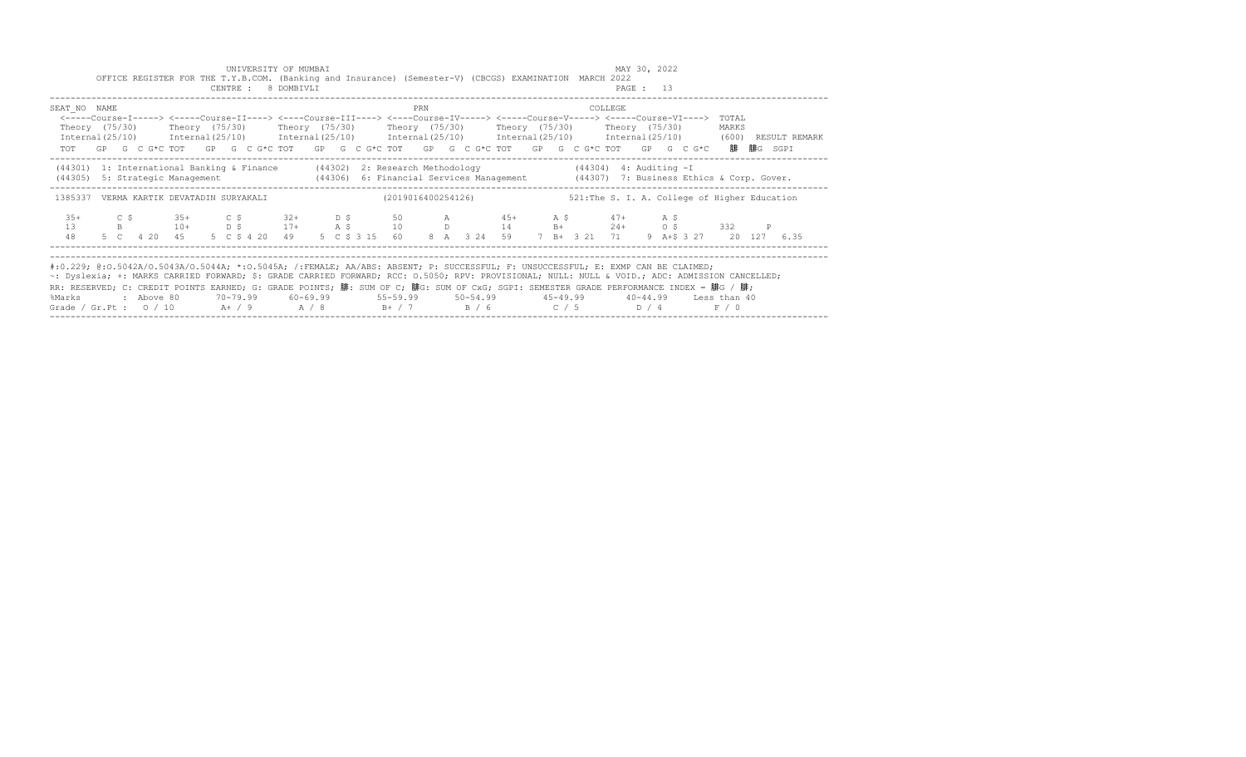|                                                                                                                                                                                                                                                                                                                                                                                                                                                                                                                                   |  | OFFICE REGISTER FOR THE T.Y.B.COM. (Banking and Insurance) (Semester-V) (CBCGS) EXAMINATION MARCH 2022                                                                                                                                                                                                                                               |  | UNIVERSITY OF MUMBAI<br>CENTRE : 8 DOMBIVLI |  |                                                                 |     |                    |  |  |         | MAY 30, 2022<br>PAGE : 13 |  |                                               |  |                                                                                                                     |
|-----------------------------------------------------------------------------------------------------------------------------------------------------------------------------------------------------------------------------------------------------------------------------------------------------------------------------------------------------------------------------------------------------------------------------------------------------------------------------------------------------------------------------------|--|------------------------------------------------------------------------------------------------------------------------------------------------------------------------------------------------------------------------------------------------------------------------------------------------------------------------------------------------------|--|---------------------------------------------|--|-----------------------------------------------------------------|-----|--------------------|--|--|---------|---------------------------|--|-----------------------------------------------|--|---------------------------------------------------------------------------------------------------------------------|
| SEAT NO NAME                                                                                                                                                                                                                                                                                                                                                                                                                                                                                                                      |  | <-----Course-I-----> <-----Course-II----> <----Course-III----> <----Course-IV-----> <----Course-V-----> <----Course-VI----> TOTAL<br>Theory (75/30)    Theory (75/30)    Theory (75/30)    Theory (75/30)    Theory (75/30)    Theory (75/30)<br>TOT GP G C G*C TOT GP G C G*C TOT GP G C G*C TOT GP G C G*C TOT GP G C G*C TOT GP G C G*C 腓 腓G SGPI |  |                                             |  |                                                                 | PRN |                    |  |  | COLLEGE |                           |  | MARKS                                         |  | Internal(25/10) Internal(25/10) Internal(25/10) Internal(25/10) Internal(25/10) Internal(25/10) (600) RESULT REMARK |
|                                                                                                                                                                                                                                                                                                                                                                                                                                                                                                                                   |  | (44301) 1: International Banking & Finance (44302) 2: Research Methodology (44304) 4: Auditing - I<br>(44305) 5: Strategic Management (44306) 6: Financial Services Management (44307) 7: Business Ethics & Corp. Gover.                                                                                                                             |  |                                             |  |                                                                 |     |                    |  |  |         |                           |  |                                               |  |                                                                                                                     |
|                                                                                                                                                                                                                                                                                                                                                                                                                                                                                                                                   |  | 1385337 VERMA KARTIK DEVATADIN SURYAKALI                                                                                                                                                                                                                                                                                                             |  |                                             |  |                                                                 |     | (2019016400254126) |  |  |         |                           |  | 521: The S. I. A. College of Higher Education |  |                                                                                                                     |
| $35+$<br>1.3<br>48                                                                                                                                                                                                                                                                                                                                                                                                                                                                                                                |  | C \$35+ C \$32+ D \$50 A 45+ A \$47+ A \$<br>B 10+ D \$ 17+ A \$ 10 D 14 B+ 24+ O \$ 332 P<br>5 C  4 20  45  5  C  \$  4  20  49                                                                                                                                                                                                                     |  |                                             |  | 5 C \$ 3 15 60 8 A 3 24 59 7 B+ 3 21 71 9 A+\$ 3 27 20 127 6.35 |     |                    |  |  |         |                           |  |                                               |  |                                                                                                                     |
| #:0.229; @:0.5042A/0.5043A/0.5044A; *:0.5045A; /:FEMALE; AA/ABS: ABSENT; P: SUCCESSFUL; F: UNSUCCESSFUL; E: EXMP CAN BE CLAIMED;<br>~: Dyslexia; +: MARKS CARRIED FORWARD; \$: GRADE CARRIED FORWARD; RCC: 0.5050; RPV: PROVISIONAL; NULL: NULL & VOID.; ADC: ADMISSION CANCELLED;<br>RR: RESERVED; C: CREDIT POINTS EARNED; G: GRADE POINTS; 腓: SUM OF C; 腓G: SUM OF CxG; SGPI: SEMESTER GRADE PERFORMANCE INDEX = 腓G / 腓;<br>%Marks : Above 80<br>Grade / Gr.Pt : $0/10$ A $+$ / 9 A $/8$ B $+$ / 7 B $/6$ C $/5$ D $/4$ F $/0$ |  |                                                                                                                                                                                                                                                                                                                                                      |  |                                             |  |                                                                 |     |                    |  |  |         |                           |  |                                               |  |                                                                                                                     |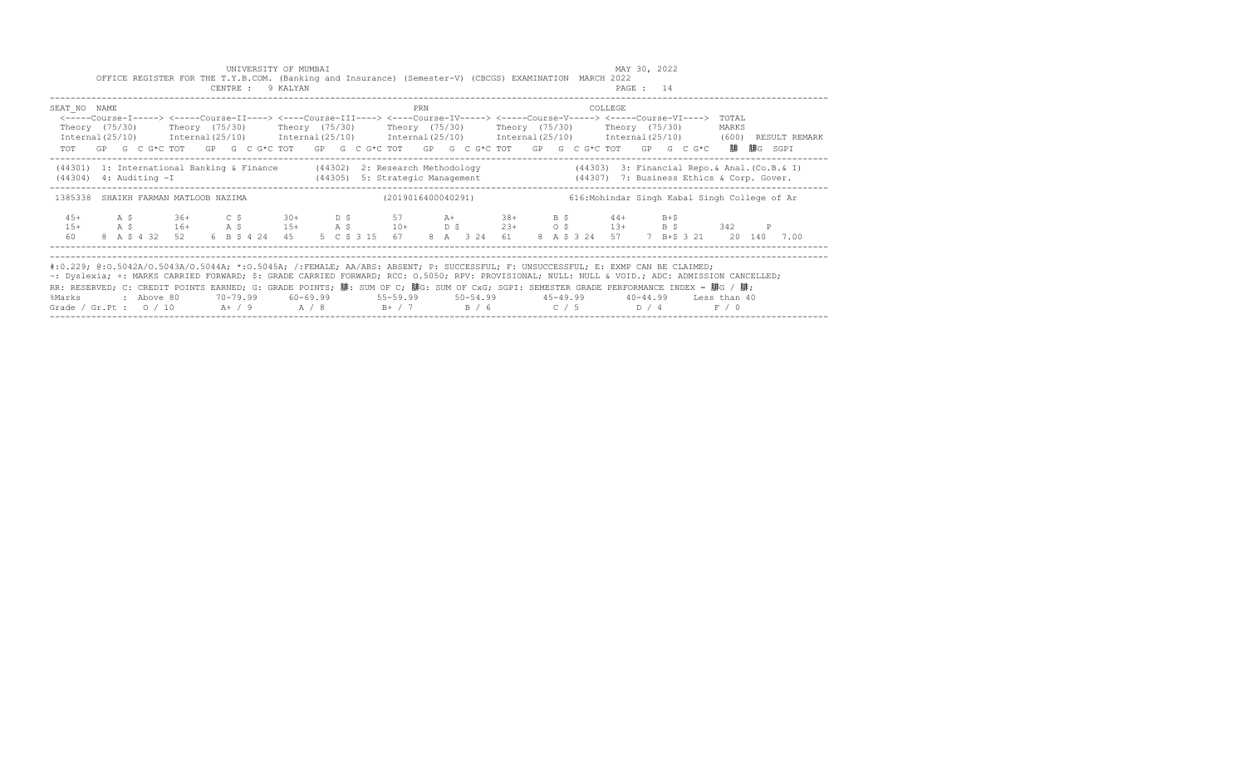|                                                                                                                                                                                                                                                                                                                                                                                                                                                                                                                        |  | OFFICE REGISTER FOR THE T.Y.B.COM. (Banking and Insurance) (Semester-V) (CBCGS) EXAMINATION MARCH 2022                                                                                                                                                                                                                               |  | UNIVERSITY OF MUMBAI<br>CENTRE : 9 KALYAN |  |  |                                                                                        |     |  |  |  |                                               | MAY 30, 2022<br>PAGE : 14 |  |                |                                                                                                                     |
|------------------------------------------------------------------------------------------------------------------------------------------------------------------------------------------------------------------------------------------------------------------------------------------------------------------------------------------------------------------------------------------------------------------------------------------------------------------------------------------------------------------------|--|--------------------------------------------------------------------------------------------------------------------------------------------------------------------------------------------------------------------------------------------------------------------------------------------------------------------------------------|--|-------------------------------------------|--|--|----------------------------------------------------------------------------------------|-----|--|--|--|-----------------------------------------------|---------------------------|--|----------------|---------------------------------------------------------------------------------------------------------------------|
| SEAT NO NAME                                                                                                                                                                                                                                                                                                                                                                                                                                                                                                           |  | <-----Course-I-----> <----Course-II----> <----Course-III----> <----Course-IV-----> <-----Course-V-----> <-----Course-VI----><br>Theory (75/30)  Theory (75/30)  Theory (75/30)  Theory (75/30)  Theory (75/30)  Theory (75/30)<br>TOT GP G C G*C TOT GP G C G*C TOT GP G C G*C TOT GP G C G*C TOT GP G C G*C TOT GP G C G*C 腓腓G SGPI |  |                                           |  |  |                                                                                        | PRN |  |  |  | COLLEGE                                       |                           |  | TOTAL<br>MARKS | Internal(25/10) Internal(25/10) Internal(25/10) Internal(25/10) Internal(25/10) Internal(25/10) (600) RESULT REMARK |
| $(44304)$ 4: Auditing $-I$                                                                                                                                                                                                                                                                                                                                                                                                                                                                                             |  | (44301) 1: International Banking & Finance (44302) 2: Research Methodology (44303) 3: Financial Repo. & Anal. (Co.B. & I)                                                                                                                                                                                                            |  |                                           |  |  | (44305) 5: Strategic Management (44307) 7: Business Ethics & Corp. Gover.              |     |  |  |  |                                               |                           |  |                |                                                                                                                     |
|                                                                                                                                                                                                                                                                                                                                                                                                                                                                                                                        |  | 1385338 SHAIKH FARMAN MATLOOB NAZIMA                                                                                                                                                                                                                                                                                                 |  |                                           |  |  | (2019016400040291)                                                                     |     |  |  |  | 616: Mohindar Singh Kabal Singh College of Ar |                           |  |                |                                                                                                                     |
| $1.5+$<br>60                                                                                                                                                                                                                                                                                                                                                                                                                                                                                                           |  | 45+ A \$ 36+ C \$ 30+ D \$ 57 A+ 38+ B \$ 44+ B+\$<br>A \$ 16+ A \$ 15+ A \$ 10+ D \$ 23+ O \$ 13+ B \$ 342 P<br>8 A \$ 4 32 52 6 B \$ 4 24 45                                                                                                                                                                                       |  |                                           |  |  | 5 C \$ 3 15 67 8 A 3 24 61 8 A \$ 3 24 57 7 B+\$ 3 21 20 140 7.00                      |     |  |  |  |                                               |                           |  |                |                                                                                                                     |
| #:0.229; @:0.5042A/0.5043A/0.5044A; *:0.5045A; /:FEMALE; AA/ABS: ABSENT; P: SUCCESSFUL; F: UNSUCCESSFUL; E: EXMP CAN BE CLAIMED;<br>~: Dyslexia; +: MARKS CARRIED FORWARD; \$: GRADE CARRIED FORWARD; RCC: 0.5050; RPV: PROVISIONAL; NULL: NULL & VOID.; ADC: ADMISSION CANCELLED;<br>RR: RESERVED; C: CREDIT POINTS EARNED; G: GRADE POINTS; 腓: SUM OF C; 腓G: SUM OF CxG; SGPI: SEMESTER GRADE PERFORMANCE INDEX = 腓G / 腓;<br>%Marks : Above 80<br>Grade / Gr.Pt : $0/10$ A / 9 A / 8 B + / 7 B / 6 C / 5 D / 4 F / 0 |  |                                                                                                                                                                                                                                                                                                                                      |  |                                           |  |  | 70–79.99   60–69.99     55–59.99     50–54.99     45–49.99     40–44.99   Less than 40 |     |  |  |  |                                               |                           |  |                |                                                                                                                     |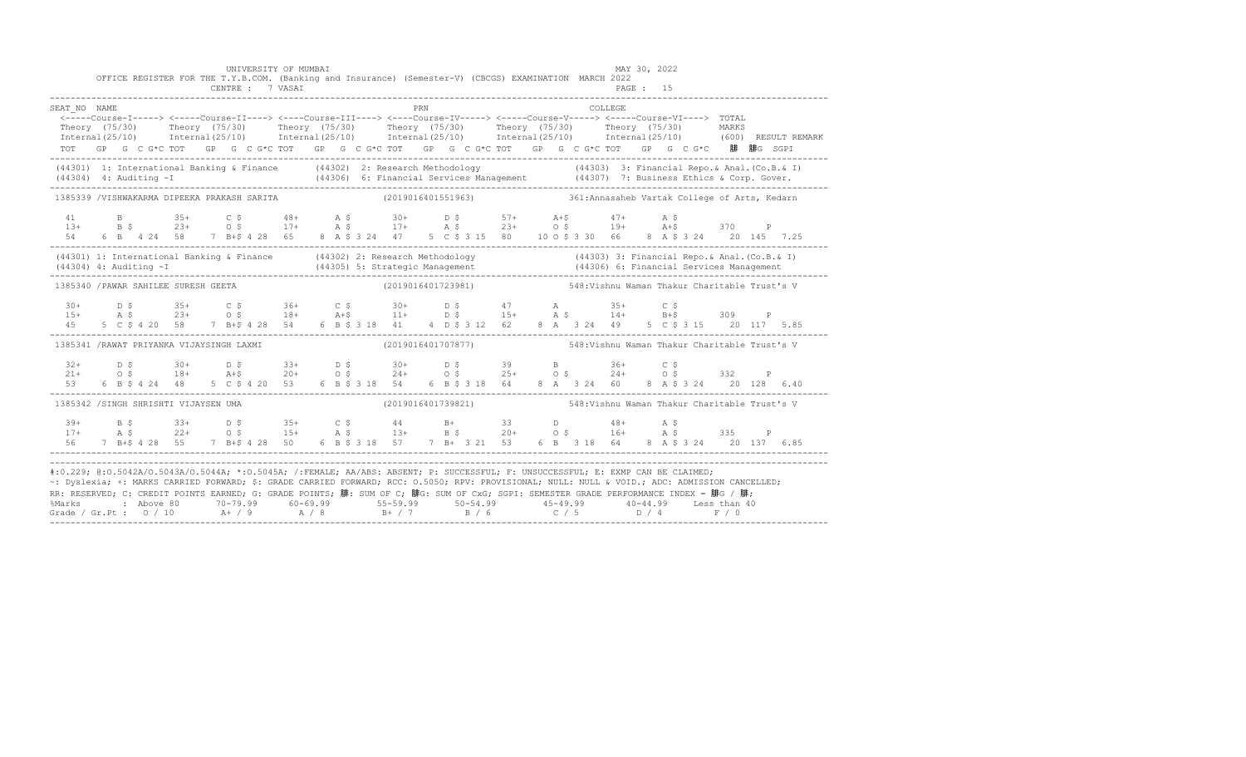|                                                                                                                                                                                                                                                                                                                                                                                                                             |  |  |  | UNIVERSITY OF MUMBAI<br>OFFICE REGISTER FOR THE T.Y.B.COM. (Banking and Insurance) (Semester-V) (CBCGS) EXAMINATION MARCH 2022                                                                                                             |  |  |     |  |                                                                  |  |                                     |                | MAY 30, 2022 |  |  |                                                                                                                                                                                                                                     |
|-----------------------------------------------------------------------------------------------------------------------------------------------------------------------------------------------------------------------------------------------------------------------------------------------------------------------------------------------------------------------------------------------------------------------------|--|--|--|--------------------------------------------------------------------------------------------------------------------------------------------------------------------------------------------------------------------------------------------|--|--|-----|--|------------------------------------------------------------------|--|-------------------------------------|----------------|--------------|--|--|-------------------------------------------------------------------------------------------------------------------------------------------------------------------------------------------------------------------------------------|
| SEAT NO NAME                                                                                                                                                                                                                                                                                                                                                                                                                |  |  |  | CENTRE : 7 VASAI                                                                                                                                                                                                                           |  |  | PRN |  |                                                                  |  |                                     | <b>COLLEGE</b> | PAGE: 15     |  |  |                                                                                                                                                                                                                                     |
|                                                                                                                                                                                                                                                                                                                                                                                                                             |  |  |  | <-----Course-I-----> <-----Course-II----> <----Course-III----> <----Course-IV-----> <-----Course-V-----> <-----Course-VI----> TOTAL<br>TOT GP G C G*C TOT GP G C G*C TOT GP G C G*C TOT GP G C G*C TOT GP G C G*C TOT GP G C G*C 腓 腓G SGPI |  |  |     |  |                                                                  |  |                                     |                |              |  |  | Theory (75/30) Theory (75/30) Theory (75/30) Theory (75/30) Theory (75/30) Theory (75/30) MARKS<br>Internal(25/10) Internal(25/10) Internal(25/10) Internal(25/10) Internal(25/10) Internal(25/10) (600)RESULTREMARK                |
|                                                                                                                                                                                                                                                                                                                                                                                                                             |  |  |  |                                                                                                                                                                                                                                            |  |  |     |  |                                                                  |  |                                     |                |              |  |  | (44301) 1: International Banking & Finance (44302) 2: Research Methodology (44303) 3: Financial Repo. & Anal. (Co.B. & I)<br>(44304) 4: Auditing -I (44306) 6: Financial Services Management (44307) 7: Business Ethics & Corp. G   |
| 1385339 /VISHWAKARMA DIPEEKA PRAKASH SARITA (2019016401551963) 361:Annasaheb Vartak College of Arts, Kedarn                                                                                                                                                                                                                                                                                                                 |  |  |  |                                                                                                                                                                                                                                            |  |  |     |  |                                                                  |  |                                     |                |              |  |  |                                                                                                                                                                                                                                     |
|                                                                                                                                                                                                                                                                                                                                                                                                                             |  |  |  |                                                                                                                                                                                                                                            |  |  |     |  |                                                                  |  |                                     |                |              |  |  | 41 B $35+$ C $5$ 48+ A $5$ 30+ D $5$ 57+ A+ $5$ 47+ A $5$<br>13+ B $5$ 23+ O $5$ 17+ A $5$ 17+ A $5$ 23+ O $5$ 19+ A+ $5$ 370 P<br>54 6 B 4 24 58 7 B+ $5$ 4 28 65 8 A $5$ 3 24 47 5 C $5$ 3 15 80 10 O $5$ 3 30 66 8 A $5$ 3 24 20 |
|                                                                                                                                                                                                                                                                                                                                                                                                                             |  |  |  |                                                                                                                                                                                                                                            |  |  |     |  |                                                                  |  |                                     |                |              |  |  | (44301) 1: International Banking & Finance (44302) 2: Research Methodology (44303) 3: Financial Repo. & Anal. (Co.B. & I)<br>(44304) 4: Auditing -I (44305) 5: Strategic Management (44306) 6: Financial Services Management (443   |
| 1385340 / PAWAR SAHILEE SURESH GEETA                                                                                                                                                                                                                                                                                                                                                                                        |  |  |  |                                                                                                                                                                                                                                            |  |  |     |  | (2019016401723981) 548: Vishnu Waman Thakur Charitable Trust's V |  |                                     |                |              |  |  |                                                                                                                                                                                                                                     |
|                                                                                                                                                                                                                                                                                                                                                                                                                             |  |  |  |                                                                                                                                                                                                                                            |  |  |     |  |                                                                  |  | 8 A 3 24 49 5 C \$ 3 15 20 117 5.85 |                |              |  |  |                                                                                                                                                                                                                                     |
| 1385341 /RAWAT PRIYANKA VIJAYSINGH LAXMI                                                                                                                                                                                                                                                                                                                                                                                    |  |  |  |                                                                                                                                                                                                                                            |  |  |     |  | (2019016401707877) 548: Vishnu Waman Thakur Charitable Trust's V |  |                                     |                |              |  |  |                                                                                                                                                                                                                                     |
|                                                                                                                                                                                                                                                                                                                                                                                                                             |  |  |  |                                                                                                                                                                                                                                            |  |  |     |  |                                                                  |  | 8 A 3 24 60 8 A \$ 3 24 20 128 6.40 |                |              |  |  |                                                                                                                                                                                                                                     |
| 1385342 /SINGH SHRISHTI VIJAYSEN UMA                                                                                                                                                                                                                                                                                                                                                                                        |  |  |  |                                                                                                                                                                                                                                            |  |  |     |  | (2019016401739821) 548: Vishnu Waman Thakur Charitable Trust's V |  |                                     |                |              |  |  |                                                                                                                                                                                                                                     |
|                                                                                                                                                                                                                                                                                                                                                                                                                             |  |  |  |                                                                                                                                                                                                                                            |  |  |     |  |                                                                  |  |                                     |                |              |  |  |                                                                                                                                                                                                                                     |
| #:0.229; @:0.5042A/0.5043A/0.5044A; *:0.5045A; /:FEMALE; AA/ABS: ABSENT; P: SUCCESSFUL; F: UNSUCCESSFUL; E: EXMP CAN BE CLAIMED;<br>~: Dyslexia; +: MARKS CARRIED FORWARD; \$: GRADE CARRIED FORWARD; RCC: 0.5050; RPV: PROVISIONAL; NULL: NULL & VOID.; ADC: ADMISSION CANCELLED;<br>RR: RESERVED; C: CREDIT POINTS EARNED; G: GRADE POINTS; 腓: SUM OF C; 腓G: SUM OF CxG; SGPI: SEMESTER GRADE PERFORMANCE INDEX = 腓G / 腓; |  |  |  |                                                                                                                                                                                                                                            |  |  |     |  |                                                                  |  |                                     |                |              |  |  |                                                                                                                                                                                                                                     |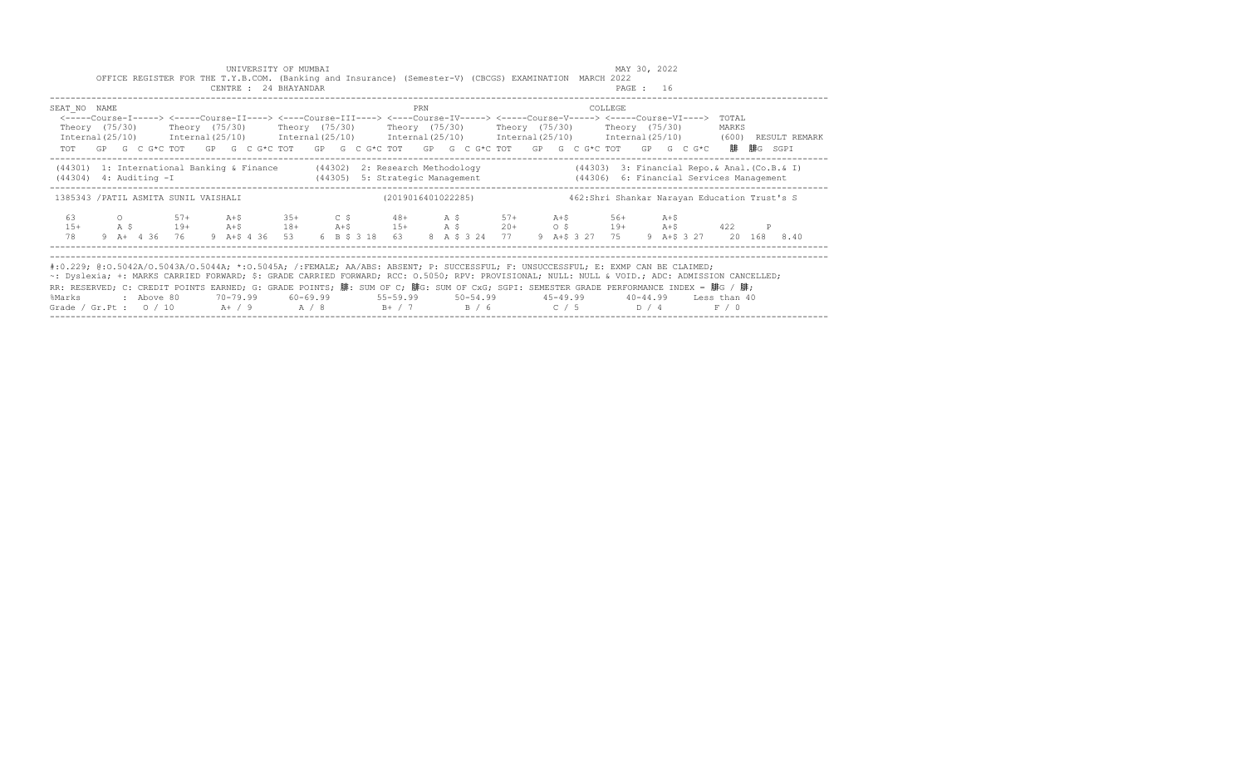|                                                                                                                                                                                                                                                                                                                                                                                                                                                                                                               |  |            | OFFICE REGISTER FOR THE T.Y.B.COM. (Banking and Insurance) (Semester-V) (CBCGS) EXAMINATION MARCH 2022                                                                                                                                                                                                                                                                                                                                                              |  | UNIVERSITY OF MUMBAI<br>CENTRE : 24 BHAYANDAR |  |                                                                                        |     |  |  |  |         | MAY 30, 2022<br>PAGE : 16 |  |                                                |               |
|---------------------------------------------------------------------------------------------------------------------------------------------------------------------------------------------------------------------------------------------------------------------------------------------------------------------------------------------------------------------------------------------------------------------------------------------------------------------------------------------------------------|--|------------|---------------------------------------------------------------------------------------------------------------------------------------------------------------------------------------------------------------------------------------------------------------------------------------------------------------------------------------------------------------------------------------------------------------------------------------------------------------------|--|-----------------------------------------------|--|----------------------------------------------------------------------------------------|-----|--|--|--|---------|---------------------------|--|------------------------------------------------|---------------|
| SEAT NO NAME                                                                                                                                                                                                                                                                                                                                                                                                                                                                                                  |  |            | <-----Course-I-----> <-----Course-II----> <----Course-III----> <----Course-IV-----> <----Course-V-----> <----Course-VI----> TOTAL<br>Theory (75/30)    Theory (75/30)    Theory (75/30)    Theory (75/30)    Theory (75/30)    Theory (75/30)<br>Internal (25/10) Internal (25/10) Internal (25/10) Internal (25/10) Internal (25/10) Internal (25/10) (600)<br>TOT GP G C G*C TOT GP G C G*C TOT GP G C G*C TOT GP G C G*C TOT GP G C G*C TOT GP G C G*C 腓 腓G SGPI |  |                                               |  |                                                                                        | PRN |  |  |  | COLLEGE |                           |  | MARKS                                          | RESULT REMARK |
| $(44304)$ 4: Auditing $-I$                                                                                                                                                                                                                                                                                                                                                                                                                                                                                    |  |            | (44301) 1: International Banking & Finance (44302) 2: Research Methodology                                                                                                                                                                                                                                                                                                                                                                                          |  |                                               |  | (44305) 5: Strategic Management (44306) 6: Financial Services Management               |     |  |  |  |         |                           |  | $(44303)$ 3: Financial Repo.& Anal. (Co.B.& I) |               |
| 1385343 / PATIL ASMITA SUNIL VAISHALI                                                                                                                                                                                                                                                                                                                                                                                                                                                                         |  |            |                                                                                                                                                                                                                                                                                                                                                                                                                                                                     |  |                                               |  | (2019016401022285)                                                                     |     |  |  |  |         |                           |  | 462: Shri Shankar Narayan Education Trust's S  |               |
| 63<br>$1.5+$<br>78                                                                                                                                                                                                                                                                                                                                                                                                                                                                                            |  |            | 0 57+ A+\$ 35+ C \$ 48+ A \$ 57+ A+\$ 56+ A+\$<br>A \$ 19+ A+\$ 18+ A+\$ 15+ A \$ 20+ 0 \$ 19+ A+\$ 422<br>9 A + 4 36 76 9 A + \$ 4 36 53                                                                                                                                                                                                                                                                                                                           |  |                                               |  | 6 B \$ 3 18 63 8 A \$ 3 24 77 9 A + \$ 3 27 75 9 A + \$ 3 27 20 168 8.40               |     |  |  |  |         |                           |  |                                                |               |
| #:0.229; @:0.5042A/0.5043A/0.5044A; *:0.5045A; /:FEMALE; AA/ABS: ABSENT; P: SUCCESSFUL; F: UNSUCCESSFUL; E: EXMP CAN BE CLAIMED;<br>~: Dyslexia; +: MARKS CARRIED FORWARD; \$: GRADE CARRIED FORWARD; RCC: 0.5050; RPV: PROVISIONAL; NULL: NULL & VOID.; ADC: ADMISSION CANCELLED;<br>RR: RESERVED; C: CREDIT POINTS EARNED; G: GRADE POINTS; 腓: SUM OF C; 腓G: SUM OF CxG; SGPI: SEMESTER GRADE PERFORMANCE INDEX = 腓G / 腓;<br>%Marks<br>Grade / Gr.Pt : $0/10$ A + / 9 A / 8 B + / 7 B / 6 C / 5 D / 4 F / 0 |  | : Above 80 |                                                                                                                                                                                                                                                                                                                                                                                                                                                                     |  |                                               |  | 70-79.99   60-69.99     55-59.99     50-54.99     45-49.99     40-44.99   Less than 40 |     |  |  |  |         |                           |  |                                                |               |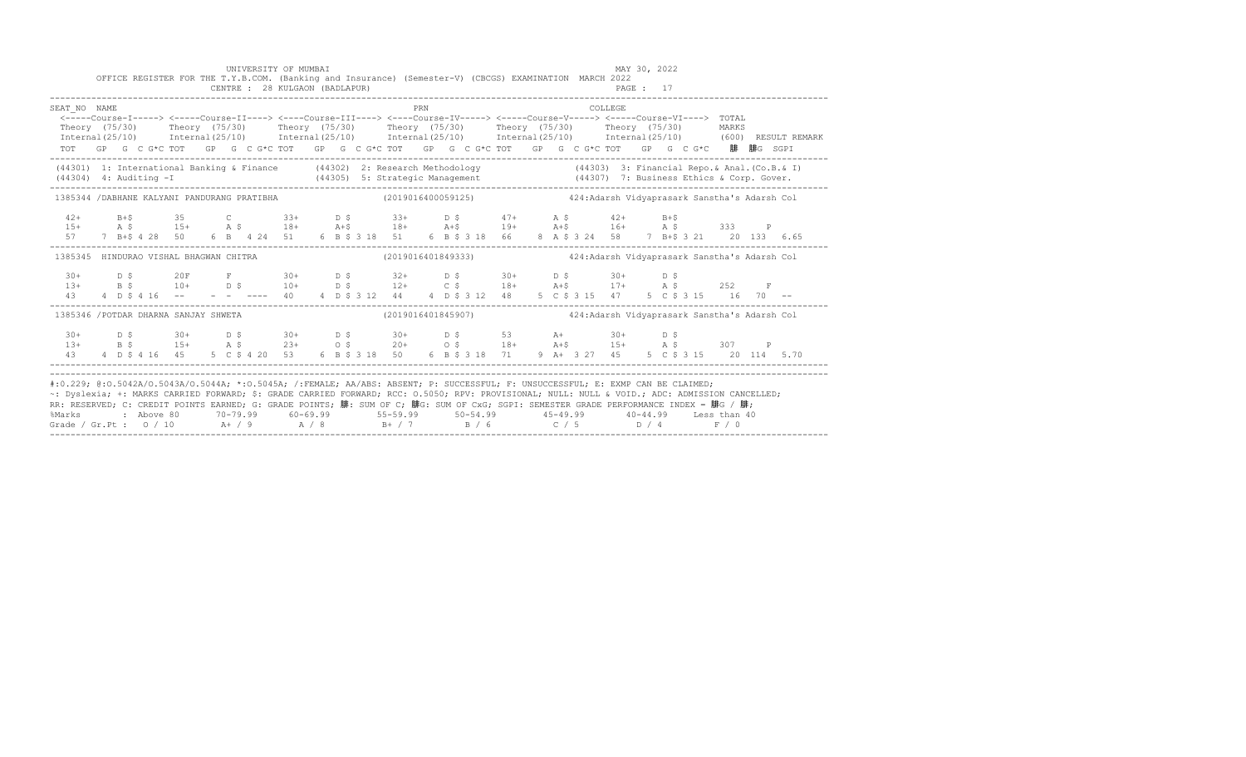|                                                                                                                                                                                                                                                                                                                                                                                                                                                                                                             |  |  |  |  |  | UNIVERSITY OF MUMBAI<br>OFFICE REGISTER FOR THE T.Y.B.COM. (Banking and Insurance) (Semester-V) (CBCGS) EXAMINATION MARCH 2022<br>CENTRE : 28 KULGAON (BADLAPUR) |  |  |  |     |  |  |  |  |         | MAY 30, 2022<br>PAGE: 17 |  |  |                                                                                       |  |  |
|-------------------------------------------------------------------------------------------------------------------------------------------------------------------------------------------------------------------------------------------------------------------------------------------------------------------------------------------------------------------------------------------------------------------------------------------------------------------------------------------------------------|--|--|--|--|--|------------------------------------------------------------------------------------------------------------------------------------------------------------------|--|--|--|-----|--|--|--|--|---------|--------------------------|--|--|---------------------------------------------------------------------------------------|--|--|
| SEAT NO NAME<br><-----Course-I-----> <-----Course-II----> <----Course-III----> <----Course-IV----> <----Course-V-----> <----Course-VI----> TOTAL<br>Theory (75/30) Theory (75/30) Theory (75/30) Theory (75/30) Theory (75/30) Theory (75/30) MARKS<br>Internal(25/10) Internal(25/10) Internal(25/10) Internal(25/10) Internal(25/10) Internal(25/10) (600)RESULTREMARK<br>TOT GP G C G*C TOT GP G C G*C TOT GP G C G*C TOT GP G C G*C TOT GP G C G*C TOT GP G C G*C 腓 腓G SGPI                             |  |  |  |  |  |                                                                                                                                                                  |  |  |  | PRN |  |  |  |  | COLLEGE |                          |  |  |                                                                                       |  |  |
| (44301) 1: International Banking & Finance (44302) 2: Research Methodology (44303) 3: Financial Repo. & Anal. (Co.B. & I)<br>(44304) 4: Auditing -I (44305) 5: Strategic Management (44307) 7: Business Ethics & Corp. Gover.<br>---                                                                                                                                                                                                                                                                        |  |  |  |  |  |                                                                                                                                                                  |  |  |  |     |  |  |  |  |         |                          |  |  |                                                                                       |  |  |
| 1385344 /DABHANE KALYANI PANDURANG PRATIBHA (2019016400059125) 424:Adarsh Vidyaprasark Sanstha's Adarsh Col                                                                                                                                                                                                                                                                                                                                                                                                 |  |  |  |  |  |                                                                                                                                                                  |  |  |  |     |  |  |  |  |         |                          |  |  |                                                                                       |  |  |
| $\begin{array}{cccccccccccccccc} 42+ & & B+\$ & & 35 & & C & 33+ & D$\,\$ & & 33+ & D$\,\$ & & 47+ & A$\,\$ & & 42+ & B+\$ & & 33 & & P \\ 15+ & & A$\,\$ & & 15+ & A$\,\$ & & 18+ & A+\$ & & 18+ & A+\$ & & 19+ & A+\$ & & 16+ & A$\,\$ & & 33 & & P \\ 57 & & 7 & B+\$ & 4&28 & 50 & 6 & 6 & 4 & 24 & 5 & 6 & 6 & 6 & 6 & 6 & 6 & 6 & 6 & 6 & 6 & 6 &$                                                                                                                                                    |  |  |  |  |  |                                                                                                                                                                  |  |  |  |     |  |  |  |  |         |                          |  |  |                                                                                       |  |  |
| 1385345 HINDURAO VISHAL BHAGWAN CHITRA                                                                                                                                                                                                                                                                                                                                                                                                                                                                      |  |  |  |  |  |                                                                                                                                                                  |  |  |  |     |  |  |  |  |         |                          |  |  | (2019016401849333)                       424:Adarsh Vidyaprasark Sanstha's Adarsh Col |  |  |
|                                                                                                                                                                                                                                                                                                                                                                                                                                                                                                             |  |  |  |  |  |                                                                                                                                                                  |  |  |  |     |  |  |  |  |         |                          |  |  |                                                                                       |  |  |
| 1385346 /POTDAR DHARNA SANJAY SHWETA                                                                                                                                                                                                                                                                                                                                                                                                                                                                        |  |  |  |  |  |                                                                                                                                                                  |  |  |  |     |  |  |  |  |         |                          |  |  | (2019016401845907)                 424: Adarsh Vidyaprasark Sanstha's Adarsh Col      |  |  |
| $\begin{array}{cccccccccccccccccccccccccc} 30+& &D & \xi & & 30+& &D & \xi & & 30+& &D & \xi & & 30+& &D & \xi & & 53 & & A+& & 30+& &D & \xi \\ 13+& &B & \xi & & 15+& &A & \xi & & 23+& &0 & \xi & & 20+& &0 & \xi & & 18+& &A+\xi & & 15+& &A & \xi & & 307 & &P \\ 43+& &B & \xi & & 15+& &A & \xi & & 5 &C & \xi & 4 & 20 & 53 & &6 & B & \xi & 3 & 18 & & $                                                                                                                                           |  |  |  |  |  |                                                                                                                                                                  |  |  |  |     |  |  |  |  |         |                          |  |  |                                                                                       |  |  |
| #:0.229; @:0.5042A/0.5043A/0.5044A; *:0.5045A; /:FEMALE; AA/ABS: ABSENT; P: SUCCESSFUL; F: UNSUCCESSFUL; E: EXMP CAN BE CLAIMED;<br>~: Dyslexia; +: MARKS CARRIED FORWARD; \$: GRADE CARRIED FORWARD; RCC: 0.5050; RPV: PROVISIONAL; NULL: NULL & VOID.; ADC: ADMISSION CANCELLED;<br>RR: RESERVED; C: CREDIT POINTS EARNED; G: GRADE POINTS; 腓: SUM OF C; 腓G: SUM OF CxG; SGPI: SEMESTER GRADE PERFORMANCE INDEX = 腓G / 腓;<br>%Marks<br>Grade / Gr.Pt : $0/10$ A / 9 A / 8 B + / 7 B / 6 C / 5 D / 4 F / 0 |  |  |  |  |  | 2 Above 80 20-79.99 60-69.99 55-59.99 50-54.99 45-49.99 40-44.99 Less than 40                                                                                    |  |  |  |     |  |  |  |  |         |                          |  |  |                                                                                       |  |  |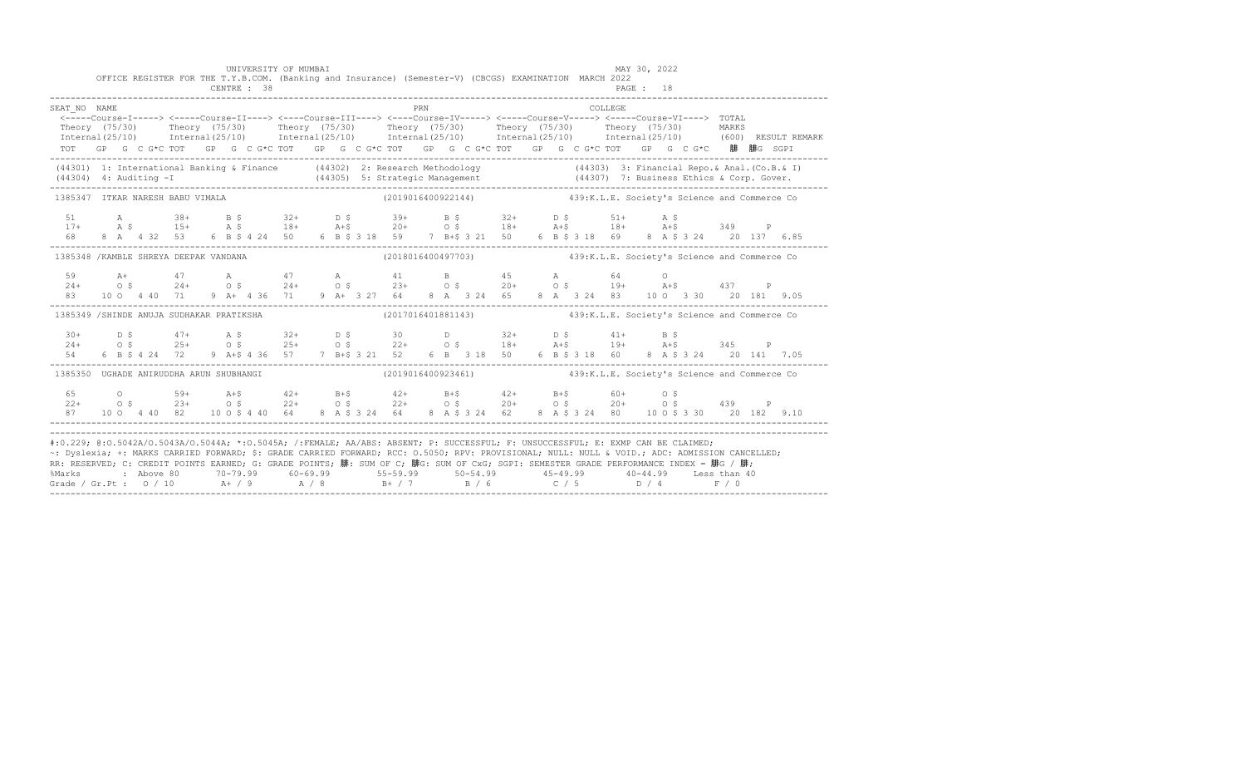|                                                                                                                                                                                                                                                                                                                                                                                                                                                                                                                                                                                           |  | OFFICE REGISTER FOR THE T.Y.B.COM. (Banking and Insurance) (Semester-V) (CBCGS) EXAMINATION MARCH 2022                                                                                                                                  |  | UNIVERSITY OF MUMBAI |  |  |     |                                                                 |  |  |         | MAY 30, 2022 |  |  |                                                                                                                                                                                                                                      |
|-------------------------------------------------------------------------------------------------------------------------------------------------------------------------------------------------------------------------------------------------------------------------------------------------------------------------------------------------------------------------------------------------------------------------------------------------------------------------------------------------------------------------------------------------------------------------------------------|--|-----------------------------------------------------------------------------------------------------------------------------------------------------------------------------------------------------------------------------------------|--|----------------------|--|--|-----|-----------------------------------------------------------------|--|--|---------|--------------|--|--|--------------------------------------------------------------------------------------------------------------------------------------------------------------------------------------------------------------------------------------|
| SEAT NO NAME                                                                                                                                                                                                                                                                                                                                                                                                                                                                                                                                                                              |  | <-----Course-I-----> <----Course-II----> <----Course-III----> <----Course-IV-----> <----Course-V-----> <----Course-VI----> TOTAL<br>TOT GP G C G*C TOT GP G C G*C TOT GP G C G*C TOT GP G C G*C TOT GP G C G*C TOT GP G C G*C 腓 腓G SGPI |  |                      |  |  | PRN |                                                                 |  |  | COLLEGE |              |  |  | Theory (75/30) Theory (75/30) Theory (75/30) Theory (75/30) Theory (75/30) Theory (75/30) MARKS<br>Internal(25/10) Internal(25/10) Internal(25/10) Internal(25/10) Internal(25/10) Internal(25/10) (600)RESULTREMARK                 |
|                                                                                                                                                                                                                                                                                                                                                                                                                                                                                                                                                                                           |  |                                                                                                                                                                                                                                         |  |                      |  |  |     |                                                                 |  |  |         |              |  |  | (44301) 1: International Banking & Finance (44302) 2: Research Methodology (44303) 3: Financial Repo. & Anal. (Co.B. & I)<br>(44304) 4: Auditing -I (44305) 5: Strategic Management (44307) 7: Business Ethics & Corp. Gover.<br>--- |
|                                                                                                                                                                                                                                                                                                                                                                                                                                                                                                                                                                                           |  | 1385347 ITKAR NARESH BABU VIMALA                                                                                                                                                                                                        |  |                      |  |  |     | (2019016400922144) 439:K.L.E. Society's Science and Commerce Co |  |  |         |              |  |  |                                                                                                                                                                                                                                      |
|                                                                                                                                                                                                                                                                                                                                                                                                                                                                                                                                                                                           |  |                                                                                                                                                                                                                                         |  |                      |  |  |     |                                                                 |  |  |         |              |  |  |                                                                                                                                                                                                                                      |
|                                                                                                                                                                                                                                                                                                                                                                                                                                                                                                                                                                                           |  | 1385348 /KAMBLE SHREYA DEEPAK VANDANA (2018016400497703) 439:K.L.E. Society's Science and Commerce Co                                                                                                                                   |  |                      |  |  |     |                                                                 |  |  |         |              |  |  |                                                                                                                                                                                                                                      |
| 83                                                                                                                                                                                                                                                                                                                                                                                                                                                                                                                                                                                        |  | $24+$ $47$ A $47$ A $41$ B $45$ A $64$ O<br>$24+$ O \$ $24+$ O \$ $23+$ O \$ $20+$ O \$ $19+$ A+\$ $437$ P<br>10 0 4 40 71 9 A+ 4 36 71 9 A+ 3 27 64 8 A 3 24 65 8 A 3 24 83 10 0 3 30 20 181 9.05                                      |  |                      |  |  |     |                                                                 |  |  |         |              |  |  |                                                                                                                                                                                                                                      |
|                                                                                                                                                                                                                                                                                                                                                                                                                                                                                                                                                                                           |  | 1385349 /SHINDE ANUJA SUDHAKAR PRATIKSHA (2017016401881143) 439:K.L.E. Society's Science and Commerce Co                                                                                                                                |  |                      |  |  |     |                                                                 |  |  |         |              |  |  |                                                                                                                                                                                                                                      |
| $30+$<br>$24+$<br>54 - 1                                                                                                                                                                                                                                                                                                                                                                                                                                                                                                                                                                  |  | D \$ 47+ A \$ 32+ D \$ 30 D 32+ D \$ 41+ B \$<br>O \$ 25+ O \$ 25+ O \$ 22+ O \$ 18+ A +\$ 19+ A +\$ 345 P<br>6 B \$ 4 24 72 9 A + \$ 4 36 57 7 B + \$ 3 21 52 6 B 3 18 50 6 B \$ 3 18 60 8 A \$ 3 24 20 141 7.05                       |  |                      |  |  |     |                                                                 |  |  |         |              |  |  |                                                                                                                                                                                                                                      |
|                                                                                                                                                                                                                                                                                                                                                                                                                                                                                                                                                                                           |  | 1385350 UGHADE ANIRUDDHA ARUN SHUBHANGI                                                                                                                                                                                                 |  |                      |  |  |     | (2019016400923461) 439:K.L.E. Society's Science and Commerce Co |  |  |         |              |  |  |                                                                                                                                                                                                                                      |
|                                                                                                                                                                                                                                                                                                                                                                                                                                                                                                                                                                                           |  | $65$ 0 $59+$ $A+5$ 42+ B+5 42+ B+5 42+ B+5 60+ 0.5<br>22+ 0.5 23+ 0.5 22+ 0.5 22+ 0.5 20+ 0.5 20+ 0.5 439 P<br>87 10 0 4 40 82 10 0 \$ 4 40 64 8 A \$ 3 24 64 8 A \$ 3 24 62 8 A \$ 3 24 80 10 0 \$ 3 30 20 182 9.10                    |  |                      |  |  |     |                                                                 |  |  |         |              |  |  |                                                                                                                                                                                                                                      |
| #:0.229; @:0.5042A/0.5043A/0.5044A; *:0.5045A; /:FEMALE; AA/ABS: ABSENT; P: SUCCESSFUL; F: UNSUCCESSFUL; E: EXMP CAN BE CLAIMED;<br>~: Dyslexia; +: MARKS CARRIED FORWARD; \$: GRADE CARRIED FORWARD; RCC: 0.5050; RPV: PROVISIONAL; NULL: NULL & VOID.; ADC: ADMISSION CANCELLED;<br>RR: RESERVED; C: CREDIT POINTS EARNED; G: GRADE POINTS; 腓: SUM OF C; 腓G: SUM OF CxG; SGPI: SEMESTER GRADE PERFORMANCE INDEX = 腓G / 腓;<br>%Marks : Above 80 70-79.99 60-69.99 55-59.99 50-54.99 45-49.99 40-44.99 Less than 40<br>Grade / Gr.Pt : 0 / 10 A+ / 9 A / 8 B+ / 7 B / 6 C / 5 D / 4 F / 0 |  |                                                                                                                                                                                                                                         |  |                      |  |  |     |                                                                 |  |  |         |              |  |  |                                                                                                                                                                                                                                      |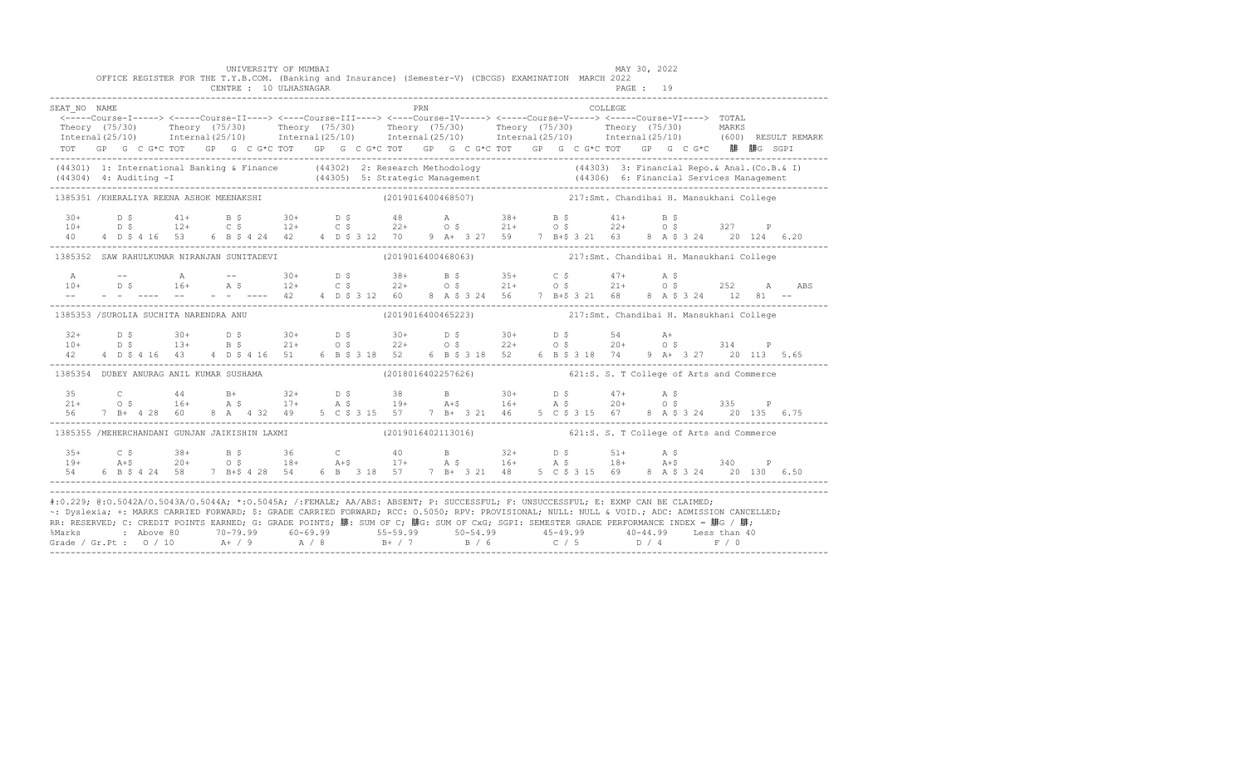|                                                                                                                                                                                                                                                                                                                                                                                                                                                                                                                                                                                           |  |  |  | UNIVERSITY OF MUMBAI<br>CENTRE : 10 ULHASNAGAR |  | OFFICE REGISTER FOR THE T.Y.B.COM. (Banking and Insurance) (Semester-V) (CBCGS) EXAMINATION MARCH 2022                                                                                                                |     |  |  |  |          | MAY 30, 2022<br>PAGE : 19 |  |  |                                                                                                                                                                                                                                   |
|-------------------------------------------------------------------------------------------------------------------------------------------------------------------------------------------------------------------------------------------------------------------------------------------------------------------------------------------------------------------------------------------------------------------------------------------------------------------------------------------------------------------------------------------------------------------------------------------|--|--|--|------------------------------------------------|--|-----------------------------------------------------------------------------------------------------------------------------------------------------------------------------------------------------------------------|-----|--|--|--|----------|---------------------------|--|--|-----------------------------------------------------------------------------------------------------------------------------------------------------------------------------------------------------------------------------------|
| SEAT NO NAME                                                                                                                                                                                                                                                                                                                                                                                                                                                                                                                                                                              |  |  |  |                                                |  | <-----Course-I-----> <-----Course-II----> <----Course-III----> <----Course-IV-----> <-----Course-V-----> TOTAL<br>TOT GP G C G*C TOT GP G C G*C TOT GP G C G*C TOT GP G C G*C TOT GP G C G*C TOT GP G C G*C 腓 腓G SGPI | PRN |  |  |  | COLLEGE. |                           |  |  | Theory (75/30) Theory (75/30) Theory (75/30) Theory (75/30) Theory (75/30) Theory (75/30) MARKS<br>Internal(25/10) Internal(25/10) Internal(25/10) Internal(25/10) Internal(25/10) Internal(25/10) (600) RESULTREMARK             |
|                                                                                                                                                                                                                                                                                                                                                                                                                                                                                                                                                                                           |  |  |  |                                                |  |                                                                                                                                                                                                                       |     |  |  |  |          |                           |  |  | (44301) 1: International Banking & Finance (44302) 2: Research Methodology (44303) 3: Financial Repo. & Anal. (Co.B. & I)<br>(44304) 4: Auditing -I (44305) 5: Strategic Management (44306) 6: Financial Services Management (443 |
| 1385351 /KHERALIYA REENA ASHOK MEENAKSHI                                                                                                                                                                                                                                                                                                                                                                                                                                                                                                                                                  |  |  |  |                                                |  | (2019016400468507) 217:Smt. Chandibai H. Mansukhani College                                                                                                                                                           |     |  |  |  |          |                           |  |  |                                                                                                                                                                                                                                   |
|                                                                                                                                                                                                                                                                                                                                                                                                                                                                                                                                                                                           |  |  |  |                                                |  |                                                                                                                                                                                                                       |     |  |  |  |          |                           |  |  |                                                                                                                                                                                                                                   |
|                                                                                                                                                                                                                                                                                                                                                                                                                                                                                                                                                                                           |  |  |  |                                                |  | 1385352 SAW RAHULKUMAR NIRANJAN SUNITADEVI (2019016400468063) 1217:Smt. Chandibai H. Mansukhani College                                                                                                               |     |  |  |  |          |                           |  |  |                                                                                                                                                                                                                                   |
|                                                                                                                                                                                                                                                                                                                                                                                                                                                                                                                                                                                           |  |  |  |                                                |  |                                                                                                                                                                                                                       |     |  |  |  |          |                           |  |  |                                                                                                                                                                                                                                   |
| 1385353 /SUROLIA SUCHITA NARENDRA ANU                                                                                                                                                                                                                                                                                                                                                                                                                                                                                                                                                     |  |  |  |                                                |  | (2019016400465223) 217:Smt. Chandibai H. Mansukhani College                                                                                                                                                           |     |  |  |  |          |                           |  |  |                                                                                                                                                                                                                                   |
|                                                                                                                                                                                                                                                                                                                                                                                                                                                                                                                                                                                           |  |  |  |                                                |  |                                                                                                                                                                                                                       |     |  |  |  |          |                           |  |  |                                                                                                                                                                                                                                   |
| 1385354 DUBEY ANURAG ANIL KUMAR SUSHAMA                                                                                                                                                                                                                                                                                                                                                                                                                                                                                                                                                   |  |  |  |                                                |  | (2018016402257626) 621:S. S. T College of Arts and Commerce                                                                                                                                                           |     |  |  |  |          |                           |  |  |                                                                                                                                                                                                                                   |
|                                                                                                                                                                                                                                                                                                                                                                                                                                                                                                                                                                                           |  |  |  |                                                |  |                                                                                                                                                                                                                       |     |  |  |  |          |                           |  |  |                                                                                                                                                                                                                                   |
| 1385355 /MEHERCHANDANI GUNJAN JAIKISHIN LAXMI                                                                                                                                                                                                                                                                                                                                                                                                                                                                                                                                             |  |  |  |                                                |  | (2019016402113016) 621:S. S. T College of Arts and Commerce                                                                                                                                                           |     |  |  |  |          |                           |  |  |                                                                                                                                                                                                                                   |
|                                                                                                                                                                                                                                                                                                                                                                                                                                                                                                                                                                                           |  |  |  |                                                |  | 54 6 B \$ 4 24 58 7 B + \$ 4 28 54 6 B 3 18 57 7 B + 3 21 48 5 C \$ 3 15 69 8 A \$ 3 24 20 130 6.50                                                                                                                   |     |  |  |  |          |                           |  |  |                                                                                                                                                                                                                                   |
| #:0.229; @:0.5042A/0.5043A/0.5044A; *:0.5045A; /:FEMALE; AA/ABS: ABSENT; P: SUCCESSFUL; F: UNSUCCESSFUL; E: EXMP CAN BE CLAIMED;<br>~: Dyslexia; +: MARKS CARRIED FORWARD; \$: GRADE CARRIED FORWARD; RCC: 0.5050; RPV: PROVISIONAL; NULL: NULL & VOID.; ADC: ADMISSION CANCELLED;<br>RR: RESERVED; C: CREDIT POINTS EARNED; G: GRADE POINTS; 腓: SUM OF C; 腓G: SUM OF CxG; SGPI: SEMESTER GRADE PERFORMANCE INDEX = 腓G / 腓;<br>%Marks : Above 80 70-79.99 60-69.99 55-59.99 50-54.99 45-49.99 40-44.99 Less than 40<br>Grade / Gr.Pt : 0 / 10 A+ / 9 A / 8 B+ / 7 B / 6 C / 5 D / 4 F / 0 |  |  |  |                                                |  |                                                                                                                                                                                                                       |     |  |  |  |          |                           |  |  |                                                                                                                                                                                                                                   |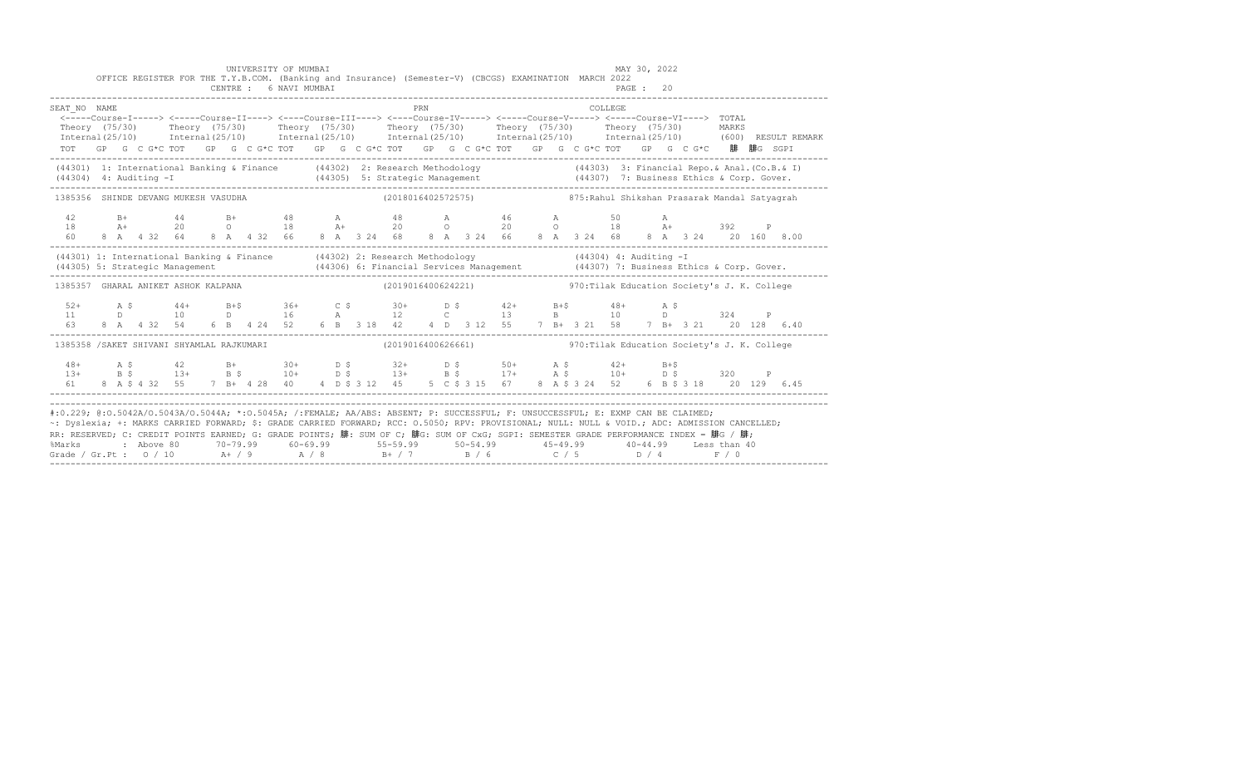|                                                                                                                                                                                                                                                                                                                                                                                                                                                                                                            |  |  |  |  | UNIVERSITY OF MUMBAI<br>OFFICE REGISTER FOR THE T.Y.B.COM. (Banking and Insurance) (Semester-V) (CBCGS) EXAMINATION MARCH 2022 |  |  |     |  |  |         | MAY 30, 2022 |                                                                                                                                                                                                                                                                                                                                                                                                               |  |                                                                                                                                                                                                                                      |
|------------------------------------------------------------------------------------------------------------------------------------------------------------------------------------------------------------------------------------------------------------------------------------------------------------------------------------------------------------------------------------------------------------------------------------------------------------------------------------------------------------|--|--|--|--|--------------------------------------------------------------------------------------------------------------------------------|--|--|-----|--|--|---------|--------------|---------------------------------------------------------------------------------------------------------------------------------------------------------------------------------------------------------------------------------------------------------------------------------------------------------------------------------------------------------------------------------------------------------------|--|--------------------------------------------------------------------------------------------------------------------------------------------------------------------------------------------------------------------------------------|
| SEAT NO NAME                                                                                                                                                                                                                                                                                                                                                                                                                                                                                               |  |  |  |  |                                                                                                                                |  |  | PRN |  |  | COLLEGE |              | <----Course-I-----> <----Course-II----> <----Course-III----> <----Course-IV-----> <----Course-V-----> <----Course-VI----> TOTAL<br>TOT GP G C G*C TOT GP G C G*C TOT GP G C G*C TOT GP G C G*C TOT GP G C G*C TOT GP G C G*C 腓 腓G SGPI                                                                                                                                                                        |  | Theory (75/30) Theory (75/30) Theory (75/30) Theory (75/30) Theory (75/30) Theory (75/30) MARKS<br>Internal(25/10) Internal(25/10) Internal(25/10) Internal(25/10) Internal(25/10) Internal(25/10) (600)RESULTREMARK                 |
|                                                                                                                                                                                                                                                                                                                                                                                                                                                                                                            |  |  |  |  |                                                                                                                                |  |  |     |  |  |         |              |                                                                                                                                                                                                                                                                                                                                                                                                               |  | (44301) 1: International Banking & Finance (44302) 2: Research Methodology (44303) 3: Financial Repo. & Anal. (Co.B. & I)<br>(44304) 4: Auditing -I (44305) 5: Strategic Management (44307) 7: Business Ethics & Corp. Gover.<br>--- |
| 1385356 SHINDE DEVANG MUKESH VASUDHA                                                                                                                                                                                                                                                                                                                                                                                                                                                                       |  |  |  |  |                                                                                                                                |  |  |     |  |  |         |              | (2018016402572575)                   875:Rahul Shikshan Prasarak Mandal Satyagrah                                                                                                                                                                                                                                                                                                                             |  |                                                                                                                                                                                                                                      |
| 42<br>18<br>60                                                                                                                                                                                                                                                                                                                                                                                                                                                                                             |  |  |  |  |                                                                                                                                |  |  |     |  |  |         |              | B+ 44 B+ 48 A 48 A 46 A 50 A<br>A+ 20 O 18 A+ 20 O 20 O 18 A+ 392 P<br>8 A 4 32 64 8 A 4 32 66 8 A 3 24 68 8 A 3 24 66 8 A 3 24 68 8 A 3 24 20 160 8.00                                                                                                                                                                                                                                                       |  |                                                                                                                                                                                                                                      |
|                                                                                                                                                                                                                                                                                                                                                                                                                                                                                                            |  |  |  |  |                                                                                                                                |  |  |     |  |  |         |              |                                                                                                                                                                                                                                                                                                                                                                                                               |  | (44301) 1: International Banking & Finance (44302) 2: Research Methodology (44304) 4: Auditing -T<br>(44305) 5: Strategic Management (44306) 6: Financial Services Management (44307) 7: Business Ethics & Corp. Gover.<br>--------- |
| 1385357 GHARAL ANIKET ASHOK KALPANA                                                                                                                                                                                                                                                                                                                                                                                                                                                                        |  |  |  |  |                                                                                                                                |  |  |     |  |  |         |              | (2019016400624221) 970: Tilak Education Society's J. K. College                                                                                                                                                                                                                                                                                                                                               |  |                                                                                                                                                                                                                                      |
|                                                                                                                                                                                                                                                                                                                                                                                                                                                                                                            |  |  |  |  |                                                                                                                                |  |  |     |  |  |         |              |                                                                                                                                                                                                                                                                                                                                                                                                               |  |                                                                                                                                                                                                                                      |
| 1385358 /SAKET SHIVANI SHYAMLAL RAJKUMARI                                                                                                                                                                                                                                                                                                                                                                                                                                                                  |  |  |  |  |                                                                                                                                |  |  |     |  |  |         |              | (2019016400626661) 370: Tilak Education Society's J. K. College                                                                                                                                                                                                                                                                                                                                               |  |                                                                                                                                                                                                                                      |
|                                                                                                                                                                                                                                                                                                                                                                                                                                                                                                            |  |  |  |  |                                                                                                                                |  |  |     |  |  |         |              | $\begin{array}{cccccccccccccccc} 48+ & & {\rm A}\ \, S & & & 42 & & {\rm B+} & & 30+ & & {\rm D}\ \, S & & & 32+ & & {\rm D}\ \, S & & & 13+ & & {\rm B}\ \, S & & & 13+ & & {\rm B}\ \, S & & & 13+ & & {\rm B}\ \, S & & & 13+ & & {\rm B}\ \, S & & & 14+ & & {\rm B}\ \, S & & & 15+ & & {\rm B}\ \, S & & & 15+ & & {\rm B}\ \, S & & & 16+ & & {\rm D}\ \, S & & & 17+ & & {\rm B}\ \, S & & & 17+ & &$ |  |                                                                                                                                                                                                                                      |
| #:0.229; @:0.5042A/0.5043A/0.5044A; *:0.5045A; /:FEMALE; AA/ABS: ABSENT; P: SUCCESSFUL; F: UNSUCCESSFUL; E: EXMP CAN BE CLAIMED;<br>~: Dyslexia; +: MARKS CARRIED FORWARD; \$: GRADE CARRIED FORWARD; RCC: 0.5050; RPV: PROVISIONAL; NULL: NULL: WOID.; ADC: ADMISSION CANCELLED;<br>RR: RESERVED; C: CREDIT POINTS EARNED; G: GRADE POINTS; 腓: SUM OF C; 腓G: SUM OF CxG; SGPI: SEMESTER GRADE PERFORMANCE INDEX = 腓G / 腓;<br>%Marks<br>Grade / Gr.Pt : $0/10$ A / 9 A / 8 B + / 7 B / 6 C / 5 D / 4 F / 0 |  |  |  |  |                                                                                                                                |  |  |     |  |  |         |              | 2 Above 80         70-79.99        60-69.99           55-59.99          50-54.99           45-49.99          40-44.99      Less than 40                                                                                                                                                                                                                                                                       |  |                                                                                                                                                                                                                                      |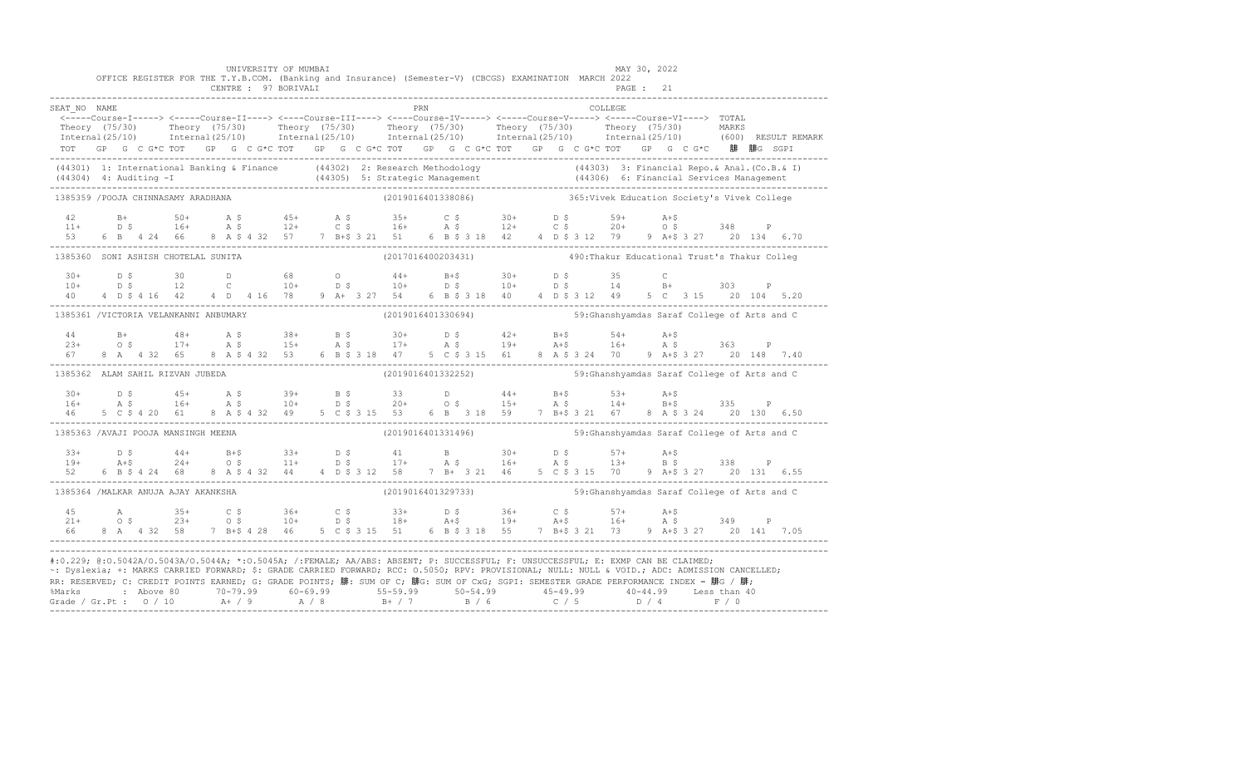|                                                                                                                                                                                                                                                                                                                                                                                                                                                                                                                     |  |  |  |  |  | UNIVERSITY OF MUMBAI<br>CENTRE : 97 BORIVALI |  |  | OFFICE REGISTER FOR THE T.Y.B.COM. (Banking and Insurance) (Semester-V) (CBCGS) EXAMINATION MARCH 2022                                                                                                                                                                                                                                                                                                    |            |  |  |  |          | MAY 30, 2022<br>PAGE : 21 |  |  |  |  |
|---------------------------------------------------------------------------------------------------------------------------------------------------------------------------------------------------------------------------------------------------------------------------------------------------------------------------------------------------------------------------------------------------------------------------------------------------------------------------------------------------------------------|--|--|--|--|--|----------------------------------------------|--|--|-----------------------------------------------------------------------------------------------------------------------------------------------------------------------------------------------------------------------------------------------------------------------------------------------------------------------------------------------------------------------------------------------------------|------------|--|--|--|----------|---------------------------|--|--|--|--|
| SEAT NO NAME<br>Theory (75/30) Theory (75/30) Theory (75/30) Theory (75/30) Theory (75/30) Theory (75/30) Theory (75/30) Theory (75/30) Theory (75/30) Theory (75/30) Theory (75/30) Theory (75/30) Theory (75/30) Theory (75/30) Theory (75/3                                                                                                                                                                                                                                                                      |  |  |  |  |  |                                              |  |  | rkn (ULLEGE) (ULLEGE)<br>-----Course-I-----> <----Course-II----> <----Course-III----> <----Course-IV-----> <----Course-VI----> TOTAL><br>TOT GP G C G*C TOT GP G C G*C TOT GP G C G*C TOT GP G C G*C TOT GP G C G*C TOT GP G C G*C 腓 腓G SGPI                                                                                                                                                              | <b>PRN</b> |  |  |  | COLLEGE. |                           |  |  |  |  |
| (44301) 1: International Banking & Finance (44302) 2: Research Methodology (44303) 3: Financial Repo.& Anal. (Co.B.& I)<br>(44304) 4: Auditing -I (44305) 5: Strategic Management (44306) 6: Financial Services Management<br>------                                                                                                                                                                                                                                                                                |  |  |  |  |  |                                              |  |  |                                                                                                                                                                                                                                                                                                                                                                                                           |            |  |  |  |          |                           |  |  |  |  |
| 1385359 / POOJA CHINNASAMY ARADHANA                                                                                                                                                                                                                                                                                                                                                                                                                                                                                 |  |  |  |  |  |                                              |  |  | (2019016401338086) 365: Vivek Education Society's Vivek College                                                                                                                                                                                                                                                                                                                                           |            |  |  |  |          |                           |  |  |  |  |
| $\begin{array}{cccccccccccccccc} 42 & & B+ & & 50+ & & A & \xi & & 45+ & & A & \xi & & 35+ & & C & \xi & & 30+ & & D & \xi & & 59+ & & A+\xi \\ 11+ & & D & \xi & & 16+ & & A & \xi & & 12+ & & C & \xi & & 16+ & & A & \xi & & 12+ & & C & \xi & & 20+ & & 0 & \xi & & 348 & & P \\ 53 & & 6 & B & 4 & 24 & 66 & & 8 & A & \xi & 4 & 32 & 57 & & 7 & B+\xi & 3 & 21 & 51 & & $                                                                                                                                     |  |  |  |  |  |                                              |  |  |                                                                                                                                                                                                                                                                                                                                                                                                           |            |  |  |  |          |                           |  |  |  |  |
| 1385360 SONI ASHISH CHOTELAL SUNITA                                                                                                                                                                                                                                                                                                                                                                                                                                                                                 |  |  |  |  |  |                                              |  |  | (2017016400203431)  490: Thakur Educational Trust's Thakur Colleg                                                                                                                                                                                                                                                                                                                                         |            |  |  |  |          |                           |  |  |  |  |
| $30+$<br>$10+$<br>40  4  D \$  4  16  42                                                                                                                                                                                                                                                                                                                                                                                                                                                                            |  |  |  |  |  |                                              |  |  | D \$ 30 D 68 O 44+ B+\$ 30+ D \$ 35 C<br>D \$ 12 C 10+ D \$ 10+ D \$ 10+ D \$ 14 B+ 303 P<br>4 D  4 16 78 9 A + 3 27 54 6 B \$ 3 18 40 4 D \$ 3 12 49 5 C  3 15 20 104 5.20                                                                                                                                                                                                                               |            |  |  |  |          |                           |  |  |  |  |
| 1385361 /VICTORIA VELANKANNI ANBUMARY (2019016401330694) 59:Ghanshyamdas Saraf College of Arts and C                                                                                                                                                                                                                                                                                                                                                                                                                |  |  |  |  |  |                                              |  |  |                                                                                                                                                                                                                                                                                                                                                                                                           |            |  |  |  |          |                           |  |  |  |  |
|                                                                                                                                                                                                                                                                                                                                                                                                                                                                                                                     |  |  |  |  |  |                                              |  |  |                                                                                                                                                                                                                                                                                                                                                                                                           |            |  |  |  |          |                           |  |  |  |  |
| 1385362 ALAM SAHIL RIZVAN JUBEDA                                                                                                                                                                                                                                                                                                                                                                                                                                                                                    |  |  |  |  |  |                                              |  |  | (2019016401332252) 59:Ghanshyamdas Saraf College of Arts and C                                                                                                                                                                                                                                                                                                                                            |            |  |  |  |          |                           |  |  |  |  |
|                                                                                                                                                                                                                                                                                                                                                                                                                                                                                                                     |  |  |  |  |  |                                              |  |  | $16+$ $16+$ $16+$ $16+$ $16+$ $16+$ $16+$ $16+$ $16+$ $16+$ $16+$ $16+$ $16+$ $16+$ $16+$ $16+$ $16+$ $16+$ $16+$ $16+$ $16+$ $16+$ $16+$ $16+$ $16+$ $16+$ $16+$ $16+$ $16+$ $16+$ $16+$ $16+$ $16+$ $16+$ $16+$ $16+$ $16+$                                                                                                                                                                             |            |  |  |  |          |                           |  |  |  |  |
| 1385363 /AVAJI POOJA MANSINGH MEENA                                                                                                                                                                                                                                                                                                                                                                                                                                                                                 |  |  |  |  |  |                                              |  |  | (2019016401331496) 59:Ghanshyamdas Saraf College of Arts and C                                                                                                                                                                                                                                                                                                                                            |            |  |  |  |          |                           |  |  |  |  |
|                                                                                                                                                                                                                                                                                                                                                                                                                                                                                                                     |  |  |  |  |  |                                              |  |  | $\begin{array}{cccccccccccccccc} 33+ & & & 5 & & & 44+ & & B+5 & & 33+ & & D & \multicolumn{4}{c}{5} & & 41 & & B & & 30+ & & D & \multicolumn{4}{c}{5} & & 57+ & & A+5 & & & 338 & & P \\ 19+ & & & A+5 & & & 24+ & & 0 & \multicolumn{4}{c}{5} & & 11+ & & D & \multicolumn{4}{c}{5} & & 17+ & & A & \multicolumn{4}{c}{5} & & 16+ & & A & \multicolumn{4}{c}{5} & & 13+ & & B & \multicolumn{4}{c}{5}$ |            |  |  |  |          |                           |  |  |  |  |
| 1385364 /MALKAR ANUJA AJAY AKANKSHA                                                                                                                                                                                                                                                                                                                                                                                                                                                                                 |  |  |  |  |  |                                              |  |  | (2019016401329733) 59: Ghanshyamdas Saraf College of Arts and C                                                                                                                                                                                                                                                                                                                                           |            |  |  |  |          |                           |  |  |  |  |
| 4.5<br>$21+$                                                                                                                                                                                                                                                                                                                                                                                                                                                                                                        |  |  |  |  |  |                                              |  |  | A 35+ C \$ 36+ C \$ 33+ D \$ 36+ C \$ 57+ A+\$<br>0 \$ 23+ 0 \$ 10+ D \$ 18+ A+\$ 19+ A+\$ 16+ A \$ 349 P<br>8 A 4 32 58 7 B+\$ 4 28 46 5 C \$ 3 15 51 6 B \$ 3 18 55 7 B+\$ 3 21 73 9 A+\$ 3 27 20 141 7.05                                                                                                                                                                                              |            |  |  |  |          |                           |  |  |  |  |
| #:0.229; @:0.5042A/0.5043A/0.5044A; *:0.5045A; /:FEMALE; AA/ABS: ABSENT; P: SUCCESSFUL; F: UNSUCCESSFUL; E: EXMP CAN BE CLAIMED;<br>~: Dyslexia; +: MARKS CARRIED FORWARD; \$: GRADE CARRIED FORWARD; RCC: 0.5050; RPV: PROVISIONAL; NULL: NULL & VOID.; ADC: ADMISSION CANCELLED;<br>RR: RESERVED; C: CREDIT POINTS EARNED; G: GRADE POINTS; 腓: SUM OF C; 腓G: SUM OF CxG; SGPI: SEMESTER GRADE PERFORMANCE INDEX = 腓G / 腓;<br>%Marks : Above 80 70-79.99 60-69.99 55-59.99 50-54.99 45-49.99 40-44.99 Less than 40 |  |  |  |  |  |                                              |  |  |                                                                                                                                                                                                                                                                                                                                                                                                           |            |  |  |  |          |                           |  |  |  |  |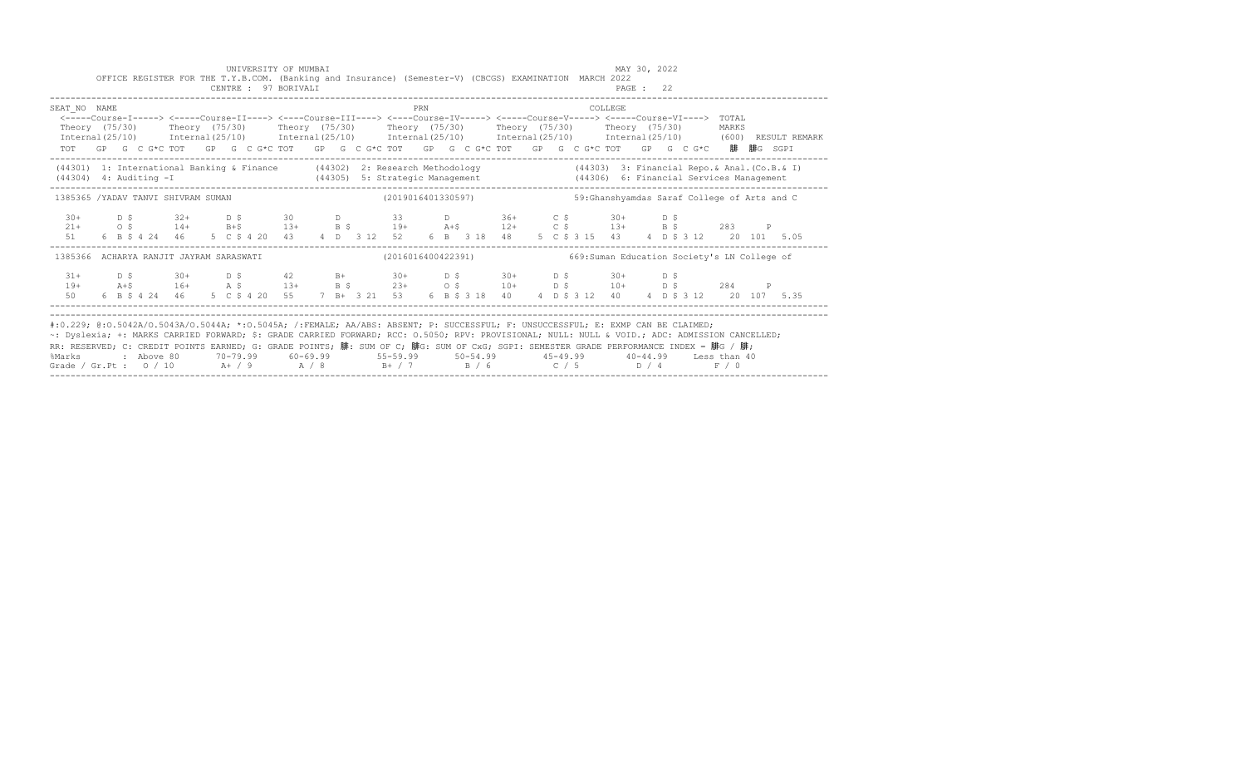|                                                                                                                                                                                                                                                                                                                                                                                                                                       |  |  |  |  |  | UNIVERSITY OF MUMBAI<br>OFFICE REGISTER FOR THE T.Y.B.COM. (Banking and Insurance) (Semester-V) (CBCGS) EXAMINATION MARCH 2022<br>CENTRE : 97 BORIVALI |  |  |     |  |                |  |  | MAY 30, 2022<br>PAGE : 22 |  |                                                                                                                                                                                                                                                                                                 |       |  |                                                                                                                                                                                 |  |
|---------------------------------------------------------------------------------------------------------------------------------------------------------------------------------------------------------------------------------------------------------------------------------------------------------------------------------------------------------------------------------------------------------------------------------------|--|--|--|--|--|--------------------------------------------------------------------------------------------------------------------------------------------------------|--|--|-----|--|----------------|--|--|---------------------------|--|-------------------------------------------------------------------------------------------------------------------------------------------------------------------------------------------------------------------------------------------------------------------------------------------------|-------|--|---------------------------------------------------------------------------------------------------------------------------------------------------------------------------------|--|
| SEAT NO NAME<br>Theory (75/30)  Theory (75/30)  Theory (75/30)  Theory (75/30)  Theory (75/30)  Theory (75/30)<br>TOT GP G C G*C TOT GP G C G*C TOT GP G C G*C TOT GP G C G*C TOT GP G C G*C TOT GP G C G*C 腓腓G SGPI                                                                                                                                                                                                                  |  |  |  |  |  |                                                                                                                                                        |  |  | PRN |  | <b>COLLEGE</b> |  |  |                           |  | <-----Course-I-----> <-----Course-II----> <----Course-III----> <----Course-IV-----> <----Course-V-----> <----Course-VI----> TOTAL                                                                                                                                                               | MARKS |  | $Internal (25/10)$ $Internal (25/10)$ $Internal (25/10)$ $Internal (25/10)$ $Internal (25/10)$ $Internal (25/10)$ $Internal (25/10)$ $Internal (25/10)$ (600) $>$ RESULT REMARK |  |
| (44301) 1: International Banking & Finance (44302) 2: Research Methodology (44303) 3: Financial Repo. & Anal. (Co.B. & I)<br>$(44304)$ 4: Auditing $-I$                                                                                                                                                                                                                                                                               |  |  |  |  |  |                                                                                                                                                        |  |  |     |  |                |  |  |                           |  |                                                                                                                                                                                                                                                                                                 |       |  |                                                                                                                                                                                 |  |
| 1385365 /YADAV TANVI SHIVRAM SUMAN (2019016401330597)                                                                                                                                                                                                                                                                                                                                                                                 |  |  |  |  |  |                                                                                                                                                        |  |  |     |  |                |  |  |                           |  | 59: Ghanshyamdas Saraf College of Arts and C                                                                                                                                                                                                                                                    |       |  |                                                                                                                                                                                 |  |
|                                                                                                                                                                                                                                                                                                                                                                                                                                       |  |  |  |  |  |                                                                                                                                                        |  |  |     |  |                |  |  |                           |  | $21+$ $0 \div 5$ $32+$ $0 \div 5$ $30$ $0$ $33$ $0$ $36+$ $0 \div 5$ $30+$ $0 \div 5$<br>$21+$ $0 \div 5$ $14+$ $B+5$ $13+$ $B \div 5$ $19+$ $A+5$ $12+$ $C \div 5$ $13+$ $B \div 5$ $283$ P<br>51 6 B \$ 4 24 46 5 C \$ 4 20 43 4 D 3 12 52 6 B 3 18 48 5 C \$ 3 15 43 4 D \$ 3 12 20 101 5.05 |       |  |                                                                                                                                                                                 |  |
| 1385366 ACHARYA RANJIT JAYRAM SARASWATI                                                                                                                                                                                                                                                                                                                                                                                               |  |  |  |  |  |                                                                                                                                                        |  |  |     |  |                |  |  |                           |  |                                                                                                                                                                                                                                                                                                 |       |  |                                                                                                                                                                                 |  |
| $31 +$<br>$19+$<br>50                                                                                                                                                                                                                                                                                                                                                                                                                 |  |  |  |  |  |                                                                                                                                                        |  |  |     |  |                |  |  |                           |  |                                                                                                                                                                                                                                                                                                 |       |  |                                                                                                                                                                                 |  |
| #:0.229; @:0.5042A/0.5043A/0.5044A; *:0.5045A; /:FEMALE; AA/ABS: ABSENT; P: SUCCESSFUL; F: UNSUCCESSFUL; E: EXMP CAN BE CLAIMED;<br>~: Dyslexia; +: MARKS CARRIED FORWARD; \$: GRADE CARRIED FORWARD; RCC: 0.5050; RPV: PROVISIONAL; NULL: NULL & VOID.; ADC: ADMISSION CANCELLED;<br>RR: RESERVED; C: CREDIT POINTS EARNED; G: GRADE POINTS; 腓: SUM OF C; 腓G: SUM OF CxG; SGPI: SEMESTER GRADE PERFORMANCE INDEX = 腓G / 腓;<br>%Marks |  |  |  |  |  |                                                                                                                                                        |  |  |     |  |                |  |  |                           |  | 2 Above 80         70-79.99         60-69.99            55-59.99          50-54.99            45-49.99         40-44.99       Less than 40                                                                                                                                                      |       |  |                                                                                                                                                                                 |  |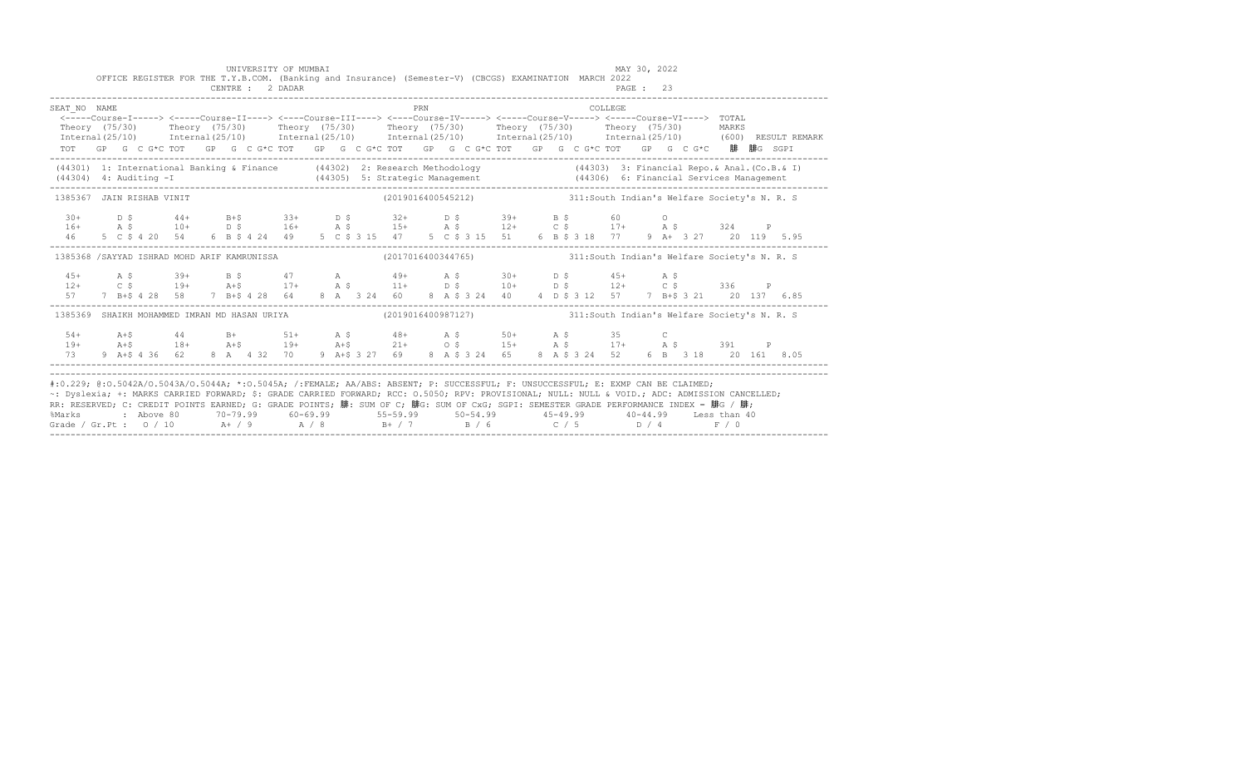|                                                                                                                                                                                                                                                                                                                                                                                                                                                                                                            |  |  |  |  | UNIVERSITY OF MUMBAI<br>CENTRE : 2 DADAR |  |  |     |  | OFFICE REGISTER FOR THE T.Y.B.COM. (Banking and Insurance) (Semester-V) (CBCGS) EXAMINATION MARCH 2022                                                                                                                                                                                                                                                                            |  |         | MAY 30, 2022<br>PAGE: 23 |  |  |  |                                                                                                                                                                                                                                   |
|------------------------------------------------------------------------------------------------------------------------------------------------------------------------------------------------------------------------------------------------------------------------------------------------------------------------------------------------------------------------------------------------------------------------------------------------------------------------------------------------------------|--|--|--|--|------------------------------------------|--|--|-----|--|-----------------------------------------------------------------------------------------------------------------------------------------------------------------------------------------------------------------------------------------------------------------------------------------------------------------------------------------------------------------------------------|--|---------|--------------------------|--|--|--|-----------------------------------------------------------------------------------------------------------------------------------------------------------------------------------------------------------------------------------|
| SEAT NO NAME                                                                                                                                                                                                                                                                                                                                                                                                                                                                                               |  |  |  |  |                                          |  |  | PRN |  | <-----Course-I-----> <-----Course-II----> <----Course-III----> <----Course-IV-----> <----Course-V-----> <----Course-VI----> TOTAL<br>TOT GP G C G*C TOT GP G C G*C TOT GP G C G*C TOT GP G C G*C TOT GP G C G*C TOT GP G C G*C 腓 腓G SGPI                                                                                                                                          |  | COLLEGE |                          |  |  |  | Theory (75/30) Theory (75/30) Theory (75/30) Theory (75/30) Theory (75/30) Theory (75/30) MARKS<br>Internal(25/10) Internal(25/10) Internal(25/10) Internal(25/10) Internal(25/10) Internal(25/10) (600)RESULTREMARK              |
|                                                                                                                                                                                                                                                                                                                                                                                                                                                                                                            |  |  |  |  |                                          |  |  |     |  |                                                                                                                                                                                                                                                                                                                                                                                   |  |         |                          |  |  |  | (44301) 1: International Banking & Finance (44302) 2: Research Methodology (44303) 3: Financial Repo. & Anal. (Co.B. & I)<br>(44304) 4: Auditing -I (44305) 5: Strategic Management (44306) 6: Financial Services Management (443 |
| 1385367 JAIN RISHAB VINIT                                                                                                                                                                                                                                                                                                                                                                                                                                                                                  |  |  |  |  |                                          |  |  |     |  | (2019016400545212) 311:South Indian's Welfare Society's N. R. S                                                                                                                                                                                                                                                                                                                   |  |         |                          |  |  |  |                                                                                                                                                                                                                                   |
|                                                                                                                                                                                                                                                                                                                                                                                                                                                                                                            |  |  |  |  |                                          |  |  |     |  | $\begin{array}{cccccccccccccccccccccccccccccc} 30+& & D & \xi & & 44+& & B+\xi & & 33+& & D & \xi & & 32+& & D & \xi & & 39+& & B & \xi & & 60 & & O \\ 16+& & A & \xi & & 10+& & D & \xi & & 16+& & A & \xi & & 15+& & A & \xi & & 12+& & C & \xi & & 17+& & A & \xi & & 324 & & P \\ 46& & 5 & C & \xi & 4 & 20 & & 54 & & 6 & B & \xi & 4 & 24 & & 49 & & 5 & C & \xi & 3 & 1$ |  |         |                          |  |  |  |                                                                                                                                                                                                                                   |
| 1385368 / SAYYAD ISHRAD MOHD ARIF KAMRUNISSA (2017016400344765) 311:South Indian's Welfare Society's N. R. S                                                                                                                                                                                                                                                                                                                                                                                               |  |  |  |  |                                          |  |  |     |  |                                                                                                                                                                                                                                                                                                                                                                                   |  |         |                          |  |  |  |                                                                                                                                                                                                                                   |
|                                                                                                                                                                                                                                                                                                                                                                                                                                                                                                            |  |  |  |  |                                          |  |  |     |  |                                                                                                                                                                                                                                                                                                                                                                                   |  |         |                          |  |  |  |                                                                                                                                                                                                                                   |
| 1385369 SHAIKH MOHAMMED IMRAN MD HASAN URIYA (2019016400987127) 311:South Indian's Welfare Society's N. R. S                                                                                                                                                                                                                                                                                                                                                                                               |  |  |  |  |                                          |  |  |     |  |                                                                                                                                                                                                                                                                                                                                                                                   |  |         |                          |  |  |  |                                                                                                                                                                                                                                   |
|                                                                                                                                                                                                                                                                                                                                                                                                                                                                                                            |  |  |  |  |                                          |  |  |     |  |                                                                                                                                                                                                                                                                                                                                                                                   |  |         |                          |  |  |  |                                                                                                                                                                                                                                   |
| #:0.229; @:0.5042A/0.5043A/0.5044A; *:0.5045A; /:FEMALE; AA/ABS: ABSENT; P: SUCCESSFUL; F: UNSUCCESSFUL; E: EXMP CAN BE CLAIMED;<br>~: Dyslexia; +: MARKS CARRIED FORWARD; \$: GRADE CARRIED FORWARD; RCC: 0.5050; RPV: PROVISIONAL; NULL: NULL: WOID.; ADC: ADMISSION CANCELLED;<br>RR: RESERVED; C: CREDIT POINTS EARNED; G: GRADE POINTS; 腓: SUM OF C; 腓G: SUM OF CxG; SGPI: SEMESTER GRADE PERFORMANCE INDEX = 腓G / 腓;<br>%Marks<br>Grade / Gr.Pt : $0/10$ A / 9 A / 8 B + / 7 B / 6 C / 5 D / 4 F / 0 |  |  |  |  |                                          |  |  |     |  |                                                                                                                                                                                                                                                                                                                                                                                   |  |         |                          |  |  |  |                                                                                                                                                                                                                                   |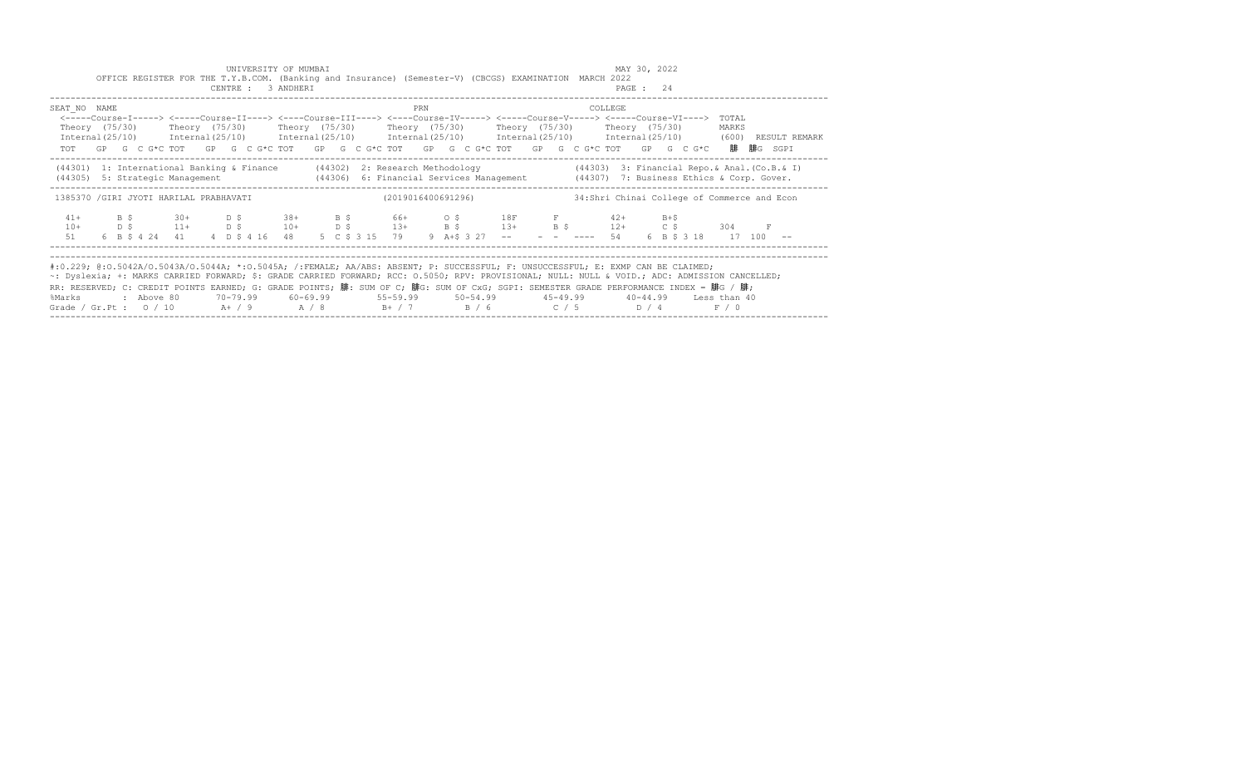|                                                                                                                                                                                                                                                                                                                                                                                                                                                                                                                                   |  |                               |  | UNIVERSITY OF MUMBAI<br>CENTRE : 3 ANDHERI |  |  |     |                               | OFFICE REGISTER FOR THE T.Y.B.COM. (Banking and Insurance) (Semester-V) (CBCGS) EXAMINATION MARCH 2022                                                                                                                                                                                                                                              |                    | MAY 30, 2022<br>PAGE: 24 |  |                                              |                                                                                                                     |
|-----------------------------------------------------------------------------------------------------------------------------------------------------------------------------------------------------------------------------------------------------------------------------------------------------------------------------------------------------------------------------------------------------------------------------------------------------------------------------------------------------------------------------------|--|-------------------------------|--|--------------------------------------------|--|--|-----|-------------------------------|-----------------------------------------------------------------------------------------------------------------------------------------------------------------------------------------------------------------------------------------------------------------------------------------------------------------------------------------------------|--------------------|--------------------------|--|----------------------------------------------|---------------------------------------------------------------------------------------------------------------------|
| SEAT NO NAME                                                                                                                                                                                                                                                                                                                                                                                                                                                                                                                      |  |                               |  |                                            |  |  | PRN |                               | <-----Course-I-----> <-----Course-II----> <----Course-III----> <----Course-IV-----> <----Course-V-----> <----Course-VI----> TOTAL<br>Theory (75/30)    Theory (75/30)    Theory (75/30)    Theory (75/30)    Theory (75/30)    Theory (75/30)<br>TOT GP G C G*C TOT GP G C G*C TOT GP G C G*C TOT GP G C G*C TOT GP G C G*C TOT GP G C G*C 腓腓G SGPI | COLLEGE            |                          |  | MARKS                                        | Internal(25/10) Internal(25/10) Internal(25/10) Internal(25/10) Internal(25/10) Internal(25/10) (600) RESULT REMARK |
|                                                                                                                                                                                                                                                                                                                                                                                                                                                                                                                                   |  |                               |  |                                            |  |  |     |                               | (44301) 1: International Banking & Finance (44302) 2: Research Methodology (44303) 3: Financial Repo. & Anal. (Co.B. & I)<br>(44305) 5: Strategic Management (44306) 6: Financial Services Management (44307) 7: Business Ethics & Corp. Gover.                                                                                                     |                    |                          |  |                                              |                                                                                                                     |
| 1385370 / GIRI JYOTI HARILAL PRABHAVATI                                                                                                                                                                                                                                                                                                                                                                                                                                                                                           |  |                               |  |                                            |  |  |     | (2019016400691296)            |                                                                                                                                                                                                                                                                                                                                                     |                    |                          |  | 34: Shri Chinai College of Commerce and Econ |                                                                                                                     |
| $41+$<br>$10+$<br>51                                                                                                                                                                                                                                                                                                                                                                                                                                                                                                              |  | 6 B \$ 4 24 41 4 D \$ 4 16 48 |  |                                            |  |  |     | 5 C \$ 3 15 79 9 A+\$ 3 27 -- | B \$ 30+ D \$ 38+ B \$ 66+ O \$ 18F F 42+ B+\$                                                                                                                                                                                                                                                                                                      | $- - - - - - - 54$ |                          |  | 304 F<br>6 B \$ 3 18 17 100 --               |                                                                                                                     |
| #:0.229; @:0.5042A/0.5043A/0.5044A; *:0.5045A; /:FEMALE; AA/ABS: ABSENT; P: SUCCESSFUL; F: UNSUCCESSFUL; E: EXMP CAN BE CLAIMED;<br>~: Dyslexia; +: MARKS CARRIED FORWARD; \$: GRADE CARRIED FORWARD; RCC: 0.5050; RPV: PROVISIONAL; NULL: NULL & VOID.; ADC: ADMISSION CANCELLED;<br>RR: RESERVED; C: CREDIT POINTS EARNED; G: GRADE POINTS; 腓: SUM OF C; 腓G: SUM OF CxG; SGPI: SEMESTER GRADE PERFORMANCE INDEX = 腓G / 腓;<br>%Marks : Above 80<br>Grade / Gr.Pt : $0/10$ A $+$ / 9 A $/8$ B $+$ / 7 B $/6$ C $/5$ D $/4$ F $/0$ |  |                               |  |                                            |  |  |     |                               |                                                                                                                                                                                                                                                                                                                                                     |                    |                          |  |                                              |                                                                                                                     |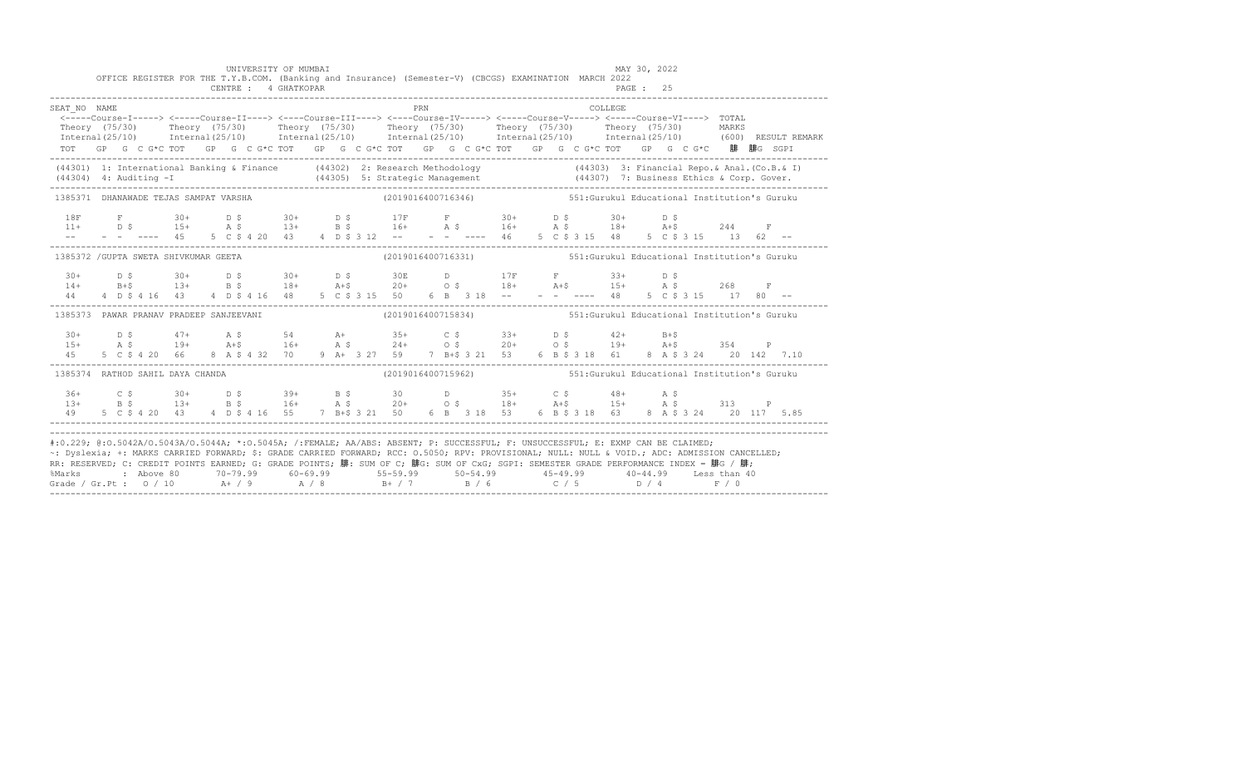|              | OFFICE REGISTER FOR THE T.Y.B.COM. (Banking and Insurance) (Semester-V) (CBCGS) EXAMINATION MARCH 2022                                                                                                                                                                                                                                                                                                                                                                                                                                                                                    |  | UNIVERSITY OF MUMBAI |  |  |     |                                                                  |  |         | MAY 30, 2022 |  |  |  |
|--------------|-------------------------------------------------------------------------------------------------------------------------------------------------------------------------------------------------------------------------------------------------------------------------------------------------------------------------------------------------------------------------------------------------------------------------------------------------------------------------------------------------------------------------------------------------------------------------------------------|--|----------------------|--|--|-----|------------------------------------------------------------------|--|---------|--------------|--|--|--|
| SEAT NO NAME | <-----Course-I-----> <-----Course-II----> <----Course-III----> <----Course-IV-----> <----Course-V-----> <----Course-VI----> TOTAL<br>Theory (75/30) Theory (75/30) Theory (75/30) Theory (75/30) Theory (75/30) Theory (75/30) MARKS<br>Internal(25/10) Internal(25/10) Internal(25/10) Internal(25/10) Internal(25/10) Internal(25/10) (600)RESULTREMARK<br>TOT GP G C G*C TOT GP G C G*C TOT GP G C G*C TOT GP G C G*C TOT GP G C G*C TOT GP G C G*C 腓 腓G SGPI                                                                                                                          |  |                      |  |  | PRN |                                                                  |  | COLLEGE |              |  |  |  |
|              | (44301) 1: International Banking & Finance (44302) 2: Research Methodology (44303) 3: Financial Repo. & Anal. (Co.B. & I)<br>(44304) 4: Auditing -I (44305) 5: Strategic Management (44307) 7: Business Ethics & Corp. Gover.<br>---                                                                                                                                                                                                                                                                                                                                                      |  |                      |  |  |     |                                                                  |  |         |              |  |  |  |
|              | 1385371 DHANAWADE TEJAS SAMPAT VARSHA                                                                                                                                                                                                                                                                                                                                                                                                                                                                                                                                                     |  |                      |  |  |     | (2019016400716346) 551:Gurukul Educational Institution's Guruku  |  |         |              |  |  |  |
|              |                                                                                                                                                                                                                                                                                                                                                                                                                                                                                                                                                                                           |  |                      |  |  |     |                                                                  |  |         |              |  |  |  |
|              | 1385372 / GUPTA SWETA SHIVKUMAR GEETA                                                                                                                                                                                                                                                                                                                                                                                                                                                                                                                                                     |  |                      |  |  |     | (2019016400716331) 551: Gurukul Educational Institution's Guruku |  |         |              |  |  |  |
|              |                                                                                                                                                                                                                                                                                                                                                                                                                                                                                                                                                                                           |  |                      |  |  |     |                                                                  |  |         |              |  |  |  |
|              | 1385373 PAWAR PRANAV PRADEEP SANJEEVANI                                                                                                                                                                                                                                                                                                                                                                                                                                                                                                                                                   |  |                      |  |  |     | (2019016400715834) 551:Gurukul Educational Institution's Guruku  |  |         |              |  |  |  |
|              | $\begin{array}{cccccccccccccccc} 30 + & & D & S & & 47+ & A & S & S4 & A+ & 35+ & C & S & 33+ & D & S & 42+ & B+5 \\ 15+ & & A & S & & 19+ & A+5 & 16+ & A & S & 24+ & O & S & 20+ & O & S & 19+ & A+5 & 354 & P \\ 45 & & 5 & C & S & 4 & 20 & 66 & 8 & A & S & 4 & 32 & 70 & 9 & A+ & 3 & 27 & 59 & 7 & B+5 & 3 & 21 & 53 & 6 & B & S & 3 & 18 & 61 &$                                                                                                                                                                                                                                  |  |                      |  |  |     |                                                                  |  |         |              |  |  |  |
|              | 1385374 RATHOD SAHIL DAYA CHANDA                                                                                                                                                                                                                                                                                                                                                                                                                                                                                                                                                          |  |                      |  |  |     | (2019016400715962) 551: Gurukul Educational Institution's Guruku |  |         |              |  |  |  |
|              | $136+$ $C$ $\zeta$ $30+$ $D$ $\zeta$ $39+$ $B$ $\zeta$ $30$ $D$ $35+$ $C$ $\zeta$ $48+$ $A$ $\zeta$<br>$13+$ $B$ $\zeta$ $13+$ $B$ $\zeta$ $16+$ $A$ $\zeta$ $20+$ $O$ $\zeta$ $18+$ $A+$ $\zeta$ $15+$ $A$ $\zeta$ $313$ P<br>49 5 C \$ 4 20 43 4 D \$ 4 16 55 7 B+\$ 3 21 50 6 B 3 18 53 6 B \$ 3 18 63 8 A \$ 3 24 20 117 5.85                                                                                                                                                                                                                                                         |  |                      |  |  |     |                                                                  |  |         |              |  |  |  |
|              | #:0.229; @:0.5042A/0.5043A/0.5044A; *:0.5045A; /:FEMALE; AA/ABS: ABSENT; P: SUCCESSFUL; F: UNSUCCESSFUL; E: EXMP CAN BE CLAIMED;<br>~: Dyslexia; +: MARKS CARRIED FORWARD; \$: GRADE CARRIED FORWARD; RCC: 0.5050; RPV: PROVISIONAL; NULL: NULL & VOID.; ADC: ADMISSION CANCELLED;<br>RR: RESERVED; C: CREDIT POINTS EARNED; G: GRADE POINTS; 腓: SUM OF C; 腓G: SUM OF CxG; SGPI: SEMESTER GRADE PERFORMANCE INDEX = 腓G / 腓;<br>%Marks : Above 80 70-79.99 60-69.99 55-59.99 50-54.99 45-49.99 40-44.99 Less than 40<br>Grade / Gr.Pt : 0 / 10 A+ / 9 A / 8 B+ / 7 B / 6 C / 5 D / 4 F / 0 |  |                      |  |  |     |                                                                  |  |         |              |  |  |  |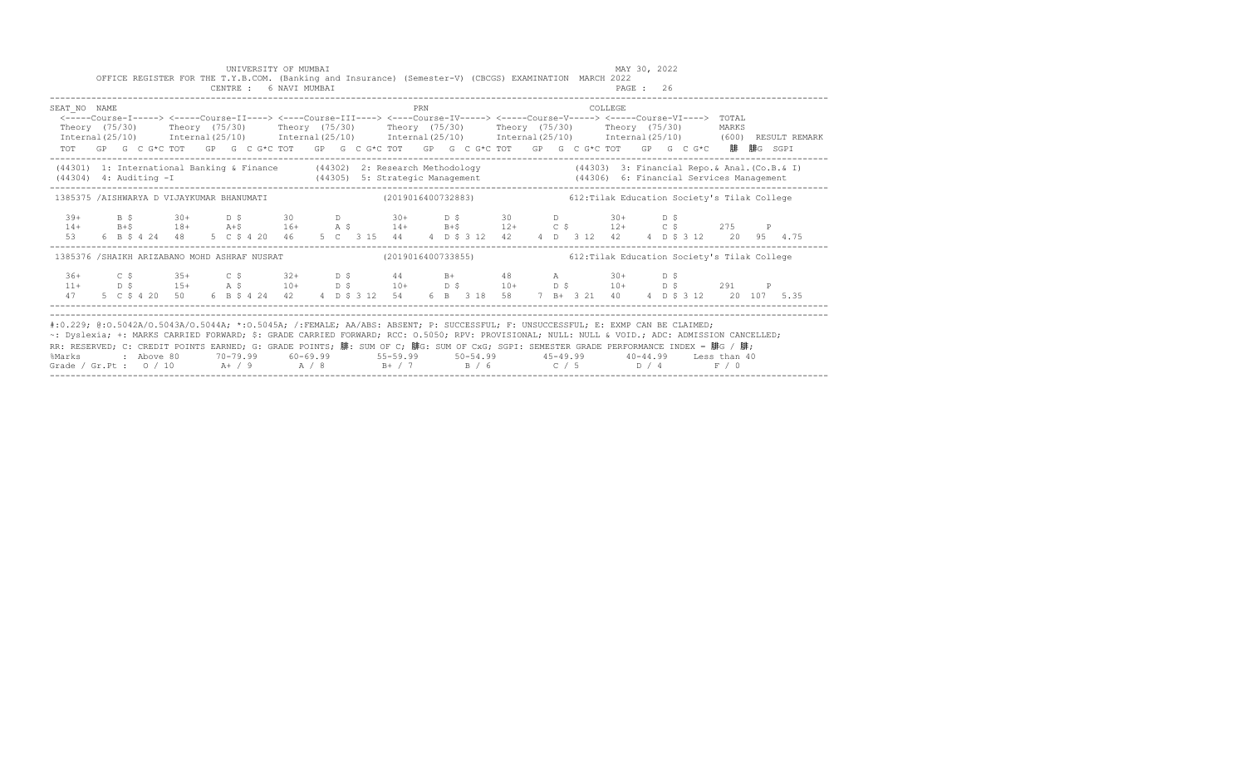|                                                                                                                                                                                                                                                                                                                                                                                                                                      |  |  |  |  | UNIVERSITY OF MUMBAI<br>OFFICE REGISTER FOR THE T.Y.B.COM. (Banking and Insurance) (Semester-V) (CBCGS) EXAMINATION MARCH 2022<br>CENTRE : 6 NAVI MUMBAI                                                                                                                                                                                           |  |  |     |  |  |  |         | MAY 30, 2022<br>PAGE: 26 |  |  |  |
|--------------------------------------------------------------------------------------------------------------------------------------------------------------------------------------------------------------------------------------------------------------------------------------------------------------------------------------------------------------------------------------------------------------------------------------|--|--|--|--|----------------------------------------------------------------------------------------------------------------------------------------------------------------------------------------------------------------------------------------------------------------------------------------------------------------------------------------------------|--|--|-----|--|--|--|---------|--------------------------|--|--|--|
| SEAT NO NAME                                                                                                                                                                                                                                                                                                                                                                                                                         |  |  |  |  | <-----Course-I-----> <----Course-II----> <----Course-III----> <----Course-IV-----> <----Course-V-----> <----Course-VI----> TOTAL<br>Theory (75/30) Theory (75/30) Theory (75/30) Theory (75/30) Theory (75/30) Theory (75/30) MARKS<br>TOT GP G C G*C TOT GP G C G*C TOT GP G C G*C TOT GP G C G*C TOT GP G C G*C TOT GP G C G*C 腓腓G SGPI          |  |  | PRN |  |  |  | COLLEGE |                          |  |  |  |
| $(44304)$ 4: Auditing $-I$                                                                                                                                                                                                                                                                                                                                                                                                           |  |  |  |  | (44301) 1: International Banking & Finance (44302) 2: Research Methodology (44303) 3: Financial Repo. & Anal. (Co.B. & I)                                                                                                                                                                                                                          |  |  |     |  |  |  |         |                          |  |  |  |
|                                                                                                                                                                                                                                                                                                                                                                                                                                      |  |  |  |  | 1385375 /AISHWARYA D VIJAYKUMAR BHANUMATI (2019016400732883) 612:Tilak Education Society's Tilak College                                                                                                                                                                                                                                           |  |  |     |  |  |  |         |                          |  |  |  |
| 53                                                                                                                                                                                                                                                                                                                                                                                                                                   |  |  |  |  | $39+$ B \$ $30+$ D \$ $30+$ D \$ $30+$ D \$ $30+$ D $30+$ D \$ $30+$ D \$ $30+$ D \$ $30+$ D \$ $30+$ D \$ $30+$ D \$ $30+$ D \$ $30+$ D \$ $30+$ D \$ $30+$ D \$ $30+$ D \$ $30+$ D \$ $30+$ D \$ $30+$ D \$ $30+$ D \$ $30+$ D \$ $30+$ D \$ $30$<br>6 B \$ 4 24 48 5 C \$ 4 20 46 5 C 3 15 44 4 D \$ 3 12 42 4 D 3 12 42 4 D \$ 3 12 20 95 4.75 |  |  |     |  |  |  |         |                          |  |  |  |
|                                                                                                                                                                                                                                                                                                                                                                                                                                      |  |  |  |  | 1385376 /SHAIKH ARIZABANO MOHD ASHRAF NUSRAT (2019016400733855) 612:Tilak Education Society's Tilak College                                                                                                                                                                                                                                        |  |  |     |  |  |  |         |                          |  |  |  |
|                                                                                                                                                                                                                                                                                                                                                                                                                                      |  |  |  |  |                                                                                                                                                                                                                                                                                                                                                    |  |  |     |  |  |  |         |                          |  |  |  |
| #:0.229; @:0.5042A/0.5043A/0.5044A; *:0.5045A; /:FEMALE; AA/ABS: ABSENT; P: SUCCESSFUL; F: UNSUCCESSFUL; E: EXMP CAN BE CLAIMED;<br>~: Dyslexia; +: MARKS CARRIED FORWARD; \$: GRADE CARRIED FORWARD; RCC: 0.5050; RPV: PROVISIONAL; NULL: NULL: WOID.; ADC: ADMISSION CANCELLED;<br>RR: RESERVED; C: CREDIT POINTS EARNED; G: GRADE POINTS; 腓: SUM OF C; 腓G: SUM OF CxG; SGPI: SEMESTER GRADE PERFORMANCE INDEX = 腓G / 腓;<br>%Marks |  |  |  |  | 2 Above 80    70-79.99    60-69.99     55-59.99     50-54.99     45-49.99     40-44.99   Less than:                                                                                                                                                                                                                                                |  |  |     |  |  |  |         |                          |  |  |  |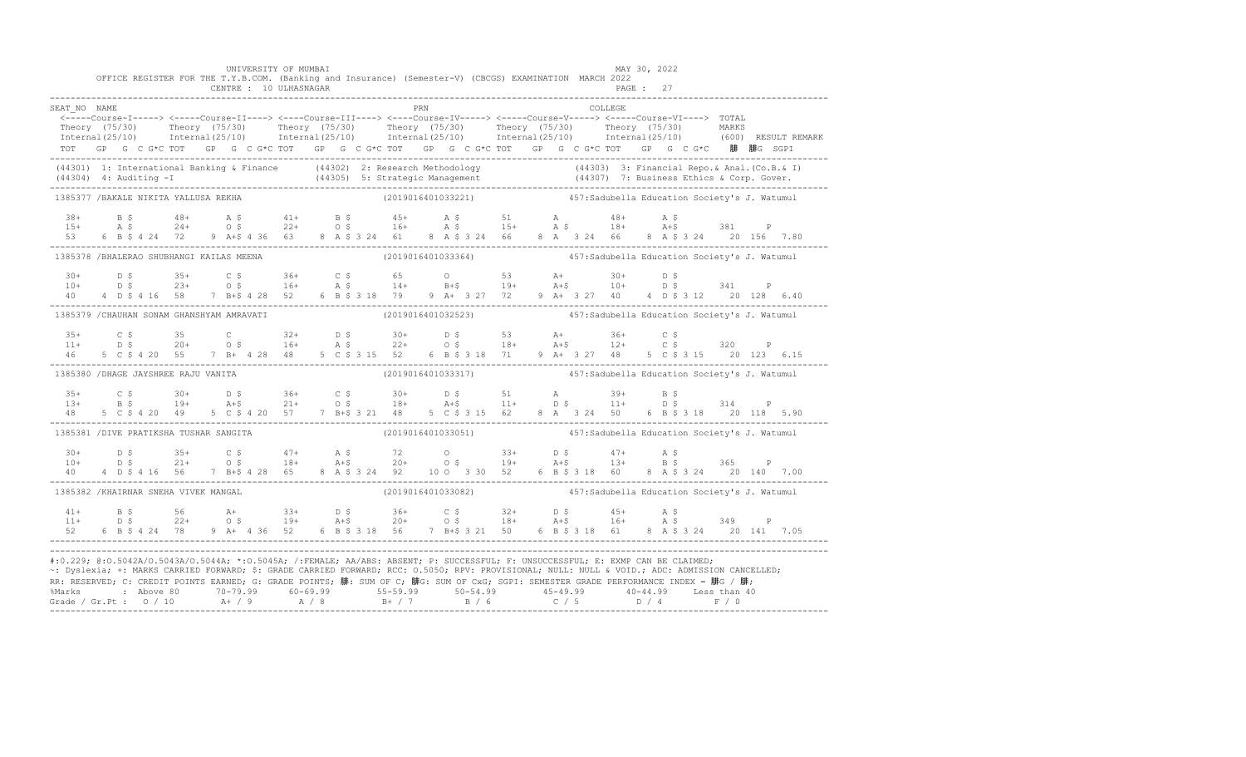|                                            |  |  |  |  | UNIVERSITY OF MUMBAI<br>CENTRE : 10 ULHASNAGAR |  |  |     | OFFICE REGISTER FOR THE T.Y.B.COM. (Banking and Insurance) (Semester-V) (CBCGS) EXAMINATION MARCH 2022                                                                                                                                                                                                                                                                                                                                                                                                            |  |  |         | MAY 30, 2022<br>PAGE: 27 |  |  |  |
|--------------------------------------------|--|--|--|--|------------------------------------------------|--|--|-----|-------------------------------------------------------------------------------------------------------------------------------------------------------------------------------------------------------------------------------------------------------------------------------------------------------------------------------------------------------------------------------------------------------------------------------------------------------------------------------------------------------------------|--|--|---------|--------------------------|--|--|--|
|                                            |  |  |  |  |                                                |  |  | PRN |                                                                                                                                                                                                                                                                                                                                                                                                                                                                                                                   |  |  |         |                          |  |  |  |
| SEAT NO NAME                               |  |  |  |  |                                                |  |  |     | <-----Course-I-----> <-----Course-II----> <----Course-III----> <----Course-IV-----> <----Course-V----> TOTAL                                                                                                                                                                                                                                                                                                                                                                                                      |  |  | COLLEGE |                          |  |  |  |
|                                            |  |  |  |  |                                                |  |  |     | Theory (75/30) Theory (75/30) Theory (75/30) Theory (75/30) Theory (75/30) Theory (75/30) MARKS<br>Theornal (25/10) Internal (25/10) Internal (25/10) Internal (25/10) Internal (25/10) Internal (25/10) (600) RESULT REMARK                                                                                                                                                                                                                                                                                      |  |  |         |                          |  |  |  |
|                                            |  |  |  |  |                                                |  |  |     |                                                                                                                                                                                                                                                                                                                                                                                                                                                                                                                   |  |  |         |                          |  |  |  |
|                                            |  |  |  |  |                                                |  |  |     | TOT GP G C G*C TOT GP G C G*C TOT GP G C G*C TOT GP G C G*C TOT GP G C G*C TOT GP G C G*C 腓 腓G SGPI                                                                                                                                                                                                                                                                                                                                                                                                               |  |  |         |                          |  |  |  |
|                                            |  |  |  |  |                                                |  |  |     | (44301) 1: International Banking & Finance (44302) 2: Research Methodology (44303) 3: Financial Repo. & Anal. (Co.B. & I)<br>(44304) 4: Auditing -I (44305) 5: Strategic Management (44307) 7: Business Ethics & Corp. Gover.<br>---                                                                                                                                                                                                                                                                              |  |  |         |                          |  |  |  |
| 1385377 /BAKALE NIKITA YALLUSA REKHA       |  |  |  |  |                                                |  |  |     | (2019016401033221) 457: Sadubella Education Society's J. Watumul                                                                                                                                                                                                                                                                                                                                                                                                                                                  |  |  |         |                          |  |  |  |
|                                            |  |  |  |  |                                                |  |  |     |                                                                                                                                                                                                                                                                                                                                                                                                                                                                                                                   |  |  |         |                          |  |  |  |
|                                            |  |  |  |  |                                                |  |  |     |                                                                                                                                                                                                                                                                                                                                                                                                                                                                                                                   |  |  |         |                          |  |  |  |
|                                            |  |  |  |  |                                                |  |  |     | $\begin{array}{cccccccccccccccc} 38+ & & B $ & & 48+ & & A $ & & 41+ & & B $ & & 45+ & & A $ & & 51 & & A & & 48+ & & A $ & & 381 & & P \cr 15+ & & A $ & & 24+ & & 0 $ & & 22+ & & 0 $ & & 16+ & & A $ & & 15+ & & A $ & & 18+ & & A $ & & 381 & & P \cr 53 & & 6 $ & B $ & 4 $ & 24 & & 72 & & 9 & A $ & 4 $ & 36 & & 63 & & 8 & A $ & 324 & & 61 & & 8 & A $ & 32$                                                                                                                                             |  |  |         |                          |  |  |  |
| 1385378 /BHALERAO SHUBHANGI KAILAS MEENA   |  |  |  |  |                                                |  |  |     | (2019016401033364)   457:Sadubella Education Society's J. Watumul                                                                                                                                                                                                                                                                                                                                                                                                                                                 |  |  |         |                          |  |  |  |
| $30+$                                      |  |  |  |  |                                                |  |  |     |                                                                                                                                                                                                                                                                                                                                                                                                                                                                                                                   |  |  |         |                          |  |  |  |
| $10+$                                      |  |  |  |  |                                                |  |  |     |                                                                                                                                                                                                                                                                                                                                                                                                                                                                                                                   |  |  |         |                          |  |  |  |
| 40                                         |  |  |  |  |                                                |  |  |     | $\begin{array}{cccccccccccccccc} \text{D} & \text{S} & \text{35+} & \text{C} & \text{S} & \text{36+} & \text{C} & \text{S} & \text{65} & \text{O} & \text{53} & \text{A+} & \text{30+} & \text{D} & \text{S} & \text{341} & \text{P} \\ \text{D} & \text{S} & \text{23+} & \text{O} & \text{S} & \text{16+} & \text{A} & \text{S} & \text{14+} & \text{B+} & \text{19+} & \text{A+} & \text{10+} & \text{D} & \$                                                                                                  |  |  |         |                          |  |  |  |
| 1385379 / CHAUHAN SONAM GHANSHYAM AMRAVATI |  |  |  |  |                                                |  |  |     | (2019016401032523) 457: Sadubella Education Society's J. Watumul                                                                                                                                                                                                                                                                                                                                                                                                                                                  |  |  |         |                          |  |  |  |
|                                            |  |  |  |  |                                                |  |  |     |                                                                                                                                                                                                                                                                                                                                                                                                                                                                                                                   |  |  |         |                          |  |  |  |
|                                            |  |  |  |  |                                                |  |  |     |                                                                                                                                                                                                                                                                                                                                                                                                                                                                                                                   |  |  |         |                          |  |  |  |
|                                            |  |  |  |  |                                                |  |  |     | $\begin{array}{cccccccccccccccc} 35+&C&\,5&35&C&32+&D&\,5&30+&D&\,5&53&A+&36+&C&\,5&\\ 11+&D&\,5&20+&O&\,5&16+&A&\,5&22+&O&\,5&18+&A+5&12+&C&\,5&320&P\\ 46&5&C&\,5&4&20&55&7&B+&4&28&48&5&C&\,3&15&52&6&B&\,3&18&71&9&A+&3&27&48&5&C&\,3&15&20&123&6.15\\$                                                                                                                                                                                                                                                       |  |  |         |                          |  |  |  |
| 1385380 / DHAGE JAYSHREE RAJU VANITA       |  |  |  |  |                                                |  |  |     | (2019016401033317) 457: Sadubella Education Society's J. Watumul                                                                                                                                                                                                                                                                                                                                                                                                                                                  |  |  |         |                          |  |  |  |
|                                            |  |  |  |  |                                                |  |  |     |                                                                                                                                                                                                                                                                                                                                                                                                                                                                                                                   |  |  |         |                          |  |  |  |
|                                            |  |  |  |  |                                                |  |  |     |                                                                                                                                                                                                                                                                                                                                                                                                                                                                                                                   |  |  |         |                          |  |  |  |
|                                            |  |  |  |  |                                                |  |  |     | $\begin{array}{cccccccccccccccc} 35+ & C & \xi & 30+ & D & \xi & 36+ & C & \xi & 30+ & D & \xi & 51 & A & 39+ & B & \xi \\ 13+ & B & \xi & 19+ & A & \xi & 21+ & O & \xi & 18+ & A & \xi & 11+ & D & \xi & 11+ & D & \xi & 314 & P \\ 48 & 5 & C & \xi & 4 & 20 & 49 & 5 & C & \xi & 4 & 20 & 57 & 7 & B & \xi & 3 & 21 & 48 & 5 & C & \xi & 3 & 15 & 62 & 8 & A & 3$                                                                                                                                             |  |  |         |                          |  |  |  |
| 1385381 /DIVE PRATIKSHA TUSHAR SANGITA     |  |  |  |  |                                                |  |  |     | (2019016401033051) 457: Sadubella Education Society's J. Watumul                                                                                                                                                                                                                                                                                                                                                                                                                                                  |  |  |         |                          |  |  |  |
|                                            |  |  |  |  |                                                |  |  |     |                                                                                                                                                                                                                                                                                                                                                                                                                                                                                                                   |  |  |         |                          |  |  |  |
|                                            |  |  |  |  |                                                |  |  |     |                                                                                                                                                                                                                                                                                                                                                                                                                                                                                                                   |  |  |         |                          |  |  |  |
|                                            |  |  |  |  |                                                |  |  |     | $\begin{array}{cccccccccccccccc} 30+ & & D & S & & 35+ & C & S & & 47+ & A & S & & 72 & O & 33+ & D & S & & 47+ & A & S & 365 & P \\ 10+ & & D & S & & 21+ & & O & S & & 18+ & A + S & & 20+ & O & S & & 19+ & A + S & & 13+ & B & S & & 365 & P \\ 40 & & 4 & D & S & 4 & 16 & 56 & 7 & B + S & 4 & 28 & 65 & 8 & A & S & 3 & 4 & 92 & 10 & O & 3 & 30 & 52 & 6 &$                                                                                                                                               |  |  |         |                          |  |  |  |
| 1385382 / KHAIRNAR SNEHA VIVEK MANGAL      |  |  |  |  |                                                |  |  |     |                                                                                                                                                                                                                                                                                                                                                                                                                                                                                                                   |  |  |         |                          |  |  |  |
| $41+$                                      |  |  |  |  |                                                |  |  |     |                                                                                                                                                                                                                                                                                                                                                                                                                                                                                                                   |  |  |         |                          |  |  |  |
| $11+$                                      |  |  |  |  |                                                |  |  |     |                                                                                                                                                                                                                                                                                                                                                                                                                                                                                                                   |  |  |         |                          |  |  |  |
|                                            |  |  |  |  |                                                |  |  |     |                                                                                                                                                                                                                                                                                                                                                                                                                                                                                                                   |  |  |         |                          |  |  |  |
|                                            |  |  |  |  |                                                |  |  |     | #:0.229; @:0.5042A/0.5043A/0.5044A; *:0.5045A; /:FEMALE; AA/ABS: ABSENT; P: SUCCESSFUL; F: UNSUCCESSFUL; E: EXMP CAN BE CLAIMED;<br>~: Dyslexia; +: MARKS CARRIED FORWARD; \$: GRADE CARRIED FORWARD; RCC: 0.5050; RPV: PROVISIONAL; NULL: NULL: AULL: ADC: ADMISSION CANCELLED;<br>RR: RESERVED; C: CREDIT POINTS EARNED; G: GRADE POINTS; 腓: SUM OF C; 腓G: SUM OF CxG; SGPI: SEMESTER GRADE PERFORMANCE INDEX = 腓G / 腓;<br>%Marks : Above 80 70-79.99 60-69.99 55-59.99 50-54.99 45-49.99 40-44.99 Less than 40 |  |  |         |                          |  |  |  |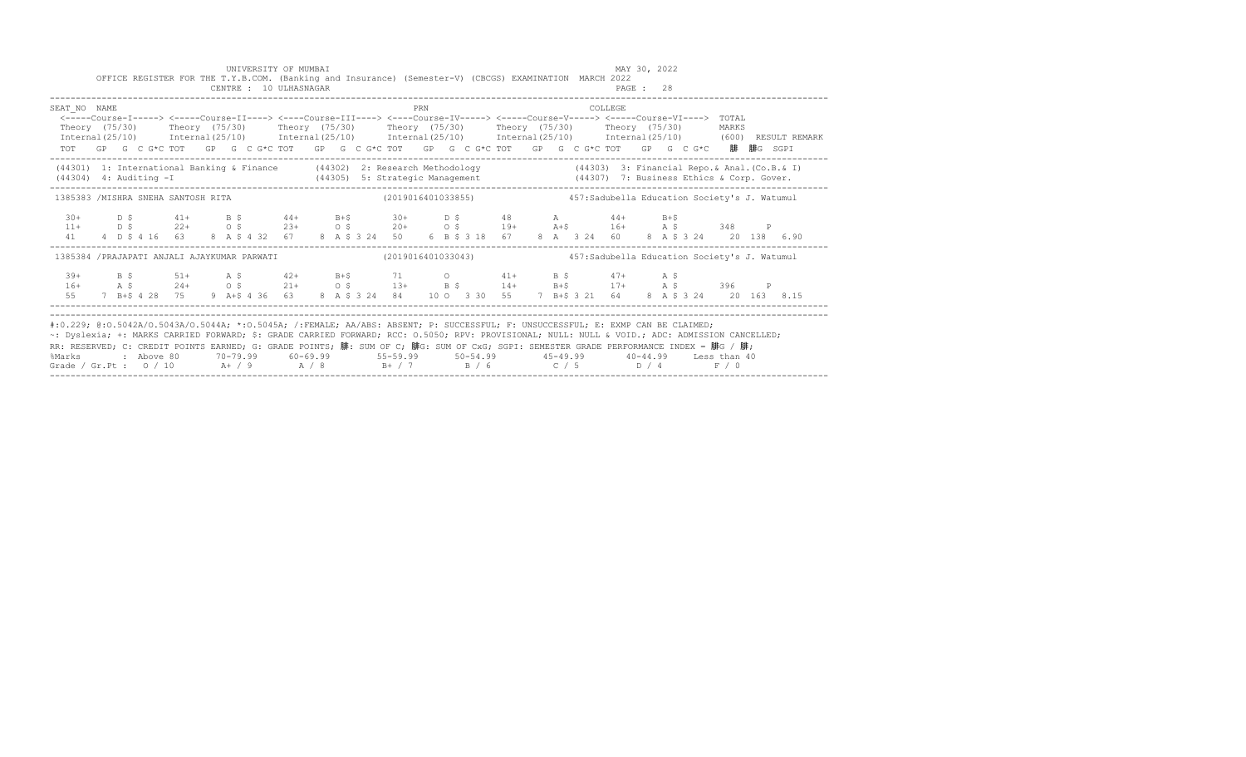|                                                                                                                                                                                                                                                                                                                                                                                                                                     |  |  |  |  | UNIVERSITY OF MUMBAI<br>OFFICE REGISTER FOR THE T.Y.B.COM. (Banking and Insurance) (Semester-V) (CBCGS) EXAMINATION MARCH 2022<br>CENTRE : 10 ULHASNAGAR                                                                                                                                                                                                                                 |  |  |     |  |  |  |          | MAY 30, 2022<br>PAGE : 28 |  |  |  |  |
|-------------------------------------------------------------------------------------------------------------------------------------------------------------------------------------------------------------------------------------------------------------------------------------------------------------------------------------------------------------------------------------------------------------------------------------|--|--|--|--|------------------------------------------------------------------------------------------------------------------------------------------------------------------------------------------------------------------------------------------------------------------------------------------------------------------------------------------------------------------------------------------|--|--|-----|--|--|--|----------|---------------------------|--|--|--|--|
| SEAT NO NAME                                                                                                                                                                                                                                                                                                                                                                                                                        |  |  |  |  | <-----Course-I-----> <----Course-II----> <----Course-III----> <----Course-IV-----> <----Course-V-----> <----Course-VI----> TOTAL<br>Theory (75/30) Theory (75/30) Theory (75/30) Theory (75/30) Theory (75/30) Theory (75/30) MARKS<br>TOT GP G C G*C TOT GP G C G*C TOT GP G C G*C TOT GP G C G*C TOT GP G C G*C TOT GP G C G*C 腓 腓G SGPI                                               |  |  | PRN |  |  |  | COLLEGE. |                           |  |  |  |  |
| (44301) 1: International Banking & Finance (44302) 2: Research Methodology (44303) 3: Financial Repo. & Anal. (Co.B. & I)                                                                                                                                                                                                                                                                                                           |  |  |  |  |                                                                                                                                                                                                                                                                                                                                                                                          |  |  |     |  |  |  |          |                           |  |  |  |  |
| 1385383 /MISHRA SNEHA SANTOSH RITA (2019016401033855) 457:Sadubella Education Society's J. Watumul                                                                                                                                                                                                                                                                                                                                  |  |  |  |  |                                                                                                                                                                                                                                                                                                                                                                                          |  |  |     |  |  |  |          |                           |  |  |  |  |
|                                                                                                                                                                                                                                                                                                                                                                                                                                     |  |  |  |  |                                                                                                                                                                                                                                                                                                                                                                                          |  |  |     |  |  |  |          |                           |  |  |  |  |
| 1385384 /PRAJAPATI ANJALI AJAYKUMAR PARWATI (2019016401033043) 457:Sadubella Education Society's J. Watumul                                                                                                                                                                                                                                                                                                                         |  |  |  |  |                                                                                                                                                                                                                                                                                                                                                                                          |  |  |     |  |  |  |          |                           |  |  |  |  |
|                                                                                                                                                                                                                                                                                                                                                                                                                                     |  |  |  |  | $\begin{array}{ccccccccccccccccccccccccccccccccccccc} 39+ & & B & \xi & & 51+ & & A & \xi & & 42+ & B+\xi & & 71 & & O & & 41+ & B & \xi & & 47+ & A & \xi \\ 16+ & & A & \xi & & 24+ & & O & \xi & & 21+ & O & \xi & & 13+ & B & \xi & & 14+ & B+\xi & & 17+ & A & \xi & & 396 & P \\ 55 & & 7 & B+\xi & 4 & 28 & 75 & 9 & A+\xi & 4 & 36 & 63 & 8 & A & \xi & 3 & 24 & 84 & 10 & O & $ |  |  |     |  |  |  |          |                           |  |  |  |  |
| #:0.229; @:0.5042A/0.5043A/0.5044A; *:0.5045A; /:FEMALE; AA/ABS: ABSENT; P: SUCCESSFUL; F: UNSUCCESSFUL; E: EXMP CAN BE CLAIMED;<br>~: Dyslexia; +: MARKS CARRIED FORWARD; \$: GRADE CARRIED FORWARD; RCC: 0.5050; RPV: PROVISIONAL; NULL: NULL: AULD: ADC: ADMISSION CANCELLED;<br>RR: RESERVED; C: CREDIT POINTS EARNED; G: GRADE POINTS; 腓: SUM OF C; 腓G: SUM OF CxG; SGPI: SEMESTER GRADE PERFORMANCE INDEX = 腓G / 腓;<br>%Marks |  |  |  |  | : Above 80    70-79.99    60-69.99     55-59.99     50-54.99     45-49.99     40-44.99   Less than 40                                                                                                                                                                                                                                                                                    |  |  |     |  |  |  |          |                           |  |  |  |  |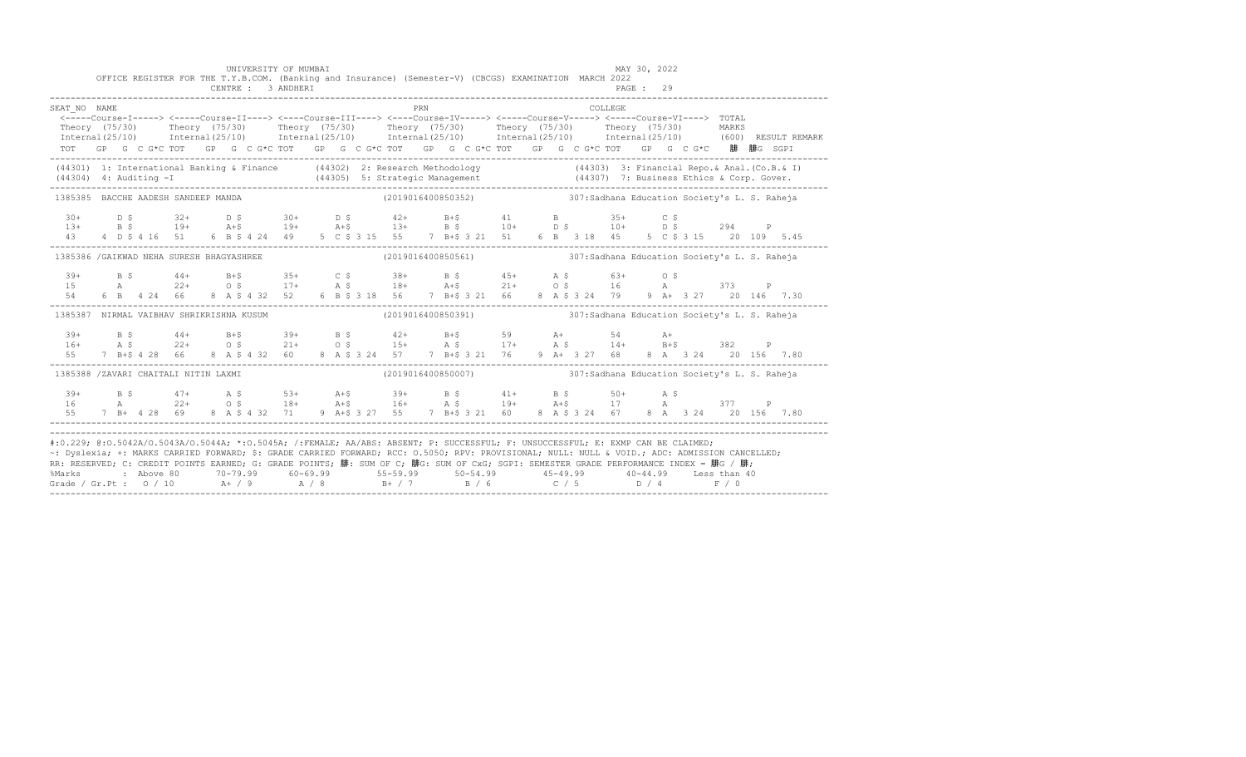|                                           |  |                 |  | UNIVERSITY OF MUMBAI |  |  |     | OFFICE REGISTER FOR THE T.Y.B.COM. (Banking and Insurance) (Semester-V) (CBCGS) EXAMINATION MARCH 2022                                                                                                                                                                                                                                                                                                                                                                                                                                                                                                                                                                                                                                                      |  |  | MAY 30, 2022 |  |  |  |
|-------------------------------------------|--|-----------------|--|----------------------|--|--|-----|-------------------------------------------------------------------------------------------------------------------------------------------------------------------------------------------------------------------------------------------------------------------------------------------------------------------------------------------------------------------------------------------------------------------------------------------------------------------------------------------------------------------------------------------------------------------------------------------------------------------------------------------------------------------------------------------------------------------------------------------------------------|--|--|--------------|--|--|--|
| SEAT NO NAME                              |  |                 |  |                      |  |  | PRN | $\hbox{${\zeta$--}{--}{-}Course-I}{--}{--}{\gt}~~\\ \hbox{${\zeta$--}{--}Course-I}{I}{--}{--}{\gt}~~\\ \hbox{${\zeta$--}{--}Course-I}{I}{--}{--}Course-I}{\tt V}{--}{--}Course-V}{--}{--}Course-V{--}-{\tt V}~~\\ \hbox{${\zeta$--}{--}Course-V}{--}{--}Course-V{--}-{\tt V}~~\\ \hbox{${\zeta$--}{--}Course-V}{--}{--}Course-V{--}+{\tt V}~~\\ \hbox{${\zeta$--}{--}Course-V}{--}Course-V{--}+{\tt V}~~\\ \hbox{${\zeta$--$<br>Theory (75/30) Theory (75/30) Theory (75/30) Theory (75/30) Theory (75/30) Theory (75/30) MARKS<br>Internal(25/10) Internal(25/10) Internal(25/10) Internal(25/10) Internal(25/10) Internal(25/10) (600)RESULTREMARK<br>TOT GP G C G*C TOT GP G C G*C TOT GP G C G*C TOT GP G C G*C TOT GP G C G*C TOT GP G C G*C 腓 腓G SGPI |  |  | COLLEGE      |  |  |  |
|                                           |  |                 |  |                      |  |  |     | (44301) 1: International Banking & Finance (44302) 2: Research Methodology (44303) 3: Financial Repo. & Anal. (Co.B. & I)<br>(44304) 4: Auditing -I (44305) 5: Strategic Management (44307) 7: Business Ethics & Corp. Gover.<br>---                                                                                                                                                                                                                                                                                                                                                                                                                                                                                                                        |  |  |              |  |  |  |
| 1385385 BACCHE AADESH SANDEEP MANDA       |  |                 |  |                      |  |  |     | (2019016400850352)                             307:Sadhana Education Society's L. S. Raheja                                                                                                                                                                                                                                                                                                                                                                                                                                                                                                                                                                                                                                                                 |  |  |              |  |  |  |
| $30+$                                     |  |                 |  |                      |  |  |     | D \$ 32+ D \$ 30+ D \$ 42+ B+\$ 41 B 35+ C \$                                                                                                                                                                                                                                                                                                                                                                                                                                                                                                                                                                                                                                                                                                               |  |  |              |  |  |  |
| 1385386 / GAIKWAD NEHA SURESH BHAGYASHREE |  |                 |  |                      |  |  |     |                                                                                                                                                                                                                                                                                                                                                                                                                                                                                                                                                                                                                                                                                                                                                             |  |  |              |  |  |  |
| $39+$<br>15<br>54                         |  |                 |  |                      |  |  |     |                                                                                                                                                                                                                                                                                                                                                                                                                                                                                                                                                                                                                                                                                                                                                             |  |  |              |  |  |  |
|                                           |  |                 |  |                      |  |  |     | 1385387 NIRMAL VAIBHAV SHRIKRISHNA KUSUM (2019016400850391) 307:Sadhana Education Society's L. S. Raheja                                                                                                                                                                                                                                                                                                                                                                                                                                                                                                                                                                                                                                                    |  |  |              |  |  |  |
| $39+$<br>$16+$<br>55                      |  |                 |  |                      |  |  |     | B \$44+ B+\$39+ B \$42+ B+\$59 A+ 54 A+<br>A \$22+ O \$21+ O \$15+ A \$17+ A \$14+ B+\$382 P<br>7 B+\$ 4 28 66 8 A \$ 4 32 60 8 A \$ 3 24 57 7 B+\$ 3 21 76 9 A+ 3 27 68 8 A 3 24 20 156 7.80                                                                                                                                                                                                                                                                                                                                                                                                                                                                                                                                                               |  |  |              |  |  |  |
| 1385388 /ZAVARI CHAITALI NITIN LAXMI      |  |                 |  |                      |  |  |     | (2019016400850007) (2019013) 307:Sadhana Education Society's L. S. Raheja                                                                                                                                                                                                                                                                                                                                                                                                                                                                                                                                                                                                                                                                                   |  |  |              |  |  |  |
| $39+$<br>16                               |  | 55 7 B+ 4 28 69 |  |                      |  |  |     | B \$47+ A \$53+ A +\$39+ B \$41+ B \$50+ A \$<br>A 22+ O \$18+ A +\$16+ A \$19+ A +\$17 A 377 P<br>8 A \$ 4 32 71 9 A + \$ 3 27 55 7 B + \$ 3 21 60 8 A \$ 3 24 67 8 A 3 24 20 156 7.80                                                                                                                                                                                                                                                                                                                                                                                                                                                                                                                                                                     |  |  |              |  |  |  |
|                                           |  |                 |  |                      |  |  |     | #:0.229; @:0.5042A/0.5043A/0.5044A; *:0.5045A; /:FEMALE; AA/ABS: ABSENT; P: SUCCESSFUL; F: UNSUCCESSFUL; E: EXMP CAN BE CLAIMED;<br>~: Dyslexia; +: MARKS CARRIED FORWARD; \$: GRADE CARRIED FORWARD; RCC: 0.5050; RPV: PROVISIONAL; NULL: NULL: NULL: ADC: ADMISSION CANCELLED;<br>RR: RESERVED; C: CREDIT POINTS EARNED; G: GRADE POINTS; 腓: SUM OF C; 腓G: SUM OF CxG; SGPI: SEMESTER GRADE PERFORMANCE INDEX = 腓G / 腓;<br>%Marks : Above 80 70-79.99 60-69.99 55-59.99 50-54.99 45-49.99 40-44.99 Less than 40<br>Grade / Gr.Pt : 0 / 10 A+ / 9 A / 8 B+ / 7 B / 6 C / 5 D / 4 F / 0                                                                                                                                                                     |  |  |              |  |  |  |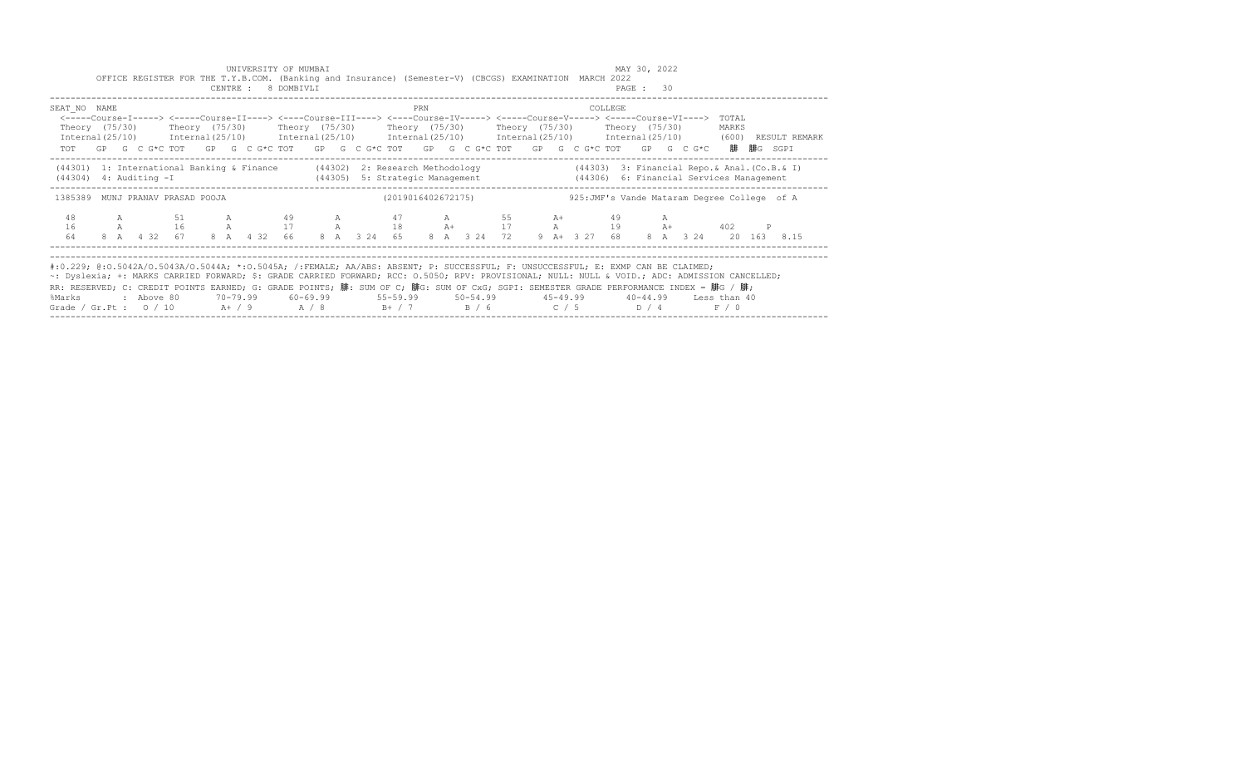|                                                                                                                                                                                                                                                                                                                                                                                                                                                                                                                                   |  | OFFICE REGISTER FOR THE T.Y.B.COM. (Banking and Insurance) (Semester-V) (CBCGS) EXAMINATION MARCH 2022                                                                                                                                                                                                                                              |  | CENTRE : 8 DOMBIVLI | UNIVERSITY OF MUMBAI |  |                                                                  |     |  |  |  |         | MAY 30, 2022<br>PAGE : 30 |  |                                                |                                                                                                                     |
|-----------------------------------------------------------------------------------------------------------------------------------------------------------------------------------------------------------------------------------------------------------------------------------------------------------------------------------------------------------------------------------------------------------------------------------------------------------------------------------------------------------------------------------|--|-----------------------------------------------------------------------------------------------------------------------------------------------------------------------------------------------------------------------------------------------------------------------------------------------------------------------------------------------------|--|---------------------|----------------------|--|------------------------------------------------------------------|-----|--|--|--|---------|---------------------------|--|------------------------------------------------|---------------------------------------------------------------------------------------------------------------------|
| SEAT NO NAME                                                                                                                                                                                                                                                                                                                                                                                                                                                                                                                      |  | <-----Course-I-----> <-----Course-II----> <----Course-III----> <----Course-IV-----> <----Course-V-----> <----Course-VI----> TOTAL<br>Theory (75/30)    Theory (75/30)    Theory (75/30)    Theory (75/30)    Theory (75/30)    Theory (75/30)<br>TOT GP G C G*C TOT GP G C G*C TOT GP G C G*C TOT GP G C G*C TOT GP G C G*C TOT GP G C G*C 腓腓G SGPI |  |                     |                      |  |                                                                  | PRN |  |  |  | COLLEGE |                           |  | MARKS                                          | Internal(25/10) Internal(25/10) Internal(25/10) Internal(25/10) Internal(25/10) Internal(25/10) (600) RESULT REMARK |
| $(44304)$ 4: Auditing $-I$                                                                                                                                                                                                                                                                                                                                                                                                                                                                                                        |  | (44301) 1: International Banking & Finance (44302) 2: Research Methodology                                                                                                                                                                                                                                                                          |  |                     | (44305)              |  | 5: Strategic Management (44306) 6: Financial Services Management |     |  |  |  |         |                           |  | $(44303)$ 3: Financial Repo.& Anal. (Co.B.& I) |                                                                                                                     |
| 1385389 MUNJ PRANAV PRASAD POOJA                                                                                                                                                                                                                                                                                                                                                                                                                                                                                                  |  |                                                                                                                                                                                                                                                                                                                                                     |  |                     |                      |  | (2019016402672175)                                               |     |  |  |  |         |                           |  | 925: JMF's Vande Mataram Degree College of A   |                                                                                                                     |
| 48<br>16<br>64                                                                                                                                                                                                                                                                                                                                                                                                                                                                                                                    |  | A 51 A 49 A 47 A 55 A+<br>A 16 A 17 A 18 A 17 A 19 A 402 P<br>8 A 4 32 67 8 A 4 32 66 8 A 3 24 65 8 A 3 24 72 9 A + 3 27 68 8 A 3 24 20 163 8.15                                                                                                                                                                                                    |  |                     |                      |  |                                                                  |     |  |  |  |         | 49 A                      |  |                                                |                                                                                                                     |
| #:0.229; @:0.5042A/0.5043A/0.5044A; *:0.5045A; /:FEMALE; AA/ABS: ABSENT; P: SUCCESSFUL; F: UNSUCCESSFUL; E: EXMP CAN BE CLAIMED;<br>~: Dyslexia; +: MARKS CARRIED FORWARD; \$: GRADE CARRIED FORWARD; RCC: 0.5050; RPV: PROVISIONAL; NULL: NULL & VOID.; ADC: ADMISSION CANCELLED;<br>RR: RESERVED; C: CREDIT POINTS EARNED; G: GRADE POINTS; 腓: SUM OF C; 腓G: SUM OF CxG; SGPI: SEMESTER GRADE PERFORMANCE INDEX = 腓G / 腓;<br>%Marks : Above 80<br>Grade / Gr.Pt : $0/10$ A $+$ / 9 A $/8$ B $+$ / 7 B $/6$ C $/5$ D $/4$ F $/0$ |  |                                                                                                                                                                                                                                                                                                                                                     |  |                     |                      |  |                                                                  |     |  |  |  |         |                           |  |                                                |                                                                                                                     |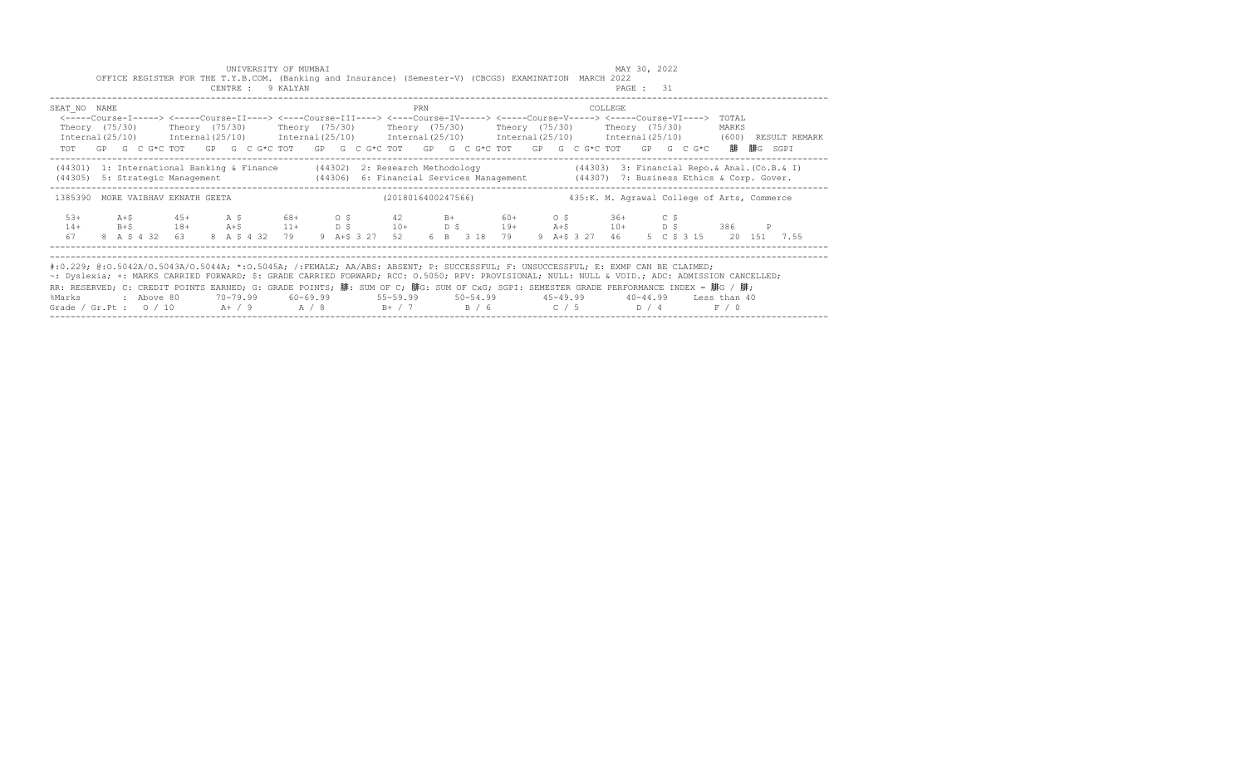|                                                                                                                                                                                                                                                                                                                                                                                                                                                                                                             |       |            | OFFICE REGISTER FOR THE T.Y.B.COM. (Banking and Insurance) (Semester-V) (CBCGS) EXAMINATION MARCH 2022                                                                                                                                                                                                                                          |  | UNIVERSITY OF MUMBAI<br>CENTRE : 9 KALYAN |  |  |     |  |                                                           |  |         | MAY 30, 2022<br>PAGE : 31 |                                             |                |                                                                                                                     |
|-------------------------------------------------------------------------------------------------------------------------------------------------------------------------------------------------------------------------------------------------------------------------------------------------------------------------------------------------------------------------------------------------------------------------------------------------------------------------------------------------------------|-------|------------|-------------------------------------------------------------------------------------------------------------------------------------------------------------------------------------------------------------------------------------------------------------------------------------------------------------------------------------------------|--|-------------------------------------------|--|--|-----|--|-----------------------------------------------------------|--|---------|---------------------------|---------------------------------------------|----------------|---------------------------------------------------------------------------------------------------------------------|
| SEAT NO NAME                                                                                                                                                                                                                                                                                                                                                                                                                                                                                                |       |            | <-----Course-I-----> <----Course-II----> <----Course-III----> <----Course-IV-----> <-----Course-V-----> <-----Course-VI----><br>Theory (75/30)    Theory (75/30)    Theory (75/30)    Theory (75/30)    Theory (75/30)    Theory (75/30)<br>TOT GP G C G*C TOT GP G C G*C TOT GP G C G*C TOT GP G C G*C TOT GP G C G*C TOT GP G C G*C 腓 腓G SGPI |  |                                           |  |  | PRN |  |                                                           |  | COLLEGE |                           |                                             | TOTAL<br>MARKS | Internal(25/10) Internal(25/10) Internal(25/10) Internal(25/10) Internal(25/10) Internal(25/10) (600) RESULT REMARK |
| (44301) 1: International Banking & Finance (44302) 2: Research Methodology (44303) 3: Financial Repo. & Anal. (Co.B. & I)<br>(44305) 5: Strategic Management (44306) 6: Financial Services Management (44307) 7: Business Ethics & Corp. Gover.                                                                                                                                                                                                                                                             |       |            |                                                                                                                                                                                                                                                                                                                                                 |  |                                           |  |  |     |  |                                                           |  |         |                           |                                             |                |                                                                                                                     |
| 1385390 MORE VAIBHAV EKNATH GEETA                                                                                                                                                                                                                                                                                                                                                                                                                                                                           |       |            |                                                                                                                                                                                                                                                                                                                                                 |  |                                           |  |  |     |  | (2018016400247566)                                        |  |         |                           | 435:K. M. Agrawal College of Arts, Commerce |                |                                                                                                                     |
| $5.3+$<br>$14+$<br>67                                                                                                                                                                                                                                                                                                                                                                                                                                                                                       | $A+S$ |            | $45+$ $A \,$ $5$ $68+$ $0 \,$ $5$ $42$ $B+$ $60+$ $0 \,$ $5$ $36+$ $C \,$ $5$<br>$B + $$ 18+ $A + $$ 11+ D \$ 10+<br>8 A \$ 4 32 63 8 A \$ 4 32 79                                                                                                                                                                                              |  |                                           |  |  |     |  | D \$ 19+ A+\$ 10+ D \$ 386 P<br>9 A+S 3 27 52 6 B 3 18 79 |  |         |                           | 9 A+\$ 3 27 46 5 C \$ 3 15 20 151 7.55      |                |                                                                                                                     |
| #:0.229; @:0.5042A/0.5043A/0.5044A; *:0.5045A; /:FEMALE; AA/ABS: ABSENT; P: SUCCESSFUL; F: UNSUCCESSFUL; E: EXMP CAN BE CLAIMED;<br>~: Dyslexia; +: MARKS CARRIED FORWARD; \$: GRADE CARRIED FORWARD; RCC: 0.5050; RPV: PROVISIONAL; NULL: NULL & VOID.; ADC: ADMISSION CANCELLED;<br>RR: RESERVED; C: CREDIT POINTS EARNED; G: GRADE POINTS; 腓: SUM OF C; 腓G: SUM OF CxG; SGPI: SEMESTER GRADE PERFORMANCE INDEX = 腓G / 腓;<br>%Marks<br>Grade / Gr.Pt : $0/10$ A+ / 9 A / 8 B+ / 7 B / 6 C / 5 D / 4 F / 0 |       | : Above 80 |                                                                                                                                                                                                                                                                                                                                                 |  |                                           |  |  |     |  |                                                           |  |         |                           |                                             |                |                                                                                                                     |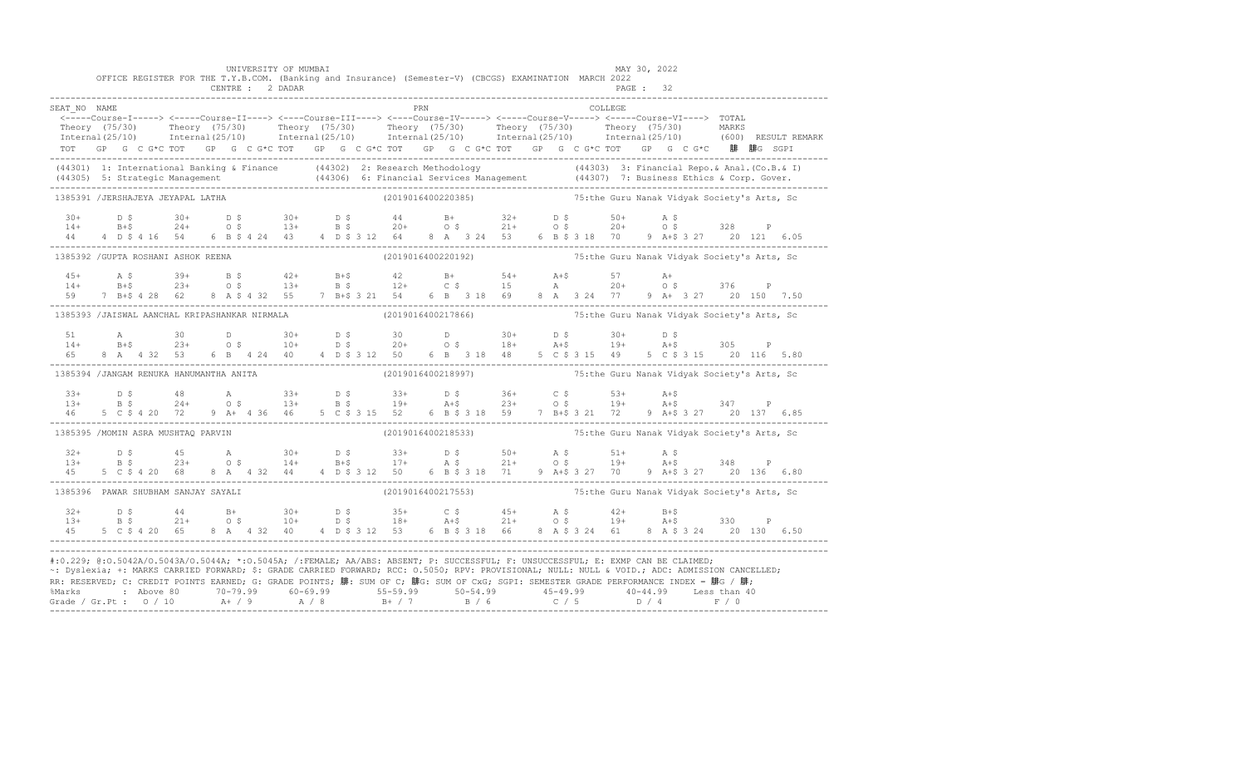|                                                                                                                                                                                                                                                                                                                                                                                                                                                                                                                     |  | OFFICE REGISTER FOR THE T.Y.B.COM. (Banking and Insurance) (Semester-V) (CBCGS) EXAMINATION MARCH 2022                                                                                                                                                                                                                                  |  |  | UNIVERSITY OF MUMBAI<br>CENTRE : 2 DADAR                                      |  |  |                                                                 |     |  |  |  |                                   |          | MAY 30, 2022<br>PAGE: 32 |  |  |                                                                                                                                                                                                                       |
|---------------------------------------------------------------------------------------------------------------------------------------------------------------------------------------------------------------------------------------------------------------------------------------------------------------------------------------------------------------------------------------------------------------------------------------------------------------------------------------------------------------------|--|-----------------------------------------------------------------------------------------------------------------------------------------------------------------------------------------------------------------------------------------------------------------------------------------------------------------------------------------|--|--|-------------------------------------------------------------------------------|--|--|-----------------------------------------------------------------|-----|--|--|--|-----------------------------------|----------|--------------------------|--|--|-----------------------------------------------------------------------------------------------------------------------------------------------------------------------------------------------------------------------|
| SEAT NO NAME                                                                                                                                                                                                                                                                                                                                                                                                                                                                                                        |  | المسلم المسلمين بين المسلمين بين المسلمين بين المسلمين بين المسلمين بين المسلمين بين المسلمين بين المسلمين بين<br><-----Course-I-----> <----Course-II----> <----Course-III----> <----Course-IV-----> <-----Course-V-----> <-----<br>TOT GP G C G*C TOT GP G C G*C TOT GP G C G*C TOT GP G C G*C TOT GP G C G*C TOT GP G C G*C 腓 腓G SGPI |  |  |                                                                               |  |  |                                                                 | PRN |  |  |  |                                   | COLLEGE. |                          |  |  | Theory (75/30) Theory (75/30) Theory (75/30) Theory (75/30) Theory (75/30) Theory (75/30) MARKS<br>Theory (75/30) Theory (75/30) Theory (75/30) Theory (75/30) Theory (75/30) Theory (75/30) MARKS (600) RESULTREMARK |
| (44301) 1: International Banking & Finance (44302) 2: Research Methodology (44303) 3: Financial Repo. & Anal. (Co.B. & I)<br>(44305) 5: Strategic Management (44306) 6: Financial Services Management (44307) 7: Business Ethics                                                                                                                                                                                                                                                                                    |  |                                                                                                                                                                                                                                                                                                                                         |  |  |                                                                               |  |  |                                                                 |     |  |  |  |                                   |          |                          |  |  |                                                                                                                                                                                                                       |
| 1385391 /JERSHAJEYA JEYAPAL LATHA                                                                                                                                                                                                                                                                                                                                                                                                                                                                                   |  |                                                                                                                                                                                                                                                                                                                                         |  |  |                                                                               |  |  | (2019016400220385) 75:the Guru Nanak Vidyak Society's Arts, Sc  |     |  |  |  |                                   |          |                          |  |  |                                                                                                                                                                                                                       |
|                                                                                                                                                                                                                                                                                                                                                                                                                                                                                                                     |  | $14+$ $B+5$ $24+$ $0+5$ $13+$ $B+5$ $20+$ $0+5$ $21+$ $0+5$ $20+$ $0+5$ $20+$ $0+5$ $20+$ $0+5$ $20+$ $0+5$ $20+$<br>44 4 D \$ 4 16 54 6 B \$ 4 24 43 4 D \$ 3 12 64 8 A 3 24 53 6 B \$ 3 18 70 9 A+\$ 3 27 20 121 6.05                                                                                                                 |  |  |                                                                               |  |  |                                                                 |     |  |  |  |                                   |          |                          |  |  |                                                                                                                                                                                                                       |
| 1385392 / GUPTA ROSHANI ASHOK REENA                                                                                                                                                                                                                                                                                                                                                                                                                                                                                 |  |                                                                                                                                                                                                                                                                                                                                         |  |  |                                                                               |  |  | (2019016400220192) 75: the Guru Nanak Vidyak Society's Arts, Sc |     |  |  |  |                                   |          |                          |  |  |                                                                                                                                                                                                                       |
| $45+$<br>$14+$                                                                                                                                                                                                                                                                                                                                                                                                                                                                                                      |  | A \$ 39+ B \$ 42+ B+\$ 42 B+ 54+ A+\$ 57 A+<br>B+\$ 23+ O \$ 13+ B \$ 12+ C \$ 15 A 20+ O \$ 376 P<br>59 7 B+\$ 4 28 62 8 A \$ 4 32 55 7 B+\$ 3 21 54 6 B 3 18 69                                                                                                                                                                       |  |  |                                                                               |  |  |                                                                 |     |  |  |  | 8 A 3 24 77 9 A+ 3 27 20 150 7.50 |          |                          |  |  |                                                                                                                                                                                                                       |
| 1385393 /JAISWAL AANCHAL KRIPASHANKAR NIRMALA (2019016400217866) 51 T5:the Guru Nanak Vidyak Society's Arts, Sc                                                                                                                                                                                                                                                                                                                                                                                                     |  |                                                                                                                                                                                                                                                                                                                                         |  |  |                                                                               |  |  |                                                                 |     |  |  |  |                                   |          |                          |  |  |                                                                                                                                                                                                                       |
| 51 - 1<br>$14+$<br>6.5                                                                                                                                                                                                                                                                                                                                                                                                                                                                                              |  | A 30 D 30+ D \$ 30 D 30+ D \$ 30+ D \$<br>B+\$ 23+ O \$ 10+ D \$ 20+ O \$ 18+ A+\$ 19+ A+\$ 305 P<br><b>A</b> 30<br>8 A 4 32 53                                                                                                                                                                                                         |  |  | 6 B 4 24 40 4 D \$ 3 12 50 6 B 3 18 48 5 C \$ 3 15 49 5 C \$ 3 15 20 116 5.80 |  |  |                                                                 |     |  |  |  |                                   |          |                          |  |  |                                                                                                                                                                                                                       |
| 1385394 /JANGAM RENUKA HANUMANTHA ANITA                                                                                                                                                                                                                                                                                                                                                                                                                                                                             |  |                                                                                                                                                                                                                                                                                                                                         |  |  |                                                                               |  |  | (2019016400218997) 75:the Guru Nanak Vidyak Society's Arts, Sc  |     |  |  |  |                                   |          |                          |  |  |                                                                                                                                                                                                                       |
|                                                                                                                                                                                                                                                                                                                                                                                                                                                                                                                     |  | $13+$ $15$ $18$ $18$ $19+$ $19+$ $15$ $19+$ $19+$ $19+$ $19+$ $19+$ $19+$ $19+$ $19+$ $19+$ $19+$ $19+$ $19+$ $19+$ $19+$ $19+$ $19+$ $19+$ $19+$ $19+$ $19+$ $19+$ $19+$ $19+$ $19+$ $19+$ $19+$ $19+$ $19+$ $19+$ $19+$ $19$                                                                                                          |  |  |                                                                               |  |  |                                                                 |     |  |  |  |                                   |          |                          |  |  |                                                                                                                                                                                                                       |
| 1385395 /MOMIN ASRA MUSHTAQ PARVIN                                                                                                                                                                                                                                                                                                                                                                                                                                                                                  |  |                                                                                                                                                                                                                                                                                                                                         |  |  |                                                                               |  |  | (2019016400218533) 75: The Guru Nanak Vidyak Society's Arts, Sc |     |  |  |  |                                   |          |                          |  |  |                                                                                                                                                                                                                       |
| $32+$<br>$13+$                                                                                                                                                                                                                                                                                                                                                                                                                                                                                                      |  |                                                                                                                                                                                                                                                                                                                                         |  |  |                                                                               |  |  |                                                                 |     |  |  |  |                                   |          |                          |  |  |                                                                                                                                                                                                                       |
| 1385396 PAWAR SHUBHAM SANJAY SAYALI                                                                                                                                                                                                                                                                                                                                                                                                                                                                                 |  |                                                                                                                                                                                                                                                                                                                                         |  |  |                                                                               |  |  | (2019016400217553) 75:the Guru Nanak Vidyak Society's Arts, Sc  |     |  |  |  |                                   |          |                          |  |  |                                                                                                                                                                                                                       |
| $32+$<br>$13+$                                                                                                                                                                                                                                                                                                                                                                                                                                                                                                      |  | 5 C \$ 4 20 65                                                                                                                                                                                                                                                                                                                          |  |  |                                                                               |  |  |                                                                 |     |  |  |  |                                   |          |                          |  |  |                                                                                                                                                                                                                       |
| #:0.229; @:0.5042A/0.5043A/0.5044A; *:0.5045A; /:FEMALE; AA/ABS: ABSENT; P: SUCCESSFUL; F: UNSUCCESSFUL; E: EXMP CAN BE CLAIMED;<br>~: Dyslexia; +: MARKS CARRIED FORWARD; \$: GRADE CARRIED FORWARD; RCC: 0.5050; RPV: PROVISIONAL; NULL: NULL & VOID.; ADC: ADMISSION CANCELLED;<br>RR: RESERVED; C: CREDIT POINTS EARNED; G: GRADE POINTS; 腓: SUM OF C; 腓G: SUM OF CxG; SGPI: SEMESTER GRADE PERFORMANCE INDEX = 腓G / 腓;<br>%Marks : Above 80 70-79.99 60-69.99 55-59.99 50-54.99 45-49.99 40-44.99 Less than 40 |  |                                                                                                                                                                                                                                                                                                                                         |  |  |                                                                               |  |  |                                                                 |     |  |  |  |                                   |          |                          |  |  |                                                                                                                                                                                                                       |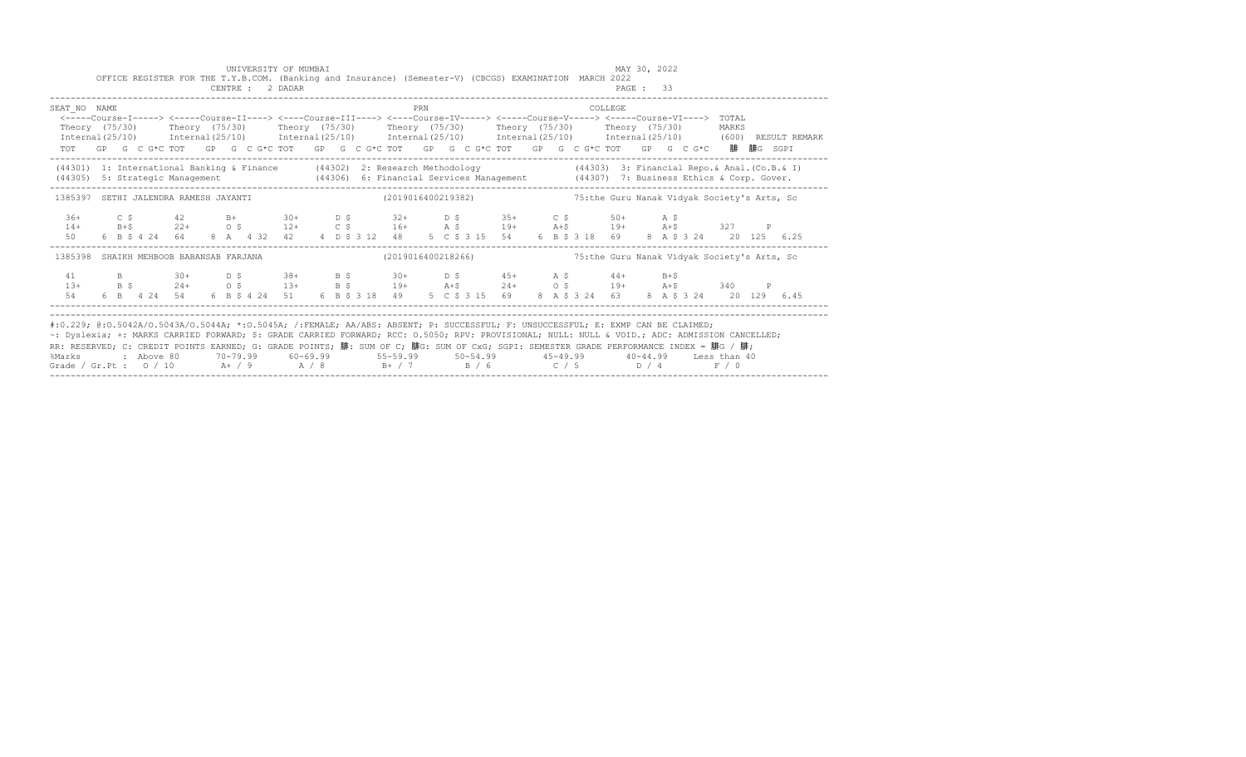|                                                                                                                                                                                                                                                                                                                                                                                                                                       |  |  |  |  | CENTRE : 2 DADAR | UNIVERSITY OF MUMBAI |  |  |     |  |  | OFFICE REGISTER FOR THE T.Y.B.COM. (Banking and Insurance) (Semester-V) (CBCGS) EXAMINATION MARCH 2022                                                                                                       |  |  | MAY 30, 2022<br>PAGE: 33 |  |                                              |       |  |                                                                                                                                                                                             |
|---------------------------------------------------------------------------------------------------------------------------------------------------------------------------------------------------------------------------------------------------------------------------------------------------------------------------------------------------------------------------------------------------------------------------------------|--|--|--|--|------------------|----------------------|--|--|-----|--|--|--------------------------------------------------------------------------------------------------------------------------------------------------------------------------------------------------------------|--|--|--------------------------|--|----------------------------------------------|-------|--|---------------------------------------------------------------------------------------------------------------------------------------------------------------------------------------------|
| SEAT NO NAME<br><-----Course-I-----> <-----Course-II----> <----Course-III----> <----Course-IV-----> <----Course-V-----> <----Course-VI----> TOTAL<br>Theory (75/30)  Theory (75/30)  Theory (75/30)  Theory (75/30)  Theory (75/30)  Theory (75/30)<br>TOT GP G C G*C TOT GP G C G*C TOT GP G C G*C TOT GP G C G*C TOT GP G C G*C TOT GP G C G*C 腓 腓G SGPI                                                                            |  |  |  |  |                  |                      |  |  | PRN |  |  | <b>COLLEGE</b> COLLEGE                                                                                                                                                                                       |  |  |                          |  |                                              | MARKS |  | $International (25/10)$ $International (25/10)$ $International (25/10)$ $International (25/10)$ $International (25/10)$ $International (25/10)$ $International (25/10)$ (600) RESULT REMARK |
| (44301) 1: International Banking & Finance (44302) 2: Research Methodology (44303) 3: Financial Repo. & Anal. (Co.B. & I)                                                                                                                                                                                                                                                                                                             |  |  |  |  |                  |                      |  |  |     |  |  |                                                                                                                                                                                                              |  |  |                          |  |                                              |       |  |                                                                                                                                                                                             |
| 1385397 SETHI JALENDRA RAMESH JAYANTI (2019016400219382) 75:the Guru Nanak Vidyak Society's Arts, Sc                                                                                                                                                                                                                                                                                                                                  |  |  |  |  |                  |                      |  |  |     |  |  |                                                                                                                                                                                                              |  |  |                          |  |                                              |       |  |                                                                                                                                                                                             |
| $36+$<br>$14+$<br>50                                                                                                                                                                                                                                                                                                                                                                                                                  |  |  |  |  |                  |                      |  |  |     |  |  | C \$42 B+30+ D \$32+ D \$35+ C \$50+ A \$<br>B+\$22+ O \$12+ C \$16+ A \$19+ A+\$19+ A+\$327 P<br>6 B \$ 4 24 64 8 A 4 32 42 4 D \$ 3 12 48 5 C \$ 3 15 54 6 B \$ 3 18 69 8 A \$ 3 24 20 125 6.25            |  |  |                          |  |                                              |       |  |                                                                                                                                                                                             |
| 1385398 SHAIKH MEHBOOB BABANSAB FARJANA                                                                                                                                                                                                                                                                                                                                                                                               |  |  |  |  |                  |                      |  |  |     |  |  | (2019016400218266)                                                                                                                                                                                           |  |  |                          |  | 75: the Guru Nanak Vidyak Society's Arts, Sc |       |  |                                                                                                                                                                                             |
| 41<br>$13+$<br>54                                                                                                                                                                                                                                                                                                                                                                                                                     |  |  |  |  |                  |                      |  |  |     |  |  | B 30+ D \$ 38+ B \$ 30+ D \$ 45+ A \$ 44+ B+\$<br>B \$ 24+ O \$ 13+ B \$ 19+ A+\$ 24+ O \$ 19+ A+\$ 340 P<br>6 B 4 24 54 6 B \$ 4 24 51 6 B \$ 3 18 49 5 C \$ 3 15 69 8 A \$ 3 24 63 8 A \$ 3 24 20 129 6.45 |  |  |                          |  |                                              |       |  |                                                                                                                                                                                             |
| #:0.229; @:0.5042A/0.5043A/0.5044A; *:0.5045A; /:FEMALE; AA/ABS: ABSENT; P: SUCCESSFUL; F: UNSUCCESSFUL; E: EXMP CAN BE CLAIMED;<br>~: Dyslexia; +: MARKS CARRIED FORWARD; \$: GRADE CARRIED FORWARD; RCC: 0.5050; RPV: PROVISIONAL; NULL: NULL & VOID.; ADC: ADMISSION CANCELLED;<br>RR: RESERVED; C: CREDIT POINTS EARNED; G: GRADE POINTS; 腓: SUM OF C; 腓G: SUM OF CxG; SGPI: SEMESTER GRADE PERFORMANCE INDEX = 腓G / 腓;<br>%Marks |  |  |  |  |                  |                      |  |  |     |  |  | 2 Above 80    70-79.99    60-69.99     55-59.99     50-54.99     45-49.99     40-44.99   Less than:                                                                                                          |  |  |                          |  |                                              |       |  |                                                                                                                                                                                             |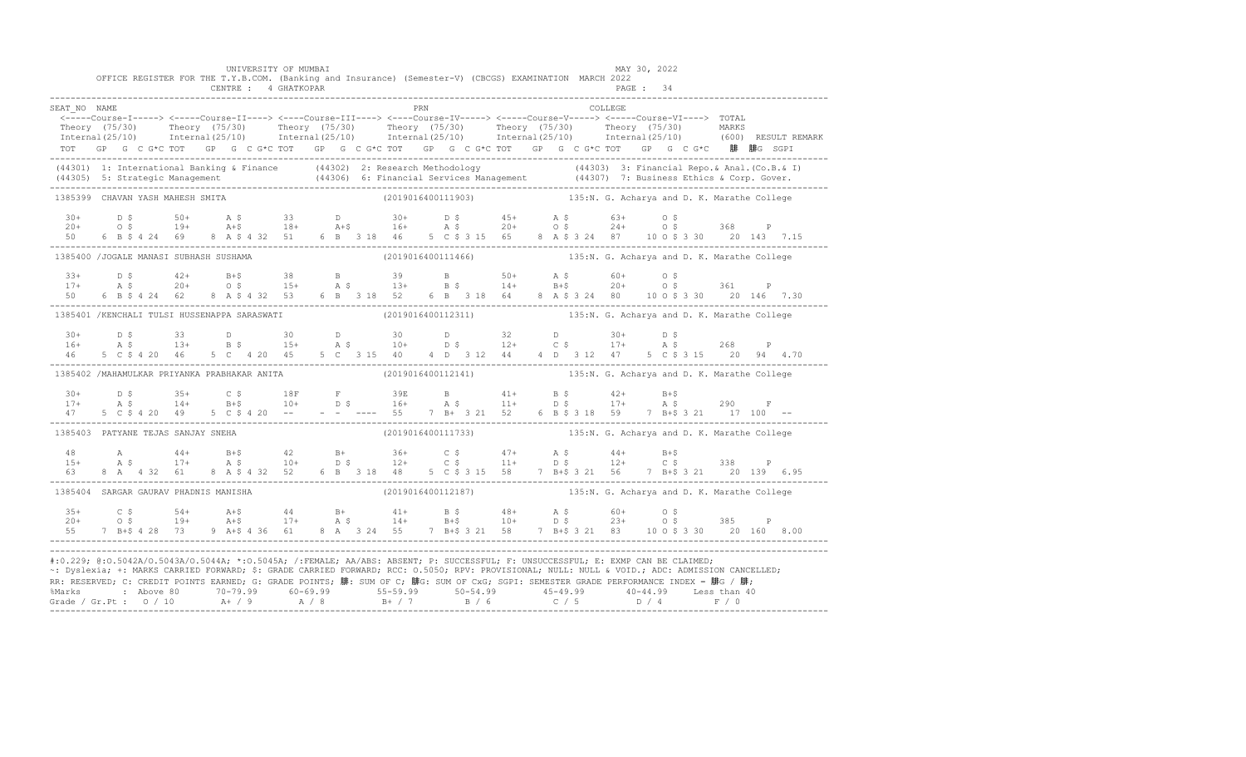|                                                                                                                                                                                                                                                                                                                                                                                                                                                                                                                   |  |  |  | UNIVERSITY OF MUMBAI<br>CENTRE : 4 GHATKOPAR |  |  |     |  | OFFICE REGISTER FOR THE T.Y.B.COM. (Banking and Insurance) (Semester-V) (CBCGS) EXAMINATION MARCH 2022       |  |          | MAY 30, 2022<br>PAGE: 34 |  |  |                                                                                                                                                                                                                       |
|-------------------------------------------------------------------------------------------------------------------------------------------------------------------------------------------------------------------------------------------------------------------------------------------------------------------------------------------------------------------------------------------------------------------------------------------------------------------------------------------------------------------|--|--|--|----------------------------------------------|--|--|-----|--|--------------------------------------------------------------------------------------------------------------|--|----------|--------------------------|--|--|-----------------------------------------------------------------------------------------------------------------------------------------------------------------------------------------------------------------------|
|                                                                                                                                                                                                                                                                                                                                                                                                                                                                                                                   |  |  |  |                                              |  |  |     |  |                                                                                                              |  |          |                          |  |  |                                                                                                                                                                                                                       |
| SEAT NO NAME                                                                                                                                                                                                                                                                                                                                                                                                                                                                                                      |  |  |  |                                              |  |  | PRN |  | <-----Course-I-----> <-----Course-II----> <----Course-III----> <----Course-IV-----> <----Course-V----> TOTAL |  | COLLEGE. |                          |  |  |                                                                                                                                                                                                                       |
|                                                                                                                                                                                                                                                                                                                                                                                                                                                                                                                   |  |  |  |                                              |  |  |     |  |                                                                                                              |  |          |                          |  |  |                                                                                                                                                                                                                       |
|                                                                                                                                                                                                                                                                                                                                                                                                                                                                                                                   |  |  |  |                                              |  |  |     |  |                                                                                                              |  |          |                          |  |  | Theory (75/30) Theory (75/30) Theory (75/30) Theory (75/30) Theory (75/30) Theory (75/30) MARKS<br>Internal(25/10) Internal(25/10) Internal(25/10) Internal(25/10) Internal(25/10) Internal(25/10) (600) RESULTREMARK |
|                                                                                                                                                                                                                                                                                                                                                                                                                                                                                                                   |  |  |  |                                              |  |  |     |  | TOT GP G C G*C TOT GP G C G*C TOT GP G C G*C TOT GP G C G*C TOT GP G C G*C TOT GP G C G*C 腓 腓G SGPI          |  |          |                          |  |  |                                                                                                                                                                                                                       |
| (44301) 1: International Banking & Finance (44302) 2: Research Methodology (44303) 3: Financial Repo. & Anal. (Co.B. & I)<br>(44305) 5: Strategic Management (44306) 6: Financial Services Management (44307) 7: Business Ethics                                                                                                                                                                                                                                                                                  |  |  |  |                                              |  |  |     |  |                                                                                                              |  |          |                          |  |  |                                                                                                                                                                                                                       |
| 1385399 CHAVAN YASH MAHESH SMITA                                                                                                                                                                                                                                                                                                                                                                                                                                                                                  |  |  |  |                                              |  |  |     |  | (2019016400111903) 135:N. G. Acharya and D. K. Marathe College                                               |  |          |                          |  |  |                                                                                                                                                                                                                       |
| $30+$                                                                                                                                                                                                                                                                                                                                                                                                                                                                                                             |  |  |  |                                              |  |  |     |  |                                                                                                              |  |          |                          |  |  |                                                                                                                                                                                                                       |
| $20+$                                                                                                                                                                                                                                                                                                                                                                                                                                                                                                             |  |  |  |                                              |  |  |     |  |                                                                                                              |  |          |                          |  |  |                                                                                                                                                                                                                       |
| 50                                                                                                                                                                                                                                                                                                                                                                                                                                                                                                                |  |  |  |                                              |  |  |     |  |                                                                                                              |  |          |                          |  |  |                                                                                                                                                                                                                       |
| 1385400 /JOGALE MANASI SUBHASH SUSHAMA                                                                                                                                                                                                                                                                                                                                                                                                                                                                            |  |  |  |                                              |  |  |     |  | (2019016400111466) 135:N. G. Acharya and D. K. Marathe College                                               |  |          |                          |  |  |                                                                                                                                                                                                                       |
| $3.3+$                                                                                                                                                                                                                                                                                                                                                                                                                                                                                                            |  |  |  |                                              |  |  |     |  |                                                                                                              |  |          |                          |  |  |                                                                                                                                                                                                                       |
| $17+$                                                                                                                                                                                                                                                                                                                                                                                                                                                                                                             |  |  |  |                                              |  |  |     |  |                                                                                                              |  |          |                          |  |  |                                                                                                                                                                                                                       |
| $50 -$                                                                                                                                                                                                                                                                                                                                                                                                                                                                                                            |  |  |  |                                              |  |  |     |  |                                                                                                              |  |          |                          |  |  |                                                                                                                                                                                                                       |
| 1385401 /KENCHALI TULSI HUSSENAPPA SARASWATI (2019016400112311) 135:N. G. Acharya and D. K. Marathe College                                                                                                                                                                                                                                                                                                                                                                                                       |  |  |  |                                              |  |  |     |  |                                                                                                              |  |          |                          |  |  |                                                                                                                                                                                                                       |
|                                                                                                                                                                                                                                                                                                                                                                                                                                                                                                                   |  |  |  |                                              |  |  |     |  |                                                                                                              |  |          |                          |  |  |                                                                                                                                                                                                                       |
|                                                                                                                                                                                                                                                                                                                                                                                                                                                                                                                   |  |  |  |                                              |  |  |     |  |                                                                                                              |  |          |                          |  |  |                                                                                                                                                                                                                       |
|                                                                                                                                                                                                                                                                                                                                                                                                                                                                                                                   |  |  |  |                                              |  |  |     |  |                                                                                                              |  |          |                          |  |  |                                                                                                                                                                                                                       |
| 1385402 /MAHAMULKAR PRIYANKA PRABHAKAR ANITA (2019016400112141) 135:N. G. Acharya and D. K. Marathe College                                                                                                                                                                                                                                                                                                                                                                                                       |  |  |  |                                              |  |  |     |  |                                                                                                              |  |          |                          |  |  |                                                                                                                                                                                                                       |
|                                                                                                                                                                                                                                                                                                                                                                                                                                                                                                                   |  |  |  |                                              |  |  |     |  |                                                                                                              |  |          |                          |  |  |                                                                                                                                                                                                                       |
|                                                                                                                                                                                                                                                                                                                                                                                                                                                                                                                   |  |  |  |                                              |  |  |     |  |                                                                                                              |  |          |                          |  |  |                                                                                                                                                                                                                       |
|                                                                                                                                                                                                                                                                                                                                                                                                                                                                                                                   |  |  |  |                                              |  |  |     |  |                                                                                                              |  |          |                          |  |  |                                                                                                                                                                                                                       |
| 1385403 PATYANE TEJAS SANJAY SNEHA                                                                                                                                                                                                                                                                                                                                                                                                                                                                                |  |  |  |                                              |  |  |     |  | (2019016400111733) 135:N. G. Acharya and D. K. Marathe College                                               |  |          |                          |  |  |                                                                                                                                                                                                                       |
| 48                                                                                                                                                                                                                                                                                                                                                                                                                                                                                                                |  |  |  |                                              |  |  |     |  |                                                                                                              |  |          |                          |  |  |                                                                                                                                                                                                                       |
| $15+$                                                                                                                                                                                                                                                                                                                                                                                                                                                                                                             |  |  |  |                                              |  |  |     |  | A 44+ B+\$ 42 B+ 36+ C \$ 47+ A \$ 44+ B+\$<br>A \$ 17+ A \$ 10+ D \$ 12+ C \$ 11+ D \$ 12+ C \$ 338 P       |  |          |                          |  |  |                                                                                                                                                                                                                       |
| 63                                                                                                                                                                                                                                                                                                                                                                                                                                                                                                                |  |  |  |                                              |  |  |     |  | 8 A 4 32 61 8 A \$ 4 32 52 6 B 3 18 48 5 C \$ 3 15 58 7 B+\$ 3 21 56 7 B+\$ 3 21 20 139 6.95                 |  |          |                          |  |  |                                                                                                                                                                                                                       |
| 1385404 SARGAR GAURAV PHADNIS MANISHA                                                                                                                                                                                                                                                                                                                                                                                                                                                                             |  |  |  |                                              |  |  |     |  | (2019016400112187) 135:N. G. Acharya and D. K. Marathe College                                               |  |          |                          |  |  |                                                                                                                                                                                                                       |
| $35+$                                                                                                                                                                                                                                                                                                                                                                                                                                                                                                             |  |  |  |                                              |  |  |     |  |                                                                                                              |  |          |                          |  |  |                                                                                                                                                                                                                       |
| $20+$                                                                                                                                                                                                                                                                                                                                                                                                                                                                                                             |  |  |  |                                              |  |  |     |  |                                                                                                              |  |          |                          |  |  |                                                                                                                                                                                                                       |
|                                                                                                                                                                                                                                                                                                                                                                                                                                                                                                                   |  |  |  |                                              |  |  |     |  | 7 B+\$ 4 28 73 9 A+\$ 4 36 61 8 A 3 24 55 7 B+\$ 3 21 58 7 B+\$ 3 21 83 10 0 \$ 3 30 20 160 8.00             |  |          |                          |  |  |                                                                                                                                                                                                                       |
| #:0.229; @:0.5042A/0.5043A/0.5044A; *:0.5045A; /:FEMALE; AA/ABS: ABSENT; P: SUCCESSFUL; F: UNSUCCESSFUL; E: EXMP CAN BE CLAIMED;<br>~: Dyslexia; +: MARKS CARRIED FORWARD; \$: GRADE CARRIED FORWARD; RCC: 0.5050; RPV: PROVISIONAL; NULL: NULL: AULL: ADC: ADMISSION CANCELLED;<br>RR: RESERVED; C: CREDIT POINTS EARNED; G: GRADE POINTS; 腓: SUM OF C; 腓G: SUM OF CxG; SGPI: SEMESTER GRADE PERFORMANCE INDEX = 腓G / 腓;<br>%Marks : Above 80 70-79.99 60-69.99 55-59.99 50-54.99 45-49.99 40-44.99 Less than 40 |  |  |  |                                              |  |  |     |  |                                                                                                              |  |          |                          |  |  |                                                                                                                                                                                                                       |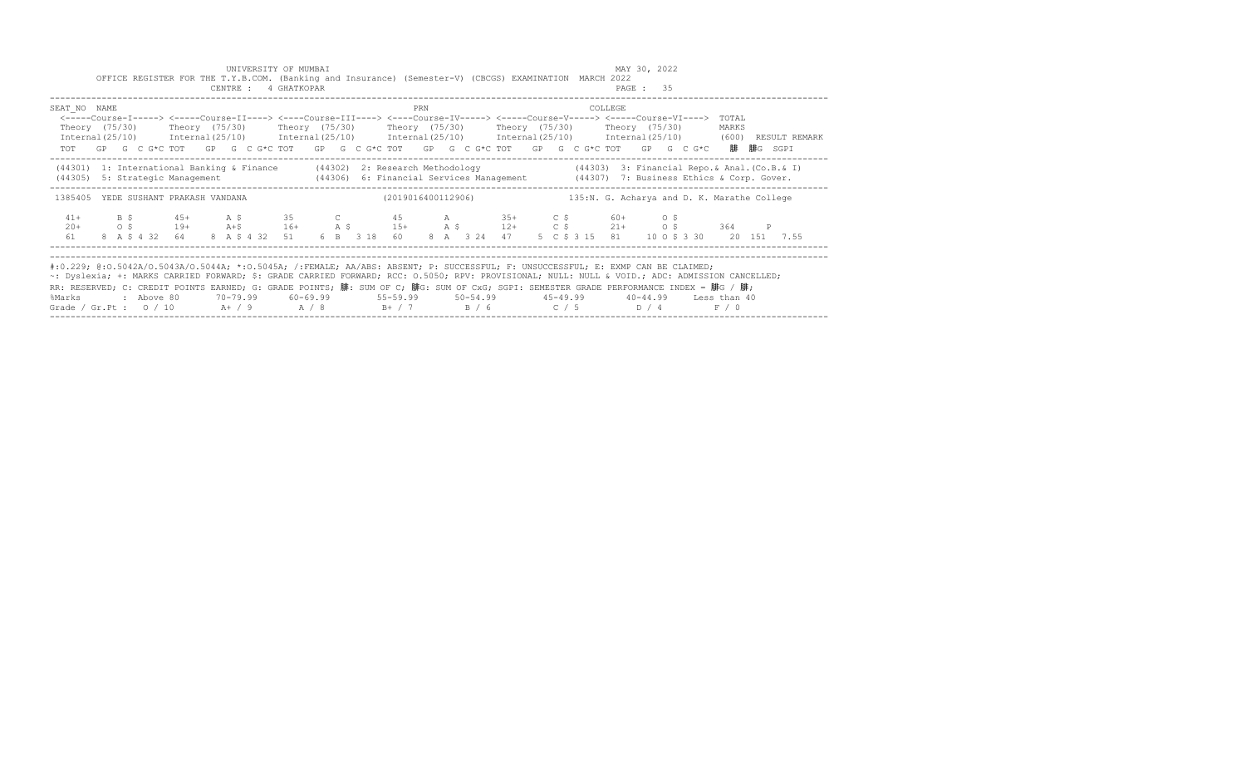|                                                                                                                                                                                                                                                                                                                                                                                                                                                                                                                       |                                                  |            | OFFICE REGISTER FOR THE T.Y.B.COM. (Banking and Insurance) (Semester-V) (CBCGS) EXAMINATION MARCH 2022                                                                                                                             |  | UNIVERSITY OF MUMBAI<br>CENTRE : 4 GHATKOPAR |  |                                                                                    |     |  |  |  |                                             | MAY 30, 2022<br>PAGE: 35 |  |                |               |
|-----------------------------------------------------------------------------------------------------------------------------------------------------------------------------------------------------------------------------------------------------------------------------------------------------------------------------------------------------------------------------------------------------------------------------------------------------------------------------------------------------------------------|--------------------------------------------------|------------|------------------------------------------------------------------------------------------------------------------------------------------------------------------------------------------------------------------------------------|--|----------------------------------------------|--|------------------------------------------------------------------------------------|-----|--|--|--|---------------------------------------------|--------------------------|--|----------------|---------------|
| SEAT NO NAME<br>Theory (75/30)    Theory (75/30)    Theory (75/30)    Theory (75/30)    Theory (75/30)    Theory (75/30)<br>Internal (25/10) Internal (25/10) Internal (25/10) Internal (25/10) Internal (25/10) Internal (25/10) (600)                                                                                                                                                                                                                                                                               |                                                  |            | <-----Course-I-----> <----Course-II----> <----Course-III----> <----Course-IV-----> <----Course-V-----> <-----Course-VI----><br>TOT GP G C G*C TOT GP G C G*C TOT GP G C G*C TOT GP G C G*C TOT GP G C G*C TOT GP G C G*C 腓 腓G SGPI |  |                                              |  |                                                                                    | PRN |  |  |  | COLLEGE                                     |                          |  | TOTAL<br>MARKS | RESULT REMARK |
| (44301) 1: International Banking & Finance (44302) 2: Research Methodology (44303) 3: Financial Repo. & Anal. (Co.B. & I)<br>(44305) 5: Strategic Management (44306) 6: Financial Services Management (44307) 7: Business Ethics & Corp. Gover.                                                                                                                                                                                                                                                                       |                                                  |            |                                                                                                                                                                                                                                    |  |                                              |  |                                                                                    |     |  |  |  |                                             |                          |  |                |               |
| 1385405 YEDE SUSHANT PRAKASH VANDANA                                                                                                                                                                                                                                                                                                                                                                                                                                                                                  |                                                  |            |                                                                                                                                                                                                                                    |  |                                              |  | (2019016400112906)                                                                 |     |  |  |  | 135:N. G. Acharya and D. K. Marathe College |                          |  |                |               |
| $41+$<br>$20+$<br>61                                                                                                                                                                                                                                                                                                                                                                                                                                                                                                  | $\overline{B}$ $\overline{S}$<br>$\circ$ $\circ$ |            | $45+$ A \$ 35 C 45 A 35+ C \$ 60+ O \$<br>19+ A+\$ 16+ A \$ 15+ A \$ 12+ C \$ 21+ 0 \$ 364 P<br>8 A \$ 4 32 64                                                                                                                     |  |                                              |  | 8 A \$ 4 32 51 6 B 3 18 60 8 A 3 24 47                                             |     |  |  |  | 5 C \$ 3 15 81 10 O \$ 3 30 20 151 7.55     |                          |  |                |               |
| #:0.229; @:0.5042A/0.5043A/0.5044A; *:0.5045A; /:FEMALE; AA/ABS: ABSENT; P: SUCCESSFUL; F: UNSUCCESSFUL; E: EXMP CAN BE CLAIMED;<br>~: Dyslexia; +: MARKS CARRIED FORWARD; \$: GRADE CARRIED FORWARD; RCC: 0.5050; RPV: PROVISIONAL; NULL: NULL & VOID.; ADC: ADMISSION CANCELLED;<br>RR: RESERVED; C: CREDIT POINTS EARNED; G: GRADE POINTS; 腓: SUM OF C; 腓G: SUM OF CxG; SGPI: SEMESTER GRADE PERFORMANCE INDEX = 腓G / 腓;<br>%Marks<br>Grade / Gr.Pt : 0 / 10   A+ / 9   A  / 8   B+ / 7   B  / 6   C  / 5   D  / 4 |                                                  | . Above 80 |                                                                                                                                                                                                                                    |  |                                              |  | 70-79.99   60-69.99    55-59.99    50-54.99    45-49.99    40-44.99   Less than 40 |     |  |  |  |                                             |                          |  | F / 0          |               |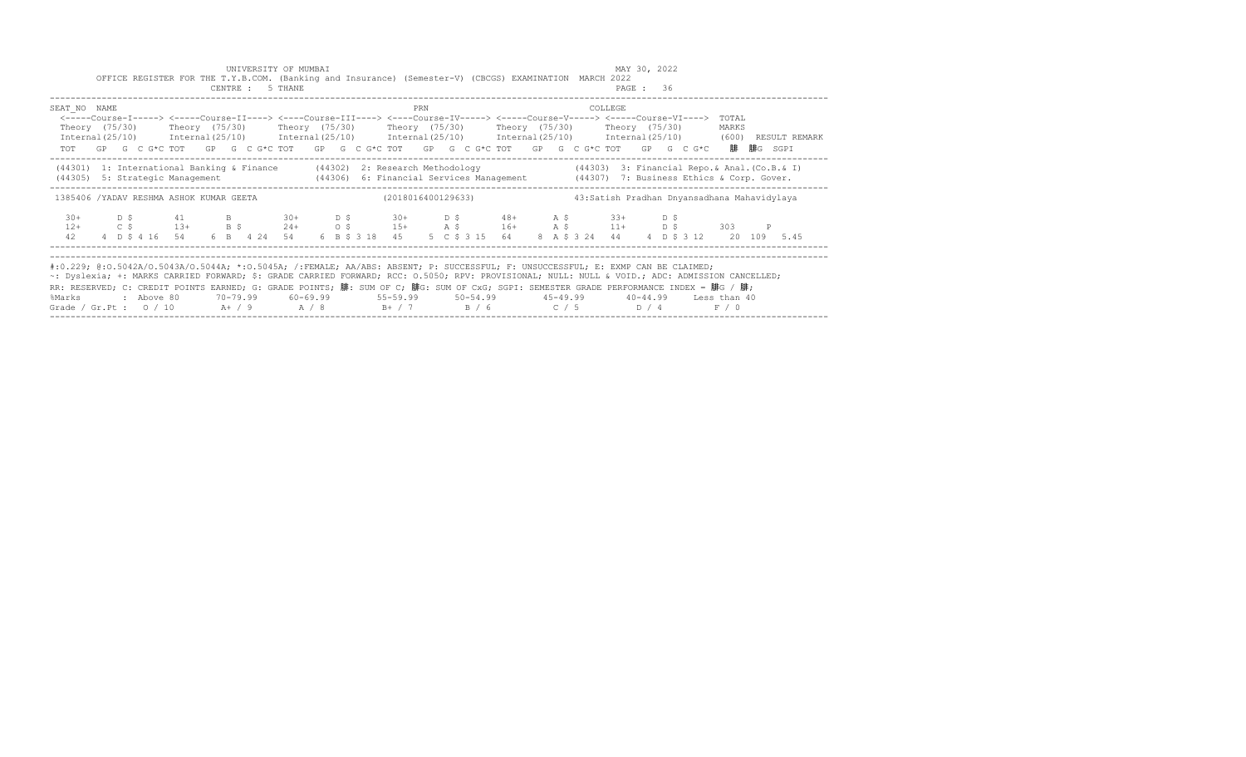|                                                                                                                                                                                                                                                                                                                                                                                                                                                                                                                        |     |          | OFFICE REGISTER FOR THE T.Y.B.COM. (Banking and Insurance) (Semester-V) (CBCGS) EXAMINATION MARCH 2022                                                                                                                                                                                                                                                                                                                                                           |  | UNIVERSITY OF MUMBAI<br>CENTRE : 5 THANE |  |  |     |                                                                      |  |                                              |         | MAY 30, 2022<br>PAGE: 36 |  |                |              |  |
|------------------------------------------------------------------------------------------------------------------------------------------------------------------------------------------------------------------------------------------------------------------------------------------------------------------------------------------------------------------------------------------------------------------------------------------------------------------------------------------------------------------------|-----|----------|------------------------------------------------------------------------------------------------------------------------------------------------------------------------------------------------------------------------------------------------------------------------------------------------------------------------------------------------------------------------------------------------------------------------------------------------------------------|--|------------------------------------------|--|--|-----|----------------------------------------------------------------------|--|----------------------------------------------|---------|--------------------------|--|----------------|--------------|--|
| SEAT NO NAME                                                                                                                                                                                                                                                                                                                                                                                                                                                                                                           |     |          | <-----Course-I-----> <----Course-II----> <----Course-III----> <----Course-IV-----> <-----Course-V-----> <-----Course-VI----><br>Theory (75/30)   Theory (75/30)   Theory (75/30)   Theory (75/30)   Theory (75/30)   Theory (75/30)<br>Internal(25/10) Internal(25/10) Internal(25/10) Internal(25/10) Internal(25/10) Internal(25/10) (600) RESULT REMARK<br>TOT GP G C G*C TOT GP G C G*C TOT GP G C G*C TOT GP G C G*C TOT GP G C G*C TOT GP G C G*C 腓腓G SGPI |  |                                          |  |  | PRN |                                                                      |  |                                              | COLLEGE |                          |  | TOTAL<br>MARKS |              |  |
| (44301) 1: International Banking & Finance (44302) 2: Research Methodology (44303) 3: Financial Repo. & Anal. (Co.B. & I)<br>(44305) 5: Strategic Management (44306) 6: Financial Services Management (44307) 7: Business Ethics & Corp. Gover.                                                                                                                                                                                                                                                                        |     |          |                                                                                                                                                                                                                                                                                                                                                                                                                                                                  |  |                                          |  |  |     |                                                                      |  |                                              |         |                          |  |                |              |  |
| 1385406 /YADAV RESHMA ASHOK KUMAR GEETA                                                                                                                                                                                                                                                                                                                                                                                                                                                                                |     |          |                                                                                                                                                                                                                                                                                                                                                                                                                                                                  |  |                                          |  |  |     | (2018016400129633)                                                   |  | 43: Satish Pradhan Dnyansadhana Mahavidylaya |         |                          |  |                |              |  |
| $30+$<br>$12+$<br>42                                                                                                                                                                                                                                                                                                                                                                                                                                                                                                   | D S |          | 41 B 30+ D \$ 30+ D \$ 48+ A \$ 33+ D \$<br>$C$ $\zeta$ $13+$ $B$ $\zeta$ $24+$ $O$ $\zeta$ $15+$ $A$ $\zeta$ $16+$ $A$ $\zeta$ $11+$ $D$ $\zeta$<br>4 D \$ 4 16 54 6 B 4 24 54                                                                                                                                                                                                                                                                                  |  |                                          |  |  |     | 6 B \$ 3 18 45 5 C \$ 3 15 64 8 A \$ 3 24 44 4 D \$ 3 12 20 109 5.45 |  |                                              |         |                          |  | 303            | $\mathbb{P}$ |  |
| #:0.229; @:0.5042A/0.5043A/0.5044A; *:0.5045A; /:FEMALE; AA/ABS: ABSENT; P: SUCCESSFUL; F: UNSUCCESSFUL; E: EXMP CAN BE CLAIMED;<br>~: Dyslexia; +: MARKS CARRIED FORWARD; \$: GRADE CARRIED FORWARD; RCC: 0.5050; RPV: PROVISIONAL; NULL: NULL & VOID.; ADC: ADMISSION CANCELLED;<br>RR: RESERVED; C: CREDIT POINTS EARNED; G: GRADE POINTS; 腓: SUM OF C; 腓G: SUM OF CxG; SGPI: SEMESTER GRADE PERFORMANCE INDEX = 腓G / 腓;<br>%Marks<br>Grade / Gr.Pt : $0/10$ A $+$ / 9 A $/8$ B $+$ / 7 B $/6$ C $/5$ D $/4$ F $/0$ |     | above 80 |                                                                                                                                                                                                                                                                                                                                                                                                                                                                  |  |                                          |  |  |     |                                                                      |  |                                              |         |                          |  |                |              |  |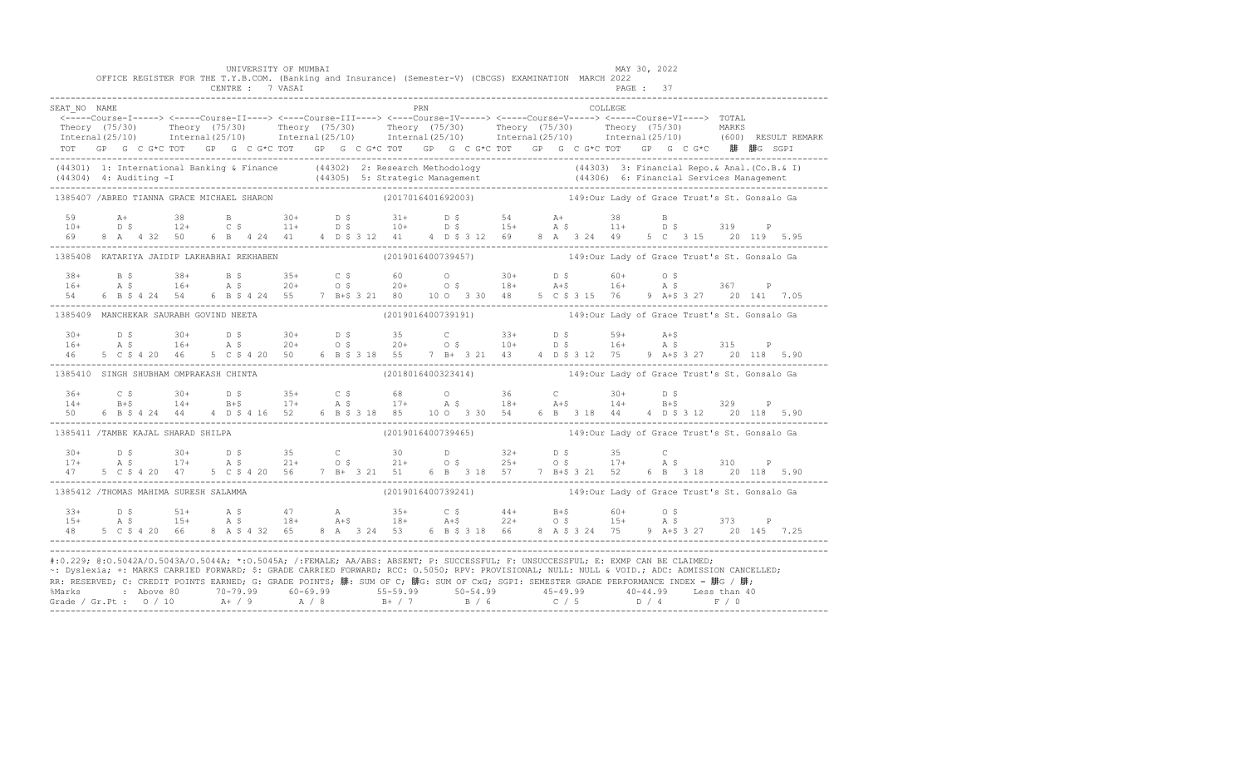|                                                                                                                                                                                                                                                                                                                                                                                                                                                                                                                     |  |       |  |                |  |  | UNIVERSITY OF MUMBAI<br>CENTRE : 7 VASAI |  |  |  | OFFICE REGISTER FOR THE T.Y.B.COM. (Banking and Insurance) (Semester-V) (CBCGS) EXAMINATION MARCH 2022 |     |  |  |  |  |  |         | PAGE: 37 | MAY 30, 2022 |                                                                                                          |  |  |  |
|---------------------------------------------------------------------------------------------------------------------------------------------------------------------------------------------------------------------------------------------------------------------------------------------------------------------------------------------------------------------------------------------------------------------------------------------------------------------------------------------------------------------|--|-------|--|----------------|--|--|------------------------------------------|--|--|--|--------------------------------------------------------------------------------------------------------|-----|--|--|--|--|--|---------|----------|--------------|----------------------------------------------------------------------------------------------------------|--|--|--|
| SEAT NO NAME<br>Theory (75/30) Theory (75/30) Theory (75/30) Theory (75/30) Theory (75/30) Theory (75/30) MARKS<br>Internal(25/10) Internal(25/10) Internal(25/10) Internal(25/10) Internal(25/10) Internal(25/10) (600) RESULTREMARK<br>TOT GP G C G*C TOT GP G C G*C TOT GP G C G*C TOT GP G C G*C TOT GP G C G*C TOT GP G C G*C 腓 腓G SGPI                                                                                                                                                                        |  |       |  |                |  |  |                                          |  |  |  |                                                                                                        | PRN |  |  |  |  |  | COLLEGE |          |              |                                                                                                          |  |  |  |
| (44301) 1: International Banking & Finance (44302) 2: Research Methodology (44303) 3: Financial Repo. & Anal.<br>(6.B. & I) (44304) 4: Auditing -I (44305) 5: Strategic Management (44306) 6: Financial Services Management (44<br>-                                                                                                                                                                                                                                                                                |  |       |  |                |  |  |                                          |  |  |  |                                                                                                        |     |  |  |  |  |  |         |          |              |                                                                                                          |  |  |  |
| 1385407 / ABREO TIANNA GRACE MICHAEL SHARON                                                                                                                                                                                                                                                                                                                                                                                                                                                                         |  |       |  |                |  |  |                                          |  |  |  |                                                                                                        |     |  |  |  |  |  |         |          |              |                                                                                                          |  |  |  |
| 59<br>$10+$                                                                                                                                                                                                                                                                                                                                                                                                                                                                                                         |  | $A +$ |  |                |  |  |                                          |  |  |  |                                                                                                        |     |  |  |  |  |  |         |          |              | A+ 38 B 30+ D \$ 31+ D \$ 54 A+ 38 B<br>D \$ 12+ C \$ 11+ D \$ 10+ D \$ 15+ A \$ 11+ D \$ 319 P          |  |  |  |
| 1385408 KATARIYA JAIDIP LAKHABHAI REKHABEN                                                                                                                                                                                                                                                                                                                                                                                                                                                                          |  |       |  |                |  |  |                                          |  |  |  |                                                                                                        |     |  |  |  |  |  |         |          |              | (2019016400739457) 149:0ur Lady of Grace Trust's St. Gonsalo Ga                                          |  |  |  |
| $38 +$<br>$16+$                                                                                                                                                                                                                                                                                                                                                                                                                                                                                                     |  |       |  |                |  |  |                                          |  |  |  |                                                                                                        |     |  |  |  |  |  |         |          |              | B \$ 38+ B \$ 35+ C \$ 60 0 30+ D \$ 60+ O \$<br>A \$ 16+ A \$ 20+ O \$ 20+ O \$ 18+ A+\$ 16+ A \$ 367 P |  |  |  |
| 1385409 MANCHEKAR SAURABH GOVIND NEETA                                                                                                                                                                                                                                                                                                                                                                                                                                                                              |  |       |  |                |  |  |                                          |  |  |  |                                                                                                        |     |  |  |  |  |  |         |          |              | (2019016400739191) 149:0ur Lady of Grace Trust's St. Gonsalo Ga                                          |  |  |  |
| $30+$<br>$16+$                                                                                                                                                                                                                                                                                                                                                                                                                                                                                                      |  |       |  |                |  |  |                                          |  |  |  |                                                                                                        |     |  |  |  |  |  |         |          |              | D \$ 30+ D \$ 30+ D \$ 35 C 33+ D \$ 59+ A+\$<br>A \$ 16+ A \$ 20+ O \$ 20+ O \$ 10+ D \$ 16+ A \$ 315 P |  |  |  |
| 1385410 SINGH SHUBHAM OMPRAKASH CHINTA                                                                                                                                                                                                                                                                                                                                                                                                                                                                              |  |       |  |                |  |  |                                          |  |  |  |                                                                                                        |     |  |  |  |  |  |         |          |              | (2018016400323414) 149:0ur Lady of Grace Trust's St. Gonsalo Ga                                          |  |  |  |
| $36+$<br>$14+$<br>50 - 10                                                                                                                                                                                                                                                                                                                                                                                                                                                                                           |  |       |  |                |  |  |                                          |  |  |  |                                                                                                        |     |  |  |  |  |  |         |          |              |                                                                                                          |  |  |  |
| 1385411 /TAMBE KAJAL SHARAD SHILPA                                                                                                                                                                                                                                                                                                                                                                                                                                                                                  |  |       |  |                |  |  |                                          |  |  |  |                                                                                                        |     |  |  |  |  |  |         |          |              |                                                                                                          |  |  |  |
| $30+$<br>$17+$                                                                                                                                                                                                                                                                                                                                                                                                                                                                                                      |  |       |  |                |  |  |                                          |  |  |  |                                                                                                        |     |  |  |  |  |  |         |          |              |                                                                                                          |  |  |  |
| 1385412 /THOMAS MAHIMA SURESH SALAMMA                                                                                                                                                                                                                                                                                                                                                                                                                                                                               |  |       |  |                |  |  |                                          |  |  |  |                                                                                                        |     |  |  |  |  |  |         |          |              | (2019016400739241) 149:0ur Lady of Grace Trust's St. Gonsalo Ga                                          |  |  |  |
| $33+$<br>$15+$                                                                                                                                                                                                                                                                                                                                                                                                                                                                                                      |  |       |  | 5 C \$ 4 20 66 |  |  |                                          |  |  |  |                                                                                                        |     |  |  |  |  |  |         |          |              | 8 A \$ 4 32 65 8 A 3 24 53 6 B \$ 3 18 66 8 A \$ 3 24 75 9 A + \$ 3 27 20 145 7.25                       |  |  |  |
| #:0.229; @:0.5042A/0.5043A/0.5044A; *:0.5045A; /:FEMALE; AA/ABS: ABSENT; P: SUCCESSFUL; F: UNSUCCESSFUL; E: EXMP CAN BE CLAIMED;<br>~: Dyslexia; +: MARKS CARRIED FORWARD; \$: GRADE CARRIED FORWARD; RCC: 0.5050; RPV: PROVISIONAL; NULL: NULL & VOID.; ADC: ADMISSION CANCELLED;<br>RR: RESERVED; C: CREDIT POINTS EARNED; G: GRADE POINTS; 腓: SUM OF C; 腓G: SUM OF CxG; SGPI: SEMESTER GRADE PERFORMANCE INDEX = 腓G / 腓;<br>%Marks : Above 80 70-79.99 60-69.99 55-59.99 50-54.99 45-49.99 40-44.99 Less than 40 |  |       |  |                |  |  |                                          |  |  |  |                                                                                                        |     |  |  |  |  |  |         |          |              |                                                                                                          |  |  |  |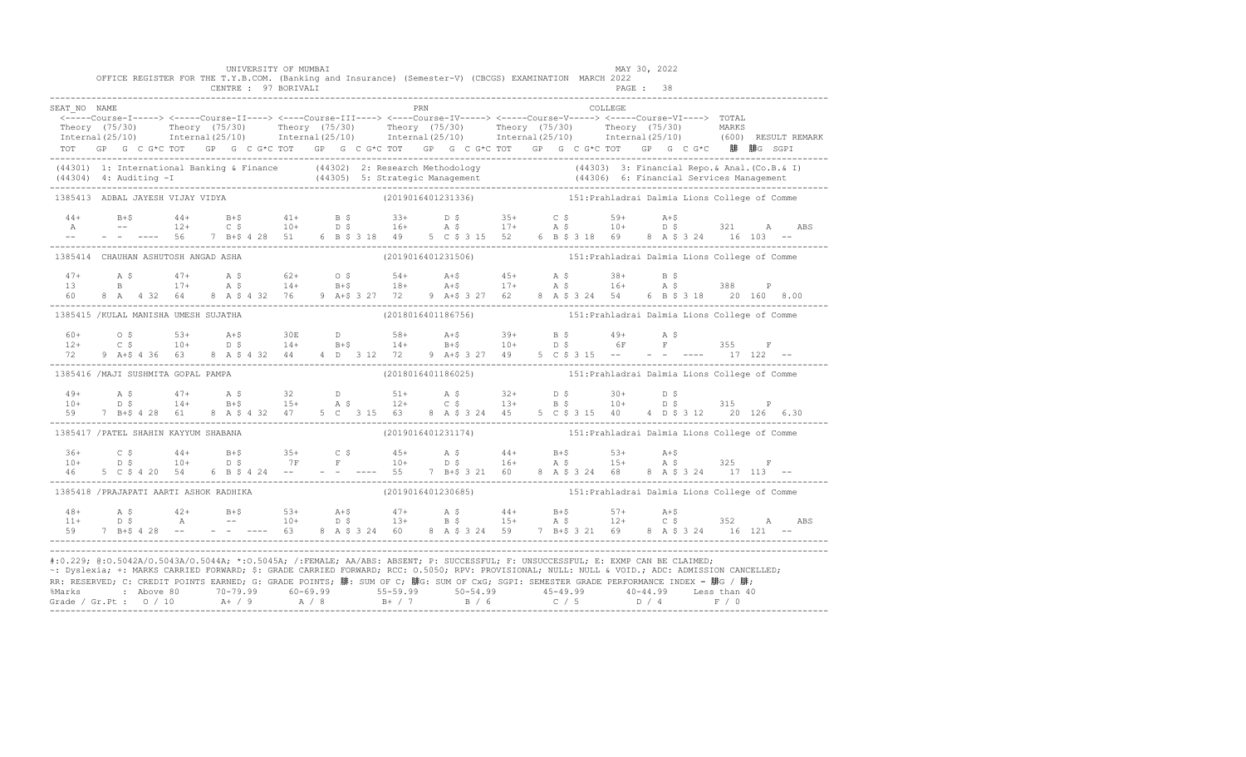|                                         |  |  |  | UNIVERSITY OF MUMBAI<br>CENTRE : 97 BORIVALI |  |  |     | OFFICE REGISTER FOR THE T.Y.B.COM. (Banking and Insurance) (Semester-V) (CBCGS) EXAMINATION MARCH 2022                                                                                                                                                                                                                                                                                                                                                                                                                                                                                             |  |  | MAY 30, 2022<br><b>PAGE : 38</b> |  |  |                                                                                                                                                                                                                                   |
|-----------------------------------------|--|--|--|----------------------------------------------|--|--|-----|----------------------------------------------------------------------------------------------------------------------------------------------------------------------------------------------------------------------------------------------------------------------------------------------------------------------------------------------------------------------------------------------------------------------------------------------------------------------------------------------------------------------------------------------------------------------------------------------------|--|--|----------------------------------|--|--|-----------------------------------------------------------------------------------------------------------------------------------------------------------------------------------------------------------------------------------|
| SEAT NO NAME                            |  |  |  |                                              |  |  | PRN | .a.<br><-----Соurse-I-----> <-----Course-II----> <----Course-III----> <----Course-IV-----> <----Course-V-----> TOTAL<br>Theory (75/30) Theory (75/30) Theory (75/30) Theory (75/30) Theory (75/30) Theory (75/30) Theory (75/30) Theory (75/30) Theory (75/30) Theory (75/30) Theory (75/30) Theory (75/30) Theory (75/30) Theory (75/30) Theory (75/3<br>TOT GP G C G*C TOT GP G C G*C TOT GP G C G*C TOT GP G C G*C TOT GP G C G*C TOT GP G C G*C 腓 腓G SGPI                                                                                                                                      |  |  | COLLEGE.                         |  |  |                                                                                                                                                                                                                                   |
|                                         |  |  |  |                                              |  |  |     |                                                                                                                                                                                                                                                                                                                                                                                                                                                                                                                                                                                                    |  |  |                                  |  |  | (44301) 1: International Banking & Finance (44302) 2: Research Methodology (44303) 3: Financial Repo.& Anal. (Co.B.& I)<br>(44304) 4: Auditing -I (44305) 5: Strategic Management (44306) 6: Financial Services Management (44304 |
| 1385413 ADBAL JAYESH VIJAY VIDYA        |  |  |  |                                              |  |  |     | (2019016401231336) 151: Prahladrai Dalmia Lions College of Comme                                                                                                                                                                                                                                                                                                                                                                                                                                                                                                                                   |  |  |                                  |  |  |                                                                                                                                                                                                                                   |
|                                         |  |  |  |                                              |  |  |     |                                                                                                                                                                                                                                                                                                                                                                                                                                                                                                                                                                                                    |  |  |                                  |  |  | ABS                                                                                                                                                                                                                               |
| 1385414 CHAUHAN ASHUTOSH ANGAD ASHA     |  |  |  |                                              |  |  |     |                                                                                                                                                                                                                                                                                                                                                                                                                                                                                                                                                                                                    |  |  |                                  |  |  |                                                                                                                                                                                                                                   |
|                                         |  |  |  |                                              |  |  |     | $\begin{array}{cccccccccccccccc} 47+ & & {\rm A}\ \hat{S} & & 47+ & & {\rm A}\ \hat{S} & & 47+ & & {\rm A}\ \hat{S} & & 17+ & & {\rm A}\ \hat{S} & & 17+ & & {\rm A}\ \hat{S} & & 17+ & & {\rm A}\ \hat{S} & & 17+ & & {\rm A}\ \hat{S} & & 17+ & & {\rm A}\ \hat{S} & & 18+ & & 18+ & & 18+ & & 17+ & {\rm A}\ \hat{S} & & 16+ & & {\rm A}\ \hat{S} & & 16+ & & 16+ & & {\rm A}\ \hat{S} & &$                                                                                                                                                                                                     |  |  |                                  |  |  |                                                                                                                                                                                                                                   |
| 1385415 / KULAL MANISHA UMESH SUJATHA   |  |  |  |                                              |  |  |     |                                                                                                                                                                                                                                                                                                                                                                                                                                                                                                                                                                                                    |  |  |                                  |  |  |                                                                                                                                                                                                                                   |
|                                         |  |  |  |                                              |  |  |     | $12+$ 0 \$ $53+$ $24+$ $530E$ D $58+$ $24+$ $539+$ $55$ $49+$ $55$ $49+$ $55$ $55$ $55$ $55$ $56$ $57+$ $5355$ $57+$ $58+$ $59+$ $59+$ $59+$ $59+$ $59+$ $59+$ $59+$ $59+$ $55+$ $55+$ $55+$ $55+$ $55+$ $55+$ $55+$ $55+$ $55$                                                                                                                                                                                                                                                                                                                                                                    |  |  |                                  |  |  |                                                                                                                                                                                                                                   |
| 1385416 /MAJI SUSHMITA GOPAL PAMPA      |  |  |  |                                              |  |  |     | (2018016401186025) 151: Prahladrai Dalmia Lions College of Comme                                                                                                                                                                                                                                                                                                                                                                                                                                                                                                                                   |  |  |                                  |  |  |                                                                                                                                                                                                                                   |
|                                         |  |  |  |                                              |  |  |     | $\begin{array}{cccccccccccccccc} 49+ & & {\bf A}\ \S\qquad & 47+ & & {\bf A}\ \S\qquad & 14+ & & {\bf B}+\S\qquad & 15+ & & {\bf A}\ \S\qquad & 15+ & & {\bf A}\ \S\qquad & 12+ & & {\bf C}\ \S\qquad & 13+ & & {\bf B}\ \S\qquad & 10+ & & {\bf D}\ \S\qquad & 2 & & 15+ & {\bf A}\ \S\qquad & 14+ & & {\bf B}+\S\qquad & 15+ & & {\bf A}\ \S\qquad & 12+ & & {\bf C}\ \S\qquad & 13+ & & {\bf B}\ \S\qquad$                                                                                                                                                                                      |  |  |                                  |  |  |                                                                                                                                                                                                                                   |
| 1385417 / PATEL SHAHIN KAYYUM SHABANA   |  |  |  |                                              |  |  |     | (2019016401231174) 151: Prahladrai Dalmia Lions College of Comme                                                                                                                                                                                                                                                                                                                                                                                                                                                                                                                                   |  |  |                                  |  |  |                                                                                                                                                                                                                                   |
|                                         |  |  |  |                                              |  |  |     | $10+$ $0.5$ $0.44+$ $0.5$ $0.44+$ $0.5$ $0.44+$ $0.5$ $0.44+$ $0.5$ $0.44+$ $0.5$ $0.54$ $0.54$ $0.54$ $0.54$ $0.54$ $0.54$ $0.54$ $0.54$ $0.54$ $0.54$ $0.54$ $0.54$ $0.54$ $0.54$ $0.54$ $0.54$ $0.54$ $0.54$ $0.54$ $0.54$                                                                                                                                                                                                                                                                                                                                                                      |  |  |                                  |  |  |                                                                                                                                                                                                                                   |
| 1385418 / PRAJAPATI AARTI ASHOK RADHIKA |  |  |  |                                              |  |  |     | (2019016401230685) 151: Prahladrai Dalmia Lions College of Comme                                                                                                                                                                                                                                                                                                                                                                                                                                                                                                                                   |  |  |                                  |  |  |                                                                                                                                                                                                                                   |
|                                         |  |  |  |                                              |  |  |     | $\begin{array}{cccccccccccccccc} 48+ & & {\rm A}\ \,S\, & & & 42+ & & {\rm B}+ \$ & & & 53+ & & {\rm A}+ \$ & & & 47+ & & {\rm A}\ \,S\, & & & & 44+ & & {\rm B}+ \$ & & & 57+ & & {\rm A}+ \$ & & \\ 11+ & & {\rm D}\ \,S\, & & & {\rm A} & & & & - & & 10+ & & {\rm D}\ \,S\, & & & & 13+ & & {\rm B}\ \,S\, & & & 15+ & & {\rm A}\ \,S\, & & & 12+ & & {\rm C}\ \,S\, & & & 352 & & {\$                                                                                                                                                                                                         |  |  |                                  |  |  |                                                                                                                                                                                                                                   |
|                                         |  |  |  |                                              |  |  |     | #:0.229; @:0.5042A/0.5043A/0.5044A; *:0.5045A; /:FEMALE; AA/ABS: ABSENT; P: SUCCESSFUL; F: UNSUCCESSFUL; E: EXMP CAN BE CLAIMED;<br>~: Dyslexia; +: MARKS CARRIED FORWARD; \$: GRADE CARRIED FORWARD; RCC: 0.5050; RPV: PROVISIONAL; NULL: NULL & VOID.; ADC: ADMISSION CANCELLED;<br>RR: RESERVED; C: CREDIT POINTS EARNED; G: GRADE POINTS; 腓: SUM OF C; 腓G: SUM OF CxG; SGPI: SEMESTER GRADE PERFORMANCE INDEX = 腓G / 腓;<br>%Marks : Above 80 70-79.99 60-69.99 55-59.99 50-54.99 50-54.99 40-44.99 40-44.99 Less than 40<br>Grade / Gr.Pt : 0 / 10 A+ / 9 A / 8 B+ / 7 B / 6 C / 5 D / 4 F / 0 |  |  |                                  |  |  |                                                                                                                                                                                                                                   |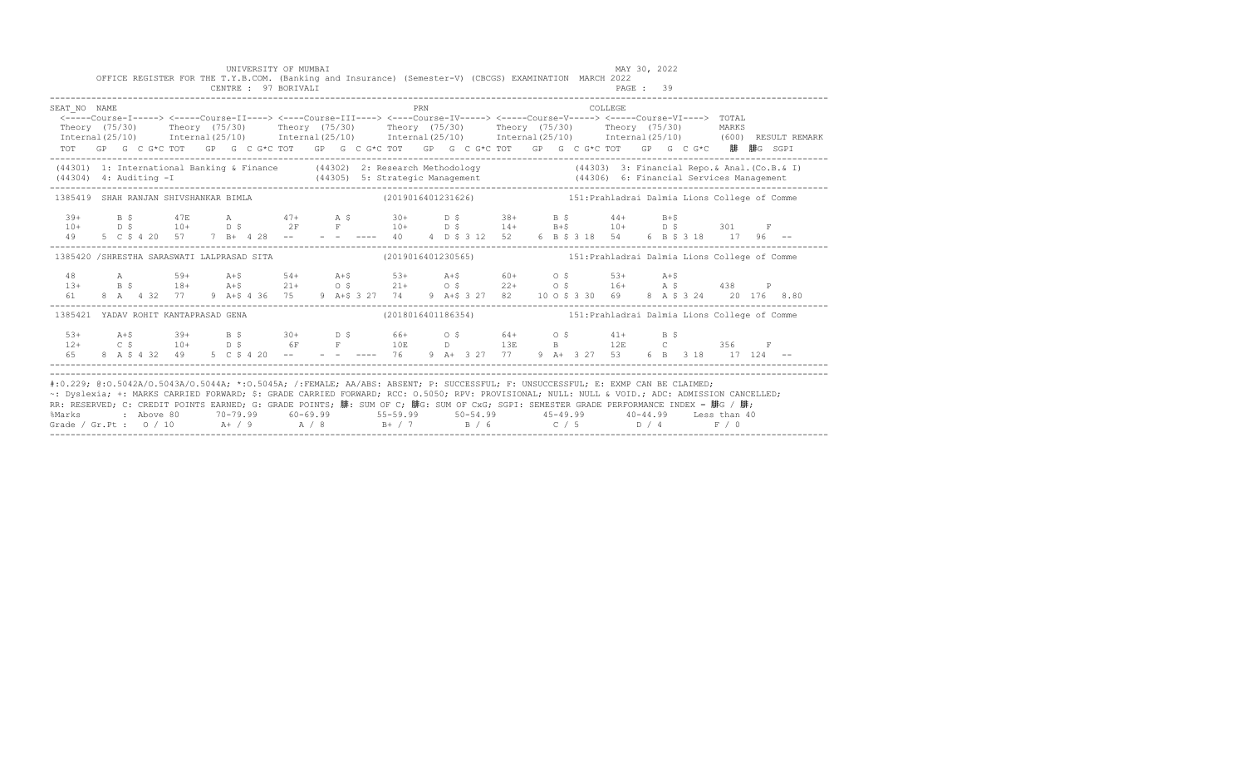|                                                                                                                                                                                                                                                                                                                                                                                                                                                                                                             |  |  |  |  | OFFICE REGISTER FOR THE T.Y.B.COM. (Banking and Insurance) (Semester-V) (CBCGS) EXAMINATION MARCH 2022<br>CENTRE : 97 BORIVALI |  |  |            |  |  |  |         | PAGE: 39 |  |                                                                                                                                                                                                                                                                                                                                                              |  |                                                                                                                                                                                                                                   |
|-------------------------------------------------------------------------------------------------------------------------------------------------------------------------------------------------------------------------------------------------------------------------------------------------------------------------------------------------------------------------------------------------------------------------------------------------------------------------------------------------------------|--|--|--|--|--------------------------------------------------------------------------------------------------------------------------------|--|--|------------|--|--|--|---------|----------|--|--------------------------------------------------------------------------------------------------------------------------------------------------------------------------------------------------------------------------------------------------------------------------------------------------------------------------------------------------------------|--|-----------------------------------------------------------------------------------------------------------------------------------------------------------------------------------------------------------------------------------|
| SEAT NO NAME<br><----Course-I-----> <----Course-II----> <---Course-III----> <---Course-IV-----> <----Course-V-----> <----Course-VI----> TOTAL<br>Theory (75/30) Theory (75/30) Theory (75/30) Theory (75/30) Theory (75/30) Theory (75/30) MARKS<br>TOT GP G C G*C TOT GP G C G*C TOT GP G C G*C TOT GP G C G*C TOT GP G C G*C TOT GP G C G*C 腓 腓G SGPI                                                                                                                                                     |  |  |  |  |                                                                                                                                |  |  | <b>PRN</b> |  |  |  | COLLEGE |          |  |                                                                                                                                                                                                                                                                                                                                                              |  | Internal (25/10) Internal (25/10) Internal (25/10) Internal (25/10) Internal (25/10) Internal (25/10) (600) RESULT REMARK                                                                                                         |
|                                                                                                                                                                                                                                                                                                                                                                                                                                                                                                             |  |  |  |  |                                                                                                                                |  |  |            |  |  |  |         |          |  |                                                                                                                                                                                                                                                                                                                                                              |  | (44301) 1: International Banking & Finance (44302) 2: Research Methodology (44303) 3: Financial Repo. & Anal. (Co.B. & I)<br>(44304) 4: Auditing -I (44305) 5: Strategic Management (44306) 6: Financial Services Management (443 |
| 1385419 SHAH RANJAN SHIVSHANKAR BIMLA (2019016401231626) 151: Prahladrai Dalmia Lions College of Comme                                                                                                                                                                                                                                                                                                                                                                                                      |  |  |  |  |                                                                                                                                |  |  |            |  |  |  |         |          |  |                                                                                                                                                                                                                                                                                                                                                              |  |                                                                                                                                                                                                                                   |
|                                                                                                                                                                                                                                                                                                                                                                                                                                                                                                             |  |  |  |  |                                                                                                                                |  |  |            |  |  |  |         |          |  |                                                                                                                                                                                                                                                                                                                                                              |  |                                                                                                                                                                                                                                   |
| 1385420 /SHRESTHA SARASWATI LALPRASAD SITA (2019016401230565) 151: Prahladrai Dalmia Lions College of Comme                                                                                                                                                                                                                                                                                                                                                                                                 |  |  |  |  |                                                                                                                                |  |  |            |  |  |  |         |          |  |                                                                                                                                                                                                                                                                                                                                                              |  |                                                                                                                                                                                                                                   |
|                                                                                                                                                                                                                                                                                                                                                                                                                                                                                                             |  |  |  |  |                                                                                                                                |  |  |            |  |  |  |         |          |  | $\begin{array}{cccccccccccccccc} 48 & & & {\rm A} & & & 59+ & & {\rm A}+5 & & 54+ & {\rm A}+5 & & 53+ & {\rm A}+5 & & 60+ & & 0 & 5 & & 53+ & {\rm A}+5 \\ 13+ & & {\rm B} & \, 5 & & 18+ & {\rm A}+5 & & 21+ & 0 & 5 & & 21+ & 0 & 5 & & 22+ & 0 & 5 & & 16+ & {\rm A} & 5 & & 438 & P \\ 61 & & 8 & {\rm A} & 4 & 32 & 77 & 9 & {\rm A}+5 & 4 & 36 & 75 &$ |  |                                                                                                                                                                                                                                   |
| 1385421 YADAV ROHIT KANTAPRASAD GENA (2018016401186354) 151: Prahladrai Dalmia Lions College of Comme                                                                                                                                                                                                                                                                                                                                                                                                       |  |  |  |  |                                                                                                                                |  |  |            |  |  |  |         |          |  |                                                                                                                                                                                                                                                                                                                                                              |  |                                                                                                                                                                                                                                   |
|                                                                                                                                                                                                                                                                                                                                                                                                                                                                                                             |  |  |  |  |                                                                                                                                |  |  |            |  |  |  |         |          |  |                                                                                                                                                                                                                                                                                                                                                              |  |                                                                                                                                                                                                                                   |
| #:0.229; @:0.5042A/0.5043A/0.5044A; *:0.5045A; /:FEMALE; AA/ABS: ABSENT; P: SUCCESSFUL; F: UNSUCCESSFUL; E: EXMP CAN BE CLAIMED;<br>~: Dyslexia; +: MARKS CARRIED FORWARD; \$: GRADE CARRIED FORWARD; RCC: 0.5050; RPV: PROVISIONAL; NULL: NULL & VOID.; ADC: ADMISSION CANCELLED;<br>RR: RESERVED; C: CREDIT POINTS EARNED; G: GRADE POINTS; 腓: SUM OF C; 腓G: SUM OF CxG; SGPI: SEMESTER GRADE PERFORMANCE INDEX = 腓G / 腓;<br>%Marks<br>Grade / Gr.Pt : $0/10$ A / 9 A / 8 B + / 7 B / 6 C / 5 D / 4 F / 0 |  |  |  |  |                                                                                                                                |  |  |            |  |  |  |         |          |  | 2 Above 80          70-79.99          60-69.99            55-59.99          50-54.99             45-49.99           40-44.99       Less than 40                                                                                                                                                                                                              |  |                                                                                                                                                                                                                                   |

UNIVERSITY OF MUMBAI MAY 30, 2022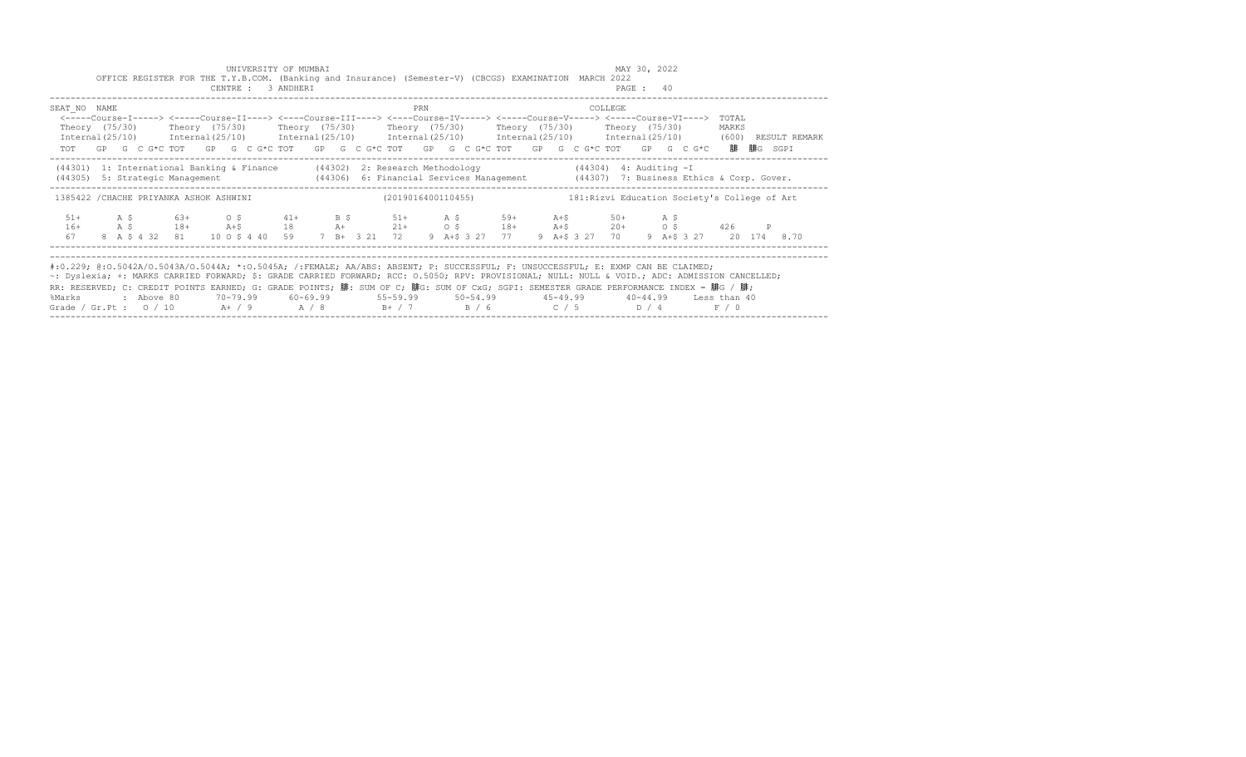|              |  |            |                                         |  | UNIVERSITY OF MUMBAI<br>CENTRE : 3 ANDHERI |  |  |     | OFFICE REGISTER FOR THE T.Y.B.COM. (Banking and Insurance) (Semester-V) (CBCGS) EXAMINATION MARCH 2022                                                                                                                                                                                                                                                                                                                                                                                                       |  |  | MAY 30, 2022 | PAGE: 40 |                         |                |  |               |
|--------------|--|------------|-----------------------------------------|--|--------------------------------------------|--|--|-----|--------------------------------------------------------------------------------------------------------------------------------------------------------------------------------------------------------------------------------------------------------------------------------------------------------------------------------------------------------------------------------------------------------------------------------------------------------------------------------------------------------------|--|--|--------------|----------|-------------------------|----------------|--|---------------|
| SEAT NO NAME |  |            |                                         |  |                                            |  |  | PRN | <-----Course-I-----> <----Course-II----> <----Course-III----> <----Course-IV-----> <-----Course-V-----> <-----Course-VI----><br>Theory (75/30)  Theory (75/30)  Theory (75/30)  Theory (75/30)  Theory (75/30)  Theory (75/30)<br>$Internal (25/10)$ $Internal (25/10)$ $Internal (25/10)$ $Internal (25/10)$ $Internal (25/10)$ $Internal (25/10)$ $Internal (25/10)$ $Internal (25/10)$ $(600)$<br>TOT GP G C G*C TOT GP G C G*C TOT GP G C G*C TOT GP G C G*C TOT GP G C G*C TOT GP G C G*C 腓腓G SGPI      |  |  | COLLEGE      |          |                         | TOTAL<br>MARKS |  | RESULT REMARK |
|              |  |            |                                         |  |                                            |  |  |     | (44301) 1: International Banking & Finance (44302) 2: Research Methodology (44304) 4: Auditing - I<br>(44305) 5: Strategic Management (44306) 6: Financial Services Management (44307) 7: Business Ethics & Corp. Gover.                                                                                                                                                                                                                                                                                     |  |  |              |          |                         |                |  |               |
|              |  |            | 1385422 / CHACHE PRIYANKA ASHOK ASHWINI |  |                                            |  |  |     | (2019016400110455) 181: Rizvi Education Society's College of Art                                                                                                                                                                                                                                                                                                                                                                                                                                             |  |  |              |          |                         |                |  |               |
| $16+$<br>67  |  |            |                                         |  |                                            |  |  |     | $51+$ $A \tS$ $63+$ $0 \tS$ $41+$ $B \tS$ $51+$ $A \tS$ $59+$ $A+5$ $50+$ $A \tS$<br>A \$ 18+ A+\$ 18 A+ 21+ 0 \$ 18+ A+\$ 20+ 0 \$ 426 P<br>8 A \$ 4 32 81 10 0 \$ 4 40 59 7 B + 3 21 72 9 A + \$ 3 27 77 9 A + \$ 3 27 70                                                                                                                                                                                                                                                                                  |  |  |              |          | 9 A+\$ 3 27 20 174 8.70 |                |  |               |
| %Marks       |  | : Above 80 |                                         |  |                                            |  |  |     | #:0.229; @:0.5042A/0.5043A/0.5044A; *:0.5045A; /:FEMALE; AA/ABS: ABSENT; P: SUCCESSFUL; F: UNSUCCESSFUL; E: EXMP CAN BE CLAIMED;<br>~: Dyslexia; +: MARKS CARRIED FORWARD; \$: GRADE CARRIED FORWARD; RCC: 0.5050; RPV: PROVISIONAL; NULL: NULL & VOID.; ADC: ADMISSION CANCELLED;<br>RR: RESERVED; C: CREDIT POINTS EARNED; G: GRADE POINTS; 腓: SUM OF C; 腓G: SUM OF CxG; SGPI: SEMESTER GRADE PERFORMANCE INDEX = 腓G / 腓;<br>Grade / Gr.Pt : $0/10$ A $+$ / 9 A $/8$ B $+$ / 7 B $/6$ C $/5$ D $/4$ F $/0$ |  |  |              |          |                         |                |  |               |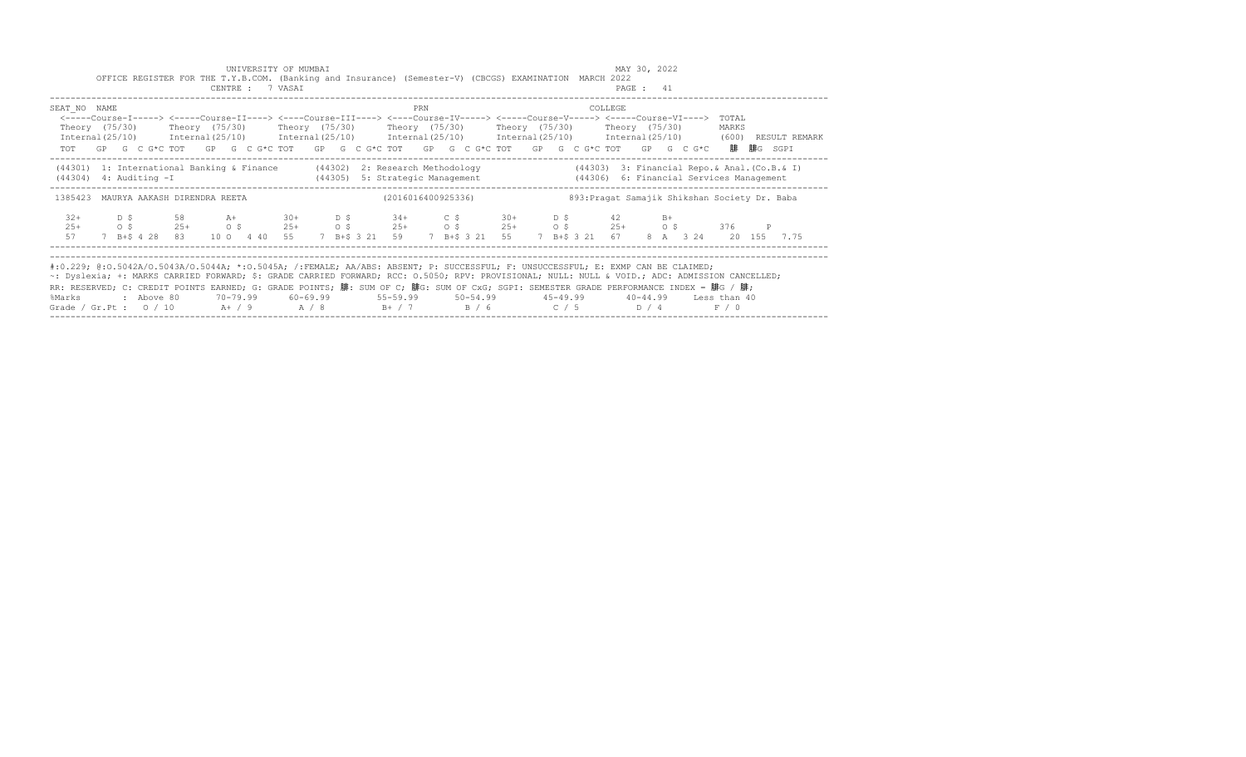|                                                                                                                                                                                                                                                                                                                                                                                                                                                                                                             |  |            | OFFICE REGISTER FOR THE T.Y.B.COM. (Banking and Insurance) (Semester-V) (CBCGS) EXAMINATION MARCH 2022                                                                                                                                                                                                                               |  | UNIVERSITY OF MUMBAI<br>CENTRE : 7 VASAI |  |                                                                          |     |                    |  |  |         | MAY 30, 2022<br>PAGE : 41 |                                               |                |                                                                                                                     |
|-------------------------------------------------------------------------------------------------------------------------------------------------------------------------------------------------------------------------------------------------------------------------------------------------------------------------------------------------------------------------------------------------------------------------------------------------------------------------------------------------------------|--|------------|--------------------------------------------------------------------------------------------------------------------------------------------------------------------------------------------------------------------------------------------------------------------------------------------------------------------------------------|--|------------------------------------------|--|--------------------------------------------------------------------------|-----|--------------------|--|--|---------|---------------------------|-----------------------------------------------|----------------|---------------------------------------------------------------------------------------------------------------------|
| SEAT NO NAME                                                                                                                                                                                                                                                                                                                                                                                                                                                                                                |  |            | <-----Course-I-----> <----Course-II----> <----Course-III----> <----Course-IV-----> <-----Course-V-----> <-----Course-VI----><br>Theory (75/30)  Theory (75/30)  Theory (75/30)  Theory (75/30)  Theory (75/30)  Theory (75/30)<br>TOT GP G C G*C TOT GP G C G*C TOT GP G C G*C TOT GP G C G*C TOT GP G C G*C TOT GP G C G*C 腓腓G SGPI |  |                                          |  |                                                                          | PRN |                    |  |  | COLLEGE |                           |                                               | TOTAL<br>MARKS | Internal(25/10) Internal(25/10) Internal(25/10) Internal(25/10) Internal(25/10) Internal(25/10) (600) RESULT REMARK |
| (44301) 1: International Banking & Finance (44302) 2: Research Methodology<br>$(44304)$ 4: Auditing $-I$                                                                                                                                                                                                                                                                                                                                                                                                    |  |            |                                                                                                                                                                                                                                                                                                                                      |  |                                          |  | (44305) 5: Strategic Management (44306) 6: Financial Services Management |     |                    |  |  |         |                           | (44303) 3: Financial Repo.& Anal. (Co.B.& I)  |                |                                                                                                                     |
| 1385423 MAURYA AAKASH DIRENDRA REETA                                                                                                                                                                                                                                                                                                                                                                                                                                                                        |  |            |                                                                                                                                                                                                                                                                                                                                      |  |                                          |  |                                                                          |     | (2016016400925336) |  |  |         |                           | 893: Pragat Samajik Shikshan Society Dr. Baba |                |                                                                                                                     |
| $32+$<br>$25+$<br>57                                                                                                                                                                                                                                                                                                                                                                                                                                                                                        |  |            | D \$ 58 A+ 30+ D \$ 34+ C \$ 30+ D \$ 42 B+<br>0 \$ 25+ 0 \$ 25+ 0 \$ 25+ 0 \$ 25+ 0 \$ 25+ 0 \$ 376 P<br>7 B+\$ 4 28 83 10 0 4 40 55 7 B+\$ 3 21 59 7 B+\$ 3 21 55 7 B+\$ 3 21 67 8 A 3 24 20 155 7.75                                                                                                                              |  |                                          |  |                                                                          |     |                    |  |  |         |                           |                                               |                |                                                                                                                     |
| #:0.229; @:0.5042A/0.5043A/0.5044A; *:0.5045A; /:FEMALE; AA/ABS: ABSENT; P: SUCCESSFUL; F: UNSUCCESSFUL; E: EXMP CAN BE CLAIMED;<br>~: Dyslexia; +: MARKS CARRIED FORWARD; \$: GRADE CARRIED FORWARD; RCC: 0.5050; RPV: PROVISIONAL; NULL: NULL & VOID.; ADC: ADMISSION CANCELLED;<br>RR: RESERVED; C: CREDIT POINTS EARNED; G: GRADE POINTS; 腓: SUM OF C; 腓G: SUM OF CxG; SGPI: SEMESTER GRADE PERFORMANCE INDEX = 腓G / 腓;<br>%Marks<br>Grade / Gr.Pt : $0/10$ A / 9 A / 8 B + / 7 B / 6 C / 5 D / 4 F / 0 |  | : Above 80 |                                                                                                                                                                                                                                                                                                                                      |  |                                          |  |                                                                          |     |                    |  |  |         |                           |                                               |                |                                                                                                                     |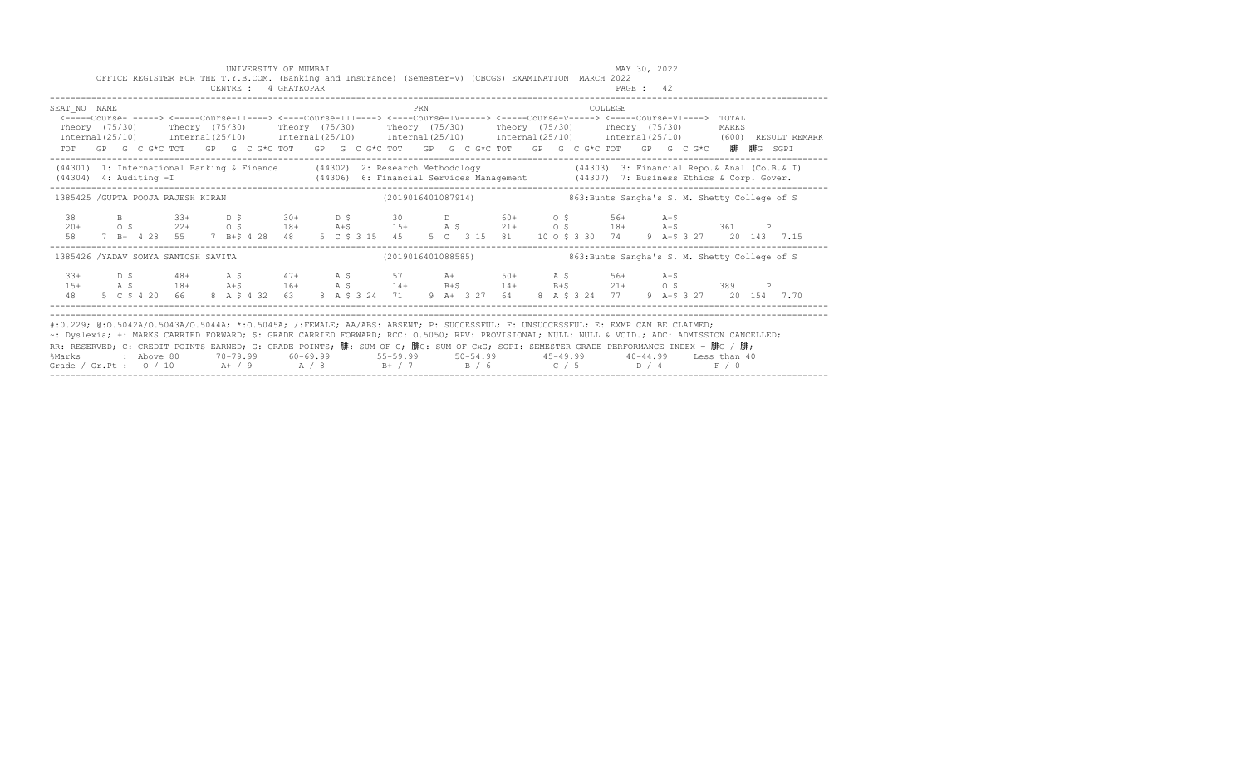|                                                                                                                                                                                                                                                                                                                                                                                                                                                                                                             |  |  |  |  | UNIVERSITY OF MUMBAI<br>CENTRE : 4 GHATKOPAR |  |  |     |  | OFFICE REGISTER FOR THE T.Y.B.COM. (Banking and Insurance) (Semester-V) (CBCGS) EXAMINATION MARCH 2022                                                                                                                                                                                                                                             |  |                | MAY 30, 2022<br>PAGE : 42 |  |  |  |  |
|-------------------------------------------------------------------------------------------------------------------------------------------------------------------------------------------------------------------------------------------------------------------------------------------------------------------------------------------------------------------------------------------------------------------------------------------------------------------------------------------------------------|--|--|--|--|----------------------------------------------|--|--|-----|--|----------------------------------------------------------------------------------------------------------------------------------------------------------------------------------------------------------------------------------------------------------------------------------------------------------------------------------------------------|--|----------------|---------------------------|--|--|--|--|
| SEAT NO NAME<br>Theory (75/30) Theory (75/30) Theory (75/30) Theory (75/30) Theory (75/30) Theory (75/30) MARKS<br>Internal(25/10) Internal(25/10) Internal(25/10) Internal(25/10) Internal(25/10) Internal(25/10) (600) RESULTREMARK                                                                                                                                                                                                                                                                       |  |  |  |  |                                              |  |  | PRN |  | <-----Course-I-----> <----Course-II----> <----Course-III----> <----Course-IV----> <----Course-V-----> <----Course-VI----> TOTAL<br>TOT GP G C G*C TOT GP G C G*C TOT GP G C G*C TOT GP G C G*C TOT GP G C G*C TOT GP G C G*C 腓腓G SGPI                                                                                                              |  | <b>COLLEGE</b> |                           |  |  |  |  |
| (44301) 1: International Banking & Finance (44302) 2: Research Methodology (44303) 3: Financial Repo. & Anal. (Co.B. & I)<br>(44304) 4: Auditing -I (44306) 6: Financial Services Management (44307) 7: Business Ethics & Corp. Gover.                                                                                                                                                                                                                                                                      |  |  |  |  |                                              |  |  |     |  |                                                                                                                                                                                                                                                                                                                                                    |  |                |                           |  |  |  |  |
| 1385425 /GUPTA POOJA RAJESH KIRAN                                                                                                                                                                                                                                                                                                                                                                                                                                                                           |  |  |  |  |                                              |  |  |     |  | (2019016401087914) 863: Bunts Sangha's S. M. Shetty College of S                                                                                                                                                                                                                                                                                   |  |                |                           |  |  |  |  |
| 38<br>$20+$<br>58                                                                                                                                                                                                                                                                                                                                                                                                                                                                                           |  |  |  |  |                                              |  |  |     |  | B 33+ D \$ 30+ D \$ 30 D 60+ O \$ 56+ A+\$<br>O \$ 22+ O \$ 18+ A+\$ 15+ A \$ 21+ O \$ 18+ A+\$ 361 P<br>7 B+ 4 28 55 7 B+\$ 4 28 48 5 C \$ 3 15 45 5 C 3 15 81 10 O \$ 3 30 74 9 A+\$ 3 27 20 143 7.15                                                                                                                                            |  |                |                           |  |  |  |  |
| 1385426 /YADAV SOMYA SANTOSH SAVITA                                                                                                                                                                                                                                                                                                                                                                                                                                                                         |  |  |  |  |                                              |  |  |     |  | (2019016401088585) 863: Bunts Sangha's S. M. Shetty College of S                                                                                                                                                                                                                                                                                   |  |                |                           |  |  |  |  |
|                                                                                                                                                                                                                                                                                                                                                                                                                                                                                                             |  |  |  |  |                                              |  |  |     |  | $\begin{array}{cccccccccccccccc} 33+ & D & S & 48+ & A & S & 47+ & A & S & 57 & A+ & 50+ & A & S & 56+ & A+5 & 389 & P \\ 15+ & A & S & 18+ & A+5 & 16+ & A & S & 14+ & B+5 & 14+ & B+5 & 21+ & O & S & 389 & P \\ 48 & 5 & C & S & 4 & 20 & 66 & 8 & A & S & 4 & 32 & 63 & 8 & A & S & 324 & 71 & 9 & A+ & 3 & 27 & 64 & 8 & A & S & 3 & 24 & 77$ |  |                |                           |  |  |  |  |
| #:0.229; @:0.5042A/0.5043A/0.5044A; *:0.5045A; /:FEMALE; AA/ABS: ABSENT; P: SUCCESSFUL; F: UNSUCCESSFUL; E: EXMP CAN BE CLAIMED;<br>~: Dyslexia; +: MARKS CARRIED FORWARD; \$: GRADE CARRIED FORWARD; RCC: 0.5050; RPV: PROVISIONAL; NULL: NULL & VOID.; ADC: ADMISSION CANCELLED;<br>RR: RESERVED; C: CREDIT POINTS EARNED; G: GRADE POINTS; 腓: SUM OF C; 腓G: SUM OF CxG; SGPI: SEMESTER GRADE PERFORMANCE INDEX = 腓G / 腓;<br>%Marks<br>Grade / Gr.Pt : $0/10$ A / 9 A / 8 B + / 7 B / 6 C / 5 D / 4 F / 0 |  |  |  |  |                                              |  |  |     |  | 2 Above 80    70-79.99    60-69.99     55-59.99     50-54.99      45-49.99     40-44.99   Less than:                                                                                                                                                                                                                                               |  |                |                           |  |  |  |  |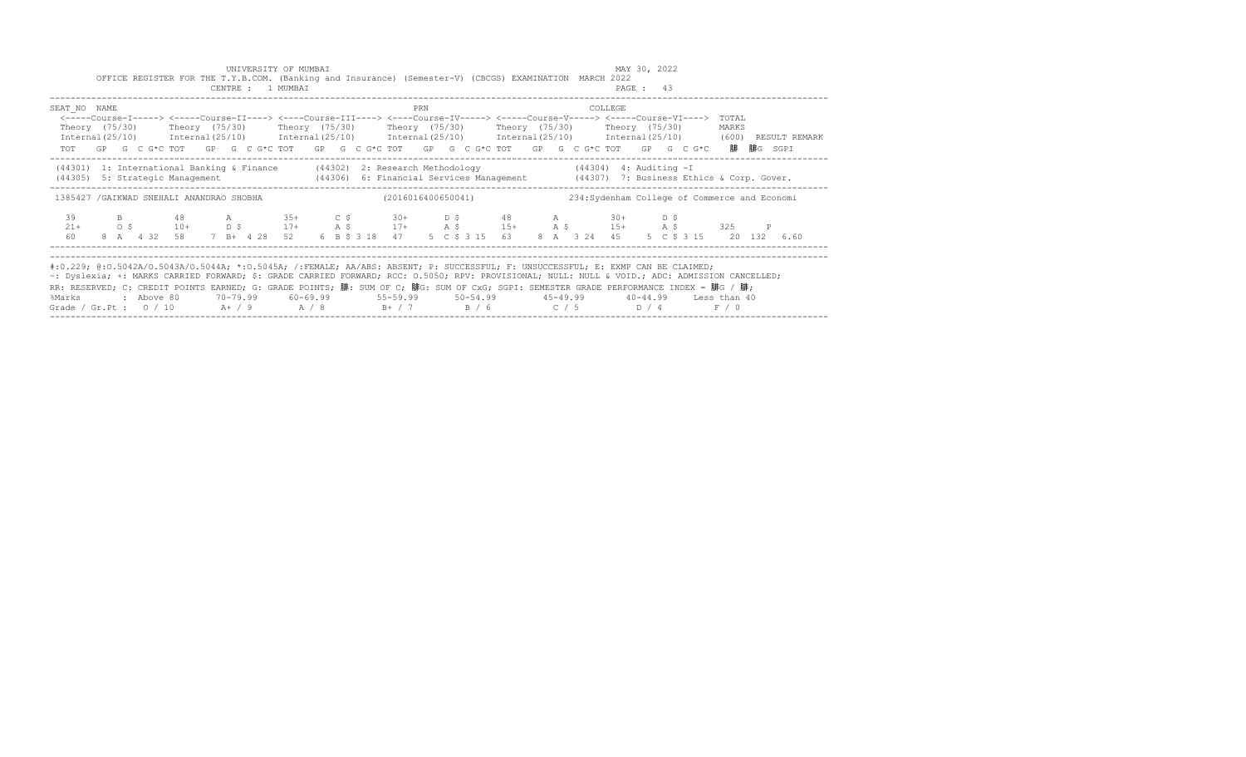|                                                                                                                                                                                                                                                                                                                                                                                                                                                                                                                        |  |          |  |  | UNIVERSITY OF MUMBAI<br>CENTRE : 1 MUMBAI |  |  |     | OFFICE REGISTER FOR THE T.Y.B.COM. (Banking and Insurance) (Semester-V) (CBCGS) EXAMINATION MARCH 2022                                                                                                                                                                                                                                                                                                                                                      |  |                                               |         | MAY 30, 2022<br>PAGE: 43 |  |                |              |  |
|------------------------------------------------------------------------------------------------------------------------------------------------------------------------------------------------------------------------------------------------------------------------------------------------------------------------------------------------------------------------------------------------------------------------------------------------------------------------------------------------------------------------|--|----------|--|--|-------------------------------------------|--|--|-----|-------------------------------------------------------------------------------------------------------------------------------------------------------------------------------------------------------------------------------------------------------------------------------------------------------------------------------------------------------------------------------------------------------------------------------------------------------------|--|-----------------------------------------------|---------|--------------------------|--|----------------|--------------|--|
| SEAT NO NAME                                                                                                                                                                                                                                                                                                                                                                                                                                                                                                           |  |          |  |  |                                           |  |  | PRN | <-----Course-I-----> <----Course-II----> <----Course-III----> <----Course-IV-----> <-----Course-V-----> <-----Course-VI----><br>Theory (75/30)  Theory (75/30)  Theory (75/30)  Theory (75/30)  Theory (75/30)  Theory (75/30)<br>Internal(25/10) Internal(25/10) Internal(25/10) Internal(25/10) Internal(25/10) Internal(25/10) (600) RESULT REMARK<br>TOT GP G C G*C TOT GP G C G*C TOT GP G C G*C TOT GP G C G*C TOT GP G C G*C TOT GP G C G*C 腓腓G SGPI |  |                                               | COLLEGE |                          |  | TOTAL<br>MARKS |              |  |
| (44301) 1: International Banking & Finance (44302) 2: Research Methodology (44304) 4: Auditing - I<br>(44305) 5: Strategic Management (44306) 6: Financial Services Management (44307) 7: Business Ethics & Corp. Gover.                                                                                                                                                                                                                                                                                               |  |          |  |  |                                           |  |  |     |                                                                                                                                                                                                                                                                                                                                                                                                                                                             |  |                                               |         |                          |  |                |              |  |
| 1385427 / GAIKWAD SNEHALI ANANDRAO SHOBHA                                                                                                                                                                                                                                                                                                                                                                                                                                                                              |  |          |  |  |                                           |  |  |     | (2016016400650041)                                                                                                                                                                                                                                                                                                                                                                                                                                          |  | 234: Sydenham College of Commerce and Economi |         |                          |  |                |              |  |
| 39<br>$21+$<br>60                                                                                                                                                                                                                                                                                                                                                                                                                                                                                                      |  |          |  |  |                                           |  |  |     | B 48 A 35+ C \$ 30+ D \$ 48 A 30+ D \$<br>0 \$ 10+ D \$ 17+ A \$ 17+ A \$ 15+ A \$ 15+ A \$ 325<br>8 A    4 32 58    7 B    4 28 52    6 B    5 3 18 47    5 C    5 3 15 63    8 A    3 24 45    5 C    5 315    20 132    6.60                                                                                                                                                                                                                             |  |                                               |         |                          |  |                | $\mathbb{P}$ |  |
| #:0.229; @:0.5042A/0.5043A/0.5044A; *:0.5045A; /:FEMALE; AA/ABS: ABSENT; P: SUCCESSFUL; F: UNSUCCESSFUL; E: EXMP CAN BE CLAIMED;<br>~: Dyslexia; +: MARKS CARRIED FORWARD; \$: GRADE CARRIED FORWARD; RCC: 0.5050; RPV: PROVISIONAL; NULL: NULL & VOID.; ADC: ADMISSION CANCELLED;<br>RR: RESERVED; C: CREDIT POINTS EARNED; G: GRADE POINTS; 腓: SUM OF C; 腓G: SUM OF CxG; SGPI: SEMESTER GRADE PERFORMANCE INDEX = 腓G / 腓;<br>%Marks<br>Grade / Gr.Pt : $0/10$ A $+$ / 9 A $/8$ B $+$ / 7 B $/6$ C $/5$ D $/4$ F $/0$ |  | above 80 |  |  |                                           |  |  |     |                                                                                                                                                                                                                                                                                                                                                                                                                                                             |  |                                               |         |                          |  |                |              |  |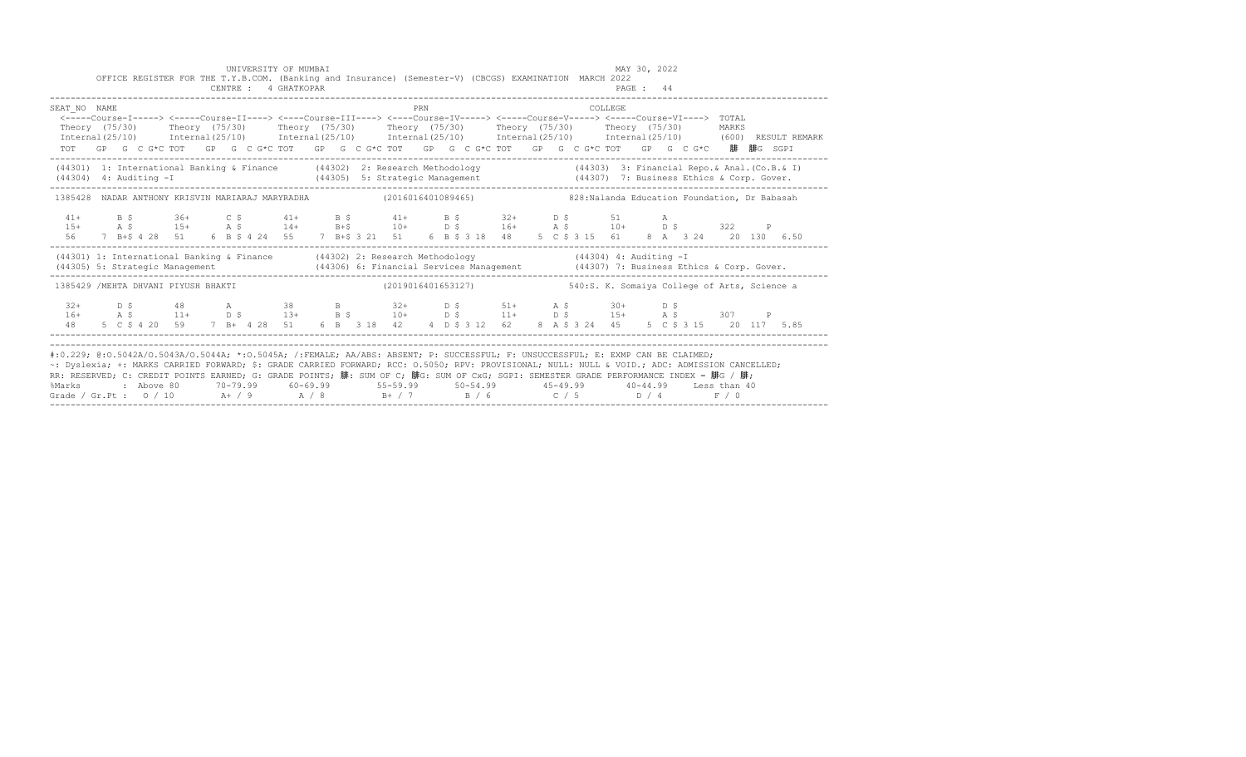|                                                                                                                                                                                                                                                                                                                                                                                                                                                                                                                                                                                         |  |  |  | UNIVERSITY OF MUMBAI<br>CENTRE : 4 GHATKOPAR |  |  |  |     |  | OFFICE REGISTER FOR THE T.Y.B.COM. (Banking and Insurance) (Semester-V) (CBCGS) EXAMINATION MARCH 2022                                                                                                                                                                                                                                                                         |  |                                              |         | MAY 30, 2022<br>PAGE: 44 |  |  |  |  |
|-----------------------------------------------------------------------------------------------------------------------------------------------------------------------------------------------------------------------------------------------------------------------------------------------------------------------------------------------------------------------------------------------------------------------------------------------------------------------------------------------------------------------------------------------------------------------------------------|--|--|--|----------------------------------------------|--|--|--|-----|--|--------------------------------------------------------------------------------------------------------------------------------------------------------------------------------------------------------------------------------------------------------------------------------------------------------------------------------------------------------------------------------|--|----------------------------------------------|---------|--------------------------|--|--|--|--|
| SEAT NO NAME<br><-----Course-I-----> <-----Course-II----> <----Course-III----> <----Course-IV-----> <-----Course-VI----> TOTAL<br>Theory (75/30) Theory (75/30) Theory (75/30) Theory (75/30) Theory (75/30) Theory (75/30) MARKS<br>$Internal (25/10)$ $Internal (25/10)$ $Internal (25/10)$ $Internal (25/10)$ $Internal (25/10)$ $Internal (25/10)$ $Internal (25/10)$ $Internal (25/10)$ (600) RESULT REMARK<br>TOT GP G C G*C TOT GP G C G*C TOT GP G C G*C TOT GP G C G*C TOT GP G C G*C TOT GP G C G*C 腓 腓G SGPI                                                                 |  |  |  |                                              |  |  |  | PRN |  |                                                                                                                                                                                                                                                                                                                                                                                |  |                                              | COLLEGE |                          |  |  |  |  |
| (44301) 1: International Banking & Finance (44302) 2: Research Methodology (44303) 3: Financial Repo. & Anal. (Co.B. & I)<br>$(44304)$ 4: Auditing $-I$                                                                                                                                                                                                                                                                                                                                                                                                                                 |  |  |  |                                              |  |  |  |     |  |                                                                                                                                                                                                                                                                                                                                                                                |  |                                              |         |                          |  |  |  |  |
| 1385428 NADAR ANTHONY KRISVIN MARIARAJ MARYRADHA (2016016401089465) 628: Nalanda Education Foundation, Dr Babasah                                                                                                                                                                                                                                                                                                                                                                                                                                                                       |  |  |  |                                              |  |  |  |     |  |                                                                                                                                                                                                                                                                                                                                                                                |  |                                              |         |                          |  |  |  |  |
|                                                                                                                                                                                                                                                                                                                                                                                                                                                                                                                                                                                         |  |  |  |                                              |  |  |  |     |  | $\begin{array}{cccccccccccccccc} 41+ & & B & \xi & & 36+ & C & \xi & & 41+ & B & \xi & & 41+ & B & \xi & & 32+ & D & \xi & & 51 & A \\ 15+ & & A & \xi & & 15+ & & A & \xi & & 14+ & B & \xi & & 10+ & D & \xi & & 16+ & A & \xi & & 10+ & D & \xi & & 322 & P \\ 56 & & 7 & B & \xi & 4 & 28 & 51 & 6 & B & \xi & 4 & 24 & 55 & 7 & B & \xi & 321 & 51 & 6 & B & \xi & 3 & 1$ |  |                                              |         |                          |  |  |  |  |
| (44301) 1: International Banking & Finance (44302) 2: Research Methodology (44304) 4: Auditing - I                                                                                                                                                                                                                                                                                                                                                                                                                                                                                      |  |  |  |                                              |  |  |  |     |  |                                                                                                                                                                                                                                                                                                                                                                                |  |                                              |         |                          |  |  |  |  |
| 1385429 /MEHTA DHVANI PIYUSH BHAKTI (2019016401653127)                                                                                                                                                                                                                                                                                                                                                                                                                                                                                                                                  |  |  |  |                                              |  |  |  |     |  |                                                                                                                                                                                                                                                                                                                                                                                |  | 540:S. K. Somaiya College of Arts, Science a |         |                          |  |  |  |  |
| $32+$ D \$                                                                                                                                                                                                                                                                                                                                                                                                                                                                                                                                                                              |  |  |  |                                              |  |  |  |     |  | 48 A 38 B 32 + D \$ 51 + A \$ 30 + D \$                                                                                                                                                                                                                                                                                                                                        |  |                                              |         |                          |  |  |  |  |
| #:0.229; @:0.5042A/0.5043A/0.5044A; *:0.5045A; /:FEMALE; AA/ABS: ABSENT; P: SUCCESSFUL; F: UNSUCCESSFUL; E: EXMP CAN BE CLAIMED;<br>~: Dyslexia; +: MARKS CARRIED FORWARD; \$: GRADE CARRIED FORWARD; RCC: 0.5050; RPV: PROVISIONAL; NULL: NULL: AULL: ADC: ADMISSION CANCELLED;<br>RR: RESERVED; C: CREDIT POINTS EARNED; G: GRADE POINTS; 腓: SUM OF C; 腓G: SUM OF CxG; SGPI: SEMESTER GRADE PERFORMANCE INDEX = 腓G / 腓;<br>%Marks : Above 80 70-79.99 60-69.99 55-59.99 50-54.99 45-49.99 40-44.99 Less than 40<br>Grade / Gr.Pt : 0 / 10 A+ / 9 A / 8 B+ / 7 B / 6 C / 5 D / 4 F / 0 |  |  |  |                                              |  |  |  |     |  |                                                                                                                                                                                                                                                                                                                                                                                |  |                                              |         |                          |  |  |  |  |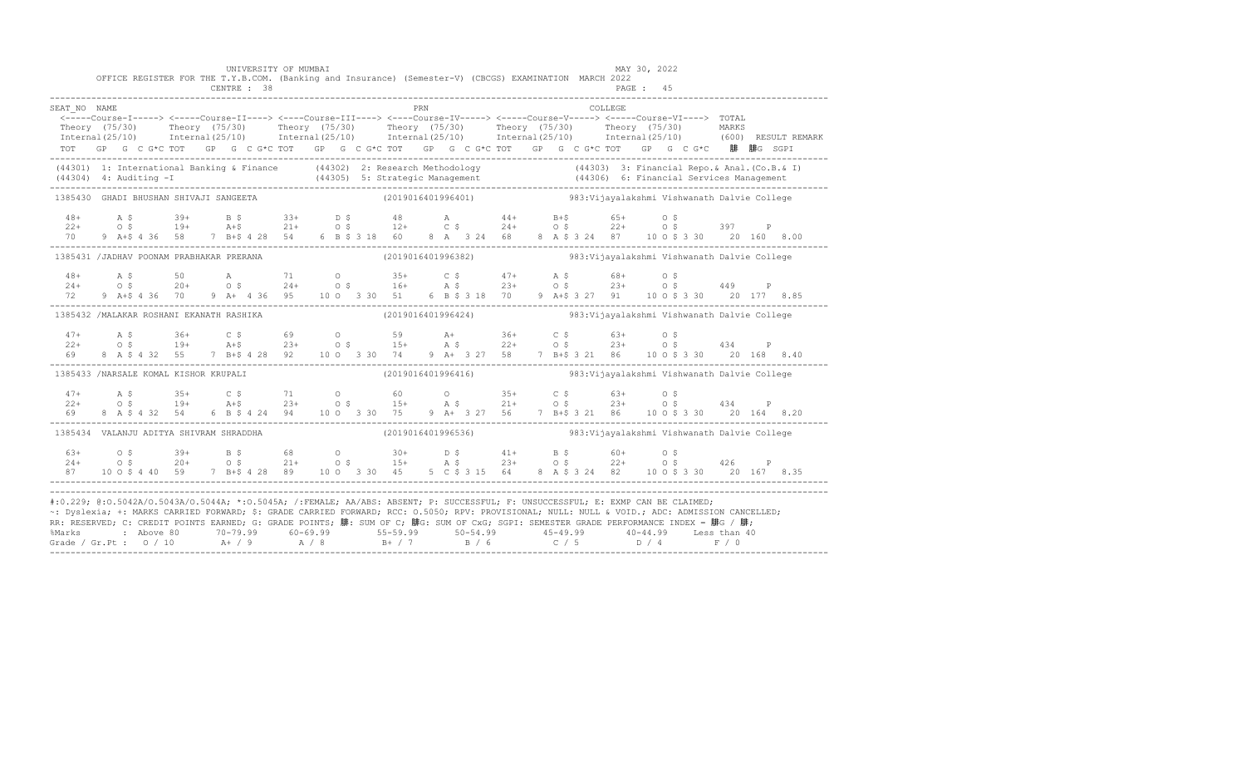|                                        |  |  | UNIVERSITY OF MUMBAI<br>OFFICE REGISTER FOR THE T.Y.B.COM. (Banking and Insurance) (Semester-V) (CBCGS) EXAMINATION MARCH 2022                                                                                                                                                                                                                                                                                              |  |  |                                                                                             |     |  |  |  |                                              | MAY 30, 2022 |  |  |                                                                                                                                                                                                                                   |
|----------------------------------------|--|--|-----------------------------------------------------------------------------------------------------------------------------------------------------------------------------------------------------------------------------------------------------------------------------------------------------------------------------------------------------------------------------------------------------------------------------|--|--|---------------------------------------------------------------------------------------------|-----|--|--|--|----------------------------------------------|--------------|--|--|-----------------------------------------------------------------------------------------------------------------------------------------------------------------------------------------------------------------------------------|
| SEAT NO NAME                           |  |  | <-----Course-I-----> <-----Course-II----> <----Course-III----> <----Course-IV-----> <-----Course-V-----> <-----Course-VI----> TOTAL<br>TOT GP G C G *C TOT GP G C G *C TOT GP G C G *C TOT GP G C G *C TOT GP G C G *C TOT GP G C G *C 腓 腓G SGPI                                                                                                                                                                            |  |  |                                                                                             | PRN |  |  |  | COLLEGE.                                     |              |  |  | Theory (75/30) Theory (75/30) Theory (75/30) Theory (75/30) Theory (75/30) Theory (75/30) MARKS<br>Internal(25/10) Internal(25/10) Internal(25/10) Internal(25/10) Internal(25/10) Internal(25/10) (600) RESULTREMARK             |
|                                        |  |  |                                                                                                                                                                                                                                                                                                                                                                                                                             |  |  |                                                                                             |     |  |  |  |                                              |              |  |  | (44301) 1: International Banking & Finance (44302) 2: Research Methodology (44303) 3: Financial Repo. & Anal. (Co.B. & I)<br>(44304) 4: Auditing -I (44305) 5: Strategic Management (44306) 6: Financial Services Management (443 |
| 1385430 GHADI BHUSHAN SHIVAJI SANGEETA |  |  |                                                                                                                                                                                                                                                                                                                                                                                                                             |  |  | (2019016401996401)                                                                          |     |  |  |  | 983:Vijayalakshmi Vishwanath Dalvie College  |              |  |  |                                                                                                                                                                                                                                   |
| 70                                     |  |  | $18+$ A \$ 39+ B \$ 33+ D \$ 48 A 44+ B +\$ 65+ O \$<br>22+ O \$ 19+ A +\$ 21+ O \$ 12+ C \$ 24+ O \$ 22+ O \$ 397 P<br>9 A+\$ 4 36 58 7 B+\$ 4 28 54 6 B \$ 3 18 60 8 A 3 24 68 8 A \$ 3 24 87 10 0 \$ 3 30 20 160 8.00                                                                                                                                                                                                    |  |  |                                                                                             |     |  |  |  |                                              |              |  |  |                                                                                                                                                                                                                                   |
|                                        |  |  | 1385431 /JADHAV POONAM PRABHAKAR PRERANA                                                                                                                                                                                                                                                                                                                                                                                    |  |  | (2019016401996382) 383: Vijayalakshmi Vishwanath Dalvie College                             |     |  |  |  |                                              |              |  |  |                                                                                                                                                                                                                                   |
|                                        |  |  | $\begin{array}{cccccccccccccccc} 48+ & & {\rm A}\ \, & \, 5 & & 50 & & {\rm A} & & 71 & & {\rm O} & & 35+ & {\rm C}\ \, & \, 24+ & & {\rm O}\ \, & \, & \, 20+ & & {\rm O}\ \, & \, & \, 20+ & & {\rm O}\ \, & \, & \, 20+ & & {\rm O}\ \, & \, & \, 24+ & & {\rm O}\ \, & \, & \, 24+ & & {\rm O}\ \, & \, & \, 25+ & & {\rm O}\ \, & \, & \, & \, 26+ & & {\rm O}\ \, & \, & \, & \, 27+ &$                               |  |  |                                                                                             |     |  |  |  |                                              |              |  |  |                                                                                                                                                                                                                                   |
|                                        |  |  | 1385432 /MALAKAR ROSHANI EKANATH RASHIKA                                                                                                                                                                                                                                                                                                                                                                                    |  |  | (2019016401996424)                                                                          |     |  |  |  | 983: Vijayalakshmi Vishwanath Dalvie College |              |  |  |                                                                                                                                                                                                                                   |
| 69                                     |  |  | 8 A \$ 4 32 55 7 B+\$ 4 28 92 10 0 3 30 74 9 A+ 3 27 58 7 B+\$ 3 21 86 10 0 \$ 3 30 20 168 8.40                                                                                                                                                                                                                                                                                                                             |  |  |                                                                                             |     |  |  |  |                                              |              |  |  |                                                                                                                                                                                                                                   |
|                                        |  |  | 1385433 /NARSALE KOMAL KISHOR KRUPALI                                                                                                                                                                                                                                                                                                                                                                                       |  |  | (2019016401996416)  983: Vijayalakshmi Vishwanath Dalvie College                            |     |  |  |  |                                              |              |  |  |                                                                                                                                                                                                                                   |
|                                        |  |  |                                                                                                                                                                                                                                                                                                                                                                                                                             |  |  |                                                                                             |     |  |  |  |                                              |              |  |  |                                                                                                                                                                                                                                   |
|                                        |  |  | 1385434 VALANJU ADITYA SHIVRAM SHRADDHA                                                                                                                                                                                                                                                                                                                                                                                     |  |  | (2019016401996536)                             983: Vijayalakshmi Vishwanath Dalvie College |     |  |  |  |                                              |              |  |  |                                                                                                                                                                                                                                   |
|                                        |  |  | $24+$ 0 \$ $39+$ B \$ 68 0 $30+$ D \$ 41+ B \$ 60+ 0 \$<br>$24+$ 0 \$ 20+ 0 \$ 21+ 0 \$ 15+ A \$ 23+ 0 \$ 22+ 0 \$ 426 P                                                                                                                                                                                                                                                                                                    |  |  |                                                                                             |     |  |  |  |                                              |              |  |  |                                                                                                                                                                                                                                   |
|                                        |  |  | #:0.229; @:0.5042A/0.5043A/0.5044A; *:0.5045A; /:FEMALE; AA/ABS: ABSENT; P: SUCCESSFUL; F: UNSUCCESSFUL; E: EXMP CAN BE CLAIMED;<br>~: Dyslexia; +: MARKS CARRIED FORWARD; \$: GRADE CARRIED FORWARD; RCC: 0.5050; RPV: PROVISIONAL; NULL: NULL & VOID.; ADC: ADMISSION CANCELLED;<br>RR: RESERVED; C: CREDIT POINTS EARNED; G: GRADE POINTS; 腓: SUM OF C; 腓G: SUM OF CxG; SGPI: SEMESTER GRADE PERFORMANCE INDEX = 腓G / 腓; |  |  |                                                                                             |     |  |  |  |                                              |              |  |  |                                                                                                                                                                                                                                   |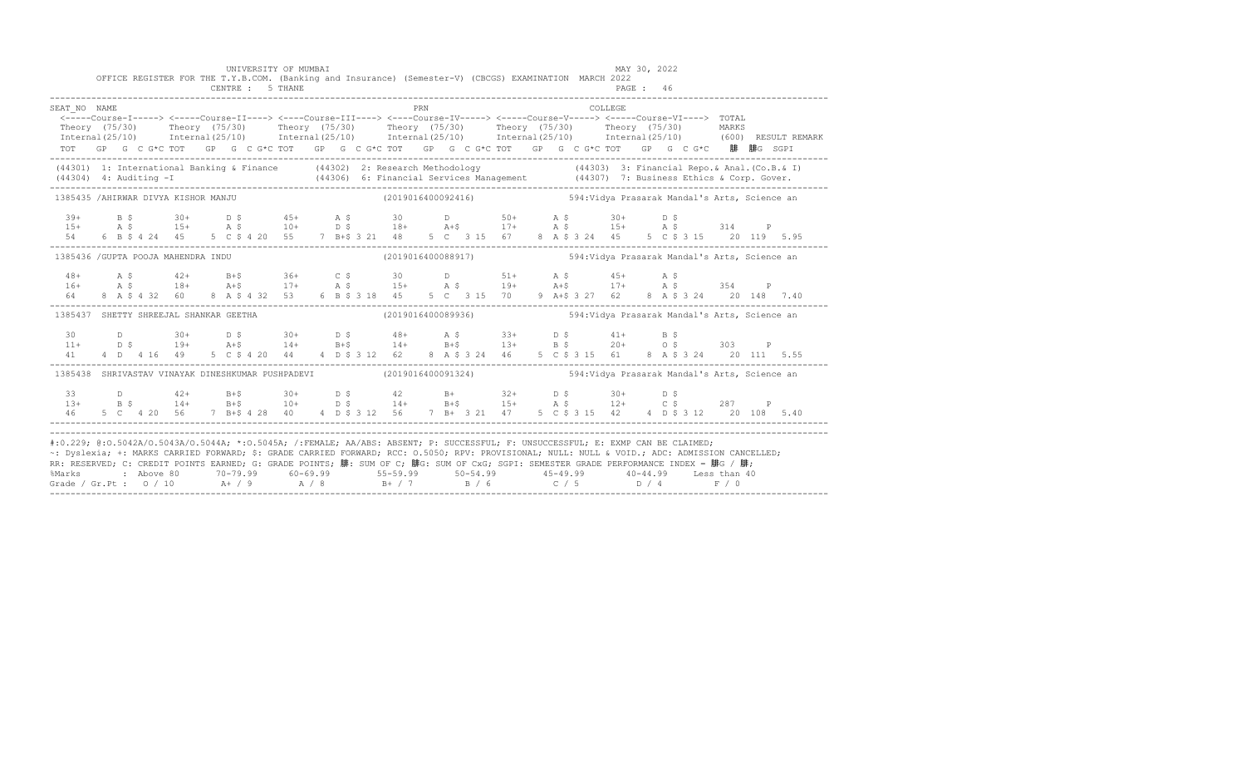|                                                                                                                                                                                                                                                                                                                                                                                                                                                                                                                                                                                           |  |  |  |  |  | UNIVERSITY OF MUMBAI<br>OFFICE REGISTER FOR THE T.Y.B.COM. (Banking and Insurance) (Semester-V) (CBCGS) EXAMINATION MARCH 2022<br>CENTRE : 5 THANE                                                                                                                                                                                                                                       |  |  |                                                                   |     |  |  |  |  |         | MAY 30, 2022<br>PAGE : 46 |  |  |       |  |  |
|-------------------------------------------------------------------------------------------------------------------------------------------------------------------------------------------------------------------------------------------------------------------------------------------------------------------------------------------------------------------------------------------------------------------------------------------------------------------------------------------------------------------------------------------------------------------------------------------|--|--|--|--|--|------------------------------------------------------------------------------------------------------------------------------------------------------------------------------------------------------------------------------------------------------------------------------------------------------------------------------------------------------------------------------------------|--|--|-------------------------------------------------------------------|-----|--|--|--|--|---------|---------------------------|--|--|-------|--|--|
| SEAT NO NAME<br><----Course-I-----> <----Course-II----> <----Course-III----> <----Course-IV-----> <----Course-V-----> <----Course-VI----> TOTAL<br>Theory (75/30)<br>Internal (25/10) Internal (25/10) Internal (25/10) Internal (25/10) Internal (25/10) Internal (25/10) (600) RESULT REMARK<br>TOT GP G C G*C TOT GP G C G*C TOT GP G C G*C TOT GP G C G*C TOT GP G C G*C TOT GP G C G*C 腓 腓G SGPI                                                                                                                                                                                     |  |  |  |  |  | Theory (75/30)  Theory (75/30)  Theory (75/30)  Theory (75/30)  Theory (75/30)                                                                                                                                                                                                                                                                                                           |  |  |                                                                   | PRN |  |  |  |  | COLLEGE |                           |  |  | MARKS |  |  |
| (44301) 1: International Banking & Finance (44302) 2: Research Methodology (44303) 3: Financial Repo. & Anal. (Co.B. & I)<br>(44304) 4: Auditing -I (44306) 6: Financial Services Management (44307) 7: Business Ethics & Corp. Gover.                                                                                                                                                                                                                                                                                                                                                    |  |  |  |  |  |                                                                                                                                                                                                                                                                                                                                                                                          |  |  |                                                                   |     |  |  |  |  |         |                           |  |  |       |  |  |
| 1385435 /AHIRWAR DIVYA KISHOR MANJU                                                                                                                                                                                                                                                                                                                                                                                                                                                                                                                                                       |  |  |  |  |  |                                                                                                                                                                                                                                                                                                                                                                                          |  |  | $(2019016400092416)$ 594:Vidya Prasarak Mandal's Arts, Science an |     |  |  |  |  |         |                           |  |  |       |  |  |
|                                                                                                                                                                                                                                                                                                                                                                                                                                                                                                                                                                                           |  |  |  |  |  | $\begin{array}{ccccccccccccccccccccccccccccccccccccccccc} 39+ & & B & \hat{S} & & 30+ & D & \hat{S} & & 45+ & A & \hat{S} & & 30 & D & & 50+ & A & \hat{S} & & 30+ & D & \hat{S} \\ 15+ & & A & \hat{S} & & 15+ & A & \hat{S} & & 10+ & D & \hat{S} & & 18+ & A+\hat{S} & & 17+ & A & \hat{S} & & 15+ & A & \hat{S} & & 314 & P \\ 54 & & 6 & B & \hat{S} & 4 & 24 & 45 & 5 & C & \hat{$ |  |  |                                                                   |     |  |  |  |  |         |                           |  |  |       |  |  |
| 1385436 / GUPTA POOJA MAHENDRA INDU                                                                                                                                                                                                                                                                                                                                                                                                                                                                                                                                                       |  |  |  |  |  |                                                                                                                                                                                                                                                                                                                                                                                          |  |  | (2019016400088917) 594: Vidya Prasarak Mandal's Arts, Science an  |     |  |  |  |  |         |                           |  |  |       |  |  |
| 64 64                                                                                                                                                                                                                                                                                                                                                                                                                                                                                                                                                                                     |  |  |  |  |  | 8 A \$ 4 32 60 8 A \$ 4 32 53 6 B \$ 3 18 45 5 C 3 15 70 9 A + \$ 3 27 62 8 A \$ 3 24 20 148 7.40                                                                                                                                                                                                                                                                                        |  |  |                                                                   |     |  |  |  |  |         |                           |  |  |       |  |  |
| 1385437 SHETTY SHREEJAL SHANKAR GEETHA (2019016400089936) 594: Vidya Prasarak Mandal's Arts, Science an                                                                                                                                                                                                                                                                                                                                                                                                                                                                                   |  |  |  |  |  |                                                                                                                                                                                                                                                                                                                                                                                          |  |  |                                                                   |     |  |  |  |  |         |                           |  |  |       |  |  |
|                                                                                                                                                                                                                                                                                                                                                                                                                                                                                                                                                                                           |  |  |  |  |  |                                                                                                                                                                                                                                                                                                                                                                                          |  |  |                                                                   |     |  |  |  |  |         |                           |  |  |       |  |  |
| 1385438 SHRIVASTAV VINAYAK DINESHKUMAR PUSHPADEVI (2019016400091324) 594: Vidya Prasarak Mandal's Arts, Science an                                                                                                                                                                                                                                                                                                                                                                                                                                                                        |  |  |  |  |  |                                                                                                                                                                                                                                                                                                                                                                                          |  |  |                                                                   |     |  |  |  |  |         |                           |  |  |       |  |  |
| 46                                                                                                                                                                                                                                                                                                                                                                                                                                                                                                                                                                                        |  |  |  |  |  | 33 D 42+ B+\$ 30+ D \$ 42 B+ 32+ D \$ 30+ D \$<br>13+ B \$ 14+ B+\$ 10+ D \$ 14+ B+\$ 15+ A \$ 12+ C \$ 287 P                                                                                                                                                                                                                                                                            |  |  |                                                                   |     |  |  |  |  |         |                           |  |  |       |  |  |
| #:0.229; @:0.5042A/0.5043A/0.5044A; *:0.5045A; /:FEMALE; AA/ABS: ABSENT; P: SUCCESSFUL; F: UNSUCCESSFUL; E: EXMP CAN BE CLAIMED;<br>~: Dyslexia; +: MARKS CARRIED FORWARD; \$: GRADE CARRIED FORWARD; RCC: 0.5050; RPV: PROVISIONAL; NULL: NULL & VOID.; ADC: ADMISSION CANCELLED;<br>RR: RESERVED; C: CREDIT POINTS EARNED; G: GRADE POINTS; 腓: SUM OF C; 腓G: SUM OF CxG; SGPI: SEMESTER GRADE PERFORMANCE INDEX = 腓G / 腓;<br>%Marks : Above 80 70-79.99 60-69.99 55-59.99 50-54.99 45-49.99 40-44.99 Less than 40<br>Grade / Gr.Pt : 0 / 10 A+ / 9 A / 8 B+ / 7 B / 6 C / 5 D / 4 F / 0 |  |  |  |  |  |                                                                                                                                                                                                                                                                                                                                                                                          |  |  |                                                                   |     |  |  |  |  |         |                           |  |  |       |  |  |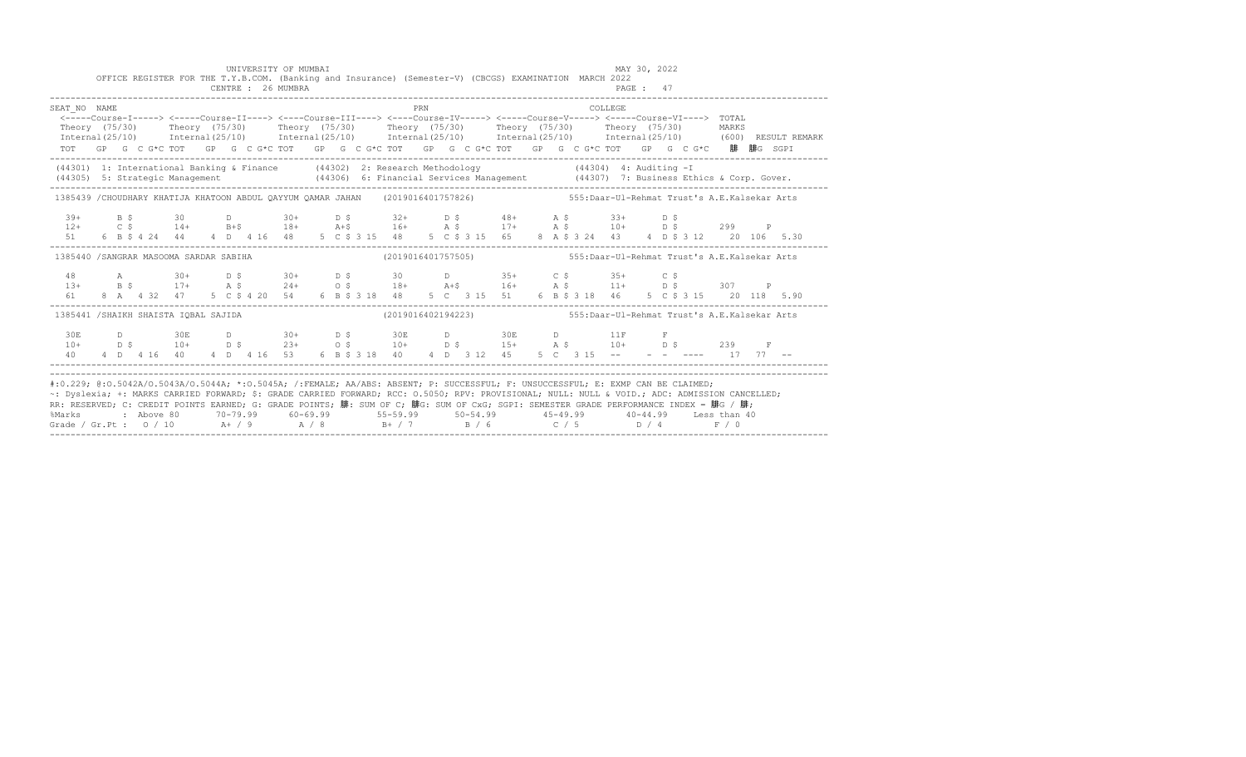|                                                                                                                                                                                                                                                                                                                                                                                                                                                                                                                                                                                           |  |  |  |  | UNIVERSITY OF MUMBAI<br>CENTRE : 26 MUMBRA |  |  |     |  |  | OFFICE REGISTER FOR THE T.Y.B.COM. (Banking and Insurance) (Semester-V) (CBCGS) EXAMINATION MARCH 2022 |  |  |         | MAY 30, 2022<br>PAGE: 47 |                                                                                                                                                                                                                                                                                                                                                                                                                                                                  |       |  |  |
|-------------------------------------------------------------------------------------------------------------------------------------------------------------------------------------------------------------------------------------------------------------------------------------------------------------------------------------------------------------------------------------------------------------------------------------------------------------------------------------------------------------------------------------------------------------------------------------------|--|--|--|--|--------------------------------------------|--|--|-----|--|--|--------------------------------------------------------------------------------------------------------|--|--|---------|--------------------------|------------------------------------------------------------------------------------------------------------------------------------------------------------------------------------------------------------------------------------------------------------------------------------------------------------------------------------------------------------------------------------------------------------------------------------------------------------------|-------|--|--|
| SEAT NO NAME                                                                                                                                                                                                                                                                                                                                                                                                                                                                                                                                                                              |  |  |  |  |                                            |  |  | PRN |  |  |                                                                                                        |  |  | COLLEGE |                          | <----Course-I-----> <----Course-II----> <----Course-III----> <----Course-IV-----> <----Course-V-----> <----Course-VI----> TOTAL<br>Theory (75/30) Theory (75/30) Theory (75/30) Theory (75/30) Theory (75/30) Theory (75/30)<br>Internal (25/10) Internal (25/10) Internal (25/10) Internal (25/10) Internal (25/10) Internal (25/10) (600) RESULT REMARK<br>TOT GP G C G*C TOT GP G C G*C TOT GP G C G*C TOT GP G C G*C TOT GP G C G*C TOT GP G C G*C 腓 腓G SGPI | MARKS |  |  |
|                                                                                                                                                                                                                                                                                                                                                                                                                                                                                                                                                                                           |  |  |  |  |                                            |  |  |     |  |  |                                                                                                        |  |  |         |                          | (44301) 1: International Banking & Finance (44302) 2: Research Methodology (44304) 4: Auditing -I<br>(44305) 5: Strategic Management (44306) 6: Financial Services Management (44307) 7: Business Ethics & Corp. Gover.<br>---------                                                                                                                                                                                                                             |       |  |  |
|                                                                                                                                                                                                                                                                                                                                                                                                                                                                                                                                                                                           |  |  |  |  |                                            |  |  |     |  |  |                                                                                                        |  |  |         |                          | 1385439 /CHOUDHARY KHATIJA KHATOON ABDUL QAYYUM QAMAR JAHAN (2019016401757826) 555:Daar-Ul-Rehmat Trust's A.E.Kalsekar Arts                                                                                                                                                                                                                                                                                                                                      |       |  |  |
|                                                                                                                                                                                                                                                                                                                                                                                                                                                                                                                                                                                           |  |  |  |  |                                            |  |  |     |  |  |                                                                                                        |  |  |         |                          |                                                                                                                                                                                                                                                                                                                                                                                                                                                                  |       |  |  |
|                                                                                                                                                                                                                                                                                                                                                                                                                                                                                                                                                                                           |  |  |  |  |                                            |  |  |     |  |  |                                                                                                        |  |  |         |                          | 1385440 /SANGRAR MASOOMA SARDAR SABIHA (2019016401757505) 555:Daar-Ul-Rehmat Trust's A.E.Kalsekar Arts                                                                                                                                                                                                                                                                                                                                                           |       |  |  |
|                                                                                                                                                                                                                                                                                                                                                                                                                                                                                                                                                                                           |  |  |  |  |                                            |  |  |     |  |  |                                                                                                        |  |  |         |                          |                                                                                                                                                                                                                                                                                                                                                                                                                                                                  |       |  |  |
|                                                                                                                                                                                                                                                                                                                                                                                                                                                                                                                                                                                           |  |  |  |  |                                            |  |  |     |  |  |                                                                                                        |  |  |         |                          | 1385441 /SHAIKH SHAISTA IOBAL SAJIDA (2019016402194223) 555:Daar-Ul-Rehmat Trust's A.E.Kalsekar Arts                                                                                                                                                                                                                                                                                                                                                             |       |  |  |
|                                                                                                                                                                                                                                                                                                                                                                                                                                                                                                                                                                                           |  |  |  |  |                                            |  |  |     |  |  |                                                                                                        |  |  |         |                          |                                                                                                                                                                                                                                                                                                                                                                                                                                                                  |       |  |  |
| #:0.229; @:0.5042A/0.5043A/0.5044A; *:0.5045A; /:FEMALE; AA/ABS: ABSENT; P: SUCCESSFUL; F: UNSUCCESSFUL; E: EXMP CAN BE CLAIMED;<br>~: Dyslexia; +: MARKS CARRIED FORWARD; \$: GRADE CARRIED FORWARD; RCC: 0.5050; RPV: PROVISIONAL; NULL: NULL & VOID.; ADC: ADMISSION CANCELLED;<br>RR: RESERVED; C: CREDIT POINTS EARNED; G: GRADE POINTS; 腓: SUM OF C; 腓G: SUM OF CxG; SGPI: SEMESTER GRADE PERFORMANCE INDEX = 腓G / 腓;<br>%Marks : Above 80 70-79.99 60-69.99 55-59.99 50-54.99 45-49.99 40-44.99 Less than 40<br>Grade / Gr.Pt : 0 / 10 A+ / 9 A / 8 B+ / 7 B / 6 C / 5 D / 4 F / 0 |  |  |  |  |                                            |  |  |     |  |  |                                                                                                        |  |  |         |                          |                                                                                                                                                                                                                                                                                                                                                                                                                                                                  |       |  |  |

------------------------------------------------------------------------------------------------------------------------------------------------------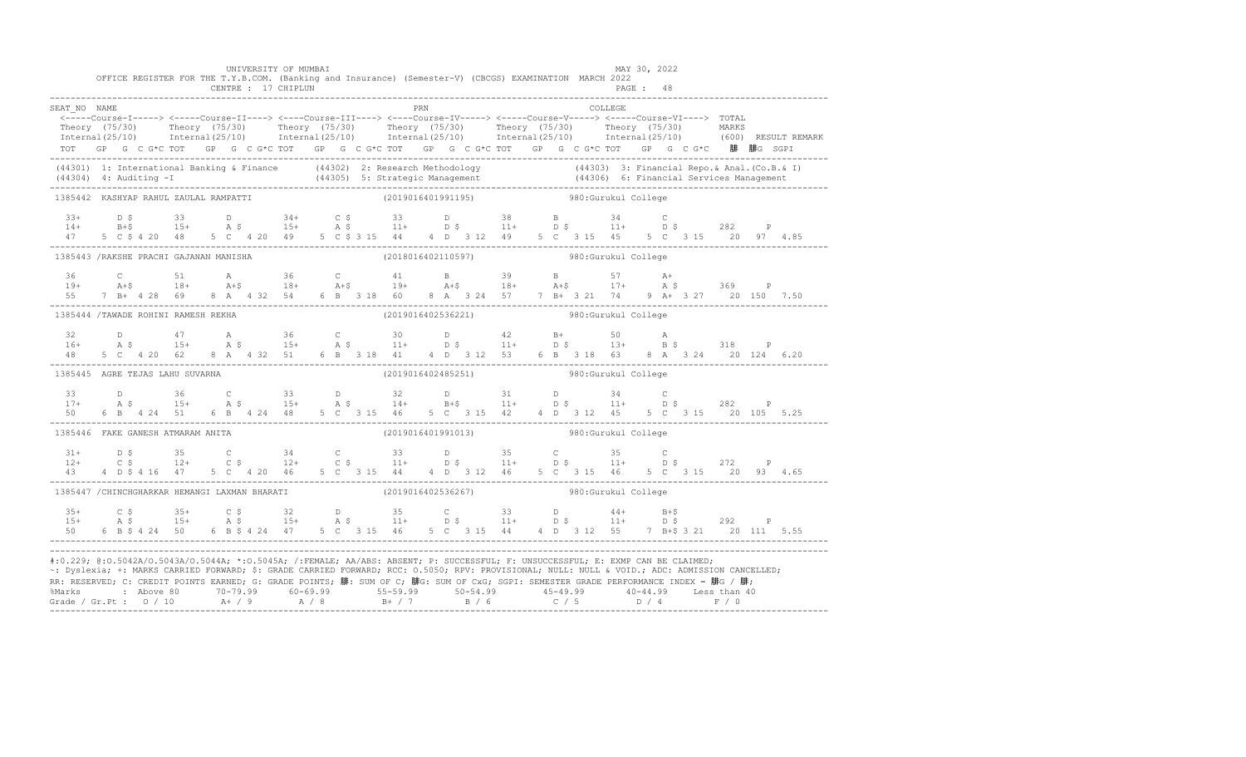|                                                                                                                                                                                                                                                                                                                                                                                                                                                                                                                    |  |  |  |  | UNIVERSITY OF MUMBAI |  | OFFICE REGISTER FOR THE T.Y.B.COM. (Banking and Insurance) (Semester-V) (CBCGS) EXAMINATION MARCH 2022                                                                                                                                                                                                                                                         |     |  |  |                      |                | MAY 30, 2022 |  |  |                                                                                                                                                                                                                                      |
|--------------------------------------------------------------------------------------------------------------------------------------------------------------------------------------------------------------------------------------------------------------------------------------------------------------------------------------------------------------------------------------------------------------------------------------------------------------------------------------------------------------------|--|--|--|--|----------------------|--|----------------------------------------------------------------------------------------------------------------------------------------------------------------------------------------------------------------------------------------------------------------------------------------------------------------------------------------------------------------|-----|--|--|----------------------|----------------|--------------|--|--|--------------------------------------------------------------------------------------------------------------------------------------------------------------------------------------------------------------------------------------|
|                                                                                                                                                                                                                                                                                                                                                                                                                                                                                                                    |  |  |  |  | CENTRE : 17 CHIPLUN  |  |                                                                                                                                                                                                                                                                                                                                                                |     |  |  |                      |                | PAGE: 48     |  |  |                                                                                                                                                                                                                                      |
| SEAT NO NAME                                                                                                                                                                                                                                                                                                                                                                                                                                                                                                       |  |  |  |  |                      |  | <-----Course-I-----> <-----Course-II----> <----Course-III----> <----Course-IV-----> <----Course-V----> TOTAL                                                                                                                                                                                                                                                   | PRN |  |  |                      | <b>COLLEGE</b> |              |  |  |                                                                                                                                                                                                                                      |
|                                                                                                                                                                                                                                                                                                                                                                                                                                                                                                                    |  |  |  |  |                      |  |                                                                                                                                                                                                                                                                                                                                                                |     |  |  |                      |                |              |  |  |                                                                                                                                                                                                                                      |
|                                                                                                                                                                                                                                                                                                                                                                                                                                                                                                                    |  |  |  |  |                      |  |                                                                                                                                                                                                                                                                                                                                                                |     |  |  |                      |                |              |  |  | Theory (75/30) Theory (75/30) Theory (75/30) Theory (75/30) Theory (75/30) Theory (75/30) MARKS<br>Internal(25/10) Internal(25/10) Internal(25/10) Internal(25/10) Internal(25/10) Internal(25/10) (600) RESULTREMARK                |
|                                                                                                                                                                                                                                                                                                                                                                                                                                                                                                                    |  |  |  |  |                      |  | TOT GP G C G*C TOT GP G C G*C TOT GP G C G*C TOT GP G C G*C TOT GP G C G*C TOT GP G C G*C 腓 腓G SGPI                                                                                                                                                                                                                                                            |     |  |  |                      |                |              |  |  |                                                                                                                                                                                                                                      |
|                                                                                                                                                                                                                                                                                                                                                                                                                                                                                                                    |  |  |  |  |                      |  |                                                                                                                                                                                                                                                                                                                                                                |     |  |  |                      |                |              |  |  | (44301) 1: International Banking & Finance (44302) 2: Research Methodology (44303) 3: Financial Repo.& Anal. (Co.B.& I)<br>(44304) 4: Auditing -I (44305) 5: Strategic Management (44306) 6: Financial Services Management<br>------ |
| 1385442 KASHYAP RAHUL ZAULAL RAMPATTI                                                                                                                                                                                                                                                                                                                                                                                                                                                                              |  |  |  |  |                      |  | (2019016401991195)                                                                                                                                                                                                                                                                                                                                             |     |  |  | 980: Gurukul College |                |              |  |  |                                                                                                                                                                                                                                      |
|                                                                                                                                                                                                                                                                                                                                                                                                                                                                                                                    |  |  |  |  |                      |  |                                                                                                                                                                                                                                                                                                                                                                |     |  |  |                      |                |              |  |  |                                                                                                                                                                                                                                      |
|                                                                                                                                                                                                                                                                                                                                                                                                                                                                                                                    |  |  |  |  |                      |  |                                                                                                                                                                                                                                                                                                                                                                |     |  |  |                      |                |              |  |  |                                                                                                                                                                                                                                      |
|                                                                                                                                                                                                                                                                                                                                                                                                                                                                                                                    |  |  |  |  |                      |  | $13+$ $15+$ $15+$ $15+$ $15+$ $15+$ $15+$ $15+$ $15+$ $15+$ $15+$ $15+$ $15+$ $15+$ $15+$ $15+$ $15+$ $15+$ $15+$ $15+$ $15+$ $15+$ $15+$ $15+$ $15+$ $15+$ $15+$ $15+$ $15+$ $15+$ $15+$ $15+$ $15+$ $15+$ $15+$ $15+$ $15+$                                                                                                                                  |     |  |  |                      |                |              |  |  |                                                                                                                                                                                                                                      |
| 1385443 /RAKSHE PRACHI GAJANAN MANISHA                                                                                                                                                                                                                                                                                                                                                                                                                                                                             |  |  |  |  |                      |  | (2018016402110597) 980: Gurukul College                                                                                                                                                                                                                                                                                                                        |     |  |  |                      |                |              |  |  |                                                                                                                                                                                                                                      |
|                                                                                                                                                                                                                                                                                                                                                                                                                                                                                                                    |  |  |  |  |                      |  |                                                                                                                                                                                                                                                                                                                                                                |     |  |  |                      |                |              |  |  |                                                                                                                                                                                                                                      |
|                                                                                                                                                                                                                                                                                                                                                                                                                                                                                                                    |  |  |  |  |                      |  |                                                                                                                                                                                                                                                                                                                                                                |     |  |  |                      |                |              |  |  |                                                                                                                                                                                                                                      |
|                                                                                                                                                                                                                                                                                                                                                                                                                                                                                                                    |  |  |  |  |                      |  |                                                                                                                                                                                                                                                                                                                                                                |     |  |  |                      |                |              |  |  |                                                                                                                                                                                                                                      |
| 1385444 /TAWADE ROHINI RAMESH REKHA                                                                                                                                                                                                                                                                                                                                                                                                                                                                                |  |  |  |  |                      |  | (2019016402536221) 980:Gurukul College                                                                                                                                                                                                                                                                                                                         |     |  |  |                      |                |              |  |  |                                                                                                                                                                                                                                      |
|                                                                                                                                                                                                                                                                                                                                                                                                                                                                                                                    |  |  |  |  |                      |  |                                                                                                                                                                                                                                                                                                                                                                |     |  |  |                      |                |              |  |  |                                                                                                                                                                                                                                      |
|                                                                                                                                                                                                                                                                                                                                                                                                                                                                                                                    |  |  |  |  |                      |  |                                                                                                                                                                                                                                                                                                                                                                |     |  |  |                      |                |              |  |  |                                                                                                                                                                                                                                      |
|                                                                                                                                                                                                                                                                                                                                                                                                                                                                                                                    |  |  |  |  |                      |  | $\begin{array}{cccccccccccccccc} 32 & D & 47 & A & 36 & C & 30 & D & 42 & B+ & 50 & A \\ 16+ & A & \texttt{S} & 15+ & A & \texttt{S} & 15+ & A & \texttt{S} & 11+ & D & \texttt{S} & 11+ & D & \texttt{S} & 13+ & B & \texttt{S} & 318 & P \\ 48 & 5 & C & 4 & 20 & 62 & 8 & A & 4 & 32 & 51 & 6 & B & 318 & 41 & 4 & D & 3 & 12 & 53 & 6 & B & 3 & 18 & 63 &$ |     |  |  |                      |                |              |  |  |                                                                                                                                                                                                                                      |
| 1385445 AGRE TEJAS LAHU SUVARNA                                                                                                                                                                                                                                                                                                                                                                                                                                                                                    |  |  |  |  |                      |  | (2019016402485251) 980: Gurukul College                                                                                                                                                                                                                                                                                                                        |     |  |  |                      |                |              |  |  |                                                                                                                                                                                                                                      |
|                                                                                                                                                                                                                                                                                                                                                                                                                                                                                                                    |  |  |  |  |                      |  |                                                                                                                                                                                                                                                                                                                                                                |     |  |  |                      |                |              |  |  |                                                                                                                                                                                                                                      |
|                                                                                                                                                                                                                                                                                                                                                                                                                                                                                                                    |  |  |  |  |                      |  |                                                                                                                                                                                                                                                                                                                                                                |     |  |  |                      |                |              |  |  |                                                                                                                                                                                                                                      |
|                                                                                                                                                                                                                                                                                                                                                                                                                                                                                                                    |  |  |  |  |                      |  |                                                                                                                                                                                                                                                                                                                                                                |     |  |  |                      |                |              |  |  |                                                                                                                                                                                                                                      |
| 1385446 FAKE GANESH ATMARAM ANITA                                                                                                                                                                                                                                                                                                                                                                                                                                                                                  |  |  |  |  |                      |  | (2019016401991013) 980: Gurukul College                                                                                                                                                                                                                                                                                                                        |     |  |  |                      |                |              |  |  |                                                                                                                                                                                                                                      |
|                                                                                                                                                                                                                                                                                                                                                                                                                                                                                                                    |  |  |  |  |                      |  |                                                                                                                                                                                                                                                                                                                                                                |     |  |  |                      |                |              |  |  |                                                                                                                                                                                                                                      |
|                                                                                                                                                                                                                                                                                                                                                                                                                                                                                                                    |  |  |  |  |                      |  |                                                                                                                                                                                                                                                                                                                                                                |     |  |  |                      |                |              |  |  |                                                                                                                                                                                                                                      |
|                                                                                                                                                                                                                                                                                                                                                                                                                                                                                                                    |  |  |  |  |                      |  |                                                                                                                                                                                                                                                                                                                                                                |     |  |  |                      |                |              |  |  |                                                                                                                                                                                                                                      |
| 1385447 /CHINCHGHARKAR HEMANGI LAXMAN BHARATI (2019016402536267) 380:Gurukul College                                                                                                                                                                                                                                                                                                                                                                                                                               |  |  |  |  |                      |  |                                                                                                                                                                                                                                                                                                                                                                |     |  |  |                      |                |              |  |  |                                                                                                                                                                                                                                      |
| $35+$                                                                                                                                                                                                                                                                                                                                                                                                                                                                                                              |  |  |  |  |                      |  |                                                                                                                                                                                                                                                                                                                                                                |     |  |  |                      |                |              |  |  |                                                                                                                                                                                                                                      |
| $15+$                                                                                                                                                                                                                                                                                                                                                                                                                                                                                                              |  |  |  |  |                      |  |                                                                                                                                                                                                                                                                                                                                                                |     |  |  |                      |                |              |  |  |                                                                                                                                                                                                                                      |
|                                                                                                                                                                                                                                                                                                                                                                                                                                                                                                                    |  |  |  |  |                      |  |                                                                                                                                                                                                                                                                                                                                                                |     |  |  |                      |                |              |  |  |                                                                                                                                                                                                                                      |
| #:0.229; @:0.5042A/0.5043A/0.5044A; *:0.5045A; /:FEMALE; AA/ABS: ABSENT; P: SUCCESSFUL; F: UNSUCCESSFUL; E: EXMP CAN BE CLAIMED;<br>~: Dyslexia; +: MARKS CARRIED FORWARD; \$: GRADE CARRIED FORWARD; RCC: 0.5050; RPV: PROVISIONAL; NULL: NULL: WOID.; ADC: ADMISSION CANCELLED;<br>RR: RESERVED; C: CREDIT POINTS EARNED; G: GRADE POINTS; 腓: SUM OF C; 腓G: SUM OF CxG; SGPI: SEMESTER GRADE PERFORMANCE INDEX = 腓G / 腓;<br>%Marks : Above 80 70-79.99 60-69.99 55-59.99 50-54.99 45-49.99 40-44.99 Less than 40 |  |  |  |  |                      |  |                                                                                                                                                                                                                                                                                                                                                                |     |  |  |                      |                |              |  |  |                                                                                                                                                                                                                                      |
|                                                                                                                                                                                                                                                                                                                                                                                                                                                                                                                    |  |  |  |  |                      |  |                                                                                                                                                                                                                                                                                                                                                                |     |  |  |                      |                |              |  |  |                                                                                                                                                                                                                                      |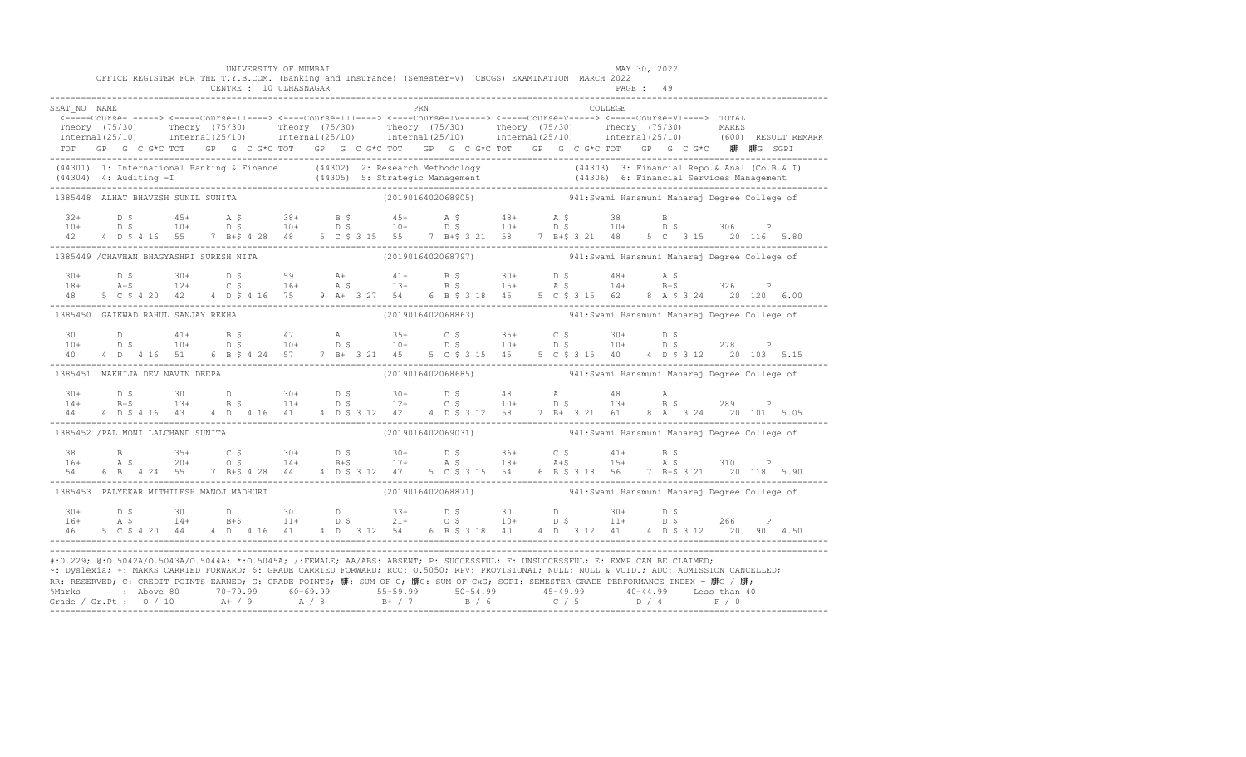|                                                                                                                                                                                                                                                                                                                                                                                                                                                                                                                   |  |  |  |  |  |  | UNIVERSITY OF MUMBAI<br>CENTRE : 10 ULHASNAGAR |  |  |  |     | OFFICE REGISTER FOR THE T.Y.B.COM. (Banking and Insurance) (Semester-V) (CBCGS) EXAMINATION MARCH 2022                                                                                                                                                                                                                                                                              |  |  |  |          | MAY 30, 2022<br>PAGE : 49 |  |  |  |                                                                                                                                                                                                                       |
|-------------------------------------------------------------------------------------------------------------------------------------------------------------------------------------------------------------------------------------------------------------------------------------------------------------------------------------------------------------------------------------------------------------------------------------------------------------------------------------------------------------------|--|--|--|--|--|--|------------------------------------------------|--|--|--|-----|-------------------------------------------------------------------------------------------------------------------------------------------------------------------------------------------------------------------------------------------------------------------------------------------------------------------------------------------------------------------------------------|--|--|--|----------|---------------------------|--|--|--|-----------------------------------------------------------------------------------------------------------------------------------------------------------------------------------------------------------------------|
| SEAT NO NAME                                                                                                                                                                                                                                                                                                                                                                                                                                                                                                      |  |  |  |  |  |  |                                                |  |  |  | PRN |                                                                                                                                                                                                                                                                                                                                                                                     |  |  |  | COLLEGE. |                           |  |  |  |                                                                                                                                                                                                                       |
|                                                                                                                                                                                                                                                                                                                                                                                                                                                                                                                   |  |  |  |  |  |  |                                                |  |  |  |     | <-----Course-I-----> <----Course-II----> <----Course-III----> <----Course-IV-----> <----Course-V----> TOTAL<br>TOT GP G C G*C TOT GP G C G*C TOT GP G C G*C TOT GP G C G*C TOT GP G C G*C TOT GP G C G*C 腓 腓G SGPI                                                                                                                                                                  |  |  |  |          |                           |  |  |  | Theory (75/30) Theory (75/30) Theory (75/30) Theory (75/30) Theory (75/30) Theory (75/30) MARKS<br>Thternal(25/10) Internal(25/10) Internal(25/10) Internal(25/10) Internal(25/10) Internal(25/10) (600) RESULTREMARK |
|                                                                                                                                                                                                                                                                                                                                                                                                                                                                                                                   |  |  |  |  |  |  |                                                |  |  |  |     | (44301) 1: International Banking & Finance (44302) 2: Research Methodology (44303) 3: Financial Repo. & Anal. (Co.B. & I)<br>(44304) 4: Auditing -I (44305) 5: Strategic Management (44306) 6: Financial Services Management (443                                                                                                                                                   |  |  |  |          |                           |  |  |  |                                                                                                                                                                                                                       |
| 1385448 ALHAT BHAVESH SUNIL SUNITA                                                                                                                                                                                                                                                                                                                                                                                                                                                                                |  |  |  |  |  |  |                                                |  |  |  |     | (2019016402068905)                       941:Swami Hansmuni Maharaj Degree College of                                                                                                                                                                                                                                                                                               |  |  |  |          |                           |  |  |  |                                                                                                                                                                                                                       |
| $32+$<br>$10+$<br>42                                                                                                                                                                                                                                                                                                                                                                                                                                                                                              |  |  |  |  |  |  |                                                |  |  |  |     |                                                                                                                                                                                                                                                                                                                                                                                     |  |  |  |          |                           |  |  |  |                                                                                                                                                                                                                       |
| 1385449 / CHAVHAN BHAGYASHRI SURESH NITA                                                                                                                                                                                                                                                                                                                                                                                                                                                                          |  |  |  |  |  |  |                                                |  |  |  |     | (2019016402068797)                       941:Swami Hansmuni Maharaj Degree College of                                                                                                                                                                                                                                                                                               |  |  |  |          |                           |  |  |  |                                                                                                                                                                                                                       |
| $30+$<br>$18+$<br>48                                                                                                                                                                                                                                                                                                                                                                                                                                                                                              |  |  |  |  |  |  |                                                |  |  |  |     |                                                                                                                                                                                                                                                                                                                                                                                     |  |  |  |          |                           |  |  |  |                                                                                                                                                                                                                       |
| 1385450 GAIKWAD RAHUL SANJAY REKHA                                                                                                                                                                                                                                                                                                                                                                                                                                                                                |  |  |  |  |  |  |                                                |  |  |  |     | (2019016402068863) 941:Swami Hansmuni Maharaj Degree College of                                                                                                                                                                                                                                                                                                                     |  |  |  |          |                           |  |  |  |                                                                                                                                                                                                                       |
| 30<br>$10+$<br>40                                                                                                                                                                                                                                                                                                                                                                                                                                                                                                 |  |  |  |  |  |  |                                                |  |  |  |     |                                                                                                                                                                                                                                                                                                                                                                                     |  |  |  |          |                           |  |  |  |                                                                                                                                                                                                                       |
| 1385451 MAKHIJA DEV NAVIN DEEPA                                                                                                                                                                                                                                                                                                                                                                                                                                                                                   |  |  |  |  |  |  |                                                |  |  |  |     | (2019016402068685)  941:Swami Hansmuni Maharaj Degree College of                                                                                                                                                                                                                                                                                                                    |  |  |  |          |                           |  |  |  |                                                                                                                                                                                                                       |
| $14+$                                                                                                                                                                                                                                                                                                                                                                                                                                                                                                             |  |  |  |  |  |  |                                                |  |  |  |     | $\begin{array}{cccccccccccccccccccccccccc} 30+ & & D & \xi & & 30 & & D & & 30+ & D & \xi & & 30+ & D & \xi & & 48 & & A & & 48 & & A \\ 14+ & & B+\xi & & 13+ & & B & \xi & & 11+ & D & \xi & & 12+ & C & \xi & & 10+ & D & \xi & & 13+ & B & \xi & & 289 & & P \\ 44 & & 4 & D & \xi & 4 & 16 & 43 & & 4 & D & 4 & 16 & 41 & & 4 & D & \xi & 3 & 12 & 42 & & 4 & D & \xi & 3 & 1$ |  |  |  |          |                           |  |  |  |                                                                                                                                                                                                                       |
| 1385452 / PAL MONI LALCHAND SUNITA                                                                                                                                                                                                                                                                                                                                                                                                                                                                                |  |  |  |  |  |  |                                                |  |  |  |     | (2019016402069031)  941:Swami Hansmuni Maharaj Degree College of                                                                                                                                                                                                                                                                                                                    |  |  |  |          |                           |  |  |  |                                                                                                                                                                                                                       |
|                                                                                                                                                                                                                                                                                                                                                                                                                                                                                                                   |  |  |  |  |  |  |                                                |  |  |  |     |                                                                                                                                                                                                                                                                                                                                                                                     |  |  |  |          |                           |  |  |  |                                                                                                                                                                                                                       |
| 1385453 PALYEKAR MITHILESH MANOJ MADHURI                                                                                                                                                                                                                                                                                                                                                                                                                                                                          |  |  |  |  |  |  |                                                |  |  |  |     | (2019016402068871) 941:Swami Hansmuni Maharaj Degree College of                                                                                                                                                                                                                                                                                                                     |  |  |  |          |                           |  |  |  |                                                                                                                                                                                                                       |
| $30+$<br>$16+$                                                                                                                                                                                                                                                                                                                                                                                                                                                                                                    |  |  |  |  |  |  |                                                |  |  |  |     |                                                                                                                                                                                                                                                                                                                                                                                     |  |  |  |          |                           |  |  |  |                                                                                                                                                                                                                       |
| #:0.229; @:0.5042A/0.5043A/0.5044A; *:0.5045A; /:FEMALE; AA/ABS: ABSENT; P: SUCCESSFUL; F: UNSUCCESSFUL; E: EXMP CAN BE CLAIMED;<br>~: Dyslexia; +: MARKS CARRIED FORWARD; \$: GRADE CARRIED FORWARD; RCC: 0.5050; RPV: PROVISIONAL; NULL: NULL: AULL: ADC: ADMISSION CANCELLED;<br>RR: RESERVED; C: CREDIT POINTS EARNED; G: GRADE POINTS; 腓: SUM OF C; 腓G: SUM OF CxG; SGPI: SEMESTER GRADE PERFORMANCE INDEX = 腓G / 腓;<br>%Marks : Above 80 70-79.99 60-69.99 55-59.99 50-54.99 45-49.99 40-44.99 Less than 40 |  |  |  |  |  |  |                                                |  |  |  |     |                                                                                                                                                                                                                                                                                                                                                                                     |  |  |  |          |                           |  |  |  |                                                                                                                                                                                                                       |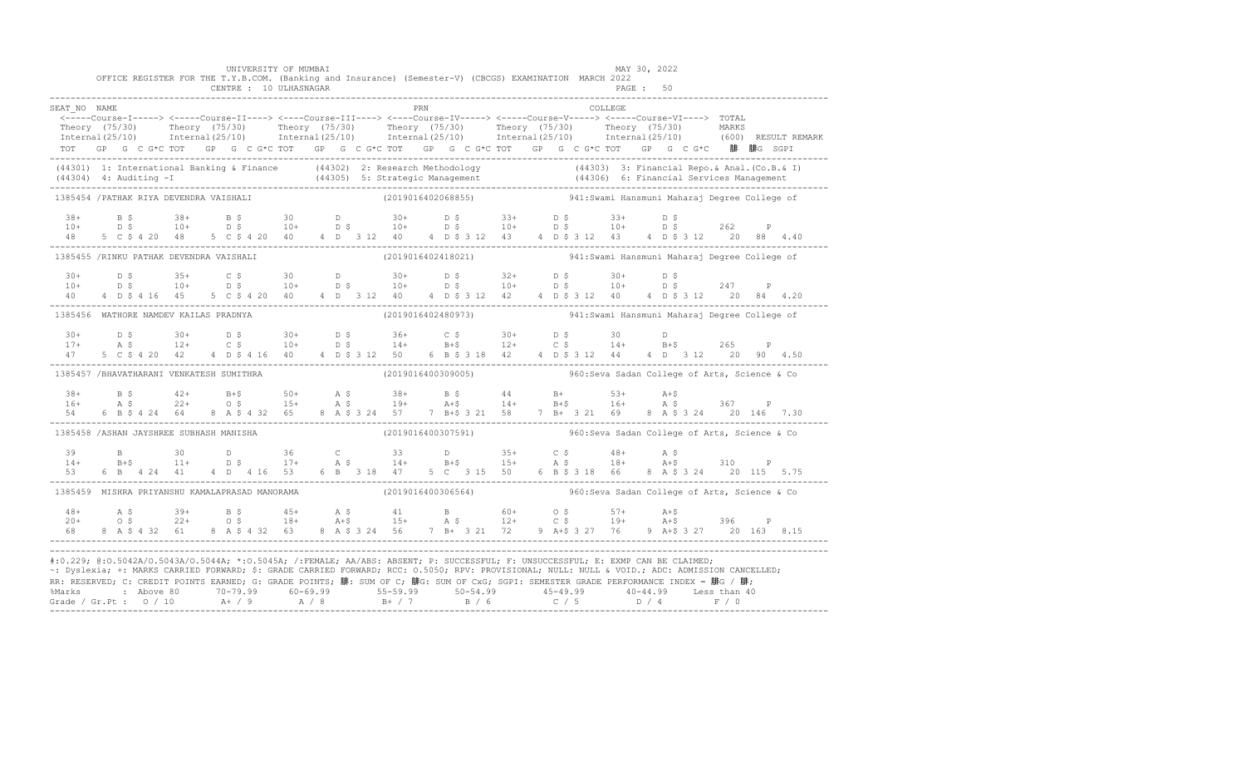|                                          |  |  |  | UNIVERSITY OF MUMBAI<br>CENTRE : 10 ULHASNAGAR |  |  |     | OFFICE REGISTER FOR THE T.Y.B.COM. (Banking and Insurance) (Semester-V) (CBCGS) EXAMINATION MARCH 2022                                                                                                                                                                                                                                                                                                                                                                                                            |  |  |          | MAY 30, 2022<br>PAGE : 50 |  |  |  |
|------------------------------------------|--|--|--|------------------------------------------------|--|--|-----|-------------------------------------------------------------------------------------------------------------------------------------------------------------------------------------------------------------------------------------------------------------------------------------------------------------------------------------------------------------------------------------------------------------------------------------------------------------------------------------------------------------------|--|--|----------|---------------------------|--|--|--|
|                                          |  |  |  |                                                |  |  |     |                                                                                                                                                                                                                                                                                                                                                                                                                                                                                                                   |  |  |          |                           |  |  |  |
| SEAT NO NAME                             |  |  |  |                                                |  |  | PRN | <-----Course-I-----> <-----Course-II----> <----Course-III----> <----Course-IV-----> <----Course-V----> TOTAL                                                                                                                                                                                                                                                                                                                                                                                                      |  |  | COLLEGE. |                           |  |  |  |
|                                          |  |  |  |                                                |  |  |     | Theory (75/30) Theory (75/30) Theory (75/30) Theory (75/30) Theory (75/30) Theory (75/30) MARKS<br>Thternal(25/10) Internal(25/10) Internal(25/10) Internal(25/10) Internal(25/10) Internal(25/10) (600) RESULTREMARK                                                                                                                                                                                                                                                                                             |  |  |          |                           |  |  |  |
|                                          |  |  |  |                                                |  |  |     |                                                                                                                                                                                                                                                                                                                                                                                                                                                                                                                   |  |  |          |                           |  |  |  |
|                                          |  |  |  |                                                |  |  |     | TOT GP G C G*C TOT GP G C G*C TOT GP G C G*C TOT GP G C G*C TOT GP G C G*C TOT GP G C G*C 腓 腓G SGPI                                                                                                                                                                                                                                                                                                                                                                                                               |  |  |          |                           |  |  |  |
|                                          |  |  |  |                                                |  |  |     | (44301) 1: International Banking & Finance (44302) 2: Research Methodology (44303) 3: Financial Repo. & Anal. (Co.B. & I)<br>(44304) 4: Auditing -I (44305) 5: Strategic Management (44306) 6: Financial Services Management (443                                                                                                                                                                                                                                                                                 |  |  |          |                           |  |  |  |
| 1385454 / PATHAK RIYA DEVENDRA VAISHALI  |  |  |  |                                                |  |  |     | (2019016402068855)  941:Swami Hansmuni Maharaj Degree College of                                                                                                                                                                                                                                                                                                                                                                                                                                                  |  |  |          |                           |  |  |  |
|                                          |  |  |  |                                                |  |  |     |                                                                                                                                                                                                                                                                                                                                                                                                                                                                                                                   |  |  |          |                           |  |  |  |
|                                          |  |  |  |                                                |  |  |     |                                                                                                                                                                                                                                                                                                                                                                                                                                                                                                                   |  |  |          |                           |  |  |  |
|                                          |  |  |  |                                                |  |  |     | $\begin{array}{cccccccccccccccc} 38+ & & B & \xi & & 38+ & & B & \xi & & 30 & & D & & 30+ & & D & \xi & & 33+ & & D & \xi & & 33+ & & D & \xi & & 262 & & P \\ 10+ & & D & \xi & & 10+ & & D & \xi & & 10+ & & D & \xi & & 10+ & & D & \xi & & 10+ & & D & \xi & & 262 & & P \\ 48 & & 5 & C & \xi & 4 & 20 & 48 & & 5 & C & \xi & 4 & 20 & 40 & & 4 & D & 3 & 12 & 40 & & 4 & D$                                                                                                                                 |  |  |          |                           |  |  |  |
| 1385455 /RINKU PATHAK DEVENDRA VAISHALI  |  |  |  |                                                |  |  |     | (2019016402418021)                         941:Swami Hansmuni Maharaj Degree College of                                                                                                                                                                                                                                                                                                                                                                                                                           |  |  |          |                           |  |  |  |
| $30+$                                    |  |  |  |                                                |  |  |     |                                                                                                                                                                                                                                                                                                                                                                                                                                                                                                                   |  |  |          |                           |  |  |  |
| $10+$                                    |  |  |  |                                                |  |  |     |                                                                                                                                                                                                                                                                                                                                                                                                                                                                                                                   |  |  |          |                           |  |  |  |
| 40                                       |  |  |  |                                                |  |  |     |                                                                                                                                                                                                                                                                                                                                                                                                                                                                                                                   |  |  |          |                           |  |  |  |
| 1385456 WATHORE NAMDEV KAILAS PRADNYA    |  |  |  |                                                |  |  |     | (2019016402480973) 941:Swami Hansmuni Maharaj Degree College of                                                                                                                                                                                                                                                                                                                                                                                                                                                   |  |  |          |                           |  |  |  |
|                                          |  |  |  |                                                |  |  |     |                                                                                                                                                                                                                                                                                                                                                                                                                                                                                                                   |  |  |          |                           |  |  |  |
|                                          |  |  |  |                                                |  |  |     |                                                                                                                                                                                                                                                                                                                                                                                                                                                                                                                   |  |  |          |                           |  |  |  |
|                                          |  |  |  |                                                |  |  |     | $\begin{array}{cccccccccccccccc} 30+ & & D & \hat{S} & & 30+ & D & \hat{S} & & 30+ & D & \hat{S} & & 36+ & C & \hat{S} & & 30+ & D & \hat{S} & & 30 & & D \\ 17+ & & A & \hat{S} & & 12+ & C & \hat{S} & & 10+ & D & \hat{S} & & 14+ & B+ \hat{S} & & 12+ & C & \hat{S} & & 14+ & B+ \hat{S} & & 265 & P \\ 47 & & 5 & C & \hat{S} & 4 & 20 & 42 & 4 & D & \hat{S} & 4$                                                                                                                                           |  |  |          |                           |  |  |  |
| 1385457 /BHAVATHARANI VENKATESH SUMITHRA |  |  |  |                                                |  |  |     | (2019016400309005) 960: Seva Sadan College of Arts, Science & Co                                                                                                                                                                                                                                                                                                                                                                                                                                                  |  |  |          |                           |  |  |  |
|                                          |  |  |  |                                                |  |  |     |                                                                                                                                                                                                                                                                                                                                                                                                                                                                                                                   |  |  |          |                           |  |  |  |
|                                          |  |  |  |                                                |  |  |     |                                                                                                                                                                                                                                                                                                                                                                                                                                                                                                                   |  |  |          |                           |  |  |  |
|                                          |  |  |  |                                                |  |  |     |                                                                                                                                                                                                                                                                                                                                                                                                                                                                                                                   |  |  |          |                           |  |  |  |
| 1385458 /ASHAN JAYSHREE SUBHASH MANISHA  |  |  |  |                                                |  |  |     | (2019016400307591) 960: Seva Sadan College of Arts, Science & Co                                                                                                                                                                                                                                                                                                                                                                                                                                                  |  |  |          |                           |  |  |  |
| 39                                       |  |  |  |                                                |  |  |     |                                                                                                                                                                                                                                                                                                                                                                                                                                                                                                                   |  |  |          |                           |  |  |  |
| $14+$                                    |  |  |  |                                                |  |  |     |                                                                                                                                                                                                                                                                                                                                                                                                                                                                                                                   |  |  |          |                           |  |  |  |
| 53                                       |  |  |  |                                                |  |  |     |                                                                                                                                                                                                                                                                                                                                                                                                                                                                                                                   |  |  |          |                           |  |  |  |
|                                          |  |  |  |                                                |  |  |     | 1385459 MISHRA PRIYANSHU KAMALAPRASAD MANORAMA (2019016400306564) 960:Seva Sadan College of Arts, Science & Co                                                                                                                                                                                                                                                                                                                                                                                                    |  |  |          |                           |  |  |  |
| $48+$                                    |  |  |  |                                                |  |  |     |                                                                                                                                                                                                                                                                                                                                                                                                                                                                                                                   |  |  |          |                           |  |  |  |
| $20+$                                    |  |  |  |                                                |  |  |     |                                                                                                                                                                                                                                                                                                                                                                                                                                                                                                                   |  |  |          |                           |  |  |  |
|                                          |  |  |  |                                                |  |  |     |                                                                                                                                                                                                                                                                                                                                                                                                                                                                                                                   |  |  |          |                           |  |  |  |
|                                          |  |  |  |                                                |  |  |     | #:0.229; @:0.5042A/0.5043A/0.5044A; *:0.5045A; /:FEMALE; AA/ABS: ABSENT; P: SUCCESSFUL; F: UNSUCCESSFUL; E: EXMP CAN BE CLAIMED;<br>~: Dyslexia; +: MARKS CARRIED FORWARD; \$: GRADE CARRIED FORWARD; RCC: 0.5050; RPV: PROVISIONAL; NULL: NULL: AULL: ADC: ADMISSION CANCELLED;<br>RR: RESERVED; C: CREDIT POINTS EARNED; G: GRADE POINTS; 腓: SUM OF C; 腓G: SUM OF CxG; SGPI: SEMESTER GRADE PERFORMANCE INDEX = 腓G / 腓;<br>%Marks : Above 80 70-79.99 60-69.99 55-59.99 50-54.99 45-49.99 40-44.99 Less than 40 |  |  |          |                           |  |  |  |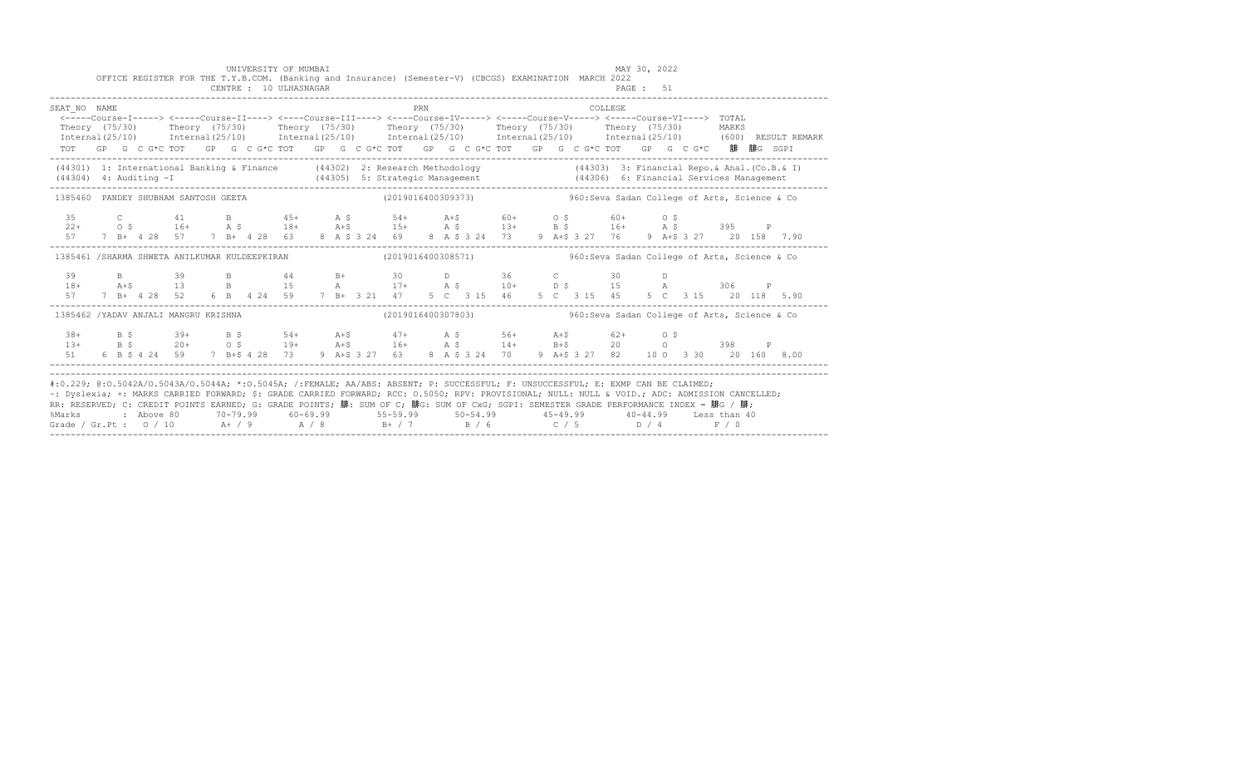|                                                                                                                                                                                                                                                                                                                                                                                                                                                                                                             |  |  | OFFICE REGISTER FOR THE T.Y.B.COM. (Banking and Insurance) (Semester-V) (CBCGS) EXAMINATION MARCH 2022                                                                                                                                                                                                                                                                                                                                                           |  |  | UNIVERSITY OF MUMBAI<br>CENTRE : 10 ULHASNAGAR |  |  |     |  |                                                                    |  |  |         | MAY 30, 2022<br>PAGE: 51 |  |  |  |  |
|-------------------------------------------------------------------------------------------------------------------------------------------------------------------------------------------------------------------------------------------------------------------------------------------------------------------------------------------------------------------------------------------------------------------------------------------------------------------------------------------------------------|--|--|------------------------------------------------------------------------------------------------------------------------------------------------------------------------------------------------------------------------------------------------------------------------------------------------------------------------------------------------------------------------------------------------------------------------------------------------------------------|--|--|------------------------------------------------|--|--|-----|--|--------------------------------------------------------------------|--|--|---------|--------------------------|--|--|--|--|
| SEAT NO NAME                                                                                                                                                                                                                                                                                                                                                                                                                                                                                                |  |  | <-----Course-I-----> <-----Course-II----> <----Course-III----> <----Course-IV-----> <----Course-V-----> <----Course-VI----> TOTAL<br>Theory (75/30) Theory (75/30) Theory (75/30) Theory (75/30) Theory (75/30) Theory (75/30) MARKS<br>Internal(25/10) Internal(25/10) Internal(25/10) Internal(25/10) Internal(25/10) Internal(25/10) (600)RESULTREMARK<br>TOT GP G C G*C TOT GP G C G*C TOT GP G C G*C TOT GP G C G*C TOT GP G C G*C TOT GP G C G*C 腓 腓G SGPI |  |  |                                                |  |  | PRN |  |                                                                    |  |  | COLLEGE |                          |  |  |  |  |
| (44301) 1: International Banking & Finance (44302) 2: Research Methodology (44303) 3: Financial Repo. & Anal. (Co.B. & I)<br>(44304) 4: Auditing -I (44305) 5: Strategic Management (44306) 6: Financial Services Management (443                                                                                                                                                                                                                                                                           |  |  |                                                                                                                                                                                                                                                                                                                                                                                                                                                                  |  |  |                                                |  |  |     |  |                                                                    |  |  |         |                          |  |  |  |  |
| 1385460 PANDEY SHUBHAM SANTOSH GEETA                                                                                                                                                                                                                                                                                                                                                                                                                                                                        |  |  |                                                                                                                                                                                                                                                                                                                                                                                                                                                                  |  |  |                                                |  |  |     |  | $(2019016400309373)$ 960: Seva Sadan College of Arts, Science & Co |  |  |         |                          |  |  |  |  |
|                                                                                                                                                                                                                                                                                                                                                                                                                                                                                                             |  |  |                                                                                                                                                                                                                                                                                                                                                                                                                                                                  |  |  |                                                |  |  |     |  |                                                                    |  |  |         |                          |  |  |  |  |
| 1385461 /SHARMA SHWETA ANILKUMAR KULDEEPKIRAN 6 (2019016400308571) 4 385461 (2019016400308571)                                                                                                                                                                                                                                                                                                                                                                                                              |  |  |                                                                                                                                                                                                                                                                                                                                                                                                                                                                  |  |  |                                                |  |  |     |  |                                                                    |  |  |         |                          |  |  |  |  |
|                                                                                                                                                                                                                                                                                                                                                                                                                                                                                                             |  |  |                                                                                                                                                                                                                                                                                                                                                                                                                                                                  |  |  |                                                |  |  |     |  |                                                                    |  |  |         |                          |  |  |  |  |
| 1385462 /YADAV ANJALI MANGRU KRISHNA                                                                                                                                                                                                                                                                                                                                                                                                                                                                        |  |  |                                                                                                                                                                                                                                                                                                                                                                                                                                                                  |  |  |                                                |  |  |     |  | (2019016400307803) 960: Seva Sadan College of Arts, Science & Co   |  |  |         |                          |  |  |  |  |
|                                                                                                                                                                                                                                                                                                                                                                                                                                                                                                             |  |  | 38+ B \$ 39+ B \$ 54+ A +\$ 47+ A \$ 56+ A +\$ 62+ 0 \$<br>13 + B \$ 20 + 0 \$ 19 + A +\$ 16 + A \$ 14 + B +\$ 20 0 0 398 P<br>51 6 B \$ 4 24 59 7 B +\$ 4 28 73 9 A +\$ 3 27 63 8 A \$ 3 24 70 9 A +\$ 3 27 82 10 0 3 30 20 160 8.00                                                                                                                                                                                                                            |  |  |                                                |  |  |     |  |                                                                    |  |  |         |                          |  |  |  |  |
| #:0.229; @:0.5042A/0.5043A/0.5044A; *:0.5045A; /:FEMALE; AA/ABS: ABSENT; P: SUCCESSFUL; F: UNSUCCESSFUL; E: EXMP CAN BE CLAIMED;<br>~: Dyslexia; +: MARKS CARRIED FORWARD; \$: GRADE CARRIED FORWARD; RCC: 0.5050; RPV: PROVISIONAL; NULL: NULL & VOID.; ADC: ADMISSION CANCELLED;<br>RR: RESERVED; C: CREDIT POINTS EARNED; G: GRADE POINTS; 腓: SUM OF C; 腓G: SUM OF CxG; SGPI: SEMESTER GRADE PERFORMANCE INDEX = 腓G / 腓;<br>%Marks<br>Grade / Gr.Pt : $0/10$ A / 9 A / 8 B + / 7 B / 6 C / 5 D / 4 F / 0 |  |  | 2 Above 80 20-79.99 60-69.99 55-59.99 50-54.99 45-49.99 40-44.99 Less than 40                                                                                                                                                                                                                                                                                                                                                                                    |  |  |                                                |  |  |     |  |                                                                    |  |  |         |                          |  |  |  |  |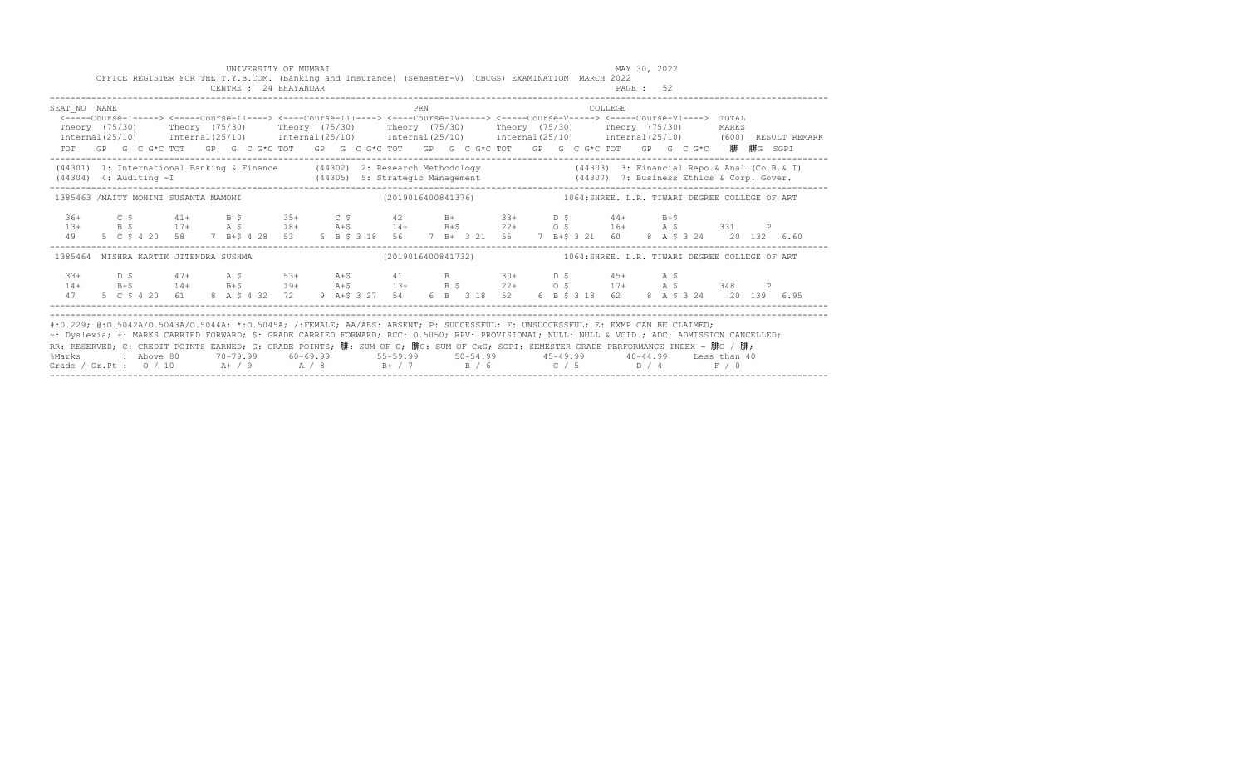|                                                                                                                                                                                                                                                                                                                                                                                                                                                                                                                                  |  |  |  |  | UNIVERSITY OF MUMBAI<br>CENTRE : 24 BHAYANDAR |  | OFFICE REGISTER FOR THE T.Y.B.COM. (Banking and Insurance) (Semester-V) (CBCGS) EXAMINATION MARCH 2022                                                                                                                                                                                                                                                                  |     |  |                        |  |  | MAY 30, 2022<br>PAGE: 52 |  |  |  |  |
|----------------------------------------------------------------------------------------------------------------------------------------------------------------------------------------------------------------------------------------------------------------------------------------------------------------------------------------------------------------------------------------------------------------------------------------------------------------------------------------------------------------------------------|--|--|--|--|-----------------------------------------------|--|-------------------------------------------------------------------------------------------------------------------------------------------------------------------------------------------------------------------------------------------------------------------------------------------------------------------------------------------------------------------------|-----|--|------------------------|--|--|--------------------------|--|--|--|--|
| SEAT NO NAME<br><----Course-I-----> <----Course-II----> <----Course-III----> <----Course-IV-----> <----Course-V-----> <----Course-VI----> TOTAL<br>Theory (75/30) Theory (75/30) Theory (75/30) Theory (75/30) Theory (75/30) Theory (75/30) MARKS<br>$Internal(25/10)$ $Internal(25/10)$ $Internal(25/10)$ $Internal(25/10)$ $Internal(25/10)$ $Internal(25/10)$ $Internal(25/10)$ $Internal(25/10)$ (600) RESULT REMARK<br>TOT GP G C G*C TOT GP G C G*C TOT GP G C G*C TOT GP G C G*C TOT GP G C G*C TOT GP G C G*C 腓 腓G SGPI |  |  |  |  |                                               |  |                                                                                                                                                                                                                                                                                                                                                                         | PRN |  | <b>COLLEGE</b> COLLEGE |  |  |                          |  |  |  |  |
| (44301) 1: International Banking & Finance (44302) 2: Research Methodology (44303) 3: Financial Repo. & Anal. (Co.B. & I)<br>$(44304)$ 4: Auditing $-I$                                                                                                                                                                                                                                                                                                                                                                          |  |  |  |  |                                               |  |                                                                                                                                                                                                                                                                                                                                                                         |     |  |                        |  |  |                          |  |  |  |  |
| 1385463 /MAITY MOHINI SUSANTA MAMONI                                                                                                                                                                                                                                                                                                                                                                                                                                                                                             |  |  |  |  |                                               |  |                                                                                                                                                                                                                                                                                                                                                                         |     |  |                        |  |  |                          |  |  |  |  |
|                                                                                                                                                                                                                                                                                                                                                                                                                                                                                                                                  |  |  |  |  |                                               |  | $\begin{array}{cccccccccccccccc} 36+ & & C & \xi & & 41+ & B & \xi & & 35+ & C & \xi & & 42 & B+ & 33+ & D & \xi & & 44+ & B+ \xi \\ 13+ & & B & \xi & & 17+ & A & \xi & & 18+ & A+ \xi & & 14+ & B+ \xi & & 22+ & O & \xi & & 16+ & A & \xi & & 331 & P \\ 49 & & 5 & C & \xi & 4 & 20 & 58 & & 7 & B+ \xi & 4 & 28 & 53 & 6 & B & \xi & 318 & 56 & & 7 & B+ & 3 & 21$ |     |  |                        |  |  |                          |  |  |  |  |
| 1385464 MISHRA KARTIK JITENDRA SUSHMA (2019016400841732) 1064:SHREE. L.R. TIWARI DEGREE COLLEGE OF ART                                                                                                                                                                                                                                                                                                                                                                                                                           |  |  |  |  |                                               |  |                                                                                                                                                                                                                                                                                                                                                                         |     |  |                        |  |  |                          |  |  |  |  |
|                                                                                                                                                                                                                                                                                                                                                                                                                                                                                                                                  |  |  |  |  |                                               |  | $\begin{array}{cccccccccccccccc} 33+ & D & S & 47+ & A & S & 53+ & A+5 & 41 & B & 30+ & D & S & 45+ & A & S \\ 14+ & B+5 & 14+ & B+5 & 19+ & A+5 & 13+ & B & S & 22+ & O & S & 17+ & A & S & 348 & P \\ 47 & 5 & C & 5 & 4 & 20 & 61 & 8 & A & 5 & 4 & 32 & 72 & 9 & A+5 & 3 & 27 & 54 & 6 & B & 3 & 18 & 52 & 6 & B & 5 & 3 & 18 & 62 & 8 &$                           |     |  |                        |  |  |                          |  |  |  |  |
| #:0.229; @:0.5042A/0.5043A/0.5044A; *:0.5045A; /:FEMALE; AA/ABS: ABSENT; P: SUCCESSFUL; F: UNSUCCESSFUL; E: EXMP CAN BE CLAIMED;<br>~: Dyslexia; +: MARKS CARRIED FORWARD; \$: GRADE CARRIED FORWARD; RCC: 0.5050; RPV: PROVISIONAL; NULL: NULL & VOID.; ADC: ADMISSION CANCELLED;<br>RR: RESERVED; C: CREDIT POINTS EARNED; G: GRADE POINTS; 腓: SUM OF C; 腓G: SUM OF CxG; SGPI: SEMESTER GRADE PERFORMANCE INDEX = 腓G / 腓;<br>%Marks<br>Grade / Gr.Pt : $0/10$ A / 9 A / 8 B + / 7 B / 6 C / 5 D / 4 F / 0                      |  |  |  |  |                                               |  | 2 Above 80         70-79.99         60-69.99            55-59.99          50-54.99            45-49.99         40-44.99       Less than 40                                                                                                                                                                                                                              |     |  |                        |  |  |                          |  |  |  |  |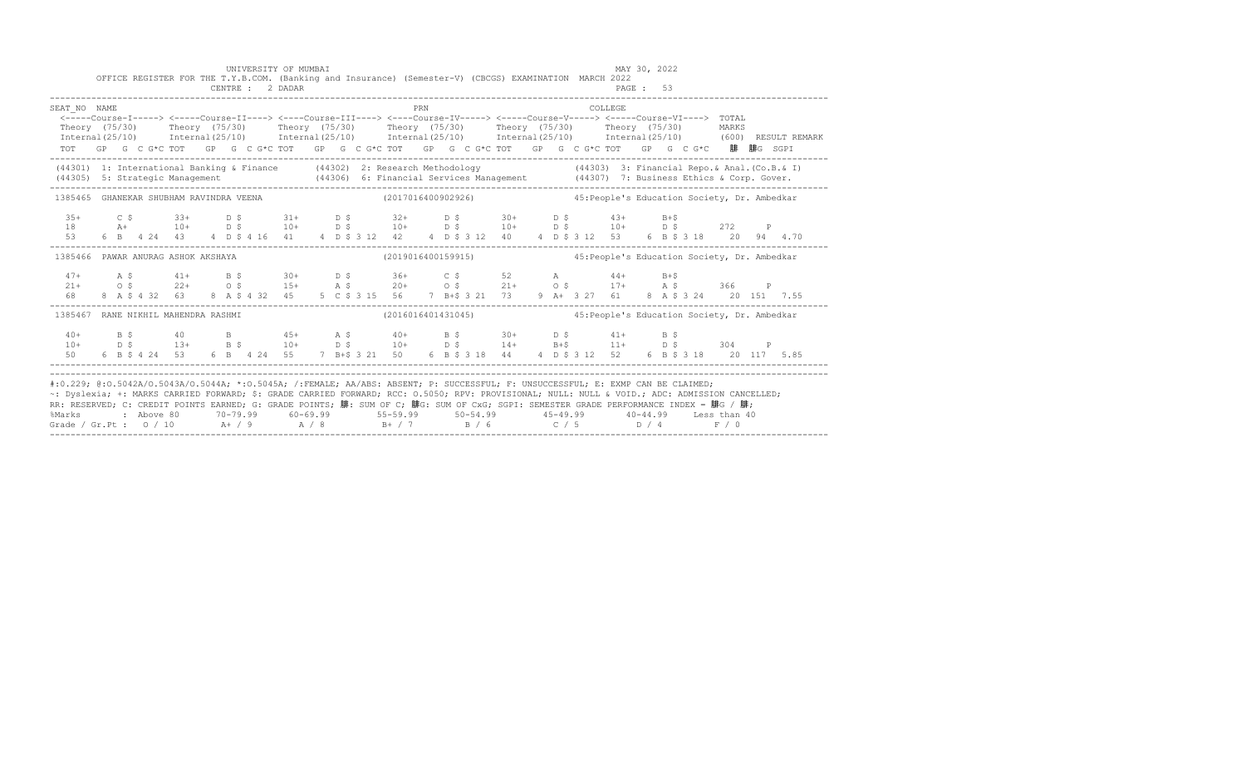| SEAT NO NAME<br><-----Course-I-----> <-----Course-II----> <----Course-III----> <----Course-IV-----> <----Course-V-----> <-----Course-VI----> TOTAL<br>Theory (75/30) Theory (75/30) Theory (75/30) Theory (75/30) Theory (75/30) Theory (75/30)<br>Internal (25/10) Internal (25/10) Internal (25/10) Internal (25/10) Internal (25/10) Internal (25/10) (600) RESULT REMARK<br>TOT GP G C G*C TOT GP G C G*C TOT GP G C G*C TOT GP G C G*C TOT GP G C G*C TOT GP G C G*C 腓腓G SGPI |  |  |  |  |  | PRN |                                                                                                                                                                                                                                                                                                                                                                                                                       |  |  | COLLEGE. |  |                                              | MARKS |  |
|------------------------------------------------------------------------------------------------------------------------------------------------------------------------------------------------------------------------------------------------------------------------------------------------------------------------------------------------------------------------------------------------------------------------------------------------------------------------------------|--|--|--|--|--|-----|-----------------------------------------------------------------------------------------------------------------------------------------------------------------------------------------------------------------------------------------------------------------------------------------------------------------------------------------------------------------------------------------------------------------------|--|--|----------|--|----------------------------------------------|-------|--|
| (44301) 1: International Banking & Finance (44302) 2: Research Methodology (44303) 3: Financial Repo. & Anal. (Co.B. & I)<br>(44305) 5: Strategic Management (44306) 6: Financial Services Management (44307) 7: Business Ethics & Corp. Gover.                                                                                                                                                                                                                                    |  |  |  |  |  |     |                                                                                                                                                                                                                                                                                                                                                                                                                       |  |  |          |  |                                              |       |  |
| 1385465 GHANEKAR SHUBHAM RAVINDRA VEENA (2017016400902926) (2017016400902926) 45: People's Education Society, Dr. Ambedkar                                                                                                                                                                                                                                                                                                                                                         |  |  |  |  |  |     |                                                                                                                                                                                                                                                                                                                                                                                                                       |  |  |          |  |                                              |       |  |
|                                                                                                                                                                                                                                                                                                                                                                                                                                                                                    |  |  |  |  |  |     |                                                                                                                                                                                                                                                                                                                                                                                                                       |  |  |          |  |                                              |       |  |
| 1385466 PAWAR ANURAG ASHOK AKSHAYA (2019016400159915)                                                                                                                                                                                                                                                                                                                                                                                                                              |  |  |  |  |  |     |                                                                                                                                                                                                                                                                                                                                                                                                                       |  |  |          |  | 45: People's Education Society, Dr. Ambedkar |       |  |
|                                                                                                                                                                                                                                                                                                                                                                                                                                                                                    |  |  |  |  |  |     | $\begin{array}{cccccccccccccccc} 47+ & & {\rm A}\ \, & {\rm S} & & 41+ & & {\rm B}\ \, & {\rm S} & & 30+ & & {\rm D}\ \, & {\rm S} & & 36+ & & {\rm C}\ \, & {\rm S} & & 52 & & {\rm A} & & 44+ & {\rm B}+{\rm S} & \\ 21+ & & {\rm O}\ \, & {\rm S} & & 22+ & {\rm O}\ \, & {\rm S} & & 15+ & {\rm A}\ \, & {\rm S} & & 20+ & {\rm O}\ \, & {\rm S} & & 21+ & {\rm O}\ \, & {\rm S} & & 17+ & {\rm A}\ \, & {\rm S}$ |  |  |          |  |                                              |       |  |
| 1385467 RANE NIKHIL MAHENDRA RASHMI (2016016401431045) 45: People's Education Society, Dr. Ambedkar                                                                                                                                                                                                                                                                                                                                                                                |  |  |  |  |  |     |                                                                                                                                                                                                                                                                                                                                                                                                                       |  |  |          |  |                                              |       |  |
|                                                                                                                                                                                                                                                                                                                                                                                                                                                                                    |  |  |  |  |  |     | 40 + B \$ 40 B 45 + A \$ 40 + B \$ 30 + D \$ 41 + B \$<br>$10+$<br>$10+$<br>$10+$<br>$10+$<br>$10+$<br>$10+$<br>$10+$<br>$10+$<br>$10+$<br>$10+$<br>$10+$<br>$10+$<br>$10+$<br>$10+$<br>$10+$<br>$10+$<br>$10+$<br>$10+$<br>$10+$<br>$10+$<br>$11+$<br>$15+$<br>$11+$<br>$15+$<br>$10+$<br>$15+$<br>$11+$<br>$15+$<br>$10+$<br>$15+$<br>$11+$<br>$15+$                                                                |  |  |          |  |                                              |       |  |

------------------------------------------------------------------------------------------------------------------------------------------------------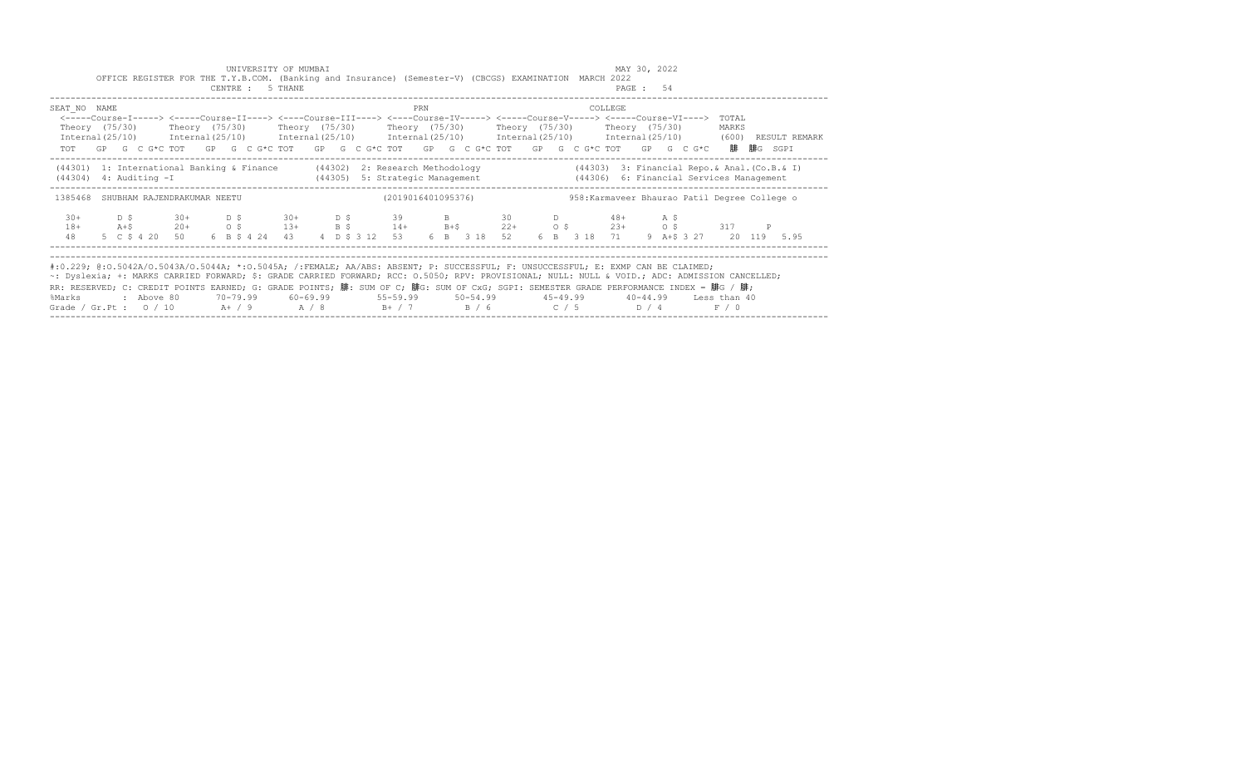| MAY 30, 2022<br>UNIVERSITY OF MUMBAI<br>OFFICE REGISTER FOR THE T.Y.B.COM. (Banking and Insurance) (Semester-V) (CBCGS) EXAMINATION MARCH 2022<br>CENTRE : 5 THANE<br>PAGE: 54<br>PRN<br>SEAT NO NAME<br>COLLEGE<br><-----Course-I-----> <-----Course-II----> <----Course-III----> <----Course-IV-----> <----Course-V-----> <----Course-VI----> TOTAL<br>Theory (75/30)    Theory (75/30)    Theory (75/30)    Theory (75/30)    Theory (75/30)    Theory (75/30)<br>MARKS<br>Internal (25/10) Internal (25/10) Internal (25/10) Internal (25/10) Internal (25/10) Internal (25/10) (600)<br>RESULT REMARK<br>TOT GP G C G*C TOT GP G C G*C TOT GP G C G*C TOT GP G C G*C TOT GP G C G*C TOT GP G C G*C 腓腓G SGPI<br>(44301) 1: International Banking & Finance (44302) 2: Research Methodology<br>$(44303)$ 3: Financial Repo.& Anal. (Co.B.& I)<br>(44305) 5: Strategic Management (44306) 6: Financial Services Management<br>$(44304)$ 4: Auditing $-I$<br>(2019016401095376)<br>958: Karmaveer Bhaurao Patil Degree College o<br>1385468 SHUBHAM RAJENDRAKUMAR NEETU<br>D \$ 30+ D \$ 30+ D \$ 39 B 30 D 48+ A \$<br>$30+$<br>A+\$ 20+ 0\$ 13+ B\$ 14+ B+\$ 22+ 0\$ 23+ 0\$ 317 P<br>$18+$<br>6 B \$ 4 24 43 4 D \$ 3 12 53 6 B 3 18 52 6 B 3 18 71 9 A+\$ 3 27 20 119 5.95<br>48<br>5 C \$ 4 20 50<br>#:0.229; @:0.5042A/0.5043A/0.5044A; *:0.5045A; /:FEMALE; AA/ABS: ABSENT; P: SUCCESSFUL; F: UNSUCCESSFUL; E: EXMP CAN BE CLAIMED;<br>~: Dyslexia; +: MARKS CARRIED FORWARD; \$: GRADE CARRIED FORWARD; RCC: 0.5050; RPV: PROVISIONAL; NULL: NULL & VOID.; ADC: ADMISSION CANCELLED;<br>RR: RESERVED; C: CREDIT POINTS EARNED; G: GRADE POINTS; 腓: SUM OF C; 腓G: SUM OF CxG; SGPI: SEMESTER GRADE PERFORMANCE INDEX = 腓G / 腓;<br>70-79.99   60-69.99     55-59.99     50-54.99     45-49.99     40-44.99   Less than 40<br>: Above 80<br>%Marks<br>Grade / Gr.Pt : $0/10$ A + / 9 A / 8 B + / 7 B / 6 C / 5 D / 4 F / 0 |  |  |  |  |  |  |  |  |  |  |  |  |  |  |
|----------------------------------------------------------------------------------------------------------------------------------------------------------------------------------------------------------------------------------------------------------------------------------------------------------------------------------------------------------------------------------------------------------------------------------------------------------------------------------------------------------------------------------------------------------------------------------------------------------------------------------------------------------------------------------------------------------------------------------------------------------------------------------------------------------------------------------------------------------------------------------------------------------------------------------------------------------------------------------------------------------------------------------------------------------------------------------------------------------------------------------------------------------------------------------------------------------------------------------------------------------------------------------------------------------------------------------------------------------------------------------------------------------------------------------------------------------------------------------------------------------------------------------------------------------------------------------------------------------------------------------------------------------------------------------------------------------------------------------------------------------------------------------------------------------------------------------------------------------------------------------------------------------------------------------|--|--|--|--|--|--|--|--|--|--|--|--|--|--|
|                                                                                                                                                                                                                                                                                                                                                                                                                                                                                                                                                                                                                                                                                                                                                                                                                                                                                                                                                                                                                                                                                                                                                                                                                                                                                                                                                                                                                                                                                                                                                                                                                                                                                                                                                                                                                                                                                                                                  |  |  |  |  |  |  |  |  |  |  |  |  |  |  |
|                                                                                                                                                                                                                                                                                                                                                                                                                                                                                                                                                                                                                                                                                                                                                                                                                                                                                                                                                                                                                                                                                                                                                                                                                                                                                                                                                                                                                                                                                                                                                                                                                                                                                                                                                                                                                                                                                                                                  |  |  |  |  |  |  |  |  |  |  |  |  |  |  |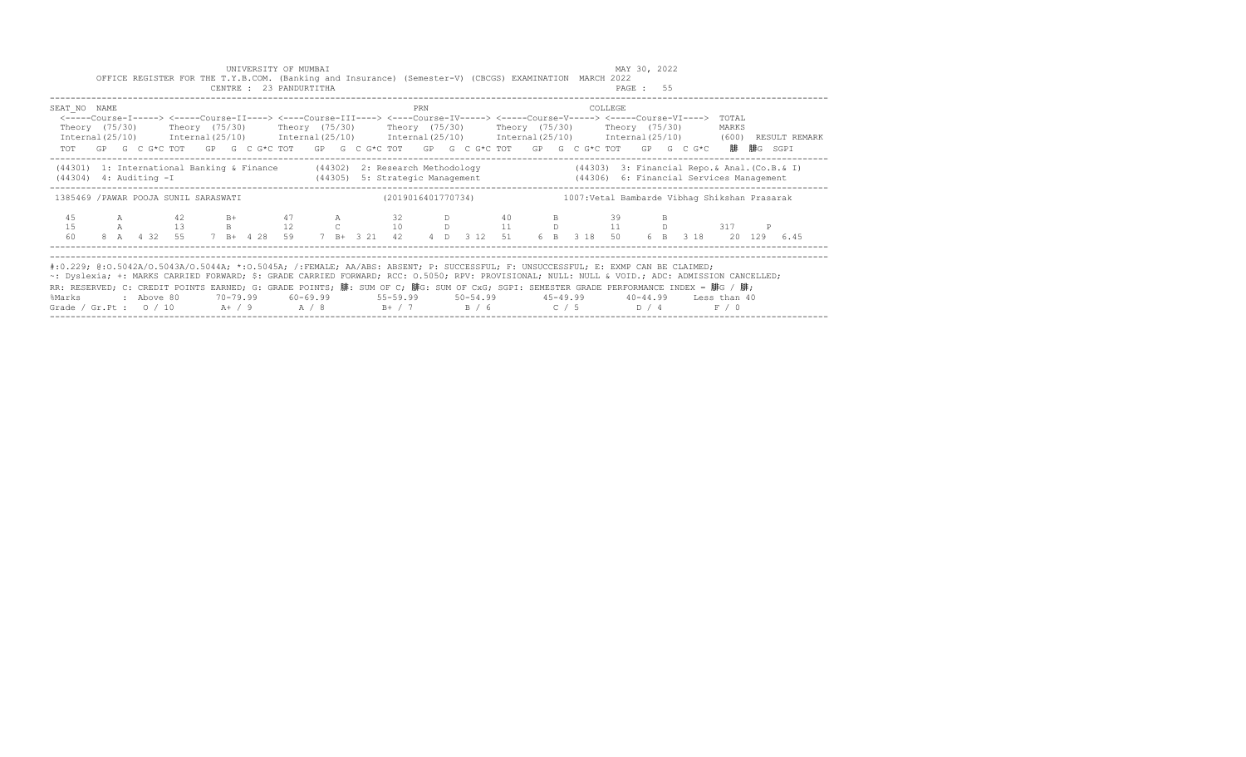|                                                                                                                                                                                                                                                                                                                                                                                                                                                                                                       |  |            | OFFICE REGISTER FOR THE T.Y.B.COM. (Banking and Insurance) (Semester-V) (CBCGS) EXAMINATION MARCH 2022                                                                                                                                                                                                                               |  |  | UNIVERSITY OF MUMBAI<br>CENTRE : 23 PANDURTITHA |  |                                                                          |     |    |        |  |                                               | MAY 30, 2022<br>PAGE: 55 |     |  |                |                  |                                                                                                                     |  |
|-------------------------------------------------------------------------------------------------------------------------------------------------------------------------------------------------------------------------------------------------------------------------------------------------------------------------------------------------------------------------------------------------------------------------------------------------------------------------------------------------------|--|------------|--------------------------------------------------------------------------------------------------------------------------------------------------------------------------------------------------------------------------------------------------------------------------------------------------------------------------------------|--|--|-------------------------------------------------|--|--------------------------------------------------------------------------|-----|----|--------|--|-----------------------------------------------|--------------------------|-----|--|----------------|------------------|---------------------------------------------------------------------------------------------------------------------|--|
| SEAT NO NAME                                                                                                                                                                                                                                                                                                                                                                                                                                                                                          |  |            | <-----Course-I-----> <----Course-II----> <----Course-III----> <----Course-IV-----> <-----Course-V-----> <-----Course-VI----><br>Theory (75/30)  Theory (75/30)  Theory (75/30)  Theory (75/30)  Theory (75/30)  Theory (75/30)<br>TOT GP G C G*C TOT GP G C G*C TOT GP G C G*C TOT GP G C G*C TOT GP G C G*C TOT GP G C G*C 腓腓G SGPI |  |  |                                                 |  |                                                                          | PRN |    |        |  | COLLEGE                                       |                          |     |  | TOTAL<br>MARKS |                  | Internal(25/10) Internal(25/10) Internal(25/10) Internal(25/10) Internal(25/10) Internal(25/10) (600) RESULT REMARK |  |
| $(44304)$ 4: Auditing $-I$                                                                                                                                                                                                                                                                                                                                                                                                                                                                            |  |            | (44301) 1: International Banking & Finance (44302) 2: Research Methodology (44303) 3: Financial Repo. & Anal. (Co.B. & I)                                                                                                                                                                                                            |  |  |                                                 |  | (44305) 5: Strategic Management (44306) 6: Financial Services Management |     |    |        |  |                                               |                          |     |  |                |                  |                                                                                                                     |  |
|                                                                                                                                                                                                                                                                                                                                                                                                                                                                                                       |  |            | 1385469 / PAWAR POOJA SUNIL SARASWATI                                                                                                                                                                                                                                                                                                |  |  |                                                 |  | (2019016401770734)                                                       |     |    |        |  | 1007: Vetal Bambarde Vibhaq Shikshan Prasarak |                          |     |  |                |                  |                                                                                                                     |  |
| 45<br>15<br>60                                                                                                                                                                                                                                                                                                                                                                                                                                                                                        |  | A          | A 42 B+ 47<br>8 A 4 32 55 7 B+ 4 28 59 7 B+ 3 21 42 4 D 3 12 51 6 B 3 18 50                                                                                                                                                                                                                                                          |  |  |                                                 |  | A 32<br>13 B 12 C 10 D 11                                                |     | 40 | D 11 D |  | 39                                            |                          | 6 B |  | 317            | 3 18 20 129 6.45 |                                                                                                                     |  |
| #:0.229; @:0.5042A/0.5043A/0.5044A; *:0.5045A; /:FEMALE; AA/ABS: ABSENT; P: SUCCESSFUL; F: UNSUCCESSFUL; E: EXMP CAN BE CLAIMED;<br>~: Dyslexia; +: MARKS CARRIED FORWARD; \$: GRADE CARRIED FORWARD; RCC: 0.5050; RPV: PROVISIONAL; NULL: NULL & VOID.; ADC: ADMISSION CANCELLED;<br>RR: RESERVED; C: CREDIT POINTS EARNED; G: GRADE POINTS; 腓: SUM OF C; 腓G: SUM OF CxG; SGPI: SEMESTER GRADE PERFORMANCE INDEX = 腓G / 腓;<br>%Marks<br>Grade / Gr.Pt : $0/10$ A+ / 9 A / 8 B+ / 7 B / 6 C / 5 D / 4 |  | : Above 80 |                                                                                                                                                                                                                                                                                                                                      |  |  |                                                 |  |                                                                          |     |    |        |  |                                               |                          |     |  | F / 0          |                  |                                                                                                                     |  |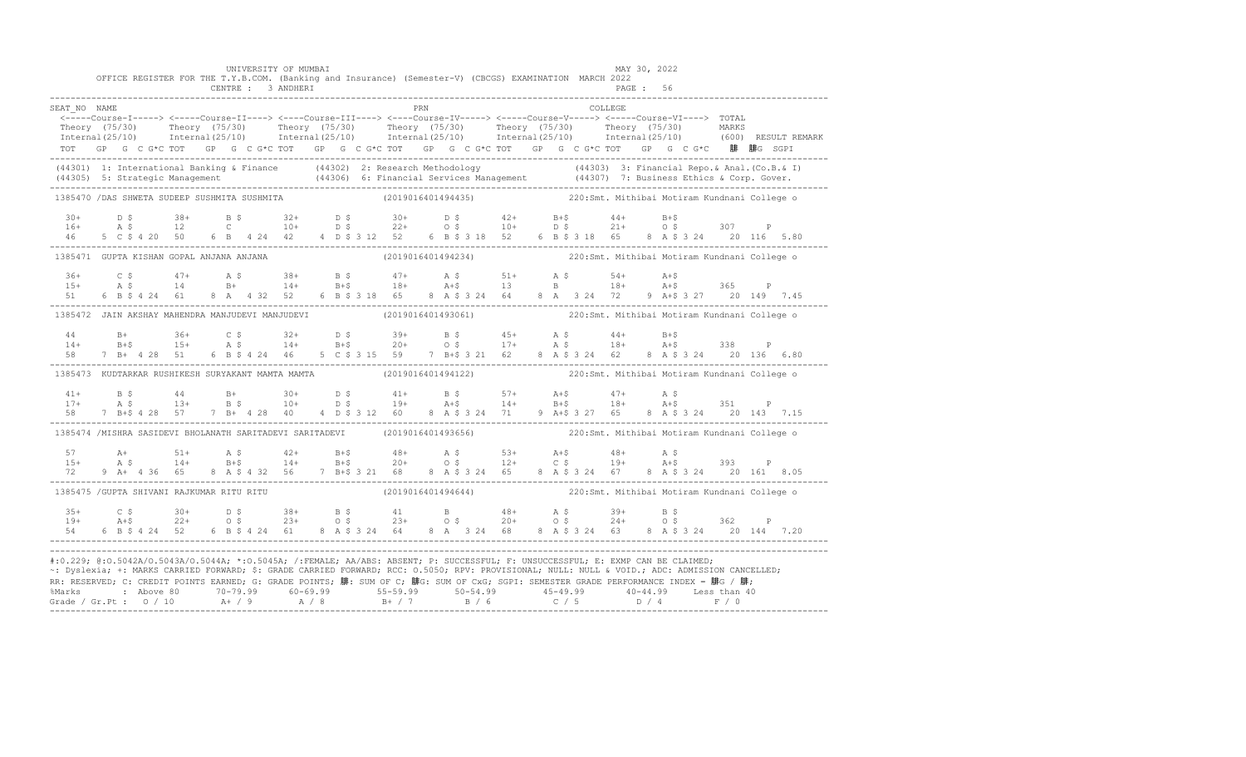|                                                                                                                                                                                                                                                                                                                                                                                                                                                                                                                     |  |  |  |  | UNIVERSITY OF MUMBAI<br>CENTRE : 3 ANDHERI |  |  |            |  | OFFICE REGISTER FOR THE T.Y.B.COM. (Banking and Insurance) (Semester-V) (CBCGS) EXAMINATION MARCH 2022                                                                                                                                                                                                                                                                                             |  |          | MAY 30, 2022<br>PAGE: 56 |  |  |                                                                                                                                                                                                                                |
|---------------------------------------------------------------------------------------------------------------------------------------------------------------------------------------------------------------------------------------------------------------------------------------------------------------------------------------------------------------------------------------------------------------------------------------------------------------------------------------------------------------------|--|--|--|--|--------------------------------------------|--|--|------------|--|----------------------------------------------------------------------------------------------------------------------------------------------------------------------------------------------------------------------------------------------------------------------------------------------------------------------------------------------------------------------------------------------------|--|----------|--------------------------|--|--|--------------------------------------------------------------------------------------------------------------------------------------------------------------------------------------------------------------------------------|
| SEAT NO NAME                                                                                                                                                                                                                                                                                                                                                                                                                                                                                                        |  |  |  |  |                                            |  |  | <b>PRN</b> |  | TOT GP G C G*C TOT GP G C G*C TOT GP G C G*C TOT GP G C G*C TOT GP G C G*C TOT GP G C G*C 腓 腓G SGPI                                                                                                                                                                                                                                                                                                |  | COLLEGE. |                          |  |  | Theory (75/30) Theory (75/30) Theory (75/30) Theory (75/30) Theory (75/30) Theory (75/30) Theory (75/30) Theory (75/30) Theory (75/30) Theory (75/30) Theory (75/30) Theory (75/30) Theory (75/30) Theory (75/30) Theory (75/3 |
| (44301) 1: International Banking & Finance (44302) 2: Research Methodology (44303) 3: Financial Repo. & Anal. (Co.B. & I)<br>(44305) 5: Strategic Management (44306) 6: Financial Services Management (44307) 7: Business Ethics                                                                                                                                                                                                                                                                                    |  |  |  |  |                                            |  |  |            |  |                                                                                                                                                                                                                                                                                                                                                                                                    |  |          |                          |  |  |                                                                                                                                                                                                                                |
| 1385470 / DAS SHWETA SUDEEP SUSHMITA SUSHMITA                                                                                                                                                                                                                                                                                                                                                                                                                                                                       |  |  |  |  |                                            |  |  |            |  | (2019016401494435) 220:Smt. Mithibai Motiram Kundnani College o                                                                                                                                                                                                                                                                                                                                    |  |          |                          |  |  |                                                                                                                                                                                                                                |
|                                                                                                                                                                                                                                                                                                                                                                                                                                                                                                                     |  |  |  |  |                                            |  |  |            |  | $\begin{array}{cccccccccccccccccccccccccccccc} 30+& & D & \xi & & 38+& & B & \xi & & 32+& & D & \xi & & 30+& & D & \xi & & 42+& & B+\xi & & 44+& & B+\xi \\ 16+& & A & \xi & & 12& & C& & 10+& & D & \xi & & 22+& & O & \xi & & 10+& & D & \xi & & 21+& & O & \xi & & 307& & P \\ 46& & 5 & C & \xi & 4 & 20 & & 50& & 6 & B & 4 & 24 & 42& & 4 & D & \xi & 312& & 52&$                            |  |          |                          |  |  |                                                                                                                                                                                                                                |
| 1385471 GUPTA KISHAN GOPAL ANJANA ANJANA (2019016401494234) 220:Smt. Mithibai Motiram Kundnani College o                                                                                                                                                                                                                                                                                                                                                                                                            |  |  |  |  |                                            |  |  |            |  |                                                                                                                                                                                                                                                                                                                                                                                                    |  |          |                          |  |  |                                                                                                                                                                                                                                |
|                                                                                                                                                                                                                                                                                                                                                                                                                                                                                                                     |  |  |  |  |                                            |  |  |            |  | $15+$ $25$ $47+$ $35$ $38+$ $55$ $47+$ $35$ $51+$ $35$ $54+$ $3+5$<br>$15+$ $35$ $14$ $5+$ $14+$ $5+5$ $18+$ $3+5$ $13$ $5$ $18+$ $3+5$ $365$ P                                                                                                                                                                                                                                                    |  |          |                          |  |  |                                                                                                                                                                                                                                |
| 1385472 JAIN AKSHAY MAHENDRA MANJUDEVI MANJUDEVI (2019016401493061) 220:Smt. Mithibai Motiram Kundnani College o                                                                                                                                                                                                                                                                                                                                                                                                    |  |  |  |  |                                            |  |  |            |  |                                                                                                                                                                                                                                                                                                                                                                                                    |  |          |                          |  |  |                                                                                                                                                                                                                                |
|                                                                                                                                                                                                                                                                                                                                                                                                                                                                                                                     |  |  |  |  |                                            |  |  |            |  |                                                                                                                                                                                                                                                                                                                                                                                                    |  |          |                          |  |  |                                                                                                                                                                                                                                |
| 1385473 KUDTARKAR RUSHIKESH SURYAKANT MAMTA MAMTA (2019016401494122) 220:Smt. Mithibai Motiram Kundnani College o                                                                                                                                                                                                                                                                                                                                                                                                   |  |  |  |  |                                            |  |  |            |  |                                                                                                                                                                                                                                                                                                                                                                                                    |  |          |                          |  |  |                                                                                                                                                                                                                                |
|                                                                                                                                                                                                                                                                                                                                                                                                                                                                                                                     |  |  |  |  |                                            |  |  |            |  | $\begin{array}{cccccccccccccccc} 41+ & & & \text{B}\ \ \text{S} & & & 44 & & \text{B}+ & & 30+ & & \text{D}\ \ \text{S} & & & 41+ & & \text{B}\ \ \text{S} & & & 13+ & & \text{B}\ \ \text{S} & & & 10+ & & \text{D}\ \ \text{S} & & & 19+ & & \text{A}+ \text{S} & & & 14+ & & \text{B}+ \text{S} & & 18+ & & \text{A}+ \text{S} & & 351 & & \text{P} \\ 58 & & 7 & & \text{B}+ \text{S} & & 428$ |  |          |                          |  |  |                                                                                                                                                                                                                                |
| 1385474 /MISHRA SASIDEVI BHOLANATH SARITADEVI SARITADEVI (2019016401493656) 220:Smt. Mithibai Motiram Kundnani College o                                                                                                                                                                                                                                                                                                                                                                                            |  |  |  |  |                                            |  |  |            |  |                                                                                                                                                                                                                                                                                                                                                                                                    |  |          |                          |  |  |                                                                                                                                                                                                                                |
| 57<br>$15+$                                                                                                                                                                                                                                                                                                                                                                                                                                                                                                         |  |  |  |  |                                            |  |  |            |  | A+ 51+ A \$ 42+ B+\$ 48+ A \$ 53+ A+\$ 48+ A \$<br>A \$ 14+ B+\$ 14+ B+\$ 20+ O \$ 12+ C \$ 19+ A+\$ 393 P                                                                                                                                                                                                                                                                                         |  |          |                          |  |  |                                                                                                                                                                                                                                |
| 1385475 / GUPTA SHIVANI RAJKUMAR RITU RITU                                                                                                                                                                                                                                                                                                                                                                                                                                                                          |  |  |  |  |                                            |  |  |            |  | (2019016401494644) 220:Smt. Mithibai Motiram Kundnani College o                                                                                                                                                                                                                                                                                                                                    |  |          |                          |  |  |                                                                                                                                                                                                                                |
|                                                                                                                                                                                                                                                                                                                                                                                                                                                                                                                     |  |  |  |  |                                            |  |  |            |  |                                                                                                                                                                                                                                                                                                                                                                                                    |  |          |                          |  |  |                                                                                                                                                                                                                                |
| #:0.229; @:0.5042A/0.5043A/0.5044A; *:0.5045A; /:FEMALE; AA/ABS: ABSENT; P: SUCCESSFUL; F: UNSUCCESSFUL; E: EXMP CAN BE CLAIMED;<br>~: Dyslexia; +: MARKS CARRIED FORWARD; \$: GRADE CARRIED FORWARD; RCC: 0.5050; RPV: PROVISIONAL; NULL: NULL & VOID.; ADC: ADMISSION CANCELLED;<br>RR: RESERVED; C: CREDIT POINTS EARNED; G: GRADE POINTS; 腓: SUM OF C; 腓G: SUM OF CxG; SGPI: SEMESTER GRADE PERFORMANCE INDEX = 腓G / 腓;<br>%Marks : Above 80 70-79.99 60-69.99 55-59.99 50-54.99 45-49.99 40-44.99 Less than 40 |  |  |  |  |                                            |  |  |            |  |                                                                                                                                                                                                                                                                                                                                                                                                    |  |          |                          |  |  |                                                                                                                                                                                                                                |